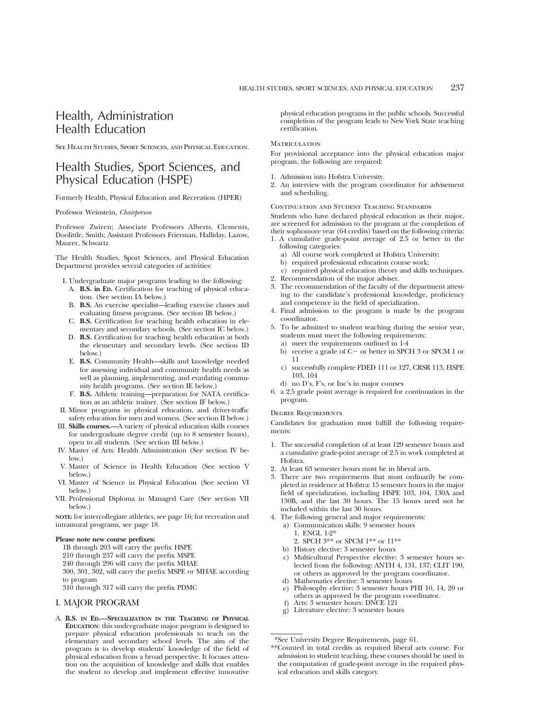# Health, Administration Health Education

See Health Studies, Sport Sciences, and Physical Education.

# Health Studies, Sport Sciences, and Physical Education (HSPE)

Formerly Health, Physical Education and Recreation (HPER)

Professor Weinstein, *Chairperson*

Professor Zwiren; Associate Professors Alberts, Clements, Doolittle, Smith; Assistant Professors Frierman, Halliday, Lazow, Maurer, Schwartz.

The Health Studies, Sport Sciences, and Physical Education Department provides several categories of activities:

- I. Undergraduate major programs leading to the following: A. **B.S. in ED.** Certification for teaching of physical education. (See section IA below.)
	- B. **B.S.** An exercise specialist—leading exercise classes and evaluating fitness programs. (See section IB below.)
	- C. **B.S.** Certification for teaching health education in elementary and secondary schools. (See section IC below.)
- D. **B.S.** Certification for teaching health education at both the elementary and secondary levels. (See section ID below.)
- E. **B.S.** Community Health—skills and knowledge needed for assessing individual and community health needs as well as planning, implementing, and evaulating community health programs. (See section IE below.)
- F. **B.S.** Athletic training—preparation for NATA certification as an athletic trainer. (See section IF below.)
- II. Minor programs in physical education, and driver-traffic safety education for men and women. (See section II below.)
- III. **Skills courses.—**A variety of physical education skills courses for undergraduate degree credit (up to 8 semester hours), open to all students. (See section III below.)
- IV. Master of Arts: Health Administration (See section IV below.)
- V. Master of Science in Health Education (See section V below.)
- VI. Master of Science in Physical Education (See section VI below.)
- VII. Professional Diploma in Managed Care (See section VII below.)

**NOTE:** for intercollegiate athletics, see page 16; for recreation and intramural programs, see page 18.

#### **Please note new course prefixes:**

1B through 203 will carry the prefix HSPE

- 210 through 237 will carry the prefix MSPE
- 240 through 296 will carry the prefix MHAE

300, 301, 302, will carry the prefix MSPE or MHAE according to program

310 through 317 will carry the prefix PDMC

#### I. MAJOR PROGRAM

A. **B.S. IN ED.—SPECIALIZATION IN THE TEACHING OF PHYSICAL EDUCATION**: this undergraduate major program is designed to prepare physical education professionals to teach on the elementary and secondary school levels. The aim of the program is to develop students' knowledge of the field of physical education from a broad perspective. It focuses attention on the acquisition of knowledge and skills that enables the student to develop and implement effective innovative

physical education programs in the public schools. Successful completion of the program leads to New York State teaching certification.

#### **MATRICULATION**

For provisional acceptance into the physical education major program, the following are required:

- 1. Admission into Hofstra University.
- 2. An interview with the program coordinator for advisement and scheduling.

#### Continuation and Student Teaching Standards

Students who have declared physical education as their major, are screened for admission to the program at the completion of their sophomore year (64 credits) based on the following criteria:

- 1. A cumulative grade-point average of 2.5 or better in the following categories:
	- a) All course work completed at Hofstra University;
	- b) required professional education course work;
	- c) required physical education theory and skills techniques.
- 2. Recommendation of the major adviser.
- 3. The recommendation of the faculty of the department attesting to the candidate's professional knowledge, proficiency and competence in the field of specialization.
- 4. Final admission to the program is made by the program coordinator.
- 5. To be admitted to student teaching during the senior year, students must meet the following requirements:
	- a) meet the requirements outlined in 1-4
	- b) receive a grade of  $C-$  or better in SPCH 3 or SPCM 1 or 11
	- c) successfully complete FDED 111 or 127, CRSR 113, HSPE 103, 104
	- d) no D's, F's, or Inc's in major courses
- 6. a 2.5 grade point average is required for continuation in the program.

#### Degree Requirements

Candidates for graduation must fulfill the following requirements:

- 1. The successful completion of at least 129 semester hours and a cumulative grade-point average of 2.5 in work completed at Hofstra.
- 2. At least 63 semester hours must be in liberal arts.
- 3. There are two requirements that must ordinarily be completed in residence at Hofstra: 15 semester hours in the major field of specialization, including HSPE 103, 104, 130A and 130B, and the last 30 hours. The 15 hours need not be included within the last 30 hours.
- 4. The following general and major requirements:
	- a) Communication skills: 9 semester hours
		- 1. ENGL 1-2\*
		- 2. SPCH 3\*\* or SPCM 1\*\* or 11\*\*
	- b) History elective: 3 semester hours
	- c) Multicultural Perspective elective: 3 semester hours selected from the following: ANTH 4, 131, 137; CLIT 190, or others as approved by the program coordinator.
	- d) Mathematics elective: 3 semester hours
	- e) Philosophy elective: 3 semester hours PHI 10, 14, 20 or others as approved by the program coordinator.
	- Arts: 3 semester hours: DNCE 121
	- g) Literature elective: 3 semester hours

<sup>\*\*</sup>Counted in total credits as required liberal arts course. For admission to student teaching, these courses should be used in the computation of grade-point average in the required physical education and skills category.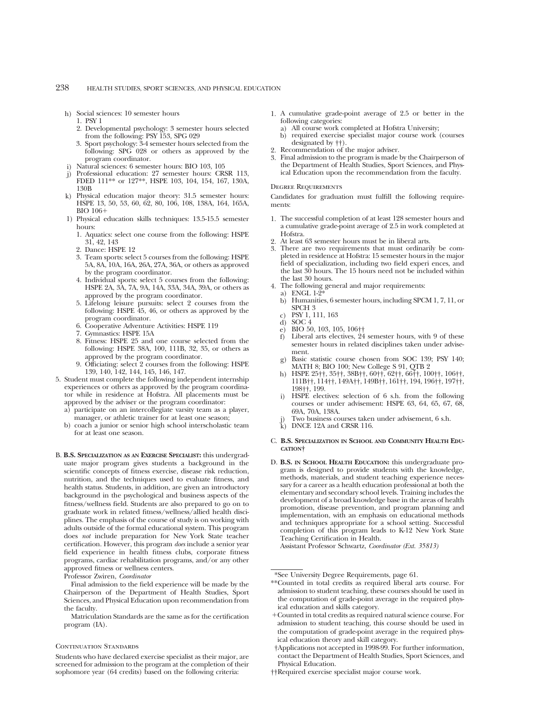- h) Social sciences: 10 semester hours
	- 1. PSY 1
	- 2. Developmental psychology: 3 semester hours selected from the following: PSY 153, SPG 029
	- 3. Sport psychology: 3-4 semester hours selected from the following: SPG 028 or others as approved by the program coordinator.
- i) Natural sciences: 6 semester hours: BIO 103, 105
- j) Professional education: 27 semester hours: CRSR 113, FDED 111\*\* or 127\*\*, HSPE 103, 104, 154, 167, 130A, 130B
- k) Physical education major theory: 31.5 semester hours: HSPE 13, 50, 53, 60, 62, 80, 106, 108, 138A, 164, 165A,  $BIO$  106+
- 1) Physical education skills techniques: 13.5-15.5 semester hours:
	- 1. Aquatics: select one course from the following: HSPE 31, 42, 143
	- 2. Dance: HSPE 12
	- 3. Team sports: select 5 courses from the following: HSPE 5A, 8A, 10A, 16A, 26A, 27A, 36A, or others as approved by the program coordinator.
	- 4. Individual sports: select 5 courses from the following: HSPE 2A, 3A, 7A, 9A, 14A, 33A, 34A, 39A, or others as approved by the program coordinator.
	- 5. Lifelong leisure pursuits: select 2 courses from the following: HSPE 45, 46, or others as approved by the program coordinator.
	- 6. Cooperative Adventure Activities: HSPE 119
	- 7. Gymnastics: HSPE 15A
	- 8. Fitness: HSPE 25 and one course selected from the following: HSPE 38A, 100, 111B, 32, 35, or others as approved by the program coordinator.
	- Officiating: select 2 courses from the following: HSPE 139, 140, 142, 144, 145, 146, 147.
- 5. Student must complete the following independent internship experiences or others as approved by the program coordinator while in residence at Hofstra. All placements must be approved by the adviser or the program coordinator:
	- a) participate on an intercollegiate varsity team as a player, manager, or athletic trainer for at least one season;
	- b) coach a junior or senior high school interscholastic team for at least one season.
- B. **B.S. SPECIALIZATION AS AN EXERCISE SPECIALIST:** this undergraduate major program gives students a background in the scientific concepts of fitness exercise, disease risk reduction, nutrition, and the techniques used to evaluate fitness, and health status. Students, in addition, are given an introductory background in the psychological and business aspects of the fitness/wellness field. Students are also prepared to go on to graduate work in related fitness/wellness/allied health disciplines. The emphasis of the course of study is on working with adults outside of the formal educational system. This program does *not* include preparation for New York State teacher certification. However, this program *does* include a senior year field experience in health fitness clubs, corporate fitness programs, cardiac rehabilitation programs, and/or any other approved fitness or wellness centers.

Professor Zwiren, *Coordinator*

Final admission to the field experience will be made by the Chairperson of the Department of Health Studies, Sport Sciences, and Physical Education upon recommendation from the faculty.

Matriculation Standards are the same as for the certification program (IA).

#### CONTINUATION STANDARDS

Students who have declared exercise specialist as their major, are screened for admission to the program at the completion of their sophomore year (64 credits) based on the following criteria:

- 1. A cumulative grade-point average of 2.5 or better in the following categories:
	- a) All course work completed at Hofstra University;
	- b) required exercise specialist major course work (courses designated by ††).
- 2. Recommendation of the major adviser.
- 3. Final admission to the program is made by the Chairperson of the Department of Health Studies, Sport Sciences, and Physical Education upon the recommendation from the faculty.

#### Degree Requirements

Candidates for graduation must fulfill the following requirements:

- 1. The successful completion of at least 128 semester hours and a cumulative grade-point average of 2.5 in work completed at Hofstra.
- At least 63 semester hours must be in liberal arts.
- 3. There are two requirements that must ordinarily be completed in residence at Hofstra: 15 semester hours in the major field of specialization, including two field experi ences, and the last 30 hours. The 15 hours need not be included within the last 30 hours.
- 4. The following general and major requirements:
	- a) ENGL 1-2\* b) Humanities, 6 semester hours, including SPCM 1, 7, 11, or SPCH 3
	- c) PSY 1, 111, 163
	- d)  $SOC<sub>4</sub>$ <br>e)  $BIO<sub>5</sub>$
	-
	- e) BIO 50, 103, 105, 106††<br>f) Liberal arts electives, 24 Liberal arts electives, 24 semester hours, with 9 of these semester hours in related disciplines taken under advisement.
	- g) Basic statistic course chosen from SOC 139; PSY 140; MATH 8; BIO 100; New College S 91, QTB 2
	- h) HSPE 25††, 35††, 38B††, 60††, 62††, 66††, 100††, 106††, 111B††, 114††, 149A††, 149B††, 161††, 194, 196††, 197††, 198††, 199.
	- i) HSPE electives: selection of 6 s.h. from the following courses or under advisement: HSPE 63, 64, 65, 67, 68, 69A, 70A, 138A.
	- Two business courses taken under advisement, 6 s.h.
	- $k$ ) DNCE 12A and CRSR 116.

#### C. **B.S. SPECIALIZATION IN SCHOOL AND COMMUNITY HEALTH EDU-CATION†**

D. **B.S. IN SCHOOL HEALTH EDUCATION:** this undergraduate program is designed to provide students with the knowledge, methods, materials, and student teaching experience necessary for a career as a health education professional at both the elementary and secondary school levels. Training includes the development of a broad knowledge base in the areas of health promotion, disease prevention, and program planning and implementation, with an emphasis on educational methods and techniques appropriate for a school setting. Successful completion of this program leads to K-12 New York State Teaching Certification in Health.

Assistant Professor Schwartz, *Coordinator (Ext. 35813)*

- 1Counted in total credits as required natural science course. For admission to student teaching, this course should be used in the computation of grade-point average in the required physical education theory and skill category.
- †Applications not accepted in 1998-99. For further information, contact the Department of Health Studies, Sport Sciences, and Physical Education.
- ††Required exercise specialist major course work.

<sup>\*\*</sup>Counted in total credits as required liberal arts course. For admission to student teaching, these courses should be used in the computation of grade-point average in the required physical education and skills category.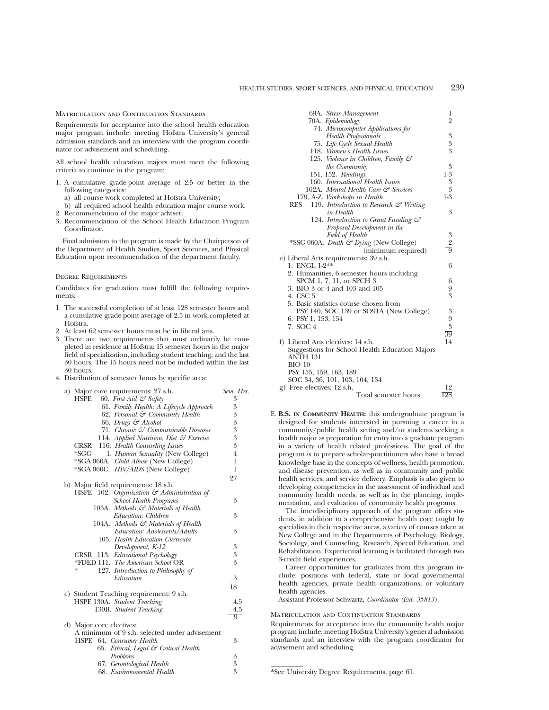Matriculation and Continuation Standards

Requirements for acceptance into the school health education major program include: meeting Hofstra University's general admission standards and an interview with the program coordinator for advisement and scheduling.

All school health education majors must meet the following criteria to continue in the program:

- 1. A cumulative grade-point average of 2.5 or better in the following categories:
	- a) all course work completed at Hofstra University;
- b) all required school health education major course work. 2. Recommendation of the major adviser.
- 
- 3. Recommendation of the School Health Education Program Coordinator.

Final admission to the program is made by the Chairperson of the Department of Health Studies, Sport Sciences, and Physical Education upon recommendation of the department faculty.

#### Degree Requirements

Candidates for graduation must fulfill the following requirements:

- 1. The successful completion of at least 128 semester hours and a cumulative grade-point average of 2.5 in work completed at Hofstra.
- 2. At least 62 semester hours must be in liberal arts.
- 3. There are two requirements that must ordinarily be completed in residence at Hofstra: 15 semester hours in the major field of specialization, including student teaching, and the last 30 hours. The 15 hours need not be included within the last 30 hours.
- 4. Distribution of semester hours by specific area:

| a) Major core requirements: 27 s.h.                       | Sem. Hrs.                                       |
|-----------------------------------------------------------|-------------------------------------------------|
| 60. First Aid $\mathcal{C}$ Safety<br>HSPE                | 3                                               |
| 61. Family Health: A Lifecycle Approach                   | 3                                               |
| 62. Personal & Community Health                           | 3                                               |
| 66. Drugs & Alcohol                                       |                                                 |
| 71. Chronic & Communicable Diseases                       |                                                 |
| 114. Applied Nutrition, Diet & Exercise                   |                                                 |
| CRSR<br>116. Health Counseling Issues                     | $\begin{array}{c} 3 \\ 3 \\ 3 \\ 3 \end{array}$ |
| $*SGG$<br>1. Human Sexuality (New College)                | $\overline{4}$                                  |
| *SGA 060A. Child Abuse (New College)                      | $\mathbf 1$                                     |
| *SGA 060C. HIV/AIDS (New College)                         | $\mathbf 1$                                     |
|                                                           | $\overline{27}$                                 |
| b) Major field requirements: 18 s.h.                      |                                                 |
| 102. Organization $\mathcal{C}$ Administration of<br>HSPE |                                                 |
| <b>School Health Programs</b>                             | 3                                               |
| 103A. Methods & Materials of Health                       |                                                 |
| Education: Children                                       | 3                                               |
| 104A. Methods & Materials of Health                       |                                                 |
| Education: Adolescents/Adults                             | 3                                               |
| 105. Health Education Curricula                           |                                                 |
| Development, K-12                                         | 3                                               |
| CRSR 113. Educational Psychology                          | 3                                               |
| *FDED 111. The American School OR                         | 3                                               |
| 127. Introduction to Philosophy of<br>∗                   |                                                 |
| Education                                                 | $\boldsymbol{3}$                                |
|                                                           | $\overline{18}$                                 |
| c) Student Teaching requirement: 9 s.h.                   |                                                 |
| HSPE 130A. Student Teaching                               | 4.5                                             |
| 130B. Student Teaching                                    | 4.5                                             |
|                                                           | 9                                               |
| d) Major core electives:                                  |                                                 |
| A minimum of 9 s.h. selected under advisement             |                                                 |
| HSPE 64. Consumer Health                                  | 3                                               |
| 65. Ethical, Legal & Critical Health                      |                                                 |
| Problems                                                  | $\boldsymbol{3}$                                |
| 67. Gerontological Health                                 | 3                                               |
| 68. Environomental Health                                 | 3                                               |

| 69A. Stress Management                                    | 1                |
|-----------------------------------------------------------|------------------|
| 70A. Epidemiology                                         | $\overline{2}$   |
| 74. Microcomputer Applications for                        |                  |
| <b>Health Professionals</b>                               | 3                |
| 75. Life Cycle Sexual Health                              | 3                |
| 118. Women's Health Issues                                | 3                |
| 125. Violence in Children, Family &                       |                  |
| the Community                                             | 3                |
| 151, 152. Readings                                        | $1-3$            |
| 160. International Health Issues                          | $\boldsymbol{3}$ |
| 162A. Mental Health Care & Services                       | 3                |
| 179, A-Z. Workshops in Health                             | $1-3$            |
| RES<br>119. Introduction to Research $\mathcal G$ Writing |                  |
| in Health                                                 | 3                |
| 124. Introduction to Grant Funding &                      |                  |
| Proposal Development in the                               |                  |
| Field of Health                                           |                  |
| *SSG 060A. Death & Dying (New College)                    | $\frac{3}{2}$    |
| (minimum required)                                        |                  |
| e) Liberal Arts requirements: 39 s.h.                     |                  |
| 1. ENGL 1-2**                                             | 6                |
| 2. Humanities, 6 semester hours including                 |                  |
| SPCM 1, 7, 11, or SPCH 3                                  | 6                |
| 3. BIO 3 or 4 and 103 and 105                             | 9                |
| 4. CSC 5                                                  | 3                |
| 5. Basic statistics course chosen from                    |                  |
| PSY 140, SOC 139 or SO91A (New College)                   | 3                |
| 6. PSY 1, 153, 154                                        | 9                |
| 7. SOC 4                                                  | $\overline{3}$   |
|                                                           | 39               |
| f) Liberal Arts electives: 14 s.h.                        | 14               |
| Suggestions for School Health Education Majors            |                  |
| ANTH 131                                                  |                  |
| $BIO$ 10                                                  |                  |
| PSY 155, 159, 163, 189                                    |                  |
| SOC 34, 36, 101, 103, 104, 134                            |                  |
| g) Free electives: 12 s.h.                                | 12               |
| Total semester hours                                      | 128              |

E. **B.S. IN COMMUNITY HEALTH:** this undergraduate program is designed for students interested in pursuing a career in a community/public health setting and/or students seeking a health major as preparation for entry into a graduate program in a variety of health related professions. The goal of the program is to prepare scholar-practitioners who have a broad knowledge base in the concepts of wellness, health promotion, and disease prevention, as well as in community and public health services, and service delivery. Emphasis is also given to developing competencies in the assessment of individual and community health needs, as well as in the planning, implementation, and evaluation of community health programs.

The interdisciplinary approach of the program offers students, in addition to a comprehensive health core taught by specialists in their respective areas, a variety of courses taken at New College and in the Departments of Psychology, Biology, Sociology, and Counseling, Research, Special Education, and Rehabilitation. Experiential learning is facilitated through two 3-credit field experiences.

Career opportunities for graduates from this program include: positions with federal, state or local governmental health agencies, private health organizations, or voluntary health agencies.

Assistant Professor Schwartz, *Coordinator (Ext. 35813)*

Matriculation and Continuation Standards

Requirements for acceptance into the community health major program include: meeting Hofstra University's general admission standards and an interview with the program coordinator for advisement and scheduling.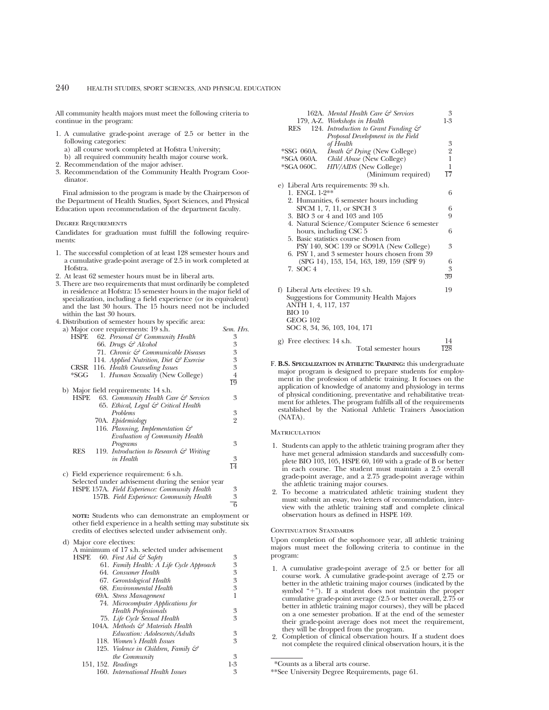All community health majors must meet the following criteria to continue in the program:

- 1. A cumulative grade-point average of 2.5 or better in the following categories:
	- a) all course work completed at Hofstra University;
	- b) all required community health major course work.
- 2. Recommendation of the major adviser.
- 3. Recommendation of the Community Health Program Coordinator.

Final admission to the program is made by the Chairperson of the Department of Health Studies, Sport Sciences, and Physical Education upon recommendation of the department faculty.

#### Degree Requirements

Candidates for graduation must fulfill the following requirements:

- 1. The successful completion of at least 128 semester hours and a cumulative grade-point average of 2.5 in work completed at Hofstra.
- 2. At least 62 semester hours must be in liberal arts.
- 3. There are two requirements that must ordinarily be completed in residence at Hofstra: 15 semester hours in the major field of specialization, including a field experience (or its equivalent) and the last 30 hours. The 15 hours need not be included within the last 30 hours.
- 4. Distribution of semester hours by specific area:

|      |                   | a) Major core requirements: 19 s.h.                | Sem. Hrs.       |
|------|-------------------|----------------------------------------------------|-----------------|
| HSPE |                   | 62. Personal & Community Health                    | 3               |
|      |                   | 66. Drugs & Alcohol                                | 3               |
|      |                   | 71. Chronic & Communicable Diseases                | 3               |
|      |                   | 114. Applied Nutrition, Diet & Exercise            | 3               |
|      |                   | CRSR 116. Health Counseling Issues                 | 3               |
| *SGG |                   | 1. <i>Human Sexuality</i> (New College)            | 4               |
|      |                   |                                                    | 19              |
|      |                   | b) Major field requirements: 14 s.h.               |                 |
| HSPE |                   | 63. Community Health Care & Services               | 3               |
|      |                   | 65. Ethical, Legal & Critical Health               |                 |
|      | <b>Problems</b>   |                                                    | 3               |
|      | 70A. Epidemiology |                                                    | $\overline{2}$  |
|      |                   | 116. Planning, Implementation $\mathcal{C}$        |                 |
|      |                   | Evaluation of Community Health                     |                 |
|      |                   | Programs                                           | 3               |
| RES  |                   | 119. Introduction to Research $\mathcal G$ Writing |                 |
|      |                   | in Health                                          | 3               |
|      |                   |                                                    | $\overline{14}$ |
|      |                   | c) Field experience requirement: 6 s.h.            |                 |
|      |                   | Selected under advisement during the senior year   |                 |
|      |                   | HSPE 157A. Field Experience: Community Health      | 3               |
|      |                   | 157B. Field Experience: Community Health           | 3               |
|      |                   |                                                    |                 |

**NOTE:** Students who can demonstrate an employment or other field experience in a health setting may substitute six credits of electives selected under advisement only.

d) Major core electives: A minimum of 17 s.h. selected under advisement<br>HSPE 60. First Aid  $\mathcal{G}$  Safety 60. *First Aid & Safety* 3<br>61. *Family Health: A Life Cycle Approach* 3 61. *Family Health: A Life Cycle Approach* 3 64. *Consumer Health* 3 67. *Gerontological Health* 3 68. *Environmental Health* 3 69A. *Stress Management* 1 74. *Microcomputer Applications for Health Professionals* 3 75. *Life Cycle Sexual Health* 3 104A. *Methods & Materials Health Education: Adolescents/Adults* 3 118. Women's Health Issues 125. *Violence in Children, Family & the Community* 3<br>Readings 1-3 151, 152. *Readings* 1-3<br>160. *International Health Issues* 3 160. *International Health Issues* 3

| 162A. Mental Health Care & Services<br>179, A-Z. Workshops in Health | 3<br>$1-3$      |
|----------------------------------------------------------------------|-----------------|
| 124. Introduction to Grant Funding &<br>RES                          |                 |
| Proposal Development in the Field                                    |                 |
| of Health                                                            | $\frac{3}{2}$   |
| *SSG 060A.<br>Death $\mathcal{F}$ Dying (New College)                |                 |
| *SGA 060A.<br>Child Abuse (New College)                              |                 |
| *SGA 060C.<br>HIV/AIDS (New College)                                 | $\mathbf{1}$    |
| (Minimum required)                                                   | 17              |
| e) Liberal Arts requirements: 39 s.h.                                |                 |
| 1. ENGL 1-2**                                                        | 6               |
| 2. Humanities, 6 semester hours including                            |                 |
| SPCM 1, 7, 11, or SPCH 3                                             | 6               |
| 3. BIO 3 or 4 and 103 and 105                                        | 9               |
| 4. Natural Science/Computer Science 6 semester                       |                 |
| hours, including CSC 5                                               | 6               |
| 5. Basic statistics course chosen from                               |                 |
| PSY 140, SOC 139 or SO91A (New College)                              | 3               |
| 6. PSY 1, and 3 semester hours chosen from 39                        |                 |
| (SPG 14), 153, 154, 163, 189, 159 (SPF 9)                            | 6               |
| 7. SOC 4                                                             | 3               |
|                                                                      | $\overline{39}$ |
| f) Liberal Arts electives: 19 s.h.                                   | 19              |
| Suggestions for Community Health Majors                              |                 |
| ANTH 1, 4, 117, 137                                                  |                 |
| $BIO$ 10                                                             |                 |
| <b>GEOG 102</b>                                                      |                 |
| SOC 8, 34, 36, 103, 104, 171                                         |                 |
| g) Free electives: 14 s.h.                                           | 14              |
| Total semester hours                                                 | 128             |

F. **B.S. SPECIALIZATION IN ATHLETIC TRAINING:** this undergraduate major program is designed to prepare students for employment in the profession of athletic training. It focuses on the application of knowledge of anatomy and physiology in terms of physical conditioning, preventative and rehabilitative treatment for athletes. The program fulfills all of the requirements established by the National Athletic Trainers Association (NATA).

#### **MATRICULATION**

6

- 1. Students can apply to the athletic training program after they have met general admission standards and successfully complete BIO 103, 105, HSPE 60, 169 with a grade of B or better in each course. The student must maintain a 2.5 overall grade-point average, and a 2.75 grade-point average within the athletic training major courses.
- 2. To become a matriculated athletic training student they must: submit an essay, two letters of recommendation, interview with the athletic training staff and complete clinical observation hours as defined in HSPE 169.

#### CONTINUATION STANDARDS

Upon completion of the sophomore year, all athletic training majors must meet the following criteria to continue in the program:

- 1. A cumulative grade-point average of 2.5 or better for all course work. A cumulative grade-point average of 2.75 or better in the athletic training major courses (indicated by the symbol "+"). If a student does not maintain the proper cumulative grade-point average (2.5 or better overall, 2.75 or better in athletic training major courses), they will be placed on a one semester probation. If at the end of the semester their grade-point average does not meet the requirement, they will be dropped from the program.
- 2. Completion of clinical observation hours. If a student does not complete the required clinical observation hours, it is the

<sup>\*</sup>Counts as a liberal arts course.

<sup>\*\*</sup>See University Degree Requirements, page 61.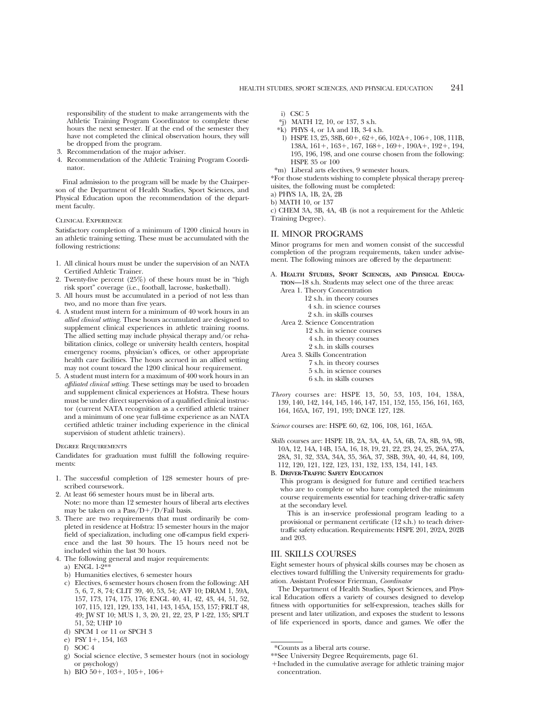responsibility of the student to make arrangements with the Athletic Training Program Coordinator to complete these hours the next semester. If at the end of the semester they have not completed the clinical observation hours, they will be dropped from the program.

- 3. Recommendation of the major adviser.
- 4. Recommendation of the Athletic Training Program Coordinator.

Final admission to the program will be made by the Chairperson of the Department of Health Studies, Sport Sciences, and Physical Education upon the recommendation of the department faculty.

## Clinical Experience

Satisfactory completion of a minimum of 1200 clinical hours in an athletic training setting. These must be accumulated with the following restrictions:

- 1. All clinical hours must be under the supervision of an NATA Certified Athletic Trainer.
- 2. Twenty-five percent (25%) of these hours must be in "high risk sport" coverage (i.e., football, lacrosse, basketball).
- 3. All hours must be accumulated in a period of not less than two, and no more than five years.
- 4. A student must intern for a minimum of 40 work hours in an *allied clinical setting*. These hours accumulated are designed to supplement clinical experiences in athletic training rooms. The allied setting may include physical therapy and/or rehabilitation clinics, college or university health centers, hospital emergency rooms, physician's offices, or other appropriate health care facilities. The hours accrued in an allied setting may not count toward the 1200 clinical hour requirement.
- 5. A student must intern for a maximum of 400 work hours in an *affiliated clinical setting*. These settings may be used to broaden and supplement clinical experiences at Hofstra. These hours must be under direct supervision of a qualified clinical instructor (current NATA recognition as a certified athletic trainer and a minimum of one year full-time experience as an NATA certified athletic trainer including experience in the clinical supervision of student athletic trainers).

Degree Requirements

Candidates for graduation must fulfill the following requirements:

- 1. The successful completion of 128 semester hours of prescribed coursework.
- 2. At least 66 semester hours must be in liberal arts. Note: no more than 12 semester hours of liberal arts electives may be taken on a Pass/ $D+/D$ /Fail basis.
- 3. There are two requirements that must ordinarily be completed in residence at Hofstra: 15 semester hours in the major field of specialization, including one off-campus field experience and the last 30 hours. The 15 hours need not be included within the last 30 hours.
- 4. The following general and major requirements:
	- a) ENGL 1-2\*\*
	- b) Humanities electives, 6 semester hours
	- c) Electives, 6 semester hours chosen from the following: AH 5, 6, 7, 8, 74; CLIT 39, 40, 53, 54; AVF 10; DRAM 1, 59A, 157, 173, 174, 175, 176; ENGL 40, 41, 42, 43, 44, 51, 52, 107, 115, 121, 129, 133, 141, 143, 145A, 153, 157; FRLT 48, 49; JW ST 10; MUS 1, 3, 20, 21, 22, 23, P 1-22, 135; SPLT 51, 52; UHP 10
	- d) SPCM 1 or 11 or SPCH 3
	- e) PSY 1+, 154, 163
	- f) SOC 4
	- g) Social science elective, 3 semester hours (not in sociology or psychology)
	- h) BIO  $50+$ ,  $103+$ ,  $105+$ ,  $106+$
- i) CSC 5
- \*j) MATH 12, 10, or 137, 3 s.h.
- $*$ k) PHYS 4, or 1A and 1B, 3-4 s.h.
- l) HSPE 13, 25, 38B,  $60+, 62+, 66, 102\mathrm{A}+, 106+, 108, 111\mathrm{B},$ 138A, 161+, 163+, 167, 168+, 169+, 190A+, 192+, 194, 195, 196, 198, and one course chosen from the following: HSPE 35 or 100
- \*m) Liberal arts electives, 9 semester hours.

\*For those students wishing to complete physical therapy prerequisites, the following must be completed:

- a) PHYS 1A, 1B, 2A, 2B
- b) MATH 10, or 137

c) CHEM 3A, 3B, 4A, 4B (is not a requirement for the Athletic Training Degree).

#### II. MINOR PROGRAMS

Minor programs for men and women consist of the successful completion of the program requirements, taken under advisement. The following minors are offered by the department:

A. **HEALTH STUDIES, SPORT SCIENCES, AND PHYSICAL EDUCA-TION**—18 s.h. Students may select one of the three areas: Area 1. Theory Concentration

| 12 s.h. in theory courses        |
|----------------------------------|
| 4 s.h. in science courses        |
| 2 s.h. in skills courses         |
| Area 2. Science Concentration    |
| 12 s.h. in science courses       |
| 4 s.h. in theory courses         |
| 2 s.h. in skills courses         |
| Area 3. Skills Concentration     |
| $7 \text{ ch}$ in theory courses |

- 7 s.h. in theory courses 5 s.h. in science courses 6 s.h. in skills courses
- *Theory* courses are: HSPE 13, 50, 53, 103, 104, 138A, 139, 140, 142, 144, 145, 146, 147, 151, 152, 155, 156, 161, 163, 164, 165A, 167, 191, 193; DNCE 127, 128.

*Science* courses are: HSPE 60, 62, 106, 108, 161, 165A.

*Skills* courses are: HSPE 1B, 2A, 3A, 4A, 5A, 6B, 7A, 8B, 9A, 9B, 10A, 12, 14A, 14B, 15A, 16, 18, 19, 21, 22, 23, 24, 25, 26A, 27A, 28A, 31, 32, 33A, 34A, 35, 36A, 37, 38B, 39A, 40, 44, 84, 109, 112, 120, 121, 122, 123, 131, 132, 133, 134, 141, 143.

B. **DRIVER-TRAFFIC SAFETY EDUCATION**

This program is designed for future and certified teachers who are to complete or who have completed the minimum course requirements essential for teaching driver-traffic safety at the secondary level.

This is an in-service professional program leading to a provisional or permanent certificate (12 s.h.) to teach drivertraffic safety education. Requirements: HSPE 201, 202A, 202B and 203.

## III. SKILLS COURSES

Eight semester hours of physical skills courses may be chosen as electives toward fulfilling the University requirements for graduation. Assistant Professor Frierman, *Coordinator*

The Department of Health Studies, Sport Sciences, and Physical Education offers a variety of courses designed to develop fitness with opportunities for self-expression, teaches skills for present and later utilization, and exposes the student to lessons of life experienced in sports, dance and games. We offer the

1Included in the cumulative average for athletic training major concentration.

<sup>\*</sup>Counts as a liberal arts course.

<sup>\*\*</sup>See University Degree Requirements, page 61.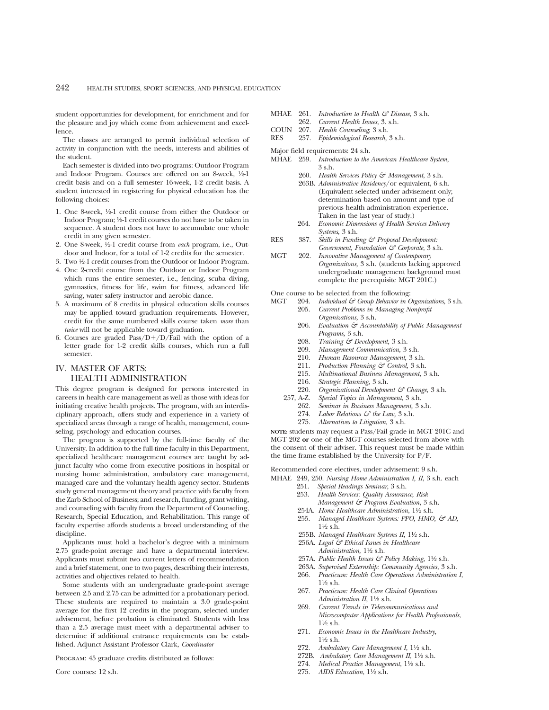student opportunities for development, for enrichment and for the pleasure and joy which come from achievement and excellence.

The classes are arranged to permit individual selection of activity in conjunction with the needs, interests and abilities of the student.

Each semester is divided into two programs: Outdoor Program and Indoor Program. Courses are offered on an 8-week, 1/2-1 credit basis and on a full semester 16-week, 1-2 credit basis. A student interested in registering for physical education has the following choices:

- 1. One 8-week, 1⁄2-1 credit course from either the Outdoor or Indoor Program; 1⁄2-1 credit courses do not have to be taken in sequence. A student does not have to accumulate one whole credit in any given semester.
- 2. One 8-week, 1⁄2-1 credit course from *each* program, i.e., Outdoor and Indoor, for a total of 1-2 credits for the semester.
- 3. Two 1⁄2-1 credit courses from the Outdoor or Indoor Program.
- 4. One 2-credit course from the Outdoor or Indoor Program which runs the entire semester, i.e., fencing, scuba diving, gymnastics, fitness for life, swim for fitness, advanced life saving, water safety instructor and aerobic dance.
- 5. A maximum of 8 credits in physical education skills courses may be applied toward graduation requirements. However, credit for the same numbered skills course taken *more* than *twice* will not be applicable toward graduation.
- 6. Courses are graded  $Pass/D+/D/Fall$  with the option of a letter grade for 1-2 credit skills courses, which run a full semester.

## IV. MASTER OF ARTS: HEALTH ADMINISTRATION

This degree program is designed for persons interested in careers in health care management as well as those with ideas for initiating creative health projects. The program, with an interdisciplinary approach, offers study and experience in a variety of specialized areas through a range of health, management, counseling, psychology and education courses.

The program is supported by the full-time faculty of the University. In addition to the full-time faculty in this Department, specialized healthcare management courses are taught by adjunct faculty who come from executive positions in hospital or nursing home administration, ambulatory care management, managed care and the voluntary health agency sector. Students study general management theory and practice with faculty from the Zarb School of Business; and research, funding, grant writing, and counseling with faculty from the Department of Counseling, Research, Special Education, and Rehabilitation. This range of faculty expertise affords students a broad understanding of the discipline.

Applicants must hold a bachelor's degree with a minimum 2.75 grade-point average and have a departmental interview. Applicants must submit two current letters of recommendation and a brief statement, one to two pages, describing their interests, activities and objectives related to health.

Some students with an undergraduate grade-point average between 2.5 and 2.75 can be admitted for a probationary period. These students are required to maintain a 3.0 grade-point average for the first 12 credits in the program, selected under advisement, before probation is eliminated. Students with less than a 2.5 average must meet with a departmental adviser to determine if additional entrance requirements can be established. Adjunct Assistant Professor Clark, *Coordinator*

Program: 45 graduate credits distributed as follows:

- MHAE 261. *Introduction to Health & Disease*, 3 s.h.
- 262. *Current Health Issues*, 3. s.h.
- COUN 207. *Health Counseling*, 3 s.h.
- RES 257. *Epidemiological Research*, 3 s.h.
- Major field requirements: 24 s.h.
- MHAE 259. *Introduction to the American Healthcare System*, 3 s.h.
	- 260. *Health Services Policy & Management*, 3 s.h.
		- 263B. *Administrative Residency*/or equivalent, 6 s.h. (Equivalent selected under advisement only; determination based on amount and type of previous health administration experience. Taken in the last year of study.)
	- 264. *Economic Dimensions of Health Services Delivery Systems*, 3 s.h.
- RES 387. *Skills in Funding & Proposal Development: Government, Foundation & Corporate*, 3 s.h.
- MGT 202. *Innovative Management of Contemporary Organizaitons,* 3 s.h. (students lacking approved undergraduate management background must complete the prerequisite MGT 201C.)
- One course to be selected from the following:<br>MGT 204 Individual  $\mathcal{E}$  Crown Behavior in C
	- MGT 204. *Individual & Group Behavior in Organizations,* 3 s.h. 205. *Current Problems in Managing Nonprofit Organizations,* 3 s.h.
		- 206. *Evaluation & Accountability of Public Management Programs,* 3 s.h.
		- 208. *Training & Development*, 3 s.h.<br>209. Management Communication 3
		- 209. *Management Communication,* 3 s.h.
		-
		- 210. *Human Resources Management*, 3 s.h.<br>211. *Production Planning* & Control, 3 s.h. 211. *Production Planning & Control*, 3 s.h.<br>215. *Multinational Business Management*, 3
		- 215. *Multinational Business Management,* 3 s.h.
		- 216. *Strategic Planning*, 3 s.h.
	- 220. *Organizational Development & Change,* 3 s.h.<br>257, A-Z. *Special Topics in Management*, 3 s.h.
		- 257, A-Z. *Special Topics in Management*, 3 s.h.
		- 262. *Seminar in Business Management,* 3 s.h.
		- 274. *Labor Relations & the Law*, 3 s.h.
		- 275. *Alternatives to Litigation,* 3 s.h.

**NOTE:** students may request a Pass/Fail grade in MGT 201C and MGT 202 **or** one of the MGT courses selected from above with the consent of their adviser. This request must be made within the time frame established by the University for P/F.

Recommended core electives, under advisement: 9 s.h.

MHAE 249, 250. *Nursing Home Administration I, II*, 3 s.h. each

- 251. *Special Readings Seminar*, 3 s.h.
- 253. *Health Services: Quality Assurance, Risk*
- *Management & Program Evaluation*, 3 s.h.
- 254A. *Home Healthcare Administration*, 11⁄2 s.h.
- 255. *Managed Healthcare Systems: PPO, HMO, & AD,* 11⁄2 s.h.
- 255B. *Managed Healthcare Systems II*, 11⁄2 s.h.
- 256A. *Legal & Ethical Issues in Healthcare Administration,* 11⁄2 s.h.
- 257A. *Public Health Issues & Policy Making*, 11⁄2 s.h.
- 263A. *Supervised Externship: Community Agencies*, 3 s.h.
- 266. *Practicum: Health Care Operations Administration I*,  $1\frac{1}{2}$  s.h.
- 267. *Practicum: Health Care Clinical Operations Administration II*, 11⁄2 s.h.
- 269. *Current Trends in Telecommunications and Microcomputer Applications for Health Professionals*,  $1\frac{1}{2}$  s.h.
- 271. *Economic Issues in the Healthcare Industry*, 11⁄2 s.h.
- 272. Ambulatory Care Management I, 1<sup>1</sup>/2 s.h.
- 272B. Ambulatory Care Management II, 1<sup>1</sup>/2 s.h.
- 274. *Medical Practice Management*, 1½ s.h.
- 275. *AIDS Education*, 11⁄2 s.h.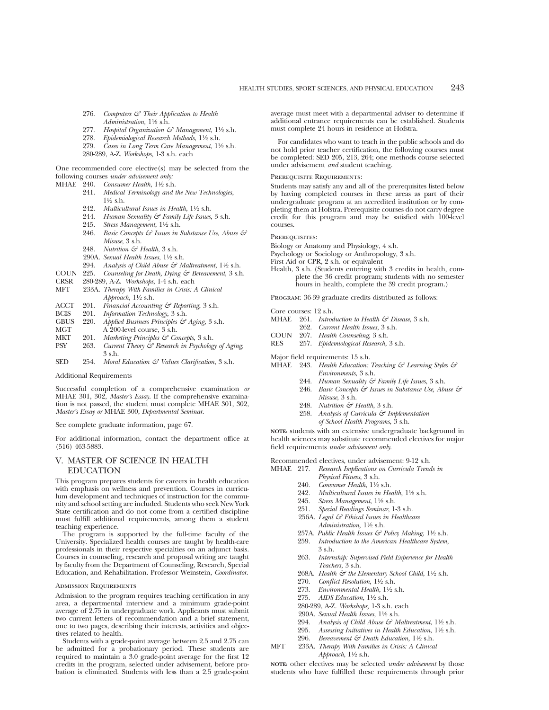- 276. *Computers & Their Application to Health Administration,* 11⁄2 s.h.
- 277. *Hospital Organization & Management*, 1<sup>1</sup>/2 s.h.
- 278. *Epidemiological Research Methods*, 11⁄2 s.h.
- 279. *Cases in Long Term Care Management*, 11⁄2 s.h.
- 280-289, A-Z. *Workshops,* 1-3 s.h. each

One recommended core elective(s) may be selected from the following courses *under advisement only:*

- MHAE 240. *Consumer Health*,  $1\frac{1}{2}$  s.h.<br>241. *Medical Terminology and* 
	- 241. *Medical Terminology and the New Technologies*,  $1\frac{1}{2}$  s.h.
	- 242. *Multicultural Issues in Health*, 11⁄2 s.h.
	- 244. *Human Sexuality & Family Life Issues*, 3 s.h.
	- 245. *Stress Management*, 11⁄2 s.h.
	- 246. *Basic Concepts & Issues in Substance Use, Abuse & Misuse*, 3 s.h.
	- 248. *Nutrition & Health*, 3 s.h.
	- 290A. *Sexual Health Issues*, 11⁄2 s.h.
	-
	- 294. Analysis of Child Abuse & Maltreatment, 1<sup>1</sup>/2 s.h.
- COUN 225. *Counseling for Death, Dying & Bereavement*, 3 s.h. CRSR 280-289, A-Z. *Workshops*, 1-4 s.h. each
- CRSR 280-289, A-Z. *Workshops*, 1-4 s.h. each
- 233A. *Therapy With Families in Crisis: A Clinical Approach*, 11⁄2 s.h.
- ACCT 201. *Financial Accounting & Reporting*, 3 s.h.
- BCIS 201. *Information Technology*, 3 s.h.
- GBUS 220. *Applied Business Principles & Aging*, 3 s.h.<br>MGT A 200-level course 3 s h.
- $\overrightarrow{A}$  200-level course, 3 s.h.
- MKT 201. *Marketing Principles & Concepts*, 3 s.h.<br>PSY 263. *Current Theory & Research in Psycholog*
- Current Theory  $\dot{\mathcal{Z}}$  Research in Psychology of Aging, 3 s.h.
- SED 254. *Moral Education & Values Clarification*, 3 s.h.

Additional Requirements

Successful completion of a comprehensive examination *or* MHAE 301, 302, *Master's Essay*. If the comprehensive examination is not passed, the student must complete MHAE 301, 302, *Master's Essay or* MHAE 300, *Departmental Seminar*.

See complete graduate information, page 67.

For additional information, contact the department office at (516) 463-5883.

## V. MASTER OF SCIENCE IN HEALTH EDUCATION

This program prepares students for careers in health education with emphasis on wellness and prevention. Courses in curriculum development and techniques of instruction for the community and school setting are included. Students who seek New York State certification and do not come from a certified discipline must fulfill additional requirements, among them a student teaching experience.

The program is supported by the full-time faculty of the University. Specialized health courses are taught by health-care professionals in their respective specialties on an adjunct basis. Courses in counseling, research and proposal writing are taught by faculty from the Department of Counseling, Research, Special Education, and Rehabilitation. Professor Weinstein, *Coordinator*.

#### Admission Requirements

Admission to the program requires teaching certification in any area, a departmental interview and a minimum grade-point average of 2.75 in undergraduate work. Applicants must submit two current letters of recommendation and a brief statement, one to two pages, describing their interests, activities and objectives related to health.

Students with a grade-point average between 2.5 and 2.75 can be admitted for a probationary period. These students are required to maintain a 3.0 grade-point average for the first 12 credits in the program, selected under advisement, before probation is eliminated. Students with less than a 2.5 grade-point average must meet with a departmental adviser to determine if additional entrance requirements can be established. Students must complete 24 hours in residence at Hofstra.

For candidates who want to teach in the public schools and do not hold prior teacher certification, the following courses must be completed: SED 205, 213, 264; one methods course selected under advisement *and* student teaching.

#### Prerequisite Requirements:

Students may satisfy any and all of the prerequisites listed below by having completed courses in these areas as part of their undergraduate program at an accredited institution or by completing them at Hofstra. Prerequisite courses do not carry degree credit for this program and may be satisfied with 100-level courses.

#### PREREQUISITES:

- Biology or Anatomy and Physiology, 4 s.h.
- Psychology or Sociology or Anthropology, 3 s.h.
- First Aid or CPR, 2 s.h. or equivalent
- Health, 3 s.h. (Students entering with 3 credits in health, complete the 36 credit program; students with no semester hours in health, complete the 39 credit program.)

Program: 36-39 graduate credits distributed as follows:

- Core courses: 12 s.h.
- MHAE 261. *Introduction to Health & Disease*, 3 s.h.
- 262. *Current Health Issues*, 3 s.h.
- COUN 207. *Health Counseling*, 3 s.h.
- RES 257. *Epidemiological Research*, 3 s.h.
- Major field requirements: 15 s.h.
- MHAE 243. *Health Education: Teaching & Learning Styles & Environments*, 3 s.h.
	- 244. *Human Sexuality & Family Life Issues*, 3 s.h.
	- 246. *Basic Concepts & Issues in Substance Use, Abuse & Misuse*, 3 s.h.
	- 248. *Nutrition & Health*, 3 s.h.
	- 258. *Analysis of Curricula & Implementation of School Health Programs*, 3 s.h.

**NOTE:** students with an extensive undergraduate background in health sciences may substitute recommended electives for major field requirements *under advisement only*.

Recommended electives, under advisement: 9-12 s.h.

- MHAE 217. *Research Implications on Curricula Trends in Physical Fitness*, 3 s.h.
	- 240. *Consumer Health*,  $1\frac{1}{2}$  s.h.
	- 242. *Multicultural Issues in Health*,  $1\frac{1}{2}$  s.h.
	- 245. Stress Management, 11/2 s.h.
	- 251. *Special Readings Seminar*, 1-3 s.h.
	- 256A. *Legal & Ethical Issues in Healthcare Administration,* 11⁄2 s.h.
	- 257A. Public Health Issues & Policy Making, 1<sup>1/2</sup> s.h.
	- 259. *Introduction to the American Healthcare System*,
	- 3 s.h. 263. *Internship: Supervised Field Experience for Health Teachers*, 3 s.h.
	- 268A. *Health & the Elementary School Child*, 11⁄2 s.h.
	- 270. *Conflict Resolution*,  $1\frac{1}{2}$  s.h.
	- 273. *Environmental Health*, 1½ s.h.
	- 275. *AIDS Education*, 11⁄2 s.h.

*Approach*, 1½ s.h.

- 280-289, A-Z. *Workshops,* 1-3 s.h. each
- 290A. *Sexual Health Issues*, 11⁄2 s.h.
- 
- 294. *Analysis of Child Abuse & Maltreatment*, 1½ s.h.<br>295. *Assessing Initiatives in Health Education*, 1½ s.h. 295. *Assessing Initiatives in Health Education*, 11⁄2 s.h.
- 296. *Bereavement & Death Education,* 11⁄2 s.h.
- MFT 233A. *Therapy With Families in Crisis: A Clinical*

**NOTE:** other electives may be selected *under advisement* by those students who have fulfilled these requirements through prior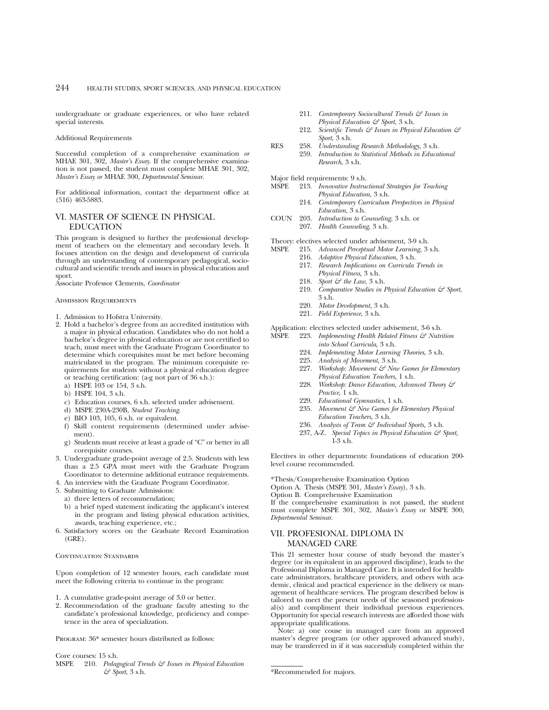undergraduate or graduate experiences, or who have related special interests.

Additional Requirements

Successful completion of a comprehensive examination *or* MHAE 301, 302, *Master's Essay*. If the comprehensive examination is not passed, the student must complete MHAE 301, 302, *Master's Essay or* MHAE 300, *Departmental Seminar*.

For additional information, contact the department office at (516) 463-5883.

## VI. MASTER OF SCIENCE IN PHYSICAL EDUCATION

This program is designed to further the professional development of teachers on the elementary and secondary levels. It focuses attention on the design and development of curricula through an understanding of contemporary pedagogical, sociocultural and scientific trends and issues in physical education and sport.

Associate Professor Clements, *Coordinator*

Admission Requirements

- 1. Admission to Hofstra University.
- 2. Hold a bachelor's degree from an accredited institution with a major in physical education. Candidates who do not hold a bachelor's degree in physical education or are not certified to teach, must meet with the Graduate Program Coordinator to determine which corequisites must be met before becoming matriculated in the program. The minimum corequisite requirements for students without a physical education degree or teaching certification: (a-g not part of 36 s.h.):
	- a) HSPE 103 or 154, 3 s.h.
	- b) HSPE 104, 3 s.h.
	- c) Education courses, 6 s.h. selected under advisement.
	- d) MSPE 230A-230B, *Student Teaching.*
	- e) BIO 103, 105, 6 s.h. or equivalent.
	- f) Skill content requirements (determined under advisement).
	- g) Students must receive at least a grade of "C" or better in all corequisite courses.
- 3. Undergraduate grade-point average of 2.5. Students with less than a 2.5 GPA must meet with the Graduate Program Coordinator to determine additional entrance requirements.
- 4. An interview with the Graduate Program Coordinator.
- 5. Submitting to Graduate Admissions:
	- a) three letters of recommendation;
	- b) a brief typed statement indicating the applicant's interest in the program and listing physical education activities, awards, teaching experience, etc.;
- 6. Satisfactory scores on the Graduate Record Examination (GRE).

CONTINUATION STANDARDS

Upon completion of 12 semester hours, each candidate must meet the following criteria to continue in the program:

- 1. A cumulative grade-point average of 3.0 or better.
- 2. Recommendation of the graduate faculty attesting to the candidate's professional knowledge, proficiency and competence in the area of specialization.

PROGRAM:  $36*$  semester hours distributed as follows:

Core courses: 15 s.h.

MSPE 210. *Pedagogical Trends & Issues in Physical Education & Sport*, 3 s.h.

- 211. *Contemporary Sociocultural Trends & Issues in Physical Education & Sport*, 3 s.h.
- 212. *Scientific Trends & Issues in Physical Education & Sport*, 3 s.h.
- RES 258. *Understanding Research Methodology*, 3 s.h.
	- 259. *Introduction to Statistical Methods in Educational Research*, 3 s.h.
- Major field requirements: 9 s.h.<br>MSPE 213. Innovative Instruc
	- 213. *Innovative Instructional Strategies for Teaching Physical Education*, 3 s.h.
	- 214. *Contemporary Curriculum Perspectives in Physical Education*, 3 s.h.
- COUN 203. *Introduction to Counseling*, 3 s.h. or
	- 207. *Health Counseling*, 3 s.h.
- Theory: electives selected under advisement, 3-9 s.h.<br>MSPE 215. Advanced Perceptual Motor Learning, 3
	- 215. *Advanced Perceptual Motor Learning*, 3 s.h.
	- 216. *Adaptive Physical Education*, 3 s.h.
	- 217. *Research Implications on Curricula Trends in Physical Fitness,* 3 s.h.
	- 218. *Sport & the Law*, 3 s.h.
	- 219. *Comparative Studies in Physical Education & Sport*, 3 s.h.
	- 220. *Motor Development*, 3 s.h.
	- 221. *Field Experience*, 3 s.h.

Application: electives selected under advisement,  $3-6$  s.h.<br>MSPE 223. *Implementing Health Related Fitness*  $\mathcal{S}^2$  Nutr.

- 223. *Implementing Health Related Fitness & Nutrition into School Curricula*, 3 s.h.
	- 224. *Implementing Motor Learning Theories*, 3 s.h.
	- 225. *Analysis of Movement*, 3 s.h.
	- 227. *Workshop: Movement & New Games for Elementary Physical Education Teachers*, 1 s.h.
	- 228. *Workshop: Dance Education, Advanced Theory & Practice,* 1 s.h.
	- 229. *Educational Gymnastics*, 1 s.h.
	- 235. *Movement & New Games for Elementary Physical Education Teachers*, 3 s.h.
	- 236. *Analysis of Team & Individual Sports,* 3 s.h.
	- 237, A-Z. *Special Topics in Physical Education & Sport,* 1-3 s.h.

Electives in other departments: foundations of education 200 level course recommended.

\*Thesis/Comprehensive Examination Option

Option A. Thesis (MSPE 301, *Master's Essay*), 3 s.h.

Option B. Comprehensive Examination

If the comprehensive examination is not passed, the student must complete MSPE 301, 302, *Master's Essay* or MSPE 300, *Departmental Seminar*.

## VII. PROFESIONAL DIPLOMA IN MANAGED CARE

This 21 semester hour course of study beyond the master's degree (or its equivalent in an approved discipline), leads to the Professional Diploma in Managed Care. It is intended for healthcare administrators, healthcare providers, and others with academic, clinical and practical experience in the delivery or management of healthcare services. The program described below is tailored to meet the present needs of the seasoned professional(s) and compliment their individual previous experiences. Opportunity for special research interests are afforded those with appropriate qualifications.

Note: a) one couse in managed care from an approved master's degree program (or other approved advanced study), may be transferred in if it was successfuly completed within the

\*Recommended for majors.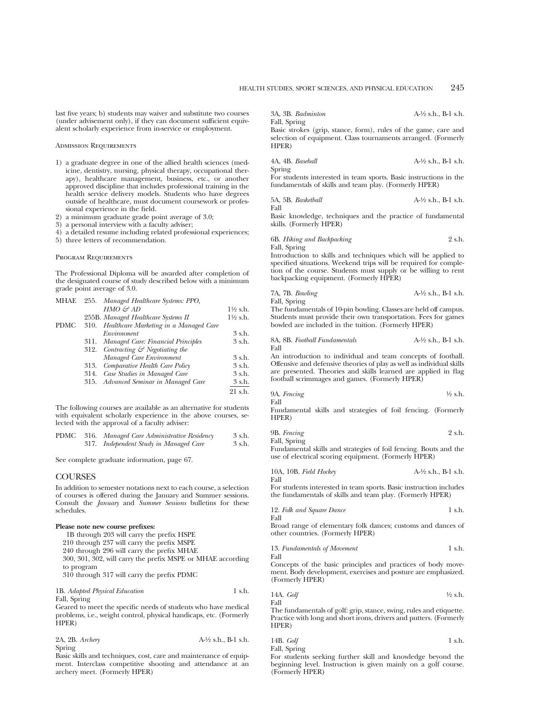last five years; b) students may waiver and substitute two courses (under advisement only), if they can document sufficient equivalent scholarly experience from in-service or employment.

#### Admission Requirements

- 1) a graduate degree in one of the allied health sciences (medicine, dentistry, nursing, physical therapy, occupational therapy), healthcare management, business, etc., or another approved discipline that includes professional training in the health service delivery models. Students who have degrees outside of healthcare, must document coursework or professional experience in the field.
- 2) a minimum graduate grade point average of 3.0;
- 3) a personal interview with a faculty adviser;
- 4) a detailed resume including related professional experiences;
- 5) three letters of recommendation.

#### Program Requirements

The Professional Diploma will be awarded after completion of the designated course of study described below with a minimum grade point average of 3.0.

| <b>MHAE</b> |      | 255. Managed Healthcare Systems: PPO,         |                     |
|-------------|------|-----------------------------------------------|---------------------|
|             |      | $HMO \n\mathcal{L}^2 AD$                      | $1\frac{1}{2}$ s.h. |
|             |      | 255B. Managed Healthcare Systems II           | $1\frac{1}{2}$ s.h. |
| <b>PDMC</b> |      | 310. Healthcare Marketing in a Managed Care   |                     |
|             |      | Environment                                   | 3 s.h.              |
|             |      | 311. Managed Care: Financial Principles       | 3 s.h.              |
|             |      | 312. Contracting $\mathcal G$ Negotiating the |                     |
|             |      | Managed Care Environment                      | 3 s.h.              |
|             | 313. | Comparative Health Care Policy                | 3 s.h.              |
|             | 314. | Case Studies in Managed Care                  | 3 s.h.              |
|             |      | 315. Advanced Seminar in Managed Care         | 3 s.h.              |
|             |      |                                               | $21$ s.h.           |

The following courses are available as an alternative for students with equivalent scholarly experience in the above courses, selected with the approval of a faculty adviser:

|  | PDMC 316. Managed Care Administrative Residency | 3 s.h. |
|--|-------------------------------------------------|--------|
|  | 317. Independent Study in Managed Care          | 3 s.h. |

See complete graduate information, page 67.

#### COURSES

In addition to semester notations next to each course, a selection of courses is offered during the January and Summer sessions. Consult the *January* and *Summer Sessions* bulletins for these schedules.

#### **Please note new course prefixes:**

| 1B through 203 will carry the prefix HSPE                   |
|-------------------------------------------------------------|
| 210 through 237 will carry the prefix MSPE                  |
| 240 through 296 will carry the prefix MHAE                  |
| 300, 301, 302, will carry the prefix MSPE or MHAE according |
| to program                                                  |
| 310 through 317 will carry the prefix PDMC                  |
|                                                             |

1B. *Adapted Physical Education* 1 s.h. Fall, Spring

Geared to meet the specific needs of students who have medical problems, i.e., weight control, physical handicaps, etc. (Formerly HPER)

| 2A, 2B. Archery | $A-\frac{1}{2}$ s.h., B-1 s.h. |
|-----------------|--------------------------------|
| Spring          |                                |

Basic skills and techniques, cost, care and maintenance of equipment. Interclass competitive shooting and attendance at an archery meet. (Formerly HPER)

3A, 3B. *Badminton* A-1⁄2 s.h., B-1 s.h.

Fall, Spring Basic strokes (grip, stance, form), rules of the game, care and selection of equipment. Class tournaments arranged. (Formerly HPER)

4A, 4B. *Baseball* A-1⁄2 s.h., B-1 s.h. Spring

For students interested in team sports. Basic instructions in the fundamentals of skills and team play. (Formerly HPER)

5A, 5B. *Basketball* A-1⁄2 s.h., B-1 s.h. Fall

Basic knowledge, techniques and the practice of fundamental skills. (Formerly HPER)

6B. *Hiking and Backpacking* 2 s.h. Fall, Spring

Introduction to skills and techniques which will be applied to specified situations. Weekend trips will be required for completion of the course. Students must supply or be willing to rent backpacking equipment. (Formerly HPER)

7A, 7B. *Bowling* A-1⁄2 s.h., B-1 s.h. Fall, Spring

The fundamentals of 10-pin bowling. Classes are held off campus. Students must provide their own transportation. Fees for games bowled are included in the tuition. (Formerly HPER)

8A, 8B. *Football Fundamentals* A-1⁄2 s.h., B-1 s.h. Fall

An introduction to individual and team concepts of football. Offensive and defensive theories of play as well as individual skills are presented. Theories and skills learned are applied in flag football scrimmages and games. (Formerly HPER)

9A. *Fencing* 1⁄2 s.h. Fall

Fundamental skills and strategies of foil fencing. (Formerly HPER)

9B. *Fencing* 2 s.h. Fall, Spring

Fundamental skills and strategies of foil fencing. Bouts and the use of electrical scoring equipment. (Formerly HPER)

10A, 10B. *Field Hockey* A-1⁄2 s.h., B-1 s.h. Fall

For students interested in team sports. Basic instruction includes the fundamentals of skills and team play. (Formerly HPER)

12. *Folk and Square Dance* 1 s.h. Fall

Broad range of elementary folk dances; customs and dances of other countries. (Formerly HPER)

13. *Fundamentals of Movement* 1 s.h. Fall

Concepts of the basic principles and practices of body movement. Body development, exercises and posture are emphasized. (Formerly HPER)

14A. 
$$
Goff
$$
  $\frac{1}{2}$  s.h.

The fundamentals of golf: grip, stance, swing, rules and etiquette. Practice with long and short irons, drivers and putters. (Formerly HPER)

| 14B. Golf    | 1 s.h. |
|--------------|--------|
| Fall, Spring |        |

For students seeking further skill and knowledge beyond the beginning level. Instruction is given mainly on a golf course. (Formerly HPER)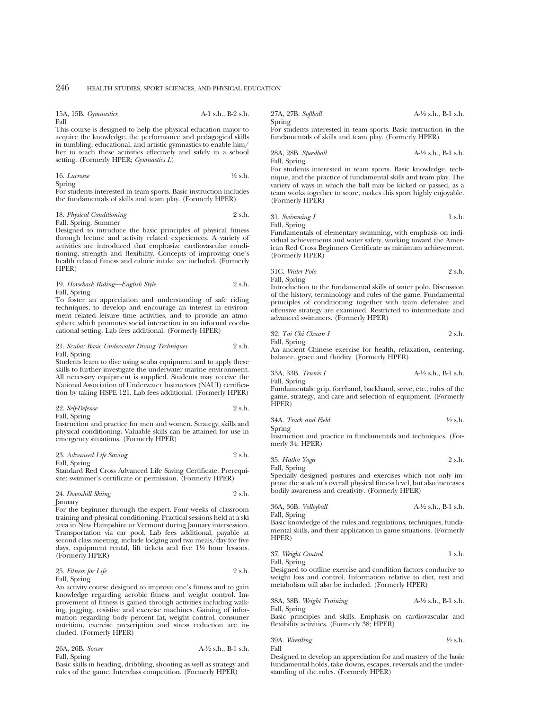#### 15A, 15B. *Gymnastics* A-1 s.h., B-2 s.h. Fall

This course is designed to help the physical education major to acquire the knowledge, the performance and pedagogical skills in tumbling, educational, and artistic gymnastics to enable him/ her to teach these activities effectively and safely in a school setting. (Formerly HPER; *Gymnastics I*.)

| 16. Lacrosse | $\frac{1}{2}$ s.h. |
|--------------|--------------------|
| Spring       |                    |

For students interested in team sports. Basic instruction includes the fundamentals of skills and team play. (Formerly HPER)

## 18. *Physical Conditioning* 2 s.h.

Fall, Spring, Summer Designed to introduce the basic principles of physical fitness through lecture and activity related experiences. A variety of activities are introduced that emphasize cardiovascular conditioning, strength and flexibility. Concepts of improving one's health related fitness and caloric intake are included. (Formerly HPER)

19. *Horseback Riding—English Style* 2 s.h. Fall, Spring

To foster an appreciation and understanding of safe riding techniques, to develop and encourage an interest in environment related leisure time activities, and to provide an atmosphere which promotes social interaction in an informal coeducational setting. Lab fees additional. (Formerly HPER)

#### 21. *Scuba: Basic Underwater Diving Techniques* 2 s.h. Fall, Spring

Students learn to dive using scuba equipment and to apply these skills to further investigate the underwater marine environment. All necessary equipment is supplied. Students may receive the National Association of Underwater Instructors (NAUI) certification by taking HSPE 121. Lab fees additional. (Formerly HPER)

| 22. Self-Defense    | 2 s.h. |
|---------------------|--------|
| $E_011$ $E_{minat}$ |        |

Fall, Spring

Instruction and practice for men and women. Strategy, skills and physical conditioning. Valuable skills can be attained for use in emergency situations. (Formerly HPER)

| 23. Advanced Life Saving |  | 2 s.h. |
|--------------------------|--|--------|
|--------------------------|--|--------|

Fall, Spring

Standard Red Cross Advanced Life Saving Certificate. Prerequisite: swimmer's certificate or permission. (Formerly HPER)

| 24. Downhill Skiing | 2 s.h. |
|---------------------|--------|
| <b>January</b>      |        |

For the beginner through the expert. Four weeks of classroom training and physical conditioning. Practical sessions held at a ski area in New Hampshire or Vermont during January intersession. Transportation via car pool. Lab fees additional, payable at second class meeting, include lodging and two meals/day for five days, equipment rental, lift tickets and five 11⁄2 hour lessons. (Formerly HPER)

25. *Fitness for Life* 2 s.h.

Fall, Spring

An activity course designed to improve one's fitness and to gain knowledge regarding aerobic fitness and weight control. Improvement of fitness is gained through activities including walking, jogging, resistive and exercise machines. Gaining of information regarding body percent fat, weight control, consumer nutrition, exercise prescription and stress reduction are included. (Formerly HPER)

| 26A, 26B. Soccer | $A-\frac{1}{2}$ s.h., B-1 s.h. |
|------------------|--------------------------------|
| Fall, Spring     |                                |

Basic skills in heading, dribbling, shooting as well as strategy and rules of the game. Interclass competition. (Formerly HPER)

### 27A, 27B. *Softball* A-1⁄2 s.h., B-1 s.h. Spring

For students interested in team sports. Basic instruction in the fundamentals of skills and team play. (Formerly HPER)

28A, 28B. *Speedball* A-1⁄2 s.h., B-1 s.h. Fall, Spring

For students interested in team sports. Basic knowledge, technique, and the practice of fundamental skills and team play. The variety of ways in which the ball may be kicked or passed, as a team works together to score, makes this sport highly enjoyable. (Formerly HPER)

31. *Swinning* 
$$
I
$$
 1 s.h.

Fall, Spring Fundamentals of elementary swimming, with emphasis on individual achievements and water safety, working toward the American Red Cross Beginners Certificate as minimum achievement. (Formerly HPER)

31C. *Water Polo* 2 s.h. Fall, Spring

Introduction to the fundamental skills of water polo. Discussion of the history, terminology and rules of the game. Fundamental principles of conditioning together with team defensive and offensive strategy are examined. Restricted to intermediate and advanced swimmers. (Formerly HPER)

32. *Tai Chi Chuan I* 2 s.h. Fall, Spring

An ancient Chinese exercise for health, relaxation, centering, balance, grace and fluidity. (Formerly HPER)

33A, 33B. *Tennis I* A-1⁄2 s.h., B-1 s.h. Fall, Spring

Fundamentals: grip, forehand, backhand, serve, etc., rules of the game, strategy, and care and selection of equipment. (Formerly HPER)

34A. *Track and Field* 
$$
\frac{1}{2}
$$
 s.h.

Spring Instruction and practice in fundamentals and techniques. (Formerly 34; HPER)

35. *Hatha Yoga* 2 s.h. Fall, Spring

Specially designed postures and exercises which not only improve the student's overall physical fitness level, but also increases bodily awareness and creativity. (Formerly HPER)

36A, 36B. *Volleyball* A-1⁄2 s.h., B-1 s.h. Fall, Spring

Basic knowledge of the rules and regulations, techniques, fundamental skills, and their application in game situations. (Formerly HPER)

37. *Weight Control* 1 s.h. Fall, Spring

Designed to outline exercise and condition factors conducive to weight loss and control. Information relative to diet, rest and metabolism will also be included. (Formerly HPER)

38A, 38B. *Weight Training* A-1⁄2 s.h., B-1 s.h. Fall, Spring

Basic principles and skills. Emphasis on cardiovascular and flexibility activities. (Formerly 38; HPER)

| 39A. Wrestling | $\frac{1}{2}$ s.h. |
|----------------|--------------------|
|                |                    |

Designed to develop an appreciation for and mastery of the basic fundamental holds, take downs, escapes, reversals and the understanding of the rules. (Formerly HPER)

Fall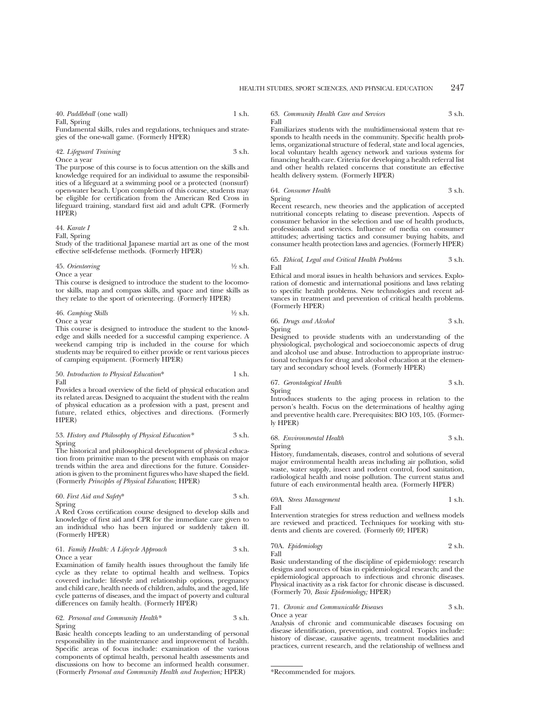40. *Paddleball* (one wall) 1 s.h.

Fall, Spring

Fundamental skills, rules and regulations, techniques and strategies of the one-wall game. (Formerly HPER)

42. *Lifeguard Training* 3 s.h. Once a year

The purpose of this course is to focus attention on the skills and knowledge required for an individual to assume the responsibilities of a lifeguard at a swimming pool or a protected (nonsurf) open-water beach. Upon completion of this course, students may be eligible for certification from the American Red Cross in lifeguard training, standard first aid and adult CPR. (Formerly HPER)

44. Karate I

\n
$$
2 \, \text{s.h.}
$$

Fall, Spring

Study of the traditional Japanese martial art as one of the most effective self-defense methods. (Formerly HPER)

| 45. Orienteering | $\frac{1}{2}$ s.h. |
|------------------|--------------------|
| Once a vear      |                    |

This course is designed to introduce the student to the locomotor skills, map and compass skills, and space and time skills as they relate to the sport of orienteering. (Formerly HPER)

46. *Camping Skills* 1⁄2 s.h.

Once a year

This course is designed to introduce the student to the knowledge and skills needed for a successful camping experience. A weekend camping trip is included in the course for which students may be required to either provide or rent various pieces of camping equipment. (Formerly HPER)

$$
50. \ Introduction \ to \ Physical \ Education* \\ \hspace*{2.5cm} 1 \ \mathrm{s.h.} \\ \hspace*{2.5cm}
$$
   
Fall

Provides a broad overview of the field of physical education and its related areas. Designed to acquaint the student with the realm of physical education as a profession with a past, present and future, related ethics, objectives and directions. (Formerly HPER)

53. *History and Philosophy of Physical Education\** 3 s.h. Spring

The historical and philosophical development of physical education from primitive man to the present with emphasis on major trends within the area and directions for the future. Consideration is given to the prominent figures who have shaped the field. (Formerly *Principles of Physical Education*; HPER)

60. *First Aid and Safety*\* 3 s.h.

Spring

A Red Cross certification course designed to develop skills and knowledge of first aid and CPR for the immediate care given to an individual who has been injured or suddenly taken ill. (Formerly HPER)

61. *Family Health: A Lifecycle Approach* 3 s.h. Once a year

Examination of family health issues throughout the family life cycle as they relate to optimal health and wellness. Topics covered include: lifestyle and relationship options, pregnancy and child care, health needs of children, adults, and the aged, life cycle patterns of diseases, and the impact of poverty and cultural differences on family health. (Formerly HPER)

62. *Personal and Community Health\** 3 s.h. Spring

Basic health concepts leading to an understanding of personal responsibility in the maintenance and improvement of health. Specific areas of focus include: examination of the various components of optimal health, personal health assessments and discussions on how to become an informed health consumer. (Formerly *Personal and Community Health and Inspection;* HPER)

63. *Community Health Care and Services* 3 s.h. Fall

Familiarizes students with the multidimensional system that responds to health needs in the community. Specific health problems, organizational structure of federal, state and local agencies, local voluntary health agency network and various systems for financing health care. Criteria for developing a health referral list and other health related concerns that constitute an effective health delivery system. (Formerly HPER)

64. *Consumer Health* 3 s.h. Spring

Recent research, new theories and the application of accepted nutritional concepts relating to disease prevention. Aspects of consumer behavior in the selection and use of health products, professionals and services. Influence of media on consumer attitudes; advertising tactics and consumer buying habits, and consumer health protection laws and agencies. (Formerly HPER)

#### 65. *Ethical, Legal and Critical Health Problems* 3 s.h. Fall

Ethical and moral issues in health behaviors and services. Exploration of domestic and international positions and laws relating to specific health problems. New technologies and recent advances in treatment and prevention of critical health problems. (Formerly HPER)

66. *Drugs and Alcohol* 3 s.h. Spring

Designed to provide students with an understanding of the physiological, psychological and socioeconomic aspects of drug and alcohol use and abuse. Introduction to appropriate instructional techniques for drug and alcohol education at the elementary and secondary school levels. (Formerly HPER)

67. *Gerontological Health* 3 s.h. Spring

Introduces students to the aging process in relation to the person's health. Focus on the determinations of healthy aging and preventive health care. Prerequisites: BIO 103, 105. (Formerly HPER)

68. *Environmental Health* 3 s.h. Spring

History, fundamentals, diseases, control and solutions of several major environmental health areas including air pollution, solid waste, water supply, insect and rodent control, food sanitation, radiological health and noise pollution. The current status and future of each environmental health area. (Formerly HPER)

69A. *Stress Management* 1 s.h. Fall

Intervention strategies for stress reduction and wellness models are reviewed and practiced. Techniques for working with students and clients are covered. (Formerly 69; HPER)

70A. *Epidemiology* 2 s.h. Fall

Basic understanding of the discipline of epidemiology: research designs and sources of bias in epidemiological research; and the epidemiological approach to infectious and chronic diseases. Physical inactivity as a risk factor for chronic disease is discussed. (Formerly 70, *Basic Epidemiology;* HPER)

71. *Chronic and Communicable Diseases* 3 s.h. Once a year

Analysis of chronic and communicable diseases focusing on disease identification, prevention, and control. Topics include: history of disease, causative agents, treatment modalities and practices, current research, and the relationship of wellness and

\*Recommended for majors.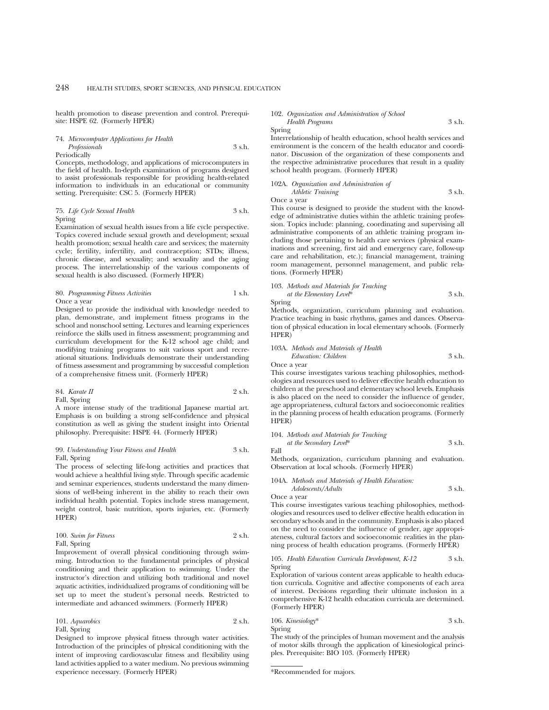health promotion to disease prevention and control. Prerequisite: HSPE 62. (Formerly HPER)

74. *Microcomputer Applications for Health Professionals* 3 s.h. Periodically

Concepts, methodology, and applications of microcomputers in the field of health. In-depth examination of programs designed to assist professionals responsible for providing health-related information to individuals in an educational or community setting. Prerequisite: CSC 5. (Formerly HPER)

## 75. *Life Cycle Sexual Health* 3 s.h. Spring

Examination of sexual health issues from a life cycle perspective. Topics covered include sexual growth and development; sexual health promotion; sexual health care and services; the maternity cycle; fertility, infertility, and contraception; STDs; illness, chronic disease, and sexuality; and sexuality and the aging process. The interrelationship of the various components of sexual health is also discussed. (Formerly HPER)

80. *Programming Fitness Activities* 1 s.h. Once a year

Designed to provide the individual with knowledge needed to plan, demonstrate, and implement fitness programs in the school and nonschool setting. Lectures and learning experiences reinforce the skills used in fitness assessment; programming and curriculum development for the K-12 school age child; and modifying training programs to suit various sport and recreational situations. Individuals demonstrate their understanding of fitness assessment and programming by successful completion of a comprehensive fitness unit. (Formerly HPER)

84. *Karate* 
$$
\Pi
$$
 2 s.h.

Fall, Spring A more intense study of the traditional Japanese martial art. Emphasis is on building a strong self-confidence and physical constitution as well as giving the student insight into Oriental philosophy. Prerequisite: HSPE 44. (Formerly HPER)

### 99. *Understanding Your Fitness and Health* 3 s.h. Fall, Spring

The process of selecting life-long activities and practices that would achieve a healthful living style. Through specific academic and seminar experiences, students understand the many dimensions of well-being inherent in the ability to reach their own individual health potential. Topics include stress management, weight control, basic nutrition, sports injuries, etc. (Formerly HPER)

100. *Swim for Fitness* 2 s.h. Fall, Spring

Improvement of overall physical conditioning through swimming. Introduction to the fundamental principles of physical conditioning and their application to swimming. Under the instructor's direction and utilizing both traditional and novel aquatic activities, individualized programs of conditioning will be set up to meet the student's personal needs. Restricted to intermediate and advanced swimmers. (Formerly HPER)

101. *Aquarobics* 2 s.h. Fall, Spring

Designed to improve physical fitness through water activities. Introduction of the principles of physical conditioning with the intent of improving cardiovascular fitness and flexibility using land activities applied to a water medium. No previous swimming experience necessary. (Formerly HPER)

#### 102. *Organization and Administration of School Health Programs* 3 s.h.

Spring

Interrelationship of health education, school health services and environment is the concern of the health educator and coordinator. Discussion of the organization of these components and the respective administrative procedures that result in a quality school health program. (Formerly HPER)

#### 102A. *Organization and Administration of*

*Athletic Training* 3 s.h. Once a year

This course is designed to provide the student with the knowledge of administrative duties within the athletic training profession. Topics include: planning, coordinating and supervising all administrative components of an athletic training program including those pertaining to health care services (physical examinations and screening, first aid and emergency care, follow-up care and rehabilitation, etc.); financial management, training room management, personnel management, and public relations. (Formerly HPER)

#### 103. *Methods and Materials for Teaching at the Elementary Level*\* 3 s.h. Spring

Methods, organization, curriculum planning and evaluation. Practice teaching in basic rhythms, games and dances. Observation of physical education in local elementary schools. (Formerly HPER)

#### 103A. *Methods and Materials of Health*

*Education: Children* 3 s.h. Once a year

This course investigates various teaching philosophies, methodologies and resources used to deliver effective health education to children at the preschool and elementary school levels. Emphasis is also placed on the need to consider the influence of gender, age appropriateness, cultural factors and socioeconomic realities in the planning process of health education programs. (Formerly HPER)

104. *Methods and Materials for Teaching*

Fall

Spring

*at the Secondary Level*\* 3 s.h.

Methods, organization, curriculum planning and evaluation. Observation at local schools. (Formerly HPER)

#### 104A. *Methods and Materials of Health Education:*

*Adolescents/Adults* 3 s.h. Once a year

This course investigates various teaching philosophies, methodologies and resources used to deliver effective health education in secondary schools and in the community. Emphasis is also placed on the need to consider the influence of gender, age appropriateness, cultural factors and socioeconomic realities in the planning process of health education programs. (Formerly HPER)

#### 105. *Health Education Curricula Development, K-12* 3 s.h. Spring

Exploration of various content areas applicable to health education curricula. Cognitive and affective components of each area of interest. Decisions regarding their ultimate inclusion in a comprehensive K-12 health education curricula are determined. (Formerly HPER)

106. *Kinesiology*\* 3 s.h.

The study of the principles of human movement and the analysis of motor skills through the application of kinesiological principles. Prerequisite: BIO 103. (Formerly HPER)

\*Recommended for majors.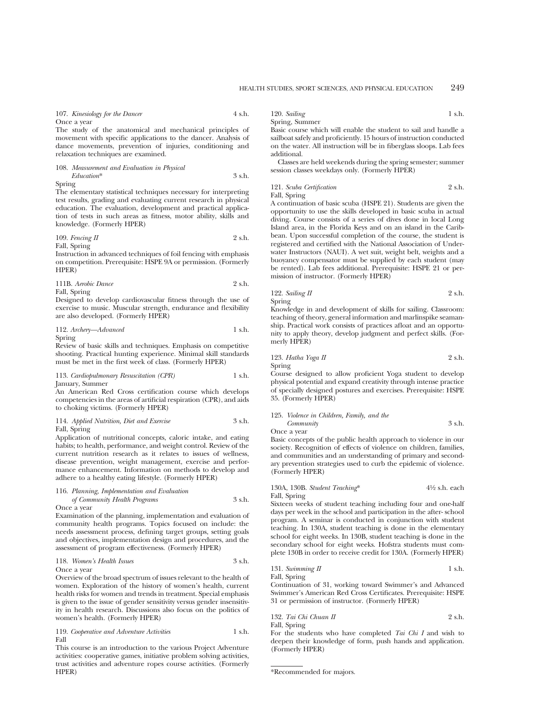#### 107. *Kinesiology for the Dancer* 4 s.h.

Once a year

The study of the anatomical and mechanical principles of movement with specific applications to the dancer. Analysis of dance movements, prevention of injuries, conditioning and relaxation techniques are examined.

108. *Measurement and Evaluation in Physical Education*\* 3 s.h.

Spring

The elementary statistical techniques necessary for interpreting test results, grading and evaluating current research in physical education. The evaluation, development and practical application of tests in such areas as fitness, motor ability, skills and knowledge. (Formerly HPER)

109. *Fencing II* 2 s.h. Fall, Spring

Instruction in advanced techniques of foil fencing with emphasis on competition. Prerequisite: HSPE 9A or permission. (Formerly HPER)

111B. *Aerobic Dance* 2 s.h.

Fall, Spring

Designed to develop cardiovascular fitness through the use of exercise to music. Muscular strength, endurance and flexibility are also developed. (Formerly HPER)

112. *Archery—Advanced* 1 s.h. Spring

Review of basic skills and techniques. Emphasis on competitive shooting. Practical hunting experience. Minimal skill standards must be met in the first week of class. (Formerly HPER)

113. *Cardiopulmonary Resuscitation (CPR)* 1 s.h. January, Summer

An American Red Cross certification course which develops competencies in the areas of artificial respiration (CPR), and aids to choking victims. (Formerly HPER)

114. *Applied Nutrition, Diet and Exercise* 3 s.h. Fall, Spring

Application of nutritional concepts, caloric intake, and eating habits; to health, performance, and weight control. Review of the current nutrition research as it relates to issues of wellness, disease prevention, weight management, exercise and performance enhancement. Information on methods to develop and adhere to a healthy eating lifestyle. (Formerly HPER)

#### 116. *Planning, Implementation and Evaluation*

*of Community Health Programs* 3 s.h. Once a year

Examination of the planning, implementation and evaluation of community health programs. Topics focused on include: the needs assessment process, defining target groups, setting goals and objectives, implementation design and procedures, and the assessment of program effectiveness. (Formerly HPER)

118. *Women's Health Issues* 3 s.h. Once a year

Overview of the broad spectrum of issues relevant to the health of women. Exploration of the history of women's health, current health risks for women and trends in treatment. Special emphasis is given to the issue of gender sensitivity versus gender insensitivity in health research. Discussions also focus on the politics of women's health. (Formerly HPER)

119. *Cooperative and Adventure Activities* 1 s.h. Fall

This course is an introduction to the various Project Adventure activities: cooperative games, initiative problem solving activities, trust activities and adventure ropes course activities. (Formerly HPER)

120. *Sailing* 1 s.h. Spring, Summer

Basic course which will enable the student to sail and handle a sailboat safely and proficiently. 15 hours of instruction conducted on the water. All instruction will be in fiberglass sloops. Lab fees additional.

Classes are held weekends during the spring semester; summer session classes weekdays only. (Formerly HPER)

#### 121. *Scuba Certification* 2 s.h. Fall, Spring

A continuation of basic scuba (HSPE 21). Students are given the opportunity to use the skills developed in basic scuba in actual diving. Course consists of a series of dives done in local Long Island area, in the Florida Keys and on an island in the Caribbean. Upon successful completion of the course, the student is registered and certified with the National Association of Underwater Instructors (NAUI). A wet suit, weight belt, weights and a buoyancy compensator must be supplied by each student (may be rented). Lab fees additional. Prerequisite: HSPE 21 or permission of instructor. (Formerly HPER)

122. *Sailing II* 2 s.h. Spring

Knowledge in and development of skills for sailing. Classroom: teaching of theory, general information and marlinspike seamanship. Practical work consists of practices afloat and an opportunity to apply theory, develop judgment and perfect skills. (Formerly HPER)

123. *Hatha Yoga II* 2 s.h. Spring

Course designed to allow proficient Yoga student to develop physical potential and expand creativity through intense practice of specially designed postures and exercises. Prerequisite: HSPE 35. (Formerly HPER)

## 125. *Violence in Children, Family, and the*

*Community* 3 s.h. Once a year

Basic concepts of the public health approach to violence in our society. Recognition of effects of violence on children, families, and communities and an understanding of primary and secondary prevention strategies used to curb the epidemic of violence. (Formerly HPER)

130A, 130B. *Student Teaching*\* 41⁄2 s.h. each Fall, Spring

Sixteen weeks of student teaching including four and one-half days per week in the school and participation in the after- school program. A seminar is conducted in conjunction with student teaching. In 130A, student teaching is done in the elementary school for eight weeks. In 130B, student teaching is done in the secondary school for eight weeks. Hofstra students must complete 130B in order to receive credit for 130A. (Formerly HPER)

131. *Swimming II* 1 s.h. Fall, Spring

Continuation of 31, working toward Swimmer's and Advanced Swimmer's American Red Cross Certificates. Prerequisite: HSPE 31 or permission of instructor. (Formerly HPER)

132. *Tai Chi Chuan II* 2 s.h. Fall, Spring

For the students who have completed *Tai Chi I* and wish to deepen their knowledge of form, push hands and application. (Formerly HPER)

<sup>\*</sup>Recommended for majors.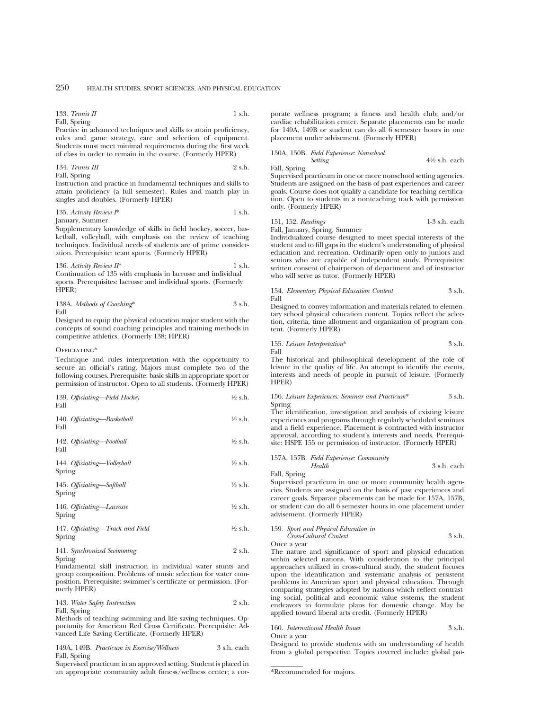#### 133. *Tennis II* 1 s.h. Fall, Spring

Practice in advanced techniques and skills to attain proficiency, rules and game strategy, care and selection of equipment. Students must meet minimal requirements during the first week of class in order to remain in the course. (Formerly HPER)

$$
134. \text{ Tennis III} \qquad \qquad 2 \text{ s.h.}
$$

Fall, Spring

Instruction and practice in fundamental techniques and skills to attain proficiency (a full semester). Rules and match play in singles and doubles. (Formerly HPER)

## 135. Activity Review  $I^*$  1 s.h.

January, Summer

Supplementary knowledge of skills in field hockey, soccer, basketball, volleyball, with emphasis on the review of teaching techniques. Individual needs of students are of prime consideration. Prerequisite: team sports. (Formerly HPER)

136. *Activity Review II*\* 1 s.h. Continuation of 135 with emphasis in lacrosse and individual sports. Prerequisites: lacrosse and individual sports. (Formerly HPER)

|      | 138A. Methods of Coaching* | 3 s.h. |
|------|----------------------------|--------|
| Fall |                            |        |

Designed to equip the physical education major student with the concepts of sound coaching principles and training methods in competitive athletics. (Formerly 138; HPER)

#### OFFICIATING\*

Technique and rules interpretation with the opportunity to secure an official's rating. Majors must complete two of the following courses. Prerequisite: basic skills in appropriate sport or permission of instructor. Open to all students. (Formerly HPER)

| 139. Officiating-Field Hockey<br>Fall | $\frac{1}{2}$ s.h. |
|---------------------------------------|--------------------|
| 140. Officiating-Basketball<br>Fall   | $\frac{1}{2}$ s.h. |

142. *Officiating—Football* 1⁄2 s.h. Fall

144. *Officiating—Volleyball* <sup>1</sup>/<sub>2</sub> s.h. Spring

145. *Officiating—Softball* 1⁄2 s.h. Spring

146. *Officiating—Lacrosse* <sup>1</sup>/2 s.h. Spring

| 147. Officiating-Track and Field | $\frac{1}{2}$ s.h. |
|----------------------------------|--------------------|
| Spring                           |                    |

| 141. Synchronized Swimming | 2 s.h. |
|----------------------------|--------|
| Spring                     |        |

Fundamental skill instruction in individual water stunts and group composition. Problems of music selection for water composition. Prerequisite: swimmer's certificate or permission. (Formerly HPER)

143. *Water Safety Instruction* 2 s.h.

Fall, Spring

Methods of teaching swimming and life saving techniques. Opportunity for American Red Cross Certificate. Prerequisite: Advanced Life Saving Certificate. (Formerly HPER)

149A, 149B. *Practicum in Exercise/Wellness* 3 s.h. each Fall, Spring

Supervised practicum in an approved setting. Student is placed in an appropriate community adult fitness/wellness center; a corporate wellness program; a fitness and health club; and/or cardiac rehabilitation center. Separate placements can be made for 149A, 149B or student can do all 6 semester hours in one placement under advisement. (Formerly HPER)

# 150A, 150B. *Field Experience: Nonschool*

*Setting* 41⁄2 s.h. each Supervised practicum in one or more nonschool setting agencies.

Students are assigned on the basis of past experiences and career goals. Course does not qualify a candidate for teaching certification. Open to students in a nonteaching track with permission only. (Formerly HPER)

151, 152. *Readings* 1-3 s.h. each

Fall, January, Spring, Summer

Fall, Spring

Individualized course designed to meet special interests of the student and to fill gaps in the student's understanding of physical education and recreation. Ordinarily open only to juniors and seniors who are capable of independent study. Prerequisites: written consent of chairperson of department and of instructor who will serve as tutor. (Formerly HPER)

#### 154. *Elementary Physical Education Content* 3 s.h. Fall

Designed to convey information and materials related to elementary school physical education content. Topics reflect the selection, criteria, time allotment and organization of program content. (Formerly HPER)

155. *Leisure Interpretation*\* 3 s.h. Fall

The historical and philosophical development of the role of leisure in the quality of life. An attempt to identify the events, interests and needs of people in pursuit of leisure. (Formerly HPER)

156. *Leisure Experiences: Seminar and Practicum*\* 3 s.h. Spring

The identification, investigation and analysis of existing leisure experiences and programs through regularly scheduled seminars and a field experience. Placement is contracted with instructor approval, according to student's interests and needs. Prerequisite: HSPE 155 or permission of instructor. (Formerly HPER)

157A, 157B. *Field Experience: Community Health* 3 s.h. each Fall, Spring

Supervised practicum in one or more community health agencies. Students are assigned on the basis of past experiences and career goals. Separate placements can be made for 157A, 157B, or student can do all 6 semester hours in one placement under advisement. (Formerly HPER)

159. *Sport and Physical Education in Cross-Cultural Context* 3 s.h. Once a year

The nature and significance of sport and physical education within selected nations. With consideration to the principal approaches utilized in cross-cultural study, the student focuses upon the identification and systematic analysis of persistent problems in American sport and physical education. Through comparing strategies adopted by nations which reflect contrasting social, political and economic value systems, the student endeavors to formulate plans for domestic change. May be applied toward liberal arts credit. (Formerly HPER)

160. *International Health Issues* 3 s.h. Once a year

Designed to provide students with an understanding of health from a global perspective. Topics covered include: global pat-

\*Recommended for majors.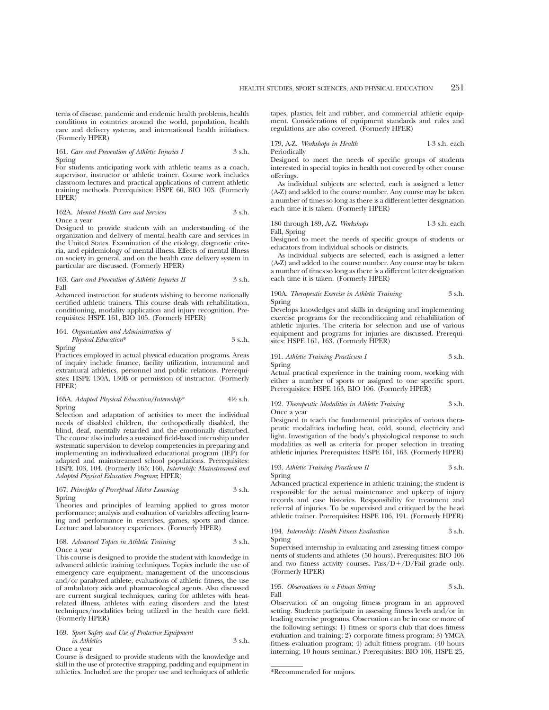terns of disease, pandemic and endemic health problems, health conditions in countries around the world, population, health care and delivery systems, and international health initiatives. (Formerly HPER)

161. *Care and Prevention of Athletic Injuries I* 3 s.h. Spring

For students anticipating work with athletic teams as a coach, supervisor, instructor or athletic trainer. Course work includes classroom lectures and practical applications of current athletic training methods. Prerequisites: HSPE 60, BIO 103. (Formerly HPER)

#### 162A. *Mental Health Care and Services* 3 s.h. Once a year

Designed to provide students with an understanding of the organization and delivery of mental health care and services in the United States. Examination of the etiology, diagnostic criteria, and epidemiology of mental illness. Effects of mental illness on society in general, and on the health care delivery system in particular are discussed. (Formerly HPER)

163. *Care and Prevention of Athletic Injuries II* 3 s.h. Fall

Advanced instruction for students wishing to become nationally certified athletic trainers. This course deals with rehabilitation, conditioning, modality application and injury recognition. Prerequisites: HSPE 161, BIO 105. (Formerly HPER)

164. *Organization and Administration of Physical Education*\* 3 s..h. Spring

Practices employed in actual physical education programs. Areas of inquiry include finance, facility utilization, intramural and extramural athletics, personnel and public relations. Prerequisites: HSPE 130A, 130B or permission of instructor. (Formerly HPER)

#### 165A. *Adapted Physical Education/Internship*\* 41⁄2 s.h. Spring

Selection and adaptation of activities to meet the individual needs of disabled children, the orthopedically disabled, the blind, deaf, mentally retarded and the emotionally disturbed. The course also includes a sustained field-based internship under systematic supervision to develop competencies in preparing and implementing an individualized educational program (IEP) for adapted and mainstreamed school populations. Prerequisites: HSPE 103, 104. (Formerly 165; 166, *Internship: Mainstreamed and Adapted Physical Education Program*; HPER)

167. *Principles of Perceptual Motor Learning* 3 s.h. Spring

Theories and principles of learning applied to gross motor performance; analysis and evaluation of variables affecting learning and performance in exercises, games, sports and dance. Lecture and laboratory experiences. (Formerly HPER)

168. *Advanced Topics in Athletic Training* 3 s.h. Once a year

This course is designed to provide the student with knowledge in advanced athletic training techniques. Topics include the use of emergency care equipment, management of the unconscious and/or paralyzed athlete, evaluations of athletic fitness, the use of ambulatory aids and pharmacological agents. Also discussed are current surgical techniques, caring for athletes with heatrelated illness, athletes with eating disorders and the latest techniques/modalities being utilized in the health care field. (Formerly HPER)

169. *Sport Safety and Use of Protective Equipment in Athletics* 3 s.h. Once a year

athletics. Included are the proper use and techniques of athletic

Course is designed to provide students with the knowledge and skill in the use of protective strapping, padding and equipment in

tapes, plastics, felt and rubber, and commercial athletic equipment. Considerations of equipment standards and rules and regulations are also covered. (Formerly HPER)

179, A-Z. *Workshops in Health* 1-3 s.h. each Periodically

Designed to meet the needs of specific groups of students interested in special topics in health not covered by other course offerings.

As individual subjects are selected, each is assigned a letter (A-Z) and added to the course number. Any course may be taken a number of times so long as there is a different letter designation each time it is taken. (Formerly HPER)

180 through 189, A-Z. *Workshops* 1-3 s.h. each Fall, Spring

Designed to meet the needs of specific groups of students or educators from individual schools or districts.

As individual subjects are selected, each is assigned a letter (A-Z) and added to the course number. Any course may be taken a number of times so long as there is a different letter designation each time it is taken. (Formerly HPER)

190A. *Therapeutic Exercise in Athletic Training* 3 s.h. Spring

Develops knowledges and skills in designing and implementing exercise programs for the reconditioning and rehabilitation of athletic injuries. The criteria for selection and use of various equipment and programs for injuries are discussed. Prerequisites: HSPE 161, 163. (Formerly HPER)

191. *Athletic Training Practicum I* 3 s.h. Spring

Actual practical experience in the training room, working with either a number of sports or assigned to one specific sport. Prerequisites: HSPE 163, BIO 106. (Formerly HPER)

#### 192. *Therapeutic Modalities in Athletic Training* 3 s.h. Once a year

Designed to teach the fundamental principles of various therapeutic modalities including heat, cold, sound, electricity and light. Investigation of the body's physiological response to such modalities as well as criteria for proper selection in treating athletic injuries. Prerequisites: HSPE 161, 163. (Formerly HPER)

193. *Athletic Training Practicum II* 3 s.h. Spring

Advanced practical experience in athletic training; the student is responsible for the actual maintenance and upkeep of injury records and case histories. Responsibility for treatment and referral of injuries. To be supervised and critiqued by the head athletic trainer. Prerequisites: HSPE 106, 191. (Formerly HPER)

194. *Internship: Health Fitness Evaluation* 3 s.h. Spring

Supervised internship in evaluating and assessing fitness components of students and athletes (50 hours). Prerequisites: BIO 106 and two fitness activity courses. Pass/ $D+/D/Fail$  grade only. (Formerly HPER)

195. *Observations in a Fitness Setting* 3 s.h. Fall

Observation of an ongoing fitness program in an approved setting. Students participate in assessing fitness levels and/or in leading exercise programs. Observation can be in one or more of the following settings: 1) fitness or sports club that does fitness evaluation and training; 2) corporate fitness program; 3) YMCA fitness evaluation program; 4) adult fitness program. (40 hours interning; 10 hours seminar.) Prerequisites: BIO 106, HSPE 25,

<sup>\*</sup>Recommended for majors.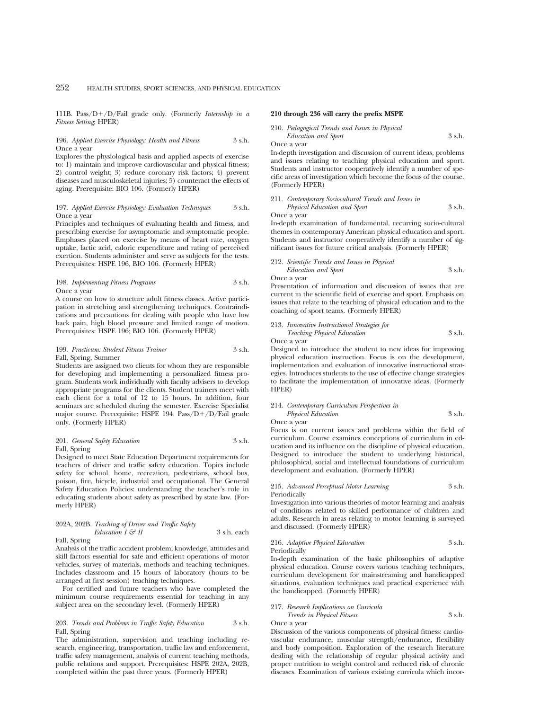111B. Pass/D+/D/Fail grade only. (Formerly *Internship in a Fitness Setting*; HPER)

196. *Applied Exercise Physiology: Health and Fitness* 3 s.h. Once a year

Explores the physiological basis and applied aspects of exercise to: 1) maintain and improve cardiovascular and physical fitness; 2) control weight; 3) reduce coronary risk factors; 4) prevent diseases and musculoskeletal injuries; 5) counteract the effects of aging. Prerequisite: BIO 106. (Formerly HPER)

#### 197. *Applied Exercise Physiology: Evaluation Techniques* 3 s.h. Once a year

Principles and techniques of evaluating health and fitness, and prescribing exercise for asymptomatic and symptomatic people. Emphases placed on exercise by means of heart rate, oxygen uptake, lactic acid, caloric expenditure and rating of perceived exertion. Students administer and serve as subjects for the tests. Prerequisites: HSPE 196, BIO 106. (Formerly HPER)

198. *Implementing Fitness Programs* 3 s.h. Once a year

A course on how to structure adult fitness classes. Active participation in stretching and strengthening techniques. Contraindications and precautions for dealing with people who have low back pain, high blood pressure and limited range of motion. Prerequisites: HSPE 196; BIO 106. (Formerly HPER)

### 199. *Practicum: Student Fitness Trainer* 3 s.h. Fall, Spring, Summer

Students are assigned two clients for whom they are responsible for developing and implementing a personalized fitness program. Students work individually with faculty advisers to develop appropriate programs for the clients. Student trainers meet with each client for a total of 12 to 15 hours. In addition, four seminars are scheduled during the semester. Exercise Specialist major course. Prerequisite: HSPE 194. Pass/D+/D/Fail grade only. (Formerly HPER)

### 201. *General Safety Education* 3 s.h. Fall, Spring

Designed to meet State Education Department requirements for teachers of driver and traffic safety education. Topics include safety for school, home, recreation, pedestrians, school bus, poison, fire, bicycle, industrial and occupational. The General Safety Education Policies: understanding the teacher's role in educating students about safety as prescribed by state law. (Formerly HPER)

## 202A, 202B. *Teaching of Driver and Traffic Safety Education I & II* 3 s.h. each

## Fall, Spring

Analysis of the traffic accident problem; knowledge, attitudes and skill factors essential for safe and efficient operations of motor vehicles, survey of materials, methods and teaching techniques. Includes classroom and 15 hours of laboratory (hours to be arranged at first session) teaching techniques.

For certified and future teachers who have completed the minimum course requirements essential for teaching in any subject area on the secondary level. (Formerly HPER)

#### 203. *Trends and Problems in Traffic Safety Education* 3 s.h. Fall, Spring

The administration, supervision and teaching including research, engineering, transportation, traffic law and enforcement, traffic safety management, analysis of current teaching methods, public relations and support. Prerequisites: HSPE 202A, 202B, completed within the past three years. (Formerly HPER)

#### **210 through 236 will carry the prefix MSPE**

210. *Pedagogical Trends and Issues in Physical Education and Sport* 3 s.h.

Once a year

In-depth investigation and discussion of current ideas, problems and issues relating to teaching physical education and sport. Students and instructor cooperatively identify a number of specific areas of investigation which become the focus of the course. (Formerly HPER)

#### 211. *Contemporary Sociocultural Trends and Issues in Physical Education and Sport* 3 s.h.

Once a year

In-depth examination of fundamental, recurring socio-cultural themes in contemporary American physical education and sport. Students and instructor cooperatively identify a number of significant issues for future critical analysis. (Formerly HPER)

#### 212. *Scientific Trends and Issues in Physical Education and Sport* 3 s.h. Once a year

Presentation of information and discussion of issues that are current in the scientific field of exercise and sport. Emphasis on issues that relate to the teaching of physical education and to the coaching of sport teams. (Formerly HPER)

#### 213. *Innovative Instructional Strategies for Teaching Physical Education* 3 s.h.

Once a year

Designed to introduce the student to new ideas for improving physical education instruction. Focus is on the development, implementation and evaluation of innovative instructional strategies. Introduces students to the use of effective change strategies to facilitate the implementation of innovative ideas. (Formerly HPER)

#### 214. *Contemporary Curriculum Perspectives in Physical Education* 3 s.h.

Once a year

Focus is on current issues and problems within the field of curriculum. Course examines conceptions of curriculum in education and its influence on the discipline of physical education. Designed to introduce the student to underlying historical, philosophical, social and intellectual foundations of curriculum development and evaluation. (Formerly HPER)

#### 215. *Advanced Perceptual Motor Learning* 3 s.h. Periodically

Investigation into various theories of motor learning and analysis of conditions related to skilled performance of children and adults. Research in areas relating to motor learning is surveyed and discussed. (Formerly HPER)

#### 216. *Adaptive Physical Education* 3 s.h. Periodically

In-depth examination of the basic philosophies of adaptive physical education. Course covers various teaching techniques, curriculum development for mainstreaming and handicapped situations, evaluation techniques and practical experience with the handicapped. (Formerly HPER)

#### 217. *Research Implications on Curricula*

*Trends in Physical Fitness* 3 s.h. Once a year

Discussion of the various components of physical fitness: cardiovascular endurance, muscular strength/endurance, flexibility and body composition. Exploration of the research literature dealing with the relationship of regular physical activity and proper nutrition to weight control and reduced risk of chronic diseases. Examination of various existing curricula which incor-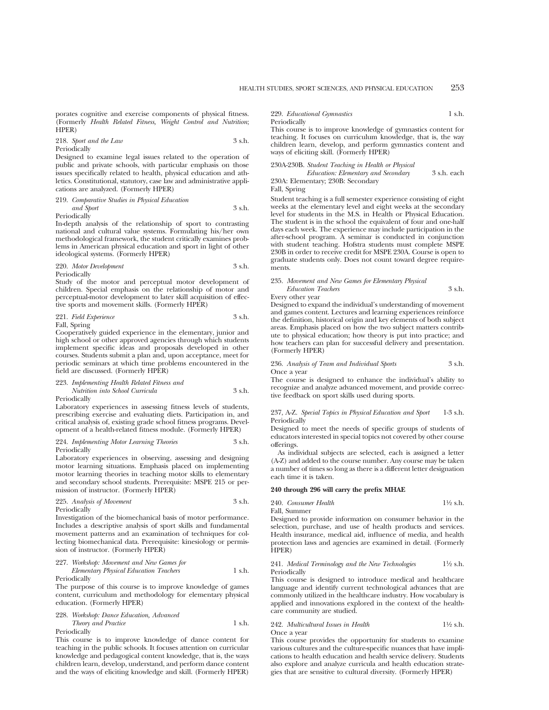porates cognitive and exercise components of physical fitness. (Formerly *Health Related Fitness, Weight Control and Nutrition*; HPER)

218. *Sport and the Law* 3 s.h.

Periodically

Designed to examine legal issues related to the operation of public and private schools, with particular emphasis on those issues specifically related to health, physical education and athletics. Constitutional, statutory, case law and administrative applications are analyzed. (Formerly HPER)

219. *Comparative Studies in Physical Education*

*and Sport* 3 s.h. Periodically

In-depth analysis of the relationship of sport to contrasting national and cultural value systems. Formulating his/her own methodological framework, the student critically examines problems in American physical education and sport in light of other ideological systems. (Formerly HPER)

220. *Motor Development* 3 s.h.

Periodically

Study of the motor and perceptual motor development of children. Special emphasis on the relationship of motor and perceptual-motor development to later skill acquisition of effective sports and movement skills. (Formerly HPER)

221. *Field Experience* 3 s.h.

Fall, Spring

Cooperatively guided experience in the elementary, junior and high school or other approved agencies through which students implement specific ideas and proposals developed in other courses. Students submit a plan and, upon acceptance, meet for periodic seminars at which time problems encountered in the field are discussed. (Formerly HPER)

223. *Implementing Health Related Fitness and Nutrition into School Curricula* 3 s.h.

Periodically

Laboratory experiences in assessing fitness levels of students, prescribing exercise and evaluating diets. Participation in, and critical analysis of, existing grade school fitness programs. Development of a health-related fitness module. (Formerly HPER)

#### 224. *Implementing Motor Learning Theories* 3 s.h. Periodically

Laboratory experiences in observing, assessing and designing motor learning situations. Emphasis placed on implementing motor learning theories in teaching motor skills to elementary and secondary school students. Prerequisite: MSPE 215 or permission of instructor. (Formerly HPER)

225. *Analysis of Movement* 3 s.h. Periodically

Investigation of the biomechanical basis of motor performance. Includes a descriptive analysis of sport skills and fundamental movement patterns and an examination of techniques for collecting biomechanical data. Prerequisite: kinesiology or permission of instructor. (Formerly HPER)

227. *Workshop: Movement and New Games for Elementary Physical Education Teachers* 1 s.h.

Periodically

The purpose of this course is to improve knowledge of games content, curriculum and methodology for elementary physical education. (Formerly HPER)

#### 228. *Workshop: Dance Education, Advanced Theory and Practice* 1 s.h. Periodically

This course is to improve knowledge of dance content for teaching in the public schools. It focuses attention on curricular knowledge and pedagogical content knowledge, that is, the ways children learn, develop, understand, and perform dance content and the ways of eliciting knowledge and skill. (Formerly HPER)

229. *Educational Gymnastics* 1 s.h. Periodically

This course is to improve knowledge of gymnastics content for teaching. It focuses on curriculum knowledge, that is, the way children learn, develop, and perform gymnastics content and ways of eliciting skill. (Formerly HPER)

#### 230A-230B. *Student Teaching in Health or Physical*

*Education: Elementary and Secondary* 3 s.h. each 230A: Elementary; 230B: Secondary

Fall, Spring

Student teaching is a full semester experience consisting of eight weeks at the elementary level and eight weeks at the secondary level for students in the M.S. in Health or Physical Education. The student is in the school the equivalent of four and one-half days each week. The experience may include participation in the after-school program. A seminar is conducted in conjunction with student teaching. Hofstra students must complete MSPE 230B in order to receive credit for MSPE 230A. Course is open to graduate students only. Does not count toward degree requirements.

#### 235. *Movement and New Games for Elementary Physical Education Teachers* 3 s.h.

Every other year

Designed to expand the individual's understanding of movement and games content. Lectures and learning experiences reinforce the definition, historical origin and key elements of both subject areas. Emphasis placed on how the two subject matters contribute to physical education; how theory is put into practice; and how teachers can plan for successful delivery and presentation. (Formerly HPER)

#### 236. *Analysis of Team and Individual Sports* 3 s.h. Once a year

The course is designed to enhance the individual's ability to recognize and analyze advanced movement, and provide corrective feedback on sport skills used during sports.

237, A-Z. *Special Topics in Physical Education and Sport* 1-3 s.h. Periodically

Designed to meet the needs of specific groups of students of educators interested in special topics not covered by other course offerings.

As individual subjects are selected, each is assigned a letter (A-Z) and added to the course number. Any course may be taken a number of times so long as there is a different letter designation each time it is taken.

#### **240 through 296 will carry the prefix MHAE**

240. *Consumer Health* 11⁄2 s.h.

Fall, Summer Designed to provide information on consumer behavior in the selection, purchase, and use of health products and services. Health insurance, medical aid, influence of media, and health protection laws and agencies are examined in detail. (Formerly HPER)

241. *Medical Terminology and the New Technologies* 11⁄2 s.h. Periodically

This course is designed to introduce medical and healthcare language and identify current technological advances that are commonly utilized in the healthcare industry. How vocabulary is applied and innovations explored in the context of the healthcare community are studied.

242. *Multicultural Issues in Health* 11⁄2 s.h. Once a year

This course provides the opportunity for students to examine various cultures and the culture-specific nuances that have implications to health education and health service delivery. Students also explore and analyze curricula and health education strategies that are sensitive to cultural diversity. (Formerly HPER)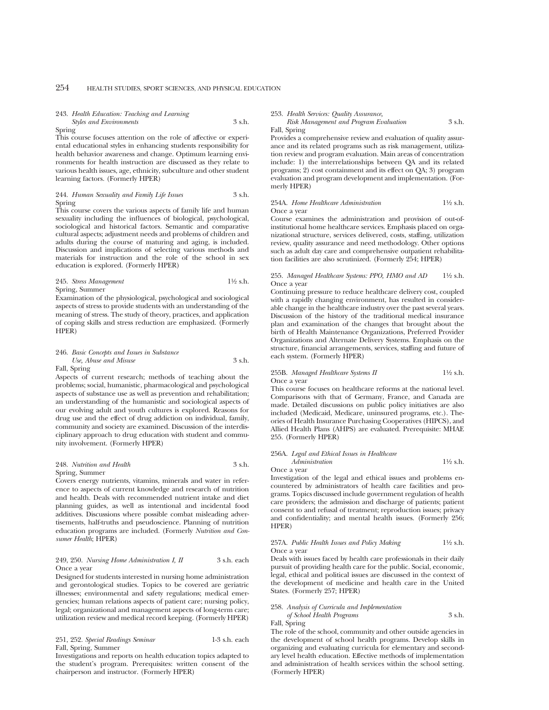## 243. *Health Education: Teaching and Learning*

*Styles and Environments* 3 s.h. Spring

This course focuses attention on the role of affective or experiental educational styles in enhancing students responsibility for health behavior awareness and change. Optimum learning environments for health instruction are discussed as they relate to various health issues, age, ethnicity, subculture and other student learning factors. (Formerly HPER)

244. *Human Sexuality and Family Life Issues* 3 s.h. Spring

This course covers the various aspects of family life and human sexuality including the influences of biological, psychological, sociological and historical factors. Semantic and comparative cultural aspects; adjustment needs and problems of children and adults during the course of maturing and aging, is included. Discussion and implications of selecting various methods and materials for instruction and the role of the school in sex education is explored. (Formerly HPER)

245. *Stress Management* 11⁄2 s.h. Spring, Summer

Examination of the physiological, psychological and sociological aspects of stress to provide students with an understanding of the meaning of stress. The study of theory, practices, and application of coping skills and stress reduction are emphasized. (Formerly HPER)

#### 246. *Basic Concepts and Issues in Substance Use, Abuse and Misuse* 3 s.h. Fall, Spring

Aspects of current research; methods of teaching about the problems; social, humanistic, pharmacological and psychological aspects of substance use as well as prevention and rehabilitation; an understanding of the humanistic and sociological aspects of our evolving adult and youth cultures is explored. Reasons for drug use and the effect of drug addiction on individual, family, community and society are examined. Discussion of the interdisciplinary approach to drug education with student and community involvement. (Formerly HPER)

#### 248. *Nutrition and Health* 3 s.h. Spring, Summer

Covers energy nutrients, vitamins, minerals and water in reference to aspects of current knowledge and research of nutrition and health. Deals with recommended nutrient intake and diet planning guides, as well as intentional and incidental food additives. Discussions where possible combat misleading advertisements, half-truths and pseudoscience. Planning of nutrition education programs are included. (Formerly *Nutrition and Consumer Health*; HPER)

## 249, 250. *Nursing Home Administration I, II* 3 s.h. each Once a year

Designed for students interested in nursing home administration and gerontological studies. Topics to be covered are geriatric illnesses; environmental and safety regulations; medical emergencies; human relations aspects of patient care; nursing policy, legal; organizational and management aspects of long-term care; utilization review and medical record keeping. (Formerly HPER)

#### 251, 252. *Special Readings Seminar* 1-3 s.h. each Fall, Spring, Summer

Investigations and reports on health education topics adapted to the student's program. Prerequisites: written consent of the chairperson and instructor. (Formerly HPER)

253. *Health Services: Quality Assurance,*

*Risk Management and Program Evaluation* 3 s.h. Fall, Spring

Provides a comprehensive review and evaluation of quality assurance and its related programs such as risk management, utilization review and program evaluation. Main areas of concentration include: 1) the interrelationships between QA and its related programs; 2) cost containment and its effect on QA; 3) program evaluation and program development and implementation. (Formerly HPER)

## 254A. *Home Healthcare Administration* 11⁄2 s.h. Once a year

Course examines the administration and provision of out-ofinstitutional home healthcare services. Emphasis placed on organizational structure, services delivered, costs, staffing, utilization review, quality assurance and need methodology. Other options such as adult day care and comprehensive outpatient rehabilitation facilities are also scrutinized. (Formerly 254; HPER)

## 255. *Managed Healthcare Systems: PPO, HMO and AD* 11⁄2 s.h. Once a year

Continuing pressure to reduce healthcare delivery cost, coupled with a rapidly changing environment, has resulted in considerable change in the healthcare industry over the past several years. Discussion of the history of the traditional medical insurance plan and examination of the changes that brought about the birth of Health Maintenance Organizations, Preferred Provider Organizations and Alternate Delivery Systems. Emphasis on the structure, financial arrangements, services, staffing and future of each system. (Formerly HPER)

## 255B. *Managed Healthcare Systems II* 1<sup>1</sup>/2 s.h. Once a year

This course focuses on healthcare reforms at the national level. Comparisons with that of Germany, France, and Canada are made. Detailed discussions on public policy initiatives are also included (Medicaid, Medicare, uninsured programs, etc.). Theories of Health Insurance Purchasing Cooperatives (HIPCS), and Allied Health Plans (AHPS) are evaluated. Prerequisite: MHAE 255. (Formerly HPER)

### 256A. *Legal and Ethical Issues in Healthcare*

*Administration* 1<sup>1</sup>⁄2 s.h. Once a year

Investigation of the legal and ethical issues and problems encountered by administrators of health care facilities and programs. Topics discussed include government regulation of health care providers; the admission and discharge of patients; patient consent to and refusal of treatment; reproduction issues; privacy and confidentiality; and mental health issues. (Formerly 256; HPER)

### 257A. *Public Health Issues and Policy Making* 11⁄2 s.h. Once a year

Deals with issues faced by health care professionals in their daily pursuit of providing health care for the public. Social, economic, legal, ethical and political issues are discussed in the context of the development of medicine and health care in the United States. (Formerly 257; HPER)

## 258. *Analysis of Curricula and Implementation*

*of School Health Programs* 3 s.h.

Fall, Spring

The role of the school, community and other outside agencies in the development of school health programs. Develop skills in organizing and evaluating curricula for elementary and secondary level health education. Effective methods of implementation and administration of health services within the school setting. (Formerly HPER)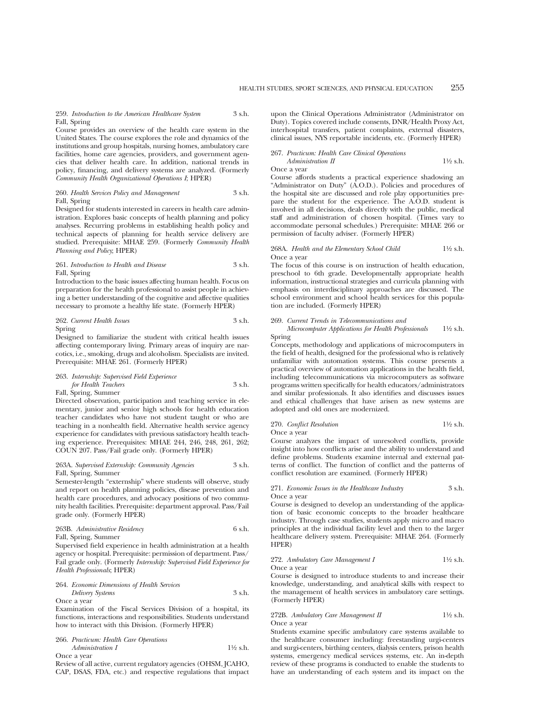259. *Introduction to the American Healthcare System* 3 s.h. Fall, Spring

Course provides an overview of the health care system in the United States. The course explores the role and dynamics of the institutions and group hospitals, nursing homes, ambulatory care facilities, home care agencies, providers, and government agencies that deliver health care. In addition, national trends in policy, financing, and delivery systems are analyzed. (Formerly *Community Health Organizational Operations I*; HPER)

260. *Health Services Policy and Management* 3 s.h. Fall, Spring

Designed for students interested in careers in health care administration. Explores basic concepts of health planning and policy analyses. Recurring problems in establishing health policy and technical aspects of planning for health service delivery are studied. Prerequisite: MHAE 259. (Formerly *Community Health Planning and Policy*; HPER)

#### 261. *Introduction to Health and Disease* 3 s.h. Fall, Spring

Introduction to the basic issues affecting human health. Focus on preparation for the health professional to assist people in achieving a better understanding of the cognitive and affective qualities necessary to promote a healthy life state. (Formerly HPER)

#### 262. *Current Health Issues* 3 s.h. Spring

Designed to familiarize the student with critical health issues affecting contemporary living. Primary areas of inquiry are narcotics, i.e., smoking, drugs and alcoholism. Specialists are invited. Prerequisite: MHAE 261. (Formerly HPER)

## 263. *Internship: Supervised Field Experience for Health Teachers* 3 s.h. Fall, Spring, Summer

Directed observation, participation and teaching service in elementary, junior and senior high schools for health education teacher candidates who have not student taught or who are teaching in a nonhealth field. Alternative health service agency experience for candidates with previous satisfactory health teaching experience. Prerequisites: MHAE 244, 246, 248, 261, 262; COUN 207. Pass/Fail grade only. (Formerly HPER)

#### 263A. *Supervised Externship: Community Agencies* 3 s.h. Fall, Spring, Summer

Semester-length "externship" where students will observe, study and report on health planning policies, disease prevention and health care procedures, and advocacy positions of two community health facilities. Prerequisite: department approval. Pass/Fail grade only. (Formerly HPER)

263B. *Administrative Residency* 6 s.h. Fall, Spring, Summer

Supervised field experience in health administration at a health agency or hospital. Prerequisite: permission of department. Pass/ Fail grade only. (Formerly *Internship: Supervised Field Experience for Health Professionals*; HPER)

264. *Economic Dimensions of Health Services Delivery Systems* 3 s.h. Once a year

Examination of the Fiscal Services Division of a hospital, its functions, interactions and responsibilities. Students understand how to interact with this Division. (Formerly HPER)

266. *Practicum: Health Care Operations Administration I* 11⁄2 s.h.

Once a year

Review of all active, current regulatory agencies (OHSM, JCAHO, CAP, DSAS, FDA, etc.) and respective regulations that impact

upon the Clinical Operations Administrator (Administrator on Duty). Topics covered include consents, DNR/Health Proxy Act, interhospital transfers, patient complaints, external disasters, clinical issues, NYS reportable incidents, etc. (Formerly HPER)

#### 267. *Practicum: Health Care Clinical Operations Administration II* 1<sup>1</sup>/<sub>2</sub> s.h.

## Once a year

Course affords students a practical experience shadowing an "Administrator on Duty" (A.O.D.). Policies and procedures of the hospital site are discussed and role play opportunities prepare the student for the experience. The A.O.D. student is involved in all decisions, deals directly with the public, medical staff and administration of chosen hospital. (Times vary to accommodate personal schedules.) Prerequisite: MHAE 266 or permission of faculty adviser. (Formerly HPER)

#### 268A. *Health and the Elementary School Child* 1<sup>1</sup>/2 s.h. Once a year

The focus of this course is on instruction of health education, preschool to 6th grade. Developmentally appropriate health information, instructional strategies and curricula planning with emphasis on interdisciplinary approaches are discussed. The school environment and school health services for this population are included. (Formerly HPER)

#### 269. *Current Trends in Telecommunications and*

*Microcomputer Applications for Health Professionals* 11⁄2 s.h. Spring

Concepts, methodology and applications of microcomputers in the field of health, designed for the professional who is relatively unfamiliar with automation systems. This course presents a practical overview of automation applications in the health field, including telecommunications via microcomputers as software programs written specifically for health educators/administrators and similar professionals. It also identifies and discusses issues and ethical challenges that have arisen as new systems are adopted and old ones are modernized.

#### 270. *Conflict Resolution* 11⁄2 s.h. Once a year

Course analyzes the impact of unresolved conflicts, provide insight into how conflicts arise and the ability to understand and define problems. Students examine internal and external patterns of conflict. The function of conflict and the patterns of conflict resolution are examined. (Formerly HPER)

#### 271. *Economic Issues in the Healthcare Industry* 3 s.h. Once a year

Course is designed to develop an understanding of the application of basic economic concepts to the broader healthcare industry. Through case studies, students apply micro and macro principles at the individual facility level and then to the larger healthcare delivery system. Prerequisite: MHAE 264. (Formerly HPER)

### 272. *Ambulatory Care Management I* 1<sup>1</sup>/2 s.h. Once a year

Course is designed to introduce students to and increase their knowledge, understanding, and analytical skills with respect to the management of health services in ambulatory care settings. (Formerly HPER)

#### 272B. *Ambulatory Care Management II* 11/2 s.h. Once a year

Students examine specific ambulatory care systems available to the healthcare consumer including: freestanding urgi-centers and surgi-centers, birthing centers, dialysis centers, prison health systems, emergency medical services systems, etc. An in-depth review of these programs is conducted to enable the students to have an understanding of each system and its impact on the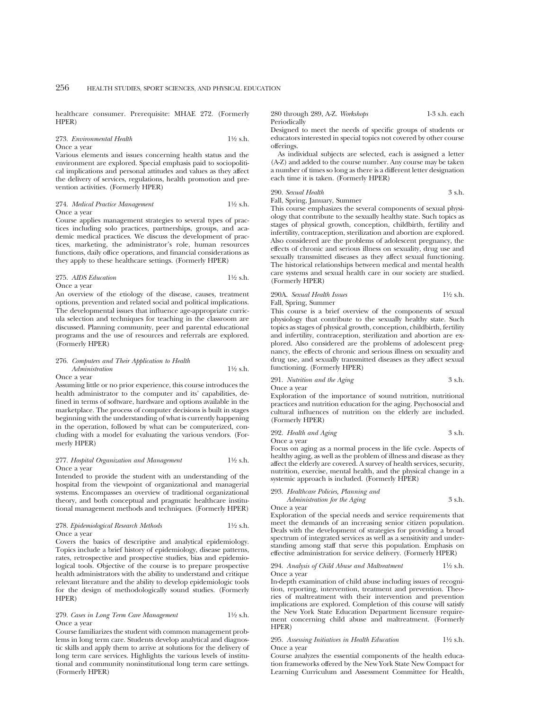healthcare consumer. Prerequisite: MHAE 272. (Formerly HPER)

273. *Environmental Health* 11⁄2 s.h. Once a year

Various elements and issues concerning health status and the environment are explored. Special emphasis paid to sociopolitical implications and personal attitudes and values as they affect the delivery of services, regulations, health promotion and prevention activities. (Formerly HPER)

274. *Medical Practice Management* 11⁄2 s.h. Once a year

Course applies management strategies to several types of practices including solo practices, partnerships, groups, and academic medical practices. We discuss the development of practices, marketing, the administrator's role, human resources functions, daily office operations, and financial considerations as they apply to these healthcare settings. (Formerly HPER)

275. *AIDS Education* 11⁄2 s.h. Once a year

An overview of the etiology of the disease, causes, treatment options, prevention and related social and political implications. The developmental issues that influence age-appropriate curricula selection and techniques for teaching in the classroom are discussed. Planning community, peer and parental educational programs and the use of resources and referrals are explored. (Formerly HPER)

#### 276. *Computers and Their Application to Health Administration* 1<sup>1</sup>/<sub>2</sub> s.h. Once a year

Assuming little or no prior experience, this course introduces the health administrator to the computer and its' capabilities, defined in terms of software, hardware and options available in the marketplace. The process of computer decisions is built in stages beginning with the understanding of what is currently happening in the operation, followed by what can be computerized, concluding with a model for evaluating the various vendors. (Formerly HPER)

#### 277. *Hospital Organization and Management* 11⁄2 s.h. Once a year

Intended to provide the student with an understanding of the hospital from the viewpoint of organizational and managerial systems. Encompasses an overview of traditional organizational theory, and both conceptual and pragmatic healthcare institutional management methods and techniques. (Formerly HPER)

| 278. Epidemiological Research Methods | $1\frac{1}{2}$ s.h. |
|---------------------------------------|---------------------|
| Once a vear                           |                     |

Covers the basics of descriptive and analytical epidemiology. Topics include a brief history of epidemiology, disease patterns, rates, retrospective and prospective studies, bias and epidemiological tools. Objective of the course is to prepare prospective health administrators with the ability to understand and critique relevant literature and the ability to develop epidemiologic tools for the design of methodologically sound studies. (Formerly HPER)

279. *Cases in Long Term Care Management* 11⁄2 s.h. Once a year

Course familiarizes the student with common management problems in long term care. Students develop analytical and diagnostic skills and apply them to arrive at solutions for the delivery of long term care services. Highlights the various levels of institutional and community noninstitutional long term care settings. (Formerly HPER)

280 through 289, A-Z. *Workshops* 1-3 s.h. each Periodically

Designed to meet the needs of specific groups of students or educators interested in special topics not covered by other course offerings.

As individual subjects are selected, each is assigned a letter (A-Z) and added to the course number. Any course may be taken a number of times so long as there is a different letter designation each time it is taken. (Formerly HPER)

## 290. *Sexual Health* 3 s.h.

Fall, Spring, January, Summer

This course emphasizes the several components of sexual physiology that contribute to the sexually healthy state. Such topics as stages of physical growth, conception, childbirth, fertility and infertility, contraception, sterilization and abortion are explored. Also considered are the problems of adolescent pregnancy, the effects of chronic and serious illness on sexuality, drug use and sexually transmitted diseases as they affect sexual functioning. The historical relationships between medical and mental health care systems and sexual health care in our society are studied. (Formerly HPER)

290A. *Sexual Health Issues* 11⁄2 s.h. Fall, Spring, Summer

This course is a brief overview of the components of sexual physiology that contribute to the sexually healthy state. Such topics as stages of physical growth, conception, childbirth, fertility and infertility, contraception, sterilization and abortion are explored. Also considered are the problems of adolescent pregnancy, the effects of chronic and serious illness on sexuality and drug use, and sexually transmitted diseases as they affect sexual functioning. (Formerly HPER)

291. *Nutrition and the Aging* 3 s.h. Once a year

Exploration of the importance of sound nutrition, nutritional practices and nutrition education for the aging. Psychosocial and cultural influences of nutrition on the elderly are included. (Formerly HPER)

292. *Health and Aging* 3 s.h. Once a year

Focus on aging as a normal process in the life cycle. Aspects of healthy aging, as well as the problem of illness and disease as they affect the elderly are covered. A survey of health services, security, nutrition, exercise, mental health, and the physical change in a systemic approach is included. (Formerly HPER)

- 293. *Healthcare Policies, Planning and*
- *Administration for the Aging* 3 s.h.

Once a year

Exploration of the special needs and service requirements that meet the demands of an increasing senior citizen population. Deals with the development of strategies for providing a broad spectrum of integrated services as well as a sensitivity and understanding among staff that serve this population. Emphasis on effective administration for service delivery. (Formerly HPER)

#### 294. *Analysis of Child Abuse and Maltreatment* 11⁄2 s.h. Once a year

In-depth examination of child abuse including issues of recognition, reporting, intervention, treatment and prevention. Theories of maltreatment with their intervention and prevention implications are explored. Completion of this course will satisfy the New York State Education Department licensure requirement concerning child abuse and maltreatment. (Formerly HPER)

#### 295. *Assessing Initiatives in Health Education* 11⁄2 s.h. Once a year

Course analyzes the essential components of the health education frameworks offered by the New York State New Compact for Learning Curriculum and Assessment Committee for Health,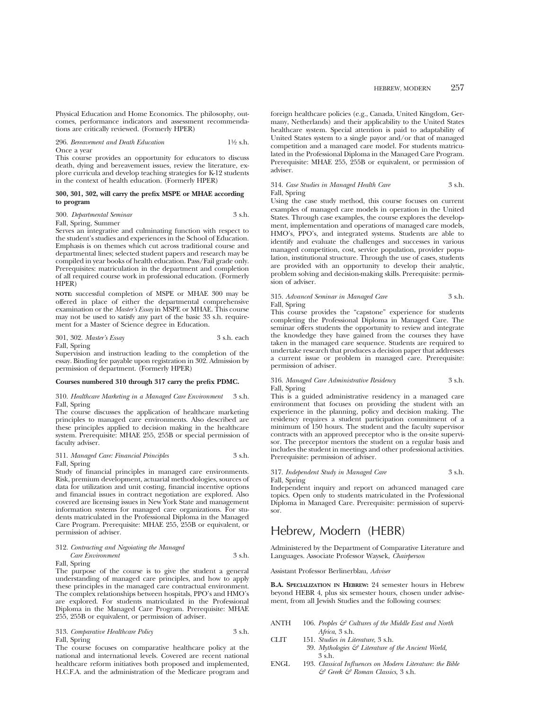Physical Education and Home Economics. The philosophy, outcomes, performance indicators and assessment recommendations are critically reviewed. (Formerly HPER)

296. *Bereavement and Death Education* 11⁄2 s.h. Once a year

This course provides an opportunity for educators to discuss death, dying and bereavement issues, review the literature, explore curricula and develop teaching strategies for K-12 students in the context of health education. (Formerly HPER)

#### **300, 301, 302, will carry the prefix MSPE or MHAE according to program**

#### 300. *Departmental Seminar* 3 s.h.

Fall, Spring, Summer

Serves an integrative and culminating function with respect to the student's studies and experiences in the School of Education. Emphasis is on themes which cut across traditional course and departmental lines; selected student papers and research may be compiled in year books of health education. Pass/Fail grade only. Prerequisites: matriculation in the department and completion of all required course work in professional education. (Formerly HPER)

**NOTE:** successful completion of MSPE or MHAE 300 may be offered in place of either the departmental comprehensive examination or the *Master's Essay* in MSPE or MHAE. This course may not be used to satisfy any part of the basic 33 s.h. requirement for a Master of Science degree in Education.

#### 301, 302. *Master's Essay* 3 s.h. each Fall, Spring

Supervision and instruction leading to the completion of the essay. Binding fee payable upon registration in 302. Admission by permission of department. (Formerly HPER)

#### **Courses numbered 310 through 317 carry the prefix PDMC.**

310. *Healthcare Marketing in a Managed Care Environment* 3 s.h. Fall, Spring

The course discusses the application of healthcare marketing principles to managed care environments. Also described are these principles applied to decision making in the healthcare system. Prerequisite: MHAE 255, 255B or special permission of faculty adviser.

#### 311. *Managed Care: Financial Principles* 3 s.h. Fall, Spring

Study of financial principles in managed care environments. Risk, premium development, actuarial methodologies, sources of data for utilization and unit costing, financial incentive options

and financial issues in contract negotiation are explored. Also covered are licensing issues in New York State and management information systems for managed care organizations. For students matriculated in the Professional Diploma in the Managed Care Program. Prerequisite: MHAE 255, 255B or equivalent, or permission of adviser.

| 312. Contracting and Negoiating the Managed |        |
|---------------------------------------------|--------|
| Care Environment                            | 3 s.h. |

Fall, Spring

The purpose of the course is to give the student a general understanding of managed care principles, and how to apply these principles in the managed care contractual environment. The complex relationships between hospitals, PPO's and HMO's are explored. For students matriculated in the Professional Diploma in the Managed Care Program. Prerequisite: MHAE 255, 255B or equivalent, or permission of adviser.

| 313. Comparative Healthcare Policy | 3 s.h. |
|------------------------------------|--------|
| Fall, Spring                       |        |

The course focuses on comparative healthcare policy at the national and international levels. Covered are recent national healthcare reform initiatives both proposed and implemented, H.C.F.A. and the administration of the Medicare program and

foreign healthcare policies (e.g., Canada, United Kingdom, Germany, Netherlands) and their applicability to the United States healthcare system. Special attention is paid to adaptability of United States system to a single payor and/or that of managed competition and a managed care model. For students matriculated in the Professional Diploma in the Managed Care Program. Prerequisite: MHAE 255, 255B or equivalent, or permission of adviser.

#### 314. *Case Studies in Managed Health Care* 3 s.h. Fall, Spring

Using the case study method, this course focuses on current examples of managed care models in operation in the United States. Through case examples, the course explores the development, implementation and operations of managed care models, HMO's, PPO's, and integrated systems. Students are able to identify and evaluate the challenges and successes in various managed competition, cost, service population, provider population, institutional structure. Through the use of cases, students are provided with an opportunity to develop their analytic, problem solving and decision-making skills. Prerequisite: permission of adviser.

#### 315. *Advanced Seminar in Managed Care* 3 s.h. Fall, Spring

This course provides the "capstone" experience for students completing the Professional Diploma in Managed Care. The seminar offers students the opportunity to review and integrate the knowledge they have gained from the courses they have taken in the managed care sequence. Students are required to undertake research that produces a decision paper that addresses a current issue or problem in managed care. Prerequisite: permission of adviser.

#### 316. *Managed Care Administrative Residency* 3 s.h. Fall, Spring

This is a guided administrative residency in a managed care environment that focuses on providing the student with an experience in the planning, policy and decision making. The residency requires a student participation commitment of a minimum of 150 hours. The student and the faculty supervisor contracts with an approved preceptor who is the on-site supervisor. The preceptor mentors the student on a regular basis and includes the student in meetings and other professional activities. Prerequisite: permission of adviser.

#### 317. *Independent Study in Managed Care* 3 s.h. Fall, Spring

Independent inquiry and report on advanced managed care topics. Open only to students matriculated in the Professional Diploma in Managed Care. Prerequisite: permission of supervisor.

## Hebrew, Modern (HEBR)

Administered by the Department of Comparative Literature and Languages. Associate Professor Waysek, *Chairperson*

Assistant Professor Berlinerblau, *Adviser*

**B.A. SPECIALIZATION IN HEBREW:** 24 semester hours in Hebrew beyond HEBR 4, plus six semester hours, chosen under advisement, from all Jewish Studies and the following courses:

- ANTH 106. *Peoples & Cultures of the Middle East and North Africa*, 3 s.h.
- CLIT 151. *Studies in Literature*, 3 s.h.
	- 39. *Mythologies & Literature of the Ancient World,* 3 s.h.
- ENGL 193. *Classical Influences on Modern Literature: the Bible & Greek & Roman Classics*, 3 s.h.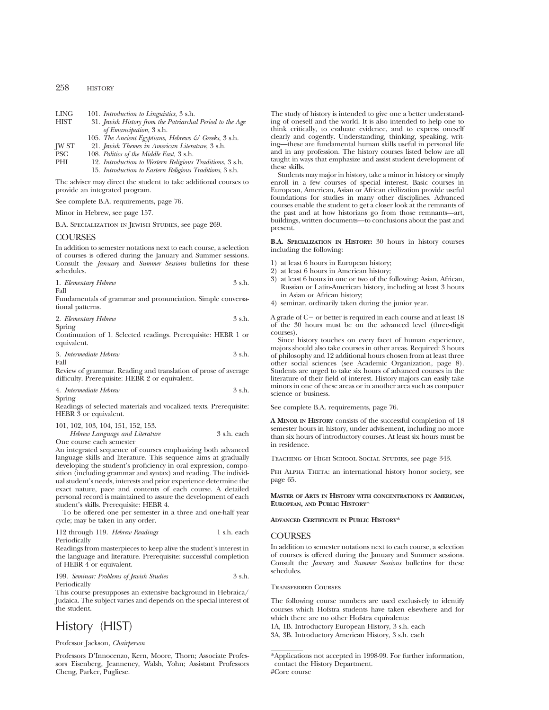#### 258 HISTORY

| LING        | 101. Introduction to Linguistics, 3 s.h.                  |
|-------------|-----------------------------------------------------------|
| <b>HIST</b> | 31. Jewish History from the Patriarchal Period to the Age |
|             | <i>of Emancipation</i> , 3 s.h.                           |
|             | 105. The Ancient Egyptians, Hebrews & Greeks, 3 s.h.      |

- JW ST 21. *Jewish Themes in American Literature*, 3 s.h.
- PSC 108. *Politics of the Middle East,* 3 s.h. 12. *Introduction to Western Religious Traditions*, 3 s.h. 15. *Introduction to Eastern Religious Traditions*, 3 s.h.

The adviser may direct the student to take additional courses to provide an integrated program.

See complete B.A. requirements, page 76.

Minor in Hebrew, see page 157.

B.A. Specialization in Jewish Studies, see page 269.

## **COURSES**

In addition to semester notations next to each course, a selection of courses is offered during the January and Summer sessions. Consult the *January* and *Summer Sessions* bulletins for these schedules.

|  | 1. Elementary Hebrew | 3 s.h. |  |
|--|----------------------|--------|--|
|--|----------------------|--------|--|

Fall

Fundamentals of grammar and pronunciation. Simple conversational patterns.

|  | 2. Elementary Hebrew |  | 3 s.h. |  |
|--|----------------------|--|--------|--|
|--|----------------------|--|--------|--|

Spring

Continuation of 1. Selected readings. Prerequisite: HEBR 1 or equivalent.

|      | 3. Intermediate Hebrew | 3 s.h. |
|------|------------------------|--------|
| Fall |                        |        |

Review of grammar. Reading and translation of prose of average difficulty. Prerequisite: HEBR 2 or equivalent.

| 4. Intermediate Hebrew | 3 s.h. |
|------------------------|--------|
| Spring                 |        |

Readings of selected materials and vocalized texts. Prerequisite: HEBR  $\overline{3}$  or equivalent.

| 101, 102, 103, 104, 151, 152, 153. |  |             |  |
|------------------------------------|--|-------------|--|
| Hebrew Language and Literature     |  | 3 s.h. each |  |

One course each semester

An integrated sequence of courses emphasizing both advanced language skills and literature. This sequence aims at gradually developing the student's proficiency in oral expression, composition (including grammar and syntax) and reading. The individual student's needs, interests and prior experience determine the exact nature, pace and contents of each course. A detailed personal record is maintained to assure the development of each student's skills. Prerequisite: HEBR 4.

To be offered one per semester in a three and one-half year cycle; may be taken in any order.

| 112 through 119. Hebrew Readings | 1 s.h. each |
|----------------------------------|-------------|
| Periodically                     |             |

Readings from masterpieces to keep alive the student's interest in the language and literature. Prerequisite: successful completion of HEBR 4 or equivalent.

199. *Seminar: Problems of Jewish Studies* 3 s.h. Periodically

This course presupposes an extensive background in Hebraica/ Judaica. The subject varies and depends on the special interest of the student.

# History (HIST)

#### Professor Jackson, *Chairperson*

Professors D'Innocenzo, Kern, Moore, Thorn; Associate Professors Eisenberg, Jeanneney, Walsh, Yohn; Assistant Professors Cheng, Parker, Pugliese.

The study of history is intended to give one a better understanding of oneself and the world. It is also intended to help one to think critically, to evaluate evidence, and to express oneself clearly and cogently. Understanding, thinking, speaking, writing—these are fundamental human skills useful in personal life and in any profession. The history courses listed below are all taught in ways that emphasize and assist student development of these skills.

Students may major in history, take a minor in history or simply enroll in a few courses of special interest. Basic courses in European, American, Asian or African civilization provide useful foundations for studies in many other disciplines. Advanced courses enable the student to get a closer look at the remnants of the past and at how historians go from those remnants—art, buildings, written documents—to conclusions about the past and present.

**B.A. SPECIALIZATION IN HISTORY:** 30 hours in history courses including the following:

- 1) at least 6 hours in European history;
- 2) at least 6 hours in American history;
- 3) at least 6 hours in one or two of the following: Asian, African, Russian or Latin-American history, including at least 3 hours in Asian or African history;
- 4) seminar, ordinarily taken during the junior year.

A grade of  $C-$  or better is required in each course and at least  $18$ of the 30 hours must be on the advanced level (three-digit courses).

Since history touches on every facet of human experience, majors should also take courses in other areas. Required: 3 hours of philosophy and 12 additional hours chosen from at least three other social sciences (see Academic Organization, page 8). Students are urged to take six hours of advanced courses in the literature of their field of interest. History majors can easily take minors in one of these areas or in another area such as computer science or business.

See complete B.A. requirements, page 76.

**A MINOR IN HISTORY** consists of the successful completion of 18 semester hours in history, under advisement, including no more than six hours of introductory courses. At least six hours must be in residence.

Teaching of High School Social Studies, see page 343.

PHI ALPHA THETA: an international history honor society, see page 65.

**MASTER OF ARTS IN HISTORY WITH CONCENTRATIONS IN AMERICAN, EUROPEAN, AND PUBLIC HISTORY**\*

**ADVANCED CERTIFICATE IN PUBLIC HISTORY**\*

#### **COURSES**

In addition to semester notations next to each course, a selection of courses is offered during the January and Summer sessions. Consult the *January* and *Summer Sessions* bulletins for these schedules.

#### Transferred Courses

The following course numbers are used exclusively to identify courses which Hofstra students have taken elsewhere and for which there are no other Hofstra equivalents:

1A, 1B. Introductory European History, 3 s.h. each

3A, 3B. Introductory American History, 3 s.h. each

<sup>\*</sup>Applications not accepted in 1998-99. For further information, contact the History Department. #Core course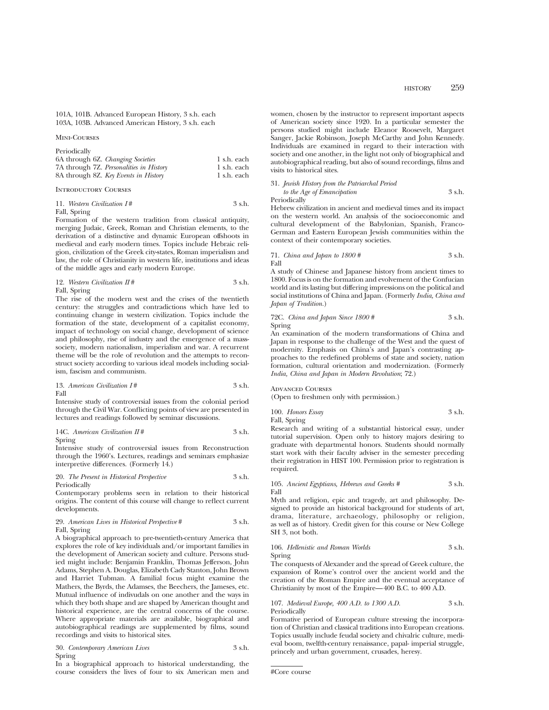101A, 101B. Advanced European History, 3 s.h. each 103A, 103B. Advanced American History, 3 s.h. each

Mini-Courses

Periodically

| 6A through 6Z. Changing Societies       | 1 s.h. each |
|-----------------------------------------|-------------|
| 7A through 7Z. Personalities in History | 1 s.h. each |
| 8A through 8Z. Key Events in History    | 1 s.h. each |

Introductory Courses

|  |  | 11. Western Civilization I# | 3 s.h. |  |
|--|--|-----------------------------|--------|--|
|--|--|-----------------------------|--------|--|

Fall, Spring

Formation of the western tradition from classical antiquity, merging Judaic, Greek, Roman and Christian elements, to the derivation of a distinctive and dynamic European offshoots in medieval and early modern times. Topics include Hebraic religion, civilization of the Greek city-states, Roman imperialism and law, the role of Christianity in western life, institutions and ideas of the middle ages and early modern Europe.

12. Western Civilization 
$$
\Pi
$$
 # 3 s.h. Fall, Spring

The rise of the modern west and the crises of the twentieth century: the struggles and contradictions which have led to continuing change in western civilization. Topics include the formation of the state, development of a capitalist economy, impact of technology on social change, development of science and philosophy, rise of industry and the emergence of a masssociety, modern nationalism, imperialism and war. A recurrent theme will be the role of revolution and the attempts to reconstruct society according to various ideal models including socialism, fascism and communism.

13. *American Civilization I* # 3 s.h. Fall

Intensive study of controversial issues from the colonial period through the Civil War. Conflicting points of view are presented in lectures and readings followed by seminar discussions.

14C. American Civilization 
$$
H#
$$
 3 s.h.

Spring

Intensive study of controversial issues from Reconstruction through the 1960's. Lectures, readings and seminars emphasize interpretive differences. (Formerly 14.)

20. *The Present in Historical Perspective* 3 s.h. Periodically

Contemporary problems seen in relation to their historical origins. The content of this course will change to reflect current developments.

29. *American Lives in Historical Perspective* # 3 s.h. Fall, Spring

A biographical approach to pre-twentieth-century America that explores the role of key individuals and/or important families in the development of American society and culture. Persons studied might include: Benjamin Franklin, Thomas Jefferson, John Adams, Stephen A. Douglas, Elizabeth Cady Stanton, John Brown and Harriet Tubman. A familial focus might examine the Mathers, the Byrds, the Adamses, the Beechers, the Jameses, etc. Mutual influence of indivudals on one another and the ways in which they both shape and are shaped by American thought and historical experience, are the central concerns of the course. Where appropriate materials are available, biographical and autobiographical readings are supplemented by films, sound recordings and visits to historical sites.

30. *Contemporary American Lives* 3 s.h. Spring

In a biographical approach to historical understanding, the course considers the lives of four to six American men and women, chosen by the instructor to represent important aspects of American society since 1920. In a particular semester the persons studied might include Eleanor Roosevelt, Margaret Sanger, Jackie Robinson, Joseph McCarthy and John Kennedy. Individuals are examined in regard to their interaction with society and one another, in the light not only of biographical and autobiographical reading, but also of sound recordings, films and visits to historical sites.

#### 31. *Jewish History from the Patriarchal Period to the Age of Emancipation* 3 s.h.

Periodically

Hebrew civilization in ancient and medieval times and its impact on the western world. An analysis of the socioeconomic and cultural development of the Babylonian, Spanish, Franco-German and Eastern European Jewish communities within the context of their contemporary societies.

71. *China and Japan to 1800 #* 3 s.h. Fall

A study of Chinese and Japanese history from ancient times to 1800. Focus is on the formation and evolvement of the Confucian world and its lasting but differing impressions on the political and social institutions of China and Japan. (Formerly *India, China and Japan of Tradition.*)

72C. *China and Japan Since 1800 #* 3 s.h. Spring

An examination of the modern transformations of China and Japan in response to the challenge of the West and the quest of modernity. Emphasis on China's and Japan's contrasting approaches to the redefined problems of state and society, nation formation, cultural orientation and modernization. (Formerly *India, China and Japan in Modern Revolution*; 72.)

Advanced Courses

(Open to freshmen only with permission.)

100. *Honors Essay* 3 s.h. Fall, Spring

Research and writing of a substantial historical essay, under tutorial supervision. Open only to history majors desiring to graduate with departmental honors. Students should normally start work with their faculty adviser in the semester preceding their registration in HIST 100. Permission prior to registration is required.

105. *Ancient Egyptians, Hebrews and Greeks #* 3 s.h. Fall

Myth and religion, epic and tragedy, art and philosophy. Designed to provide an historical background for students of art, drama, literature, archaeology, philosophy or religion, as well as of history. Credit given for this course or New College SH 3, not both.

106. *Hellenistic and Roman Worlds* 3 s.h. Spring

The conquests of Alexander and the spread of Greek culture, the expansion of Rome's control over the ancient world and the creation of the Roman Empire and the eventual acceptance of Christianity by most of the Empire—400 B.C. to 400 A.D.

107. *Medieval Europe, 400 A.D. to 1300 A.D.* 3 s.h. Periodically

Formative period of European culture stressing the incorporation of Christian and classical traditions into European creations. Topics usually include feudal society and chivalric culture, medieval boom, twelfth-century renaissance, papal- imperial struggle, princely and urban government, crusades, heresy.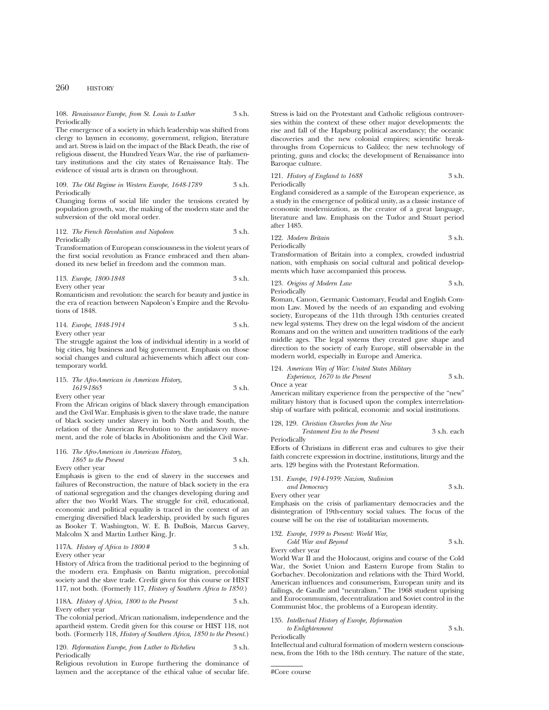## 260 HISTORY

#### 108. *Renaissance Europe, from St. Louis to Luther* 3 s.h. Periodically

The emergence of a society in which leadership was shifted from clergy to laymen in economy, government, religion, literature and art. Stress is laid on the impact of the Black Death, the rise of religious dissent, the Hundred Years War, the rise of parliamentary institutions and the city states of Renaissance Italy. The evidence of visual arts is drawn on throughout.

#### 109. *The Old Regime in Western Europe, 1648-1789* 3 s.h. Periodically

Changing forms of social life under the tensions created by population growth, war, the making of the modern state and the subversion of the old moral order.

112. *The French Revolution and Napoleon* 3 s.h. Periodically

Transformation of European consciousness in the violent years of the first social revolution as France embraced and then abandoned its new belief in freedom and the common man.

113. *Europe, 1800-1848* 3 s.h. Every other year

Romanticism and revolution: the search for beauty and justice in the era of reaction between Napoleon's Empire and the Revolutions of 1848.

114. *Europe, 1848-1914* 3 s.h. Every other year

The struggle against the loss of individual identity in a world of big cities, big business and big government. Emphasis on those social changes and cultural achievements which affect our contemporary world.

115. *The Afro-American in American History, 1619-1865* 3 s.h. Every other year

From the African origins of black slavery through emancipation and the Civil War. Emphasis is given to the slave trade, the nature of black society under slavery in both North and South, the relation of the American Revolution to the antislavery movement, and the role of blacks in Abolitionism and the Civil War.

116. *The Afro-American in American History, 1865 to the Present* 3 s.h. Every other year

Emphasis is given to the end of slavery in the successes and failures of Reconstruction, the nature of black society in the era of national segregation and the changes developing during and after the two World Wars. The struggle for civil, educational, economic and political equality is traced in the context of an emerging diversified black leadership, provided by such figures as Booker T. Washington, W. E. B. DuBois, Marcus Garvey, Malcolm X and Martin Luther King, Jr.

117A. *History of Africa to 1800* # 3 s.h. Every other year

History of Africa from the traditional period to the beginning of the modern era. Emphasis on Bantu migration, precolonial society and the slave trade. Credit given for this course or HIST 117, not both. (Formerly 117, *History of Southern Africa to 1850.*)

118A. *History of Africa, 1800 to the Present* 3 s.h. Every other year

The colonial period, African nationalism, independence and the apartheid system. Credit given for this course or HIST 118, not both. (Formerly 118, *History of Southern Africa, 1850 to the Present.*)

120. *Reformation Europe, from Luther to Richelieu* 3 s.h. Periodically

Religious revolution in Europe furthering the dominance of laymen and the acceptance of the ethical value of secular life.

Stress is laid on the Protestant and Catholic religious controversies within the context of these other major developments: the rise and fall of the Hapsburg political ascendancy; the oceanic discoveries and the new colonial empires; scientific breakthroughs from Copernicus to Galileo; the new technology of printing, guns and clocks; the development of Renaissance into Baroque culture.

121. *History of England to 1688* 3 s.h. Periodically

England considered as a sample of the European experience, as a study in the emergence of political unity, as a classic instance of economic modernization, as the creator of a great language, literature and law. Emphasis on the Tudor and Stuart period after 1485.

122. *Modern Britain* 3 s.h. Periodically

Transformation of Britain into a complex, crowded industrial nation, with emphasis on social cultural and political developments which have accompanied this process.

123. *Origins of Modern Law* 3 s.h. Periodically

Roman, Canon, Germanic Customary, Feudal and English Common Law. Moved by the needs of an expanding and evolving society, Europeans of the 11th through 13th centuries created new legal systems. They drew on the legal wisdom of the ancient Romans and on the written and unwritten traditions of the early middle ages. The legal systems they created gave shape and direction to the society of early Europe, still observable in the modern world, especially in Europe and America.

124. *American Way of War: United States Military Experience, 1670 to the Present* 3 s.h.

Once a year

American military experience from the perspective of the "new" military history that is focused upon the complex interrelationship of warfare with political, economic and social institutions.

128, 129. *Christian Churches from the New Testament Era to the Present* 3 s.h. each

Periodically

Efforts of Christians in different eras and cultures to give their faith concrete expression in doctrine, institutions, liturgy and the arts. 129 begins with the Protestant Reformation.

#### 131. *Europe, 1914-1939: Nazism, Stalinism*

*and Democracy* 3 s.h. Every other year

Emphasis on the crisis of parliamentary democracies and the disintegration of 19th-century social values. The focus of the course will be on the rise of totalitarian movements.

#### 132. *Europe, 1939 to Present: World War,*

*Cold War and Beyond* 3 s.h. Every other year

World War II and the Holocaust, origins and course of the Cold War, the Soviet Union and Eastern Europe from Stalin to Gorbachev. Decolonization and relations with the Third World, American influences and consumerism, European unity and its failings, de Gaulle and "neutralism." The 1968 student uprising and Eurocommunism, decentralization and Soviet control in the Communist bloc, the problems of a European identity.

## 135. *Intellectual History of Europe, Reformation*

*to Enlightenment* 3 s.h. Periodically

Intellectual and cultural formation of modern western consciousness, from the 16th to the 18th century. The nature of the state,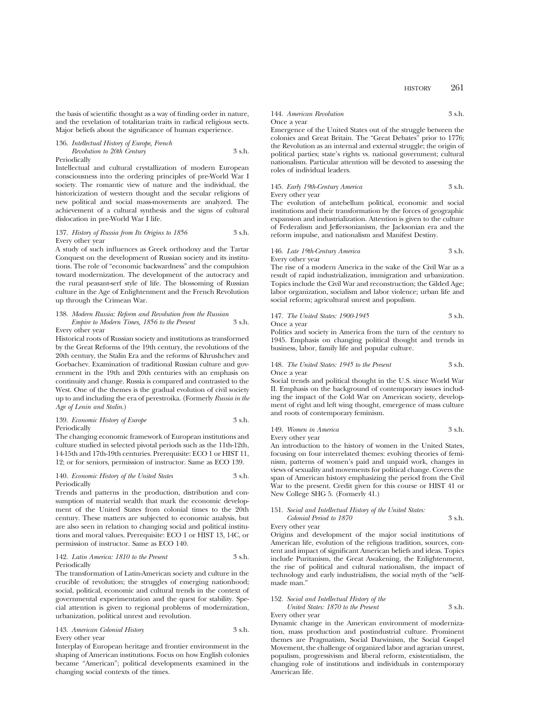the basis of scientific thought as a way of finding order in nature, and the revelation of totalitarian traits in radical religious sects. Major beliefs about the significance of human experience.

136. *Intellectual History of Europe, French Revolution to 20th Century* 3 s.h. Periodically

Intellectual and cultural crystallization of modern European consciousness into the ordering principles of pre-World War I society. The romantic view of nature and the individual, the historicization of western thought and the secular religions of new political and social mass-movements are analyzed. The achievement of a cultural synthesis and the signs of cultural dislocation in pre-World War I life.

#### 137. *History of Russia from Its Origins to 1856* 3 s.h. Every other year

A study of such influences as Greek orthodoxy and the Tartar Conquest on the development of Russian society and its institutions. The role of "economic backwardness" and the compulsion toward modernization. The development of the autocracy and the rural peasant-serf style of life. The blossoming of Russian culture in the Age of Enlightenment and the French Revolution up through the Crimean War.

## 138. *Modern Russia: Reform and Revolution from the Russian Empire to Modern Times, 1856 to the Present* 3 s.h.

Every other year

Historical roots of Russian society and institutions as transformed by the Great Reforms of the 19th century, the revolutions of the 20th century, the Stalin Era and the reforms of Khrushchev and Gorbachev. Examination of traditional Russian culture and government in the 19th and 20th centuries with an emphasis on continuity and change. Russia is compared and contrasted to the West. One of the themes is the gradual evolution of civil society up to and including the era of perestroika. (Formerly *Russia in the Age of Lenin and Stalin*.)

#### 139. *Economic History of Europe* 3 s.h. Periodically

The changing economic framework of European institutions and culture studied in selected pivotal periods such as the 11th-12th, 14-15th and 17th-19th centuries. Prerequisite: ECO 1 or HIST 11, 12; or for seniors, permission of instructor. Same as ECO 139.

#### 140. *Economic History of the United States* 3 s.h. Periodically

Trends and patterns in the production, distribution and consumption of material wealth that mark the economic development of the United States from colonial times to the 20th century. These matters are subjected to economic analysis, but are also seen in relation to changing social and political institutions and moral values. Prerequisite: ECO 1 or HIST 13, 14C, or permission of instructor. Same as ECO 140.

#### 142. *Latin America: 1810 to the Present* 3 s.h. Periodically

The transformation of Latin-American society and culture in the crucible of revolution; the struggles of emerging nationhood; social, political, economic and cultural trends in the context of governmental experimentation and the quest for stability. Special attention is given to regional problems of modernization, urbanization, political unrest and revolution.

#### 143. *American Colonial History* 3 s.h. Every other year

Interplay of European heritage and frontier environment in the shaping of American institutions. Focus on how English colonies became "American"; political developments examined in the changing social contexts of the times.

## 144. *American Revolution* 3 s.h. Once a year

Emergence of the United States out of the struggle between the colonies and Great Britain. The "Great Debates" prior to 1776; the Revolution as an internal and external struggle; the origin of political parties; state's rights vs. national government; cultural nationalism. Particular attention will be devoted to assessing the roles of individual leaders.

145. *Early 19th-Century America* 3 s.h. Every other year

The evolution of antebellum political, economic and social institutions and their transformation by the forces of geographic expansion and industrialization. Attention is given to the culture of Federalism and Jeffersonianism, the Jacksonian era and the reform impulse, and nationalism and Manifest Destiny.

146. *Late 19th-Century America* 3 s.h. Every other year

The rise of a modern America in the wake of the Civil War as a result of rapid industrialization, immigration and urbanization. Topics include the Civil War and reconstruction; the Gilded Age; labor organization, socialism and labor violence; urban life and social reform; agricultural unrest and populism.

147. *The United States: 1900-1945* 3 s.h. Once a year

Politics and society in America from the turn of the century to 1945. Emphasis on changing political thought and trends in business, labor, family life and popular culture.

#### 148. *The United States: 1945 to the Present* 3 s.h. Once a year

Social trends and political thought in the U.S. since World War II. Emphasis on the background of contemporary issues including the impact of the Cold War on American society, development of right and left wing thought, emergence of mass culture and roots of contemporary feminism.

#### 149. *Women in America* 3 s.h. Every other year

An introduction to the history of women in the United States, focusing on four interrelated themes: evolving theories of feminism, patterns of women's paid and unpaid work, changes in views of sexuality and movements for political change. Covers the span of American history emphasizing the period from the Civil War to the present. Credit given for this course or HIST 41 or New College SHG 5. (Formerly 41.)

#### 151. *Social and Intellectual History of the United States: Colonial Period to 1870* 3 s.h.

Every other year

Origins and development of the major social institutions of American life, evolution of the religious tradition, sources, content and impact of significant American beliefs and ideas. Topics include Puritanism, the Great Awakening, the Enlightenment, the rise of political and cultural nationalism, the impact of technology and early industrialism, the social myth of the "selfmade man."

#### 152. *Social and Intellectual History of the*

*United States: 1870 to the Present* 3 s.h. Every other year

Dynamic change in the American environment of modernization, mass production and postindustrial culture. Prominent themes are Pragmatism, Social Darwinism, the Social Gospel Movement, the challenge of organized labor and agrarian unrest, populism, progressivism and liberal reform, existentialism, the changing role of institutions and individuals in contemporary American life.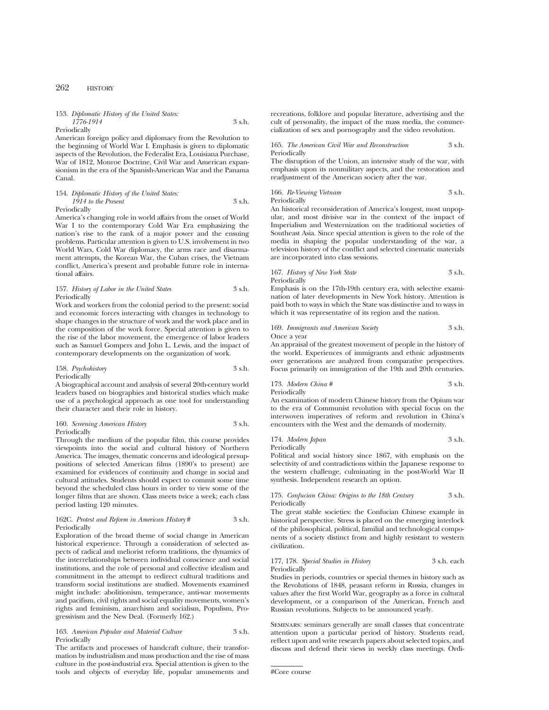## 262 HISTORY

153. *Diplomatic History of the United States: 1776-1914* 3 s.h.

Periodically

American foreign policy and diplomacy from the Revolution to the beginning of World War I. Emphasis is given to diplomatic aspects of the Revolution, the Federalist Era, Louisiana Purchase, War of 1812, Monroe Doctrine, Civil War and American expansionism in the era of the Spanish-American War and the Panama Canal.

154. *Diplomatic History of the United States: 1914 to the Present* 3 s.h.

Periodically

America's changing role in world affairs from the onset of World War I to the contemporary Cold War Era emphasizing the nation's rise to the rank of a major power and the ensuing problems. Particular attention is given to U.S. involvement in two World Wars, Cold War diplomacy, the arms race and disarmament attempts, the Korean War, the Cuban crises, the Vietnam conflict, America's present and probable future role in international affairs.

157. *History of Labor in the United States* 3 s.h. Periodically

Work and workers from the colonial period to the present: social and economic forces interacting with changes in technology to shape changes in the structure of work and the work place and in the composition of the work force. Special attention is given to the rise of the labor movement, the emergence of labor leaders such as Samuel Gompers and John L. Lewis, and the impact of contemporary developments on the organization of work.

158. *Psychohistory* 3 s.h.

Periodically

A biographical account and analysis of several 20th-century world leaders based on biographies and historical studies which make use of a psychological approach as one tool for understanding their character and their role in history.

#### 160. *Screening American History* 3 s.h. Periodically

Through the medium of the popular film, this course provides viewpoints into the social and cultural history of Northern America. The images, thematic concerns and ideological presuppositions of selected American films (1890's to present) are examined for evidences of continuity and change in social and cultural attitudes. Students should expect to commit some time beyond the scheduled class hours in order to view some of the longer films that are shown. Class meets twice a week; each class period lasting 120 minutes.

#### 162C. *Protest and Reform in American History* # 3 s.h. Periodically

Exploration of the broad theme of social change in American historical experience. Through a consideration of selected aspects of radical and meliorist reform traditions, the dynamics of the interrelationships between individual conscience and social institutions, and the role of personal and collective idealism and commitment in the attempt to redirect cultural traditions and transform social institutions are studied. Movements examined might include: abolitionism, temperance, anti-war movements and pacifism, civil rights and social equality movements, women's rights and feminism, anarchism and socialism, Populism, Progressivism and the New Deal. (Formerly 162.)

#### 163. *American Popular and Material Culture* 3 s.h. Periodically

The artifacts and processes of handcraft culture, their transformation by industrialism and mass production and the rise of mass culture in the post-industrial era. Special attention is given to the tools and objects of everyday life, popular amusements and

recreations, folklore and popular literature, advertising and the cult of personality, the impact of the mass media, the commercialization of sex and pornography and the video revolution.

#### 165. *The American Civil War and Reconstruction* 3 s.h. Periodically

The disruption of the Union, an intensive study of the war, with emphasis upon its nonmilitary aspects, and the restoration and readjustment of the American society after the war.

#### 166. *Re-Viewing Vietnam* 3 s.h. Periodically

An historical reconsideration of America's longest, most unpopular, and most divisive war in the context of the impact of Imperialism and Westernization on the traditional societies of Southeast Asia. Since special attention is given to the role of the media in shaping the popular understanding of the war, a television history of the conflict and selected cinematic materials are incorporated into class sessions.

167. *History of New York State* 3 s.h. Periodically

Emphasis is on the 17th-19th century era, with selective examination of later developments in New York history. Attention is paid both to ways in which the State was distinctive and to ways in which it was representative of its region and the nation.

169. *Immigrants and American Society* 3 s.h. Once a year

An appraisal of the greatest movement of people in the history of the world. Experiences of immigrants and ethnic adjustments over generations are analyzed from comparative perspectives. Focus primarily on immigration of the 19th and 20th centuries.

173. *Modern China #* 3 s.h. Periodically

An examination of modern Chinese history from the Opium war to the era of Communist revolution with special focus on the interwoven imperatives of reform and revolution in China's encounters with the West and the demands of modernity.

#### 174. *Modern Japan* 3 s.h. Periodically

Political and social history since 1867, with emphasis on the selectivity of and contradictions within the Japanese response to the western challenge, culminating in the post-World War II synthesis. Independent research an option.

#### 175. *Confucian China: Origins to the 18th Century* 3 s.h. Periodically

The great stable societies: the Confucian Chinese example in historical perspective. Stress is placed on the emerging interlock of the philosophical, political, familial and technological components of a society distinct from and highly resistant to western civilization.

#### 177, 178. *Special Studies in History* 3 s.h. each Periodically

Studies in periods, countries or special themes in history such as the Revolutions of 1848, peasant reform in Russia, changes in values after the first World War, geography as a force in cultural development, or a comparison of the American, French and Russian revolutions. Subjects to be announced yearly.

Seminars: seminars generally are small classes that concentrate attention upon a particular period of history. Students read, reflect upon and write research papers about selected topics, and discuss and defend their views in weekly class meetings. Ordi-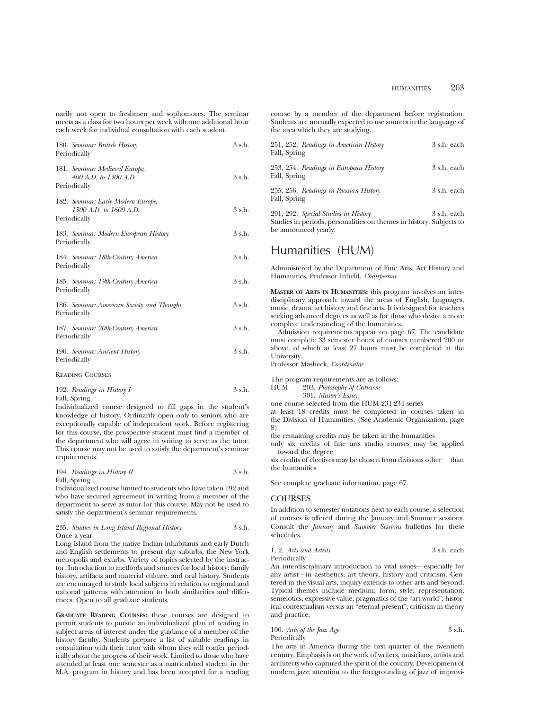narily not open to freshmen and sophomores. The seminar meets as a class for two hours per week with one additional hour each week for individual consultation with each student.

| 180. Seminar: British History<br>Periodically                                | $3$ s.h. |
|------------------------------------------------------------------------------|----------|
| 181. Seminar: Medieval Europe,<br>400 A.D. to 1300 A.D.<br>Periodically      | 3 s.h.   |
| 182. Seminar: Early Modern Europe,<br>1300 A.D. to 1600 A.D.<br>Periodically | 3 s.h.   |
| 183. Seminar: Modern European History<br>Periodically                        | $3$ s.h. |
| 184. Seminar: 18th-Century America<br>Periodically                           | $3$ s.h. |
| 185. Seminar: 19th-Century America<br>Periodically                           | $3$ s.h. |
| 186. Seminar: American Society and Thought<br>Periodically                   | 3 s.h.   |
| 187. Seminar: 20th-Century America<br>Periodically                           | 3 s.h.   |
| 196. Seminar: Ancient History<br>Periodically                                | $3$ s.h. |
| <b>READING COURSES</b>                                                       |          |

| 192. Readings in History I | 3 s.h. |
|----------------------------|--------|
| Fall, Spring               |        |

Individualized course designed to fill gaps in the student's knowledge of history. Ordinarily open only to seniors who are exceptionally capable of independent work. Before registering for this course, the prospective student must find a member of the department who will agree in writing to serve as the tutor. This course may not be used to satisfy the department's seminar requirements.

| 194. Readings in History $II$ | 3 s.h. |
|-------------------------------|--------|
| Fall, Spring                  |        |

Individualized course limited to students who have taken 192 and who have secured agreement in writing from a member of the department to serve as tutor for this course. May not be used to satisfy the department's seminar requirements.

| 235. Studies in Long Island Regional History | 3 s.h. |
|----------------------------------------------|--------|
| Once a year                                  |        |

Long Island from the native Indian inhabitants and early Dutch and English settlements to present day suburbs, the New York metropolis and exurbs. Variety of topics selected by the instructor. Introduction to methods and sources for local history: family history, artifacts and material culture, and oral history. Students are encouraged to study local subjects in relation to regional and national patterns with attention to both similarities and differences. Open to all graduate students.

**GRADUATE READING COURSES:** these courses are designed to permit students to pursue an individualized plan of reading in subject areas of interest under the guidance of a member of the history faculty. Students prepare a list of suitable readings in consultation with their tutor with whom they will confer periodically about the progress of their work. Limited to those who have attended at least one semester as a matriculated student in the M.A. program in history and has been accepted for a reading course by a member of the department before registration. Students are normally expected to use sources in the language of the area which they are studying.

| 251, 252. Readings in American History<br>Fall, Spring | 3 s.h. each |
|--------------------------------------------------------|-------------|
| 253, 254. Readings in European History<br>Fall, Spring | 3 s.h. each |
| 255, 256. Readings in Russian History<br>Fall, Spring  | 3 s.h. each |

291, 292. *Special Studies in History* 3 s.h. each Studies in periods, personalities on themes in history. Subjects to be announced yearly.

## Humanities (HUM)

Administered by the Department of Fine Arts, Art History and Humanities. Professor Infield, *Chairperson*

**MASTER OF ARTS IN HUMANITIES:** this program involves an interdisciplinary approach toward the areas of English, languages, music, drama, art history and fine arts. It is designed for teachers seeking advanced degrees as well as for those who desire a more complete understanding of the humanities.

Admission requirements appear on page 67. The candidate must complete 33 semester hours of courses numbered 200 or above, of which at least 27 hours must be completed at the University.

Professor Masheck, *Coordinator*

The program requirements are as follows:<br>HUM 203. Philosophy of Criticism

203. Philosophy of Criticism

- 301. *Master's Essay*
- one course selected from the HUM 231-234 series

at least 18 credits must be completed in courses taken in the Division of Humanities. (See Academic Organization, page 8)

the remaining credits may be taken in the humanities

only six credits of fine arts studio courses may be applied toward the degree

six credits of electives may be chosen from divisions other than the humanities

See complete graduate information, page 67.

## **COURSES**

In addition to semester notations next to each course, a selection of courses is offered during the January and Summer sessions. Consult the *January* and *Summer Sessions* bulletins for these schedules.

1, 2. *Arts and Artists* 3 s.h. each Periodically

An interdisciplinary introduction to vital issues—especially for any artist—in aesthetics, art theory, history and criticism. Centered in the visual arts, inquiry extends to other arts and beyond. Typical themes include medium; form; style; representation; semeiotics; expressive value; pragmatics of the "art world"; historical contextualism versus an "eternal present"; criticism in theory and practice.

100. Arts of the Jazz Age 3 s.h. Periodically

The arts in America during the first quarter of the twentieth century. Emphasis is on the work of writers, musicians, artists and architects who captured the spirit of the country. Development of modern jazz; attention to the foregrounding of jazz of improvi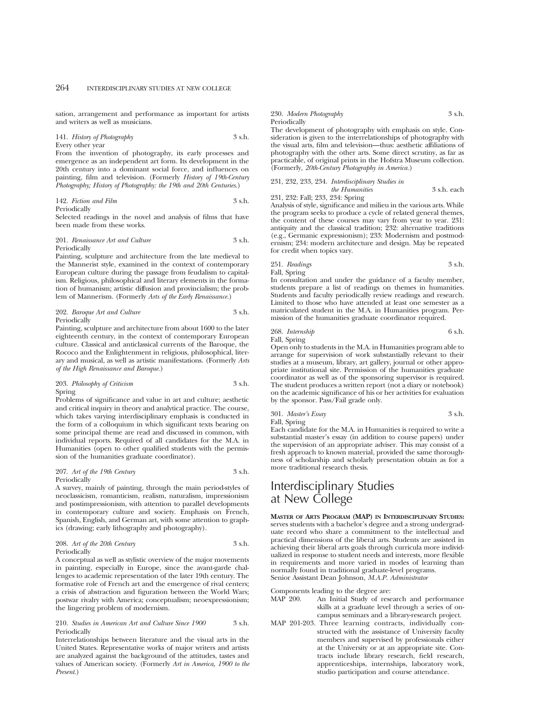sation, arrangement and performance as important for artists and writers as well as musicians.

141. *History of Photography* 3 s.h. Every other year

From the invention of photography, its early processes and emergence as an independent art form. Its development in the 20th century into a dominant social force, and influences on painting, film and television. (Formerly *History of 19th-Century Photography; History of Photography: the 19th and 20th Centuries*.)

142. *Fiction and Film* 3 s.h.

Periodically

Selected readings in the novel and analysis of films that have been made from these works.

201. *Renaissance Art and Culture* 3 s.h. Periodically

Painting, sculpture and architecture from the late medieval to the Mannerist style, examined in the context of contemporary European culture during the passage from feudalism to capitalism. Religious, philosophical and literary elements in the formation of humanism; artistic diffusion and provincialism; the problem of Mannerism. (Formerly *Arts of the Early Renaissance.*)

202. *Baroque Art and Culture* 3 s.h. Periodically

Painting, sculpture and architecture from about 1600 to the later eighteenth century, in the context of contemporary European culture. Classical and anticlassical currents of the Baroque, the Rococo and the Enlightenment in religious, philosophical, literary and musical, as well as artistic manifestations. (Formerly *Arts of the High Renaissance and Baroque.*)

203. *Philosophy of Criticism* 3 s.h. Spring

Problems of significance and value in art and culture; aesthetic and critical inquiry in theory and analytical practice. The course, which takes varying interdisciplinary emphasis is conducted in the form of a colloquium in which significant texts bearing on some principal theme are read and discussed in common, with individual reports. Required of all candidates for the M.A. in Humanities (open to other qualified students with the permission of the humanities graduate coordinator).

207. *Art of the 19th Century* 3 s.h. Periodically

A survey, mainly of painting, through the main period-styles of neoclassicism, romanticism, realism, naturalism, impressionism and postimpressionism, with attention to parallel developments in contemporary culture and society. Emphasis on French, Spanish, English, and German art, with some attention to graphics (drawing; early lithography and photography).

208. *Art of the 20th Century* 3 s.h. Periodically

A conceptual as well as stylistic overview of the major movements in painting, especially in Europe, since the avant-garde challenges to academic representation of the later 19th century. The formative role of French art and the emergence of rival centers; a crisis of abstraction and figuration between the World Wars; postwar rivalry with America; conceptualism; neoexpressionism; the lingering problem of modernism.

#### 210. *Studies in American Art and Culture Since 1900* 3 s.h. Periodically

Interrelationships between literature and the visual arts in the United States. Representative works of major writers and artists are analyzed against the background of the attitudes, tastes and values of American society. (Formerly *Art in America, 1900 to the Present*.)

#### 230. *Modern Photography* 3 s.h. Periodically

The development of photography with emphasis on style. Consideration is given to the interrelationships of photography with the visual arts, film and television—thus: aesthetic affiliations of photography with the other arts. Some direct scrutiny, as far as practicable, of original prints in the Hofstra Museum collection. (Formerly, *20th-Century Photography in America.*)

231, 232, 233, 234. *Interdisciplinary Studies in the Humanities* 3 s.h. each 231, 232: Fall; 233, 234: Spring

Analysis of style, significance and milieu in the various arts. While the program seeks to produce a cycle of related general themes, the content of these courses may vary from year to year. 231: antiquity and the classical tradition; 232: alternative traditions (e.g., Germanic expressionism); 233: Modernism and postmodernism; 234: modern architecture and design. May be repeated for credit when topics vary.

251. *Readings* 3 s.h. Fall, Spring

In consultation and under the guidance of a faculty member, students prepare a list of readings on themes in humanities. Students and faculty periodically review readings and research. Limited to those who have attended at least one semester as a matriculated student in the M.A. in Humanities program. Permission of the humanities graduate coordinator required.

268. *Internship* 6 s.h. Fall, Spring

Open only to students in the M.A. in Humanities program able to arrange for supervision of work substantially relevant to their studies at a museum, library, art gallery, journal or other appropriate institutional site. Permission of the humanities graduate coordinator as well as of the sponsoring supervisor is required. The student produces a written report (not a diary or notebook) on the academic significance of his or her activities for evaluation by the sponsor. Pass/Fail grade only.

301. *Master's Essay* 3 s.h. Fall, Spring

Each candidate for the M.A. in Humanities is required to write a substantial master's essay (in addition to course papers) under the supervision of an appropriate adviser. This may consist of a fresh approach to known material, provided the same thoroughness of scholarship and scholarly presentation obtain as for a more traditional research thesis.

# Interdisciplinary Studies at New College

**MASTER OF ARTS PROGRAM (MAP) IN INTERDISCIPLINARY STUDIES:** serves students with a bachelor's degree and a strong undergraduate record who share a commitment to the intellectual and practical dimensions of the liberal arts. Students are assisted in achieving their liberal arts goals through curricula more individualized in response to student needs and interests, more flexible in requirements and more varied in modes of learning than normally found in traditional graduate-level programs. Senior Assistant Dean Johnson, *M.A.P. Administrator*

Components leading to the degree are:

- MAP 200. An Initial Study of research and performance skills at a graduate level through a series of oncampus seminars and a library-research project.
- MAP 201-203. Three learning contracts, individually constructed with the assistance of University faculty members and supervised by professionals either at the University or at an appropriate site. Contracts include library research, field research, apprenticeships, internships, laboratory work, studio participation and course attendance.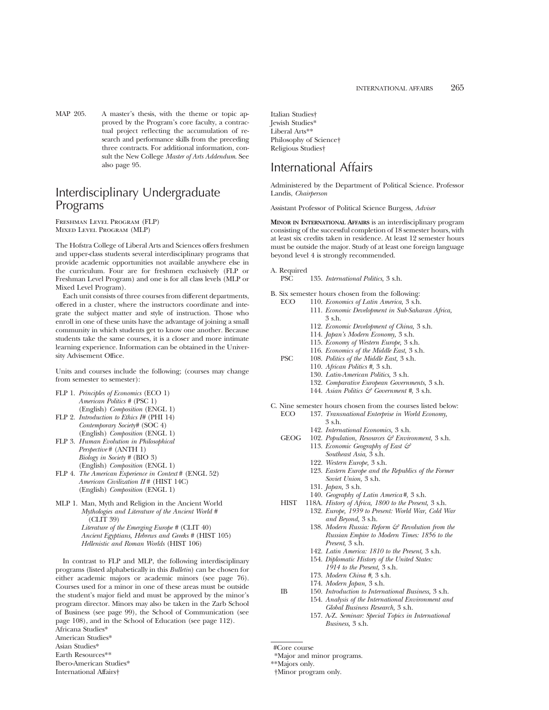MAP 205. A master's thesis, with the theme or topic approved by the Program's core faculty, a contractual project reflecting the accumulation of research and performance skills from the preceding three contracts. For additional information, consult the New College *Master of Arts Addendum*. See also page 95.

# Interdisciplinary Undergraduate Programs

Freshman Level Program (FLP) Mixed Level Program (MLP)

The Hofstra College of Liberal Arts and Sciences offers freshmen and upper-class students several interdisciplinary programs that provide academic opportunities not available anywhere else in the curriculum. Four are for freshmen exclusively (FLP or Freshman Level Program) and one is for all class levels (MLP or Mixed Level Program).

Each unit consists of three courses from different departments, offered in a cluster, where the instructors coordinate and integrate the subject matter and style of instruction. Those who enroll in one of these units have the advantage of joining a small community in which students get to know one another. Because students take the same courses, it is a closer and more intimate learning experience. Information can be obtained in the University Advisement Office.

Units and courses include the following; (courses may change from semester to semester):

- FLP 1. *Principles of Economics* (ECO 1) *American Politics #* (PSC 1) (English) *Composition* (ENGL 1)
- FLP 2. *Introduction to Ethics I#* (PHI 14) *Contemporary Society#* (SOC 4) (English) *Composition* (ENGL 1)
- FLP 3. *Human Evolution in Philosophical Perspective* # (ANTH 1) *Biology in Society #* (BIO 3) (English) *Composition* (ENGL 1)
- FLP 4. *The American Experience in Context* # (ENGL 52) *American Civilization II* # (HIST 14C) (English) *Composition* (ENGL 1)
- MLP 1. Man, Myth and Religion in the Ancient World *Mythologies and Literature of the Ancient World #* (CLIT 39) *Literature of the Emerging Europe #* (CLIT 40) *Ancient Egyptians, Hebrews and Greeks #* (HIST 105) *Hellenistic and Roman Worlds* (HIST 106)

In contrast to FLP and MLP, the following interdisciplinary programs (listed alphabetically in this *Bulletin*) can be chosen for either academic majors or academic minors (see page 76). Courses used for a minor in one of these areas must be outside the student's major field and must be approved by the minor's program director. Minors may also be taken in the Zarb School of Business (see page 99), the School of Communication (see page 108), and in the School of Education (see page 112). Africana Studies\*

American Studies\* Asian Studies\* Earth Resources\*\*

Ibero-American Studies\*

International Affairs†

Italian Studies† Jewish Studies\* Liberal Arts\*\* Philosophy of Science† Religious Studies†

# International Affairs

Administered by the Department of Political Science. Professor Landis, *Chairperson*

Assistant Professor of Political Science Burgess, *Adviser*

**MINOR IN INTERNATIONAL AFFAIRS** is an interdisciplinary program consisting of the successful completion of 18 semester hours, with at least six credits taken in residence. At least 12 semester hours must be outside the major. Study of at least one foreign language beyond level 4 is strongly recommended.

- A. Required
	- PSC 135. *International Politics,* 3 s.h.
- B. Six semester hours chosen from the following:
	- ECO 110. *Economics of Latin America,* 3 s.h.
		- 111. *Economic Development in Sub-Saharan Africa,* 3 s.h.
			- 112. *Economic Development of China,* 3 s.h.
			- 114. *Japan's Modern Economy,* 3 s.h.
			- 115. *Economy of Western Europe,* 3 s.h.
			- 116. *Economics of the Middle East,* 3 s.h.
	- PSC 108. *Politics of the Middle East,* 3 s.h.
		- 110. *African Politics #,* 3 s.h.
			- 130. *Latin-American Politics,* 3 s.h.
		- 132. *Comparative European Governments,* 3 s.h.
		- 144. *Asian Politics & Government #,* 3 s.h.
- C. Nine semester hours chosen from the courses listed below:<br>ECO 137. Transnational Enterprise in World Economy. 137. *Transnational Enterprise in World Economy*,
	- 3 s.h.
		- 142. *International Economics,* 3 s.h.
	- GEOG 102. *Population, Resources & Environment,* 3 s.h. 113. *Economic Geography of East &*
		- *Southeast Asia,* 3 s.h.
		- 122. *Western Europe,* 3 s.h.
		- 123. *Eastern Europe and the Republics of the Former Soviet Union,* 3 s.h.
		- 131. *Japan,* 3 s.h.
		- 140. *Geography of Latin America#,* 3 s.h.
	- HIST 118A. *History of Africa, 1800 to the Present,* 3 s.h.
		- 132. *Europe, 1939 to Present: World War, Cold War and Beyond,* 3 s.h.
			- 138. *Modern Russia: Reform & Revolution from the Russian Empire to Modern Times: 1856 to the Present,* 3 s.h.
			- 142. *Latin America: 1810 to the Present,* 3 s.h.
			- 154. *Diplomatic History of the United States:*
			- *1914 to the Present,* 3 s.h. 173. *Modern China #,* 3 s.h.
		-
		- 174. *Modern Japan,* 3 s.h.
	- IB 150. *Introduction to International Business,* 3 s.h. 154. *Analysis of the International Environment and Global Business Research,* 3 s.h.
		- 157. A-Z. *Seminar: Special Topics in International Business,* 3 s.h.

- \*Major and minor programs.
- \*\*Majors only.

<sup>†</sup>Minor program only.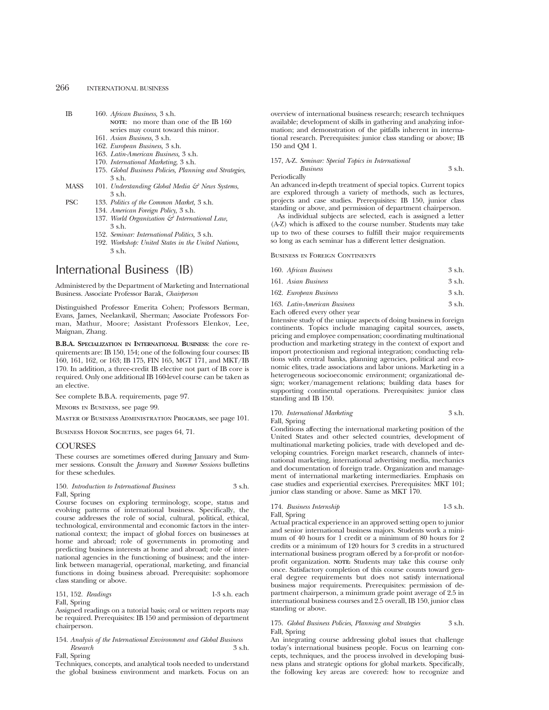## 266 INTERNATIONAL BUSINESS

- IB 160. *African Business,* 3 s.h. **NOTE**: no more than one of the IB 160 series may count toward this minor.
	- 161. *Asian Business,* 3 s.h.
	- 162. *European Business,* 3 s.h.
	- 163. *Latin-American Business,* 3 s.h.
	- 170. *International Marketing,* 3 s.h.
	- 175. *Global Business Policies, Planning and Strategies,* 3 s.h.
- MASS 101. *Understanding Global Media & News Systems*, 3 s.h.
- PSC 133. *Politics of the Common Market,* 3 s.h.
	- 134. *American Foreign Policy,* 3 s.h.
	- 137. *World Organization & International Law,* 3 s.h.
	- 152. *Seminar: International Politics,* 3 s.h.
	- 192. *Workshop: United States in the United Nations,* 3 s.h.

# International Business (IB)

Administered by the Department of Marketing and International Business. Associate Professor Barak, *Chairperson*

Distinguished Professor Emerita Cohen; Professors Berman, Evans, James, Neelankavil, Sherman; Associate Professors Forman, Mathur, Moore; Assistant Professors Elenkov, Lee, Maignan, Zhang.

**B.B.A. SPECIALIZATION IN INTERNATIONAL BUSINESS**: the core requirements are: IB 150, 154; one of the following four courses: IB 160, 161, 162, or 163; IB 175, FIN 165, MGT 171, and MKT/IB 170. In addition, a three-credit IB elective not part of IB core is required. Only one additional IB 160-level course can be taken as an elective.

See complete B.B.A. requirements, page 97.

Minors in Business, see page 99.

Master of Business Administration Programs, see page 101.

BUSINESS HONOR SOCIETIES, see pages 64, 71.

#### COURSES

These courses are sometimes offered during January and Summer sessions. Consult the *January* and *Summer Sessions* bulletins for these schedules.

#### 150. *Introduction to International Business* 3 s.h. Fall, Spring

Course focuses on exploring terminology, scope, status and evolving patterns of international business. Specifically, the course addresses the role of social, cultural, political, ethical, technological, environmental and economic factors in the international context; the impact of global forces on businesses at home and abroad; role of governments in promoting and predicting business interests at home and abroad; role of international agencies in the functioning of business; and the interlink between managerial, operational, marketing, and financial functions in doing business abroad. Prerequisite: sophomore class standing or above.

|  | 151, 152. Readings | $1-3$ s.h. each |  |
|--|--------------------|-----------------|--|
|--|--------------------|-----------------|--|

Fall, Spring

Assigned readings on a tutorial basis; oral or written reports may be required. Prerequisites: IB 150 and permission of department chairperson.

## 154. *Analysis of the International Environment and Global Business Research* 3 s.h.

Fall, Spring

Techniques, concepts, and analytical tools needed to understand the global business environment and markets. Focus on an

overview of international business research; research techniques available; development of skills in gathering and analyzing information; and demonstration of the pitfalls inherent in international research. Prerequisites: junior class standing or above; IB 150 and QM 1.

## 157, A-Z. *Seminar: Special Topics in International*

*Business* 3 s.h. Periodically

An advanced in-depth treatment of special topics. Current topics are explored through a variety of methods, such as lectures, projects and case studies. Prerequisites: IB 150, junior class standing or above, and permission of department chairperson.

As individual subjects are selected, each is assigned a letter (A-Z) which is affixed to the course number. Students may take up to two of these courses to fulfill their major requirements so long as each seminar has a different letter designation.

### Business in Foreign Continents

| 160. African Business        | 3 s.h.      |
|------------------------------|-------------|
| 161. Asian Business          | $3 \,$ s.h. |
| 162. European Business       | $3$ s.h.    |
| 163. Latin-American Business | $3$ s.h.    |

Each offered every other year

Intensive study of the unique aspects of doing business in foreign continents. Topics include managing capital sources, assets, pricing and employee compensation; coordinating multinational production and marketing strategy in the context of export and import protectionism and regional integration; conducting relations with central banks, planning agencies, political and economic elites, trade associations and labor unions. Marketing in a heterogeneous socioeconomic environment; organizational design; worker/management relations; building data bases for supporting continental operations. Prerequisites: junior class standing and IB 150.

170. *International Marketing* 3 s.h. Fall, Spring

Conditions affecting the international marketing position of the United States and other selected countries, development of multinational marketing policies, trade with developed and developing countries. Foreign market research, channels of international marketing, international advertising media, mechanics and documentation of foreign trade. Organization and management of international marketing intermediaries. Emphasis on case studies and experiential exercises. Prerequisites: MKT 101; junior class standing or above. Same as MKT 170.

174. *Business Internship* 1-3 s.h. Fall, Spring

Actual practical experience in an approved setting open to junior and senior international business majors. Students work a minimum of 40 hours for 1 credit or a minimum of 80 hours for 2 credits or a minimum of 120 hours for 3 credits in a structured international business program offered by a for-profit or not-forprofit organization. **NOTE:** Students may take this course only once. Satisfactory completion of this course counts toward general degree requirements but does not satisfy international business major requirements. Prerequisites: permission of department chairperson, a minimum grade point average of 2.5 in international business courses and 2.5 overall, IB 150, junior class standing or above.

#### 175. *Global Business Policies, Planning and Strategies* 3 s.h. Fall, Spring

An integrating course addressing global issues that challenge today's international business people. Focus on learning concepts, techniques, and the process involved in developing business plans and strategic options for global markets. Specifically, the following key areas are covered: how to recognize and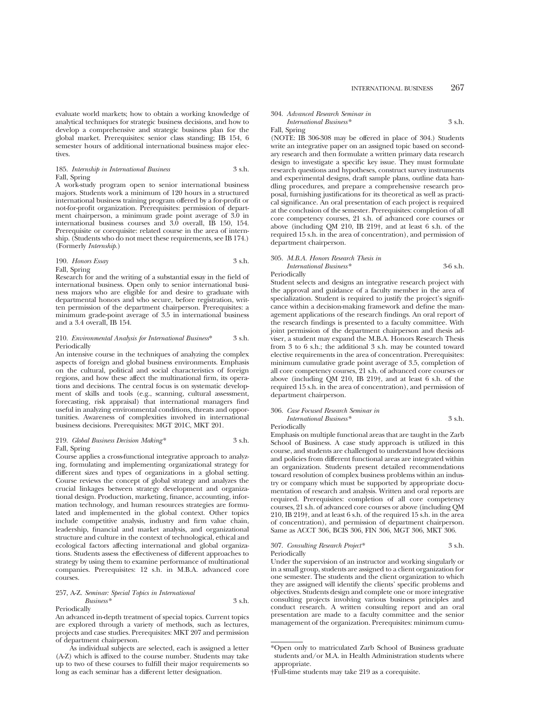evaluate world markets; how to obtain a working knowledge of analytical techniques for strategic business decisions, and how to develop a comprehensive and strategic business plan for the global market. Prerequisites: senior class standing; IB 154, 6 semester hours of additional international business major electives.

185. *Internship in International Business* 3 s.h. Fall, Spring

A work-study program open to senior international business majors. Students work a minimum of 120 hours in a structured international business training program offered by a for-profit or not-for-profit organization. Prerequisites: permission of department chairperson, a minimum grade point average of 3.0 in international business courses and 3.0 overall, IB 150, 154. Prerequisite or corequisite: related course in the area of internship. (Students who do not meet these requirements, see IB 174.) (Formerly *Internship.*)

190. *Honors Essay* 3 s.h. Fall, Spring

Research for and the writing of a substantial essay in the field of international business. Open only to senior international business majors who are eligible for and desire to graduate with departmental honors and who secure, before registration, written permission of the department chairperson. Prerequisites: a minimum grade-point average of 3.5 in international business and a 3.4 overall, IB 154.

#### 210. *Environmental Analysis for International Business*\* 3 s.h. Periodically

An intensive course in the techniques of analyzing the complex aspects of foreign and global business environments. Emphasis on the cultural, political and social characteristics of foreign regions, and how these affect the multinational firm, its operations and decisions. The central focus is on systematic development of skills and tools (e.g., scanning, cultural assessment, forecasting, risk appraisal) that international managers find useful in analyzing environmental conditions, threats and opportunities. Awareness of complexities involved in international business decisions. Prerequisites: MGT 201C, MKT 201.

#### 219. *Global Business Decision Making\** 3 s.h. Fall, Spring

Course applies a cross-functional integrative approach to analyzing, formulating and implementing organizational strategy for different sizes and types of organizations in a global setting. Course reviews the concept of global strategy and analyzes the crucial linkages between strategy development and organizational design. Production, marketing, finance, accounting, information technology, and human resources strategies are formulated and implemented in the global context. Other topics include competitive analysis, industry and firm value chain, leadership, financial and market analysis, and organizational structure and culture in the context of technological, ethical and ecological factors affecting international and global organizations. Students assess the effectiveness of different approaches to strategy by using them to examine performance of multinational companies. Prerequisites: 12 s.h. in M.B.A. advanced core courses.

#### 257, A-Z. *Seminar: Special Topics in International Business\** 3 s.h.

#### Periodically

An advanced in-depth treatment of special topics. Current topics are explored through a variety of methods, such as lectures, projects and case studies. Prerequisites: MKT 207 and permission of department chairperson.

As individual subjects are selected, each is assigned a letter (A-Z) which is affixed to the course number. Students may take up to two of these courses to fulfill their major requirements so long as each seminar has a different letter designation.

#### 304. *Advanced Research Seminar in*

*International Business\** 3 s.h. Fall, Spring

(NOTE: IB 306-308 may be offered in place of 304.) Students write an integrative paper on an assigned topic based on secondary research and then formulate a written primary data research design to investigate a specific key issue. They must formulate research questions and hypotheses, construct survey instruments and experimental designs, draft sample plans, outline data handling procedures, and prepare a comprehensive research proposal, furnishing justifications for its theoretical as well as practical significance. An oral presentation of each project is required at the conclusion of the semester. Prerequisites: completion of all core competency courses, 21 s.h. of advanced core courses or above (including QM 210, IB 219†, and at least 6 s.h. of the required 15 s.h. in the area of concentration), and permission of department chairperson.

#### 305. *M.B.A. Honors Research Thesis in*

*International Business\** 3-6 s.h. Periodically

Student selects and designs an integrative research project with the approval and guidance of a faculty member in the area of specialization. Student is required to justify the project's significance within a decision-making framework and define the management applications of the research findings. An oral report of the research findings is presented to a faculty committee. With joint permission of the department chairperson and thesis adviser, a student may expand the M.B.A. Honors Research Thesis from 3 to 6 s.h.; the additional 3 s.h. may be counted toward elective requirements in the area of concentration. Prerequisites: minimum cumulative grade point average of 3.5, completion of all core competency courses, 21 s.h. of advanced core courses or above (including  $\dot{Q}M$  210, IB 219<sup>+</sup>, and at least 6 s.h. of the required 15 s.h. in the area of concentration), and permission of department chairperson.

## 306. *Case Focused Research Seminar in International Business\** 3 s.h.

Periodically

Emphasis on multiple functional areas that are taught in the Zarb School of Business. A case study approach is utilized in this course, and students are challenged to understand how decisions and policies from different functional areas are integrated within an organization. Students present detailed recommendations toward resolution of complex business problems within an industry or company which must be supported by appropriate documentation of research and analysis. Written and oral reports are required. Prerequisites: completion of all core competency courses, 21 s.h. of advanced core courses or above (including QM 210, IB 219†, and at least 6 s.h. of the required 15 s.h. in the area of concentration), and permission of department chairperson. Same as ACCT 306, BCIS 306, FIN 306, MGT 306, MKT 306.

#### 307. *Consulting Research Project\** 3 s.h. Periodically

Under the supervision of an instructor and working singularly or in a small group, students are assigned to a client organization for one semester. The students and the client organization to which they are assigned will identify the clients' specific problems and objectives. Students design and complete one or more integrative consulting projects involving various business principles and conduct research. A written consulting report and an oral presentation are made to a faculty committee and the senior management of the organization. Prerequisites: minimum cumu-

<sup>\*</sup>Open only to matriculated Zarb School of Business graduate students and/or M.A. in Health Administration students where appropriate.

<sup>†</sup>Full-time students may take 219 as a corequisite.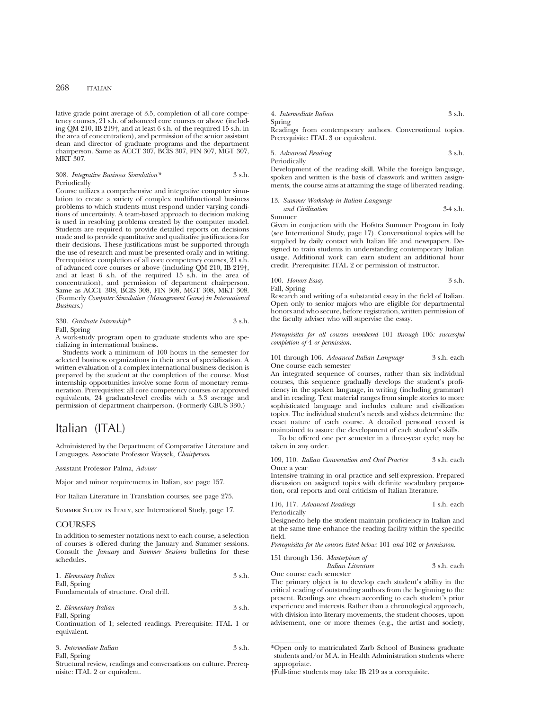## 268 ITALIAN

lative grade point average of 3.5, completion of all core competency courses, 21 s.h. of advanced core courses or above (including QM 210, IB 219†, and at least 6 s.h. of the required 15 s.h. in the area of concentration), and permission of the senior assistant dean and director of graduate programs and the department chairperson. Same as ACCT 307, BCIS 307, FIN 307, MGT 307, MKT 307.

308. *Integrative Business Simulation\** 3 s.h. Periodically

Course utilizes a comprehensive and integrative computer simulation to create a variety of complex multifunctional business problems to which students must respond under varying conditions of uncertainty. A team-based approach to decision making is used in resolving problems created by the computer model. Students are required to provide detailed reports on decisions made and to provide quantitative and qualitative justifications for their decisions. These justifications must be supported through the use of research and must be presented orally and in writing. Prerequisites: completion of all core competency courses, 21 s.h. of advanced core courses or above (including QM 210, IB 219†, and at least 6 s.h. of the required 15 s.h. in the area of concentration), and permission of department chairperson. Same as ACCT 308, BCIS 308, FIN 308, MGT 308, MKT 308. (Formerly *Computer Simulation (Management Game) in International Business.*)

330. *Graduate Internship\** 3 s.h. Fall, Spring

A work-study program open to graduate students who are specializing in international business.

Students work a minimum of 100 hours in the semester for selected business organizations in their area of specialization. A written evaluation of a complex international business decision is prepared by the student at the completion of the course. Most internship opportunities involve some form of monetary remuneration. Prerequisites: all core competency courses or approved equivalents, 24 graduate-level credits with a 3.3 average and permission of department chairperson. (Formerly GBUS 330.)

## Italian (ITAL)

Administered by the Department of Comparative Literature and Languages. Associate Professor Waysek, *Chairperson*

Assistant Professor Palma, *Adviser*

Major and minor requirements in Italian, see page 157.

For Italian Literature in Translation courses, see page 275.

Summer Study in Italy, see International Study, page 17.

#### **COURSES**

In addition to semester notations next to each course, a selection of courses is offered during the January and Summer sessions. Consult the *January* and *Summer Sessions* bulletins for these schedules.

| 1. Elementary Italian | 3 s.h. |
|-----------------------|--------|
| Fall, Spring          |        |

Fundamentals of structure. Oral drill.

| 2. Elementary Italian | 3 s.h. |
|-----------------------|--------|
| Fall, Spring          |        |

Continuation of 1; selected readings. Prerequisite: ITAL 1 or equivalent.

|  | 3. Intermediate Italian |  |  | 3 s.h. |
|--|-------------------------|--|--|--------|
|--|-------------------------|--|--|--------|

Fall, Spring

Structural review, readings and conversations on culture. Prerequisite: ITAL 2 or equivalent.

| 4. Intermediate Italian | 3 s.h. |
|-------------------------|--------|
| Spring                  |        |

Readings from contemporary authors. Conversational topics. Prerequisite: ITAL 3 or equivalent.

5. *Advanced Reading* 3 s.h. Periodically

Development of the reading skill. While the foreign language, spoken and written is the basis of classwork and written assignments, the course aims at attaining the stage of liberated reading.

13. *Summer Workshop in Italian Language and Civilization* 3-4 s.h. Summer

Given in conjuction with the Hofstra Summer Program in Italy (see International Study, page 17). Conversational topics will be supplied by daily contact with Italian life and newspapers. Designed to train students in understanding contemporary Italian usage. Additional work can earn student an additional hour credit. Prerequisite: ITAL 2 or permission of instructor.

100. *Honors Essay* 3 s.h. Fall, Spring

Research and writing of a substantial essay in the field of Italian. Open only to senior majors who are eligible for departmental honors and who secure, before registration, written permission of the faculty adviser who will supervise the essay.

*Prerequisites for all courses numbered* 101 *through* 106*: successful completion of* 4 *or permission.*

101 through 106. *Advanced Italian Language* 3 s.h. each One course each semester

An integrated sequence of courses, rather than six individual courses, this sequence gradually develops the student's proficiency in the spoken language, in writing (including grammar) and in reading. Text material ranges from simple stories to more sophisticated language and includes culture and civilization topics. The individual student's needs and wishes determine the exact nature of each course. A detailed personal record is maintained to assure the development of each student's skills.

To be offered one per semester in a three-year cycle; may be taken in any order.

109, 110. *Italian Conversation and Oral Practice* 3 s.h. each Once a year

Intensive training in oral practice and self-expression. Prepared discussion on assigned topics with definite vocabulary preparation, oral reports and oral criticism of Italian literature.

116, 117. *Advanced Readings* 1 s.h. each Periodically

Designedto help the student maintain proficiency in Italian and at the same time enhance the reading facility within the specific field.

*Prerequisites for the courses listed below:* 101 *and* 102 *or permission.*

```
151 through 156. Masterpieces of
              Italian Literature 3 s.h. each
```
One course each semester

The primary object is to develop each student's ability in the critical reading of outstanding authors from the beginning to the present. Readings are chosen according to each student's prior experience and interests. Rather than a chronological approach, with division into literary movements, the student chooses, upon advisement, one or more themes (e.g., the artist and society,

<sup>\*</sup>Open only to matriculated Zarb School of Business graduate students and/or M.A. in Health Administration students where appropriate.

<sup>†</sup>Full-time students may take IB 219 as a corequisite.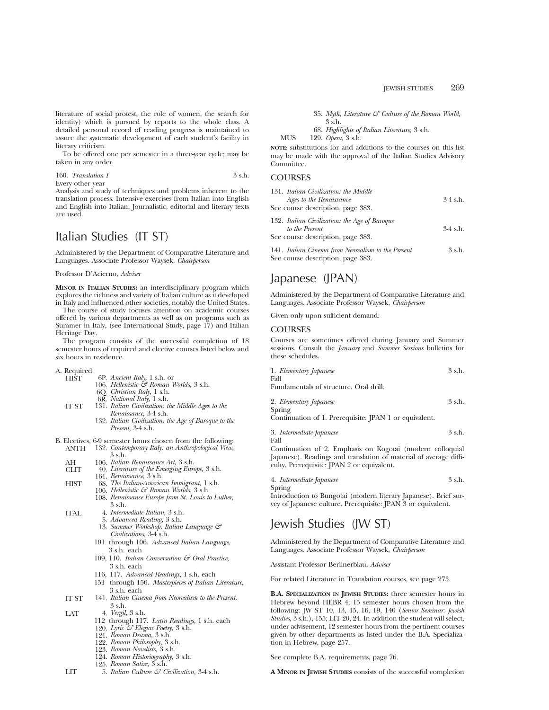literature of social protest, the role of women, the search for identity) which is pursued by reports to the whole class. A detailed personal record of reading progress is maintained to assure the systematic development of each student's facility in literary criticism.

To be offered one per semester in a three-year cycle; may be taken in any order.

160. Translation I 3 s.h. Every other year

Analysis and study of techniques and problems inherent to the translation process. Intensive exercises from Italian into English and English into Italian. Journalistic, editorial and literary texts are used.

# Italian Studies (IT ST)

Administered by the Department of Comparative Literature and Languages. Associate Professor Waysek, *Chairperson*

#### Professor D'Acierno, *Adviser*

**MINOR IN ITALIAN STUDIES:** an interdisciplinary program which explores the richness and variety of Italian culture as it developed in Italy and influenced other societies, notably the United States.

The course of study focuses attention on academic courses offered by various departments as well as on programs such as Summer in Italy, (see International Study, page 17) and Italian Heritage Day.

The program consists of the successful completion of 18 semester hours of required and elective courses listed below and six hours in residence.

A. Required

- 6P. Ancient Italy, 1 s.h. or
- 106. *Hellenistic & Roman Worlds,* 3 s.h.
	- 6Q. *Christian Italy,* 1 s.h.
	- 6R. *National Italy,* 1 s.h.
- IT ST 131. *Italian Civilization: the Middle Ages to the*
	- *Renaissance,* 3-4 s.h. 132. *Italian Civilization: the Age of Baroque to the Present,* 3-4 s.h.
- 
- B. Electives, 6-9 semester hours chosen from the following:<br>ANTH 132. Contemporary Italy: an Anthropological View, 132. *Contemporary Italy: an Anthropological View*, 3 s.h.
	- AH 106. *Italian Renaissance Art*, 3 s.h.<br>CLIT 40. *Literature of the Emerging Euro*
	- CLIT 40. *Literature of the Emerging Europe,* 3 s.h. 161. *Renaissance,* 3 s.h.
		-
	- HIST 6S. *The Italian-American Immigrant,* 1 s.h.
		- 106. *Hellenistic & Roman Worlds,* 3 s.h. 108. *Renaissance Europe from St. Louis to Luther,*
		- 3 s.h.
	- ITAL 4. *Intermediate Italian,* 3 s.h.
		- 5. *Advanced Reading,* 3 s.h.
		- 13. *Summer Workshop: Italian Language & Civilizations,* 3-4 s.h.
		- 101 through 106. *Advanced Italian Language,* 3 s.h. each
		- 109, 110. *Italian Conversation & Oral Practice,* 3 s.h. each
		- 116, 117. *Advanced Readings,* 1 s.h. each
		- 151 through 156. *Masterpieces of Italian Literature,* 3 s.h. each
	- IT ST 141. *Italian Cinema from Neorealism to the Present,* 3 s.h.
	- LAT 4. *Vergil,* 3 s.h.
		- 112 through 117. *Latin Readings,* 1 s.h. each
		- 120. *Lyric & Elegiac Poetry,* 3 s.h.
		- 121. *Roman Drama,* 3 s.h.
		- 122. *Roman Philosophy,* 3 s.h.
		- 123. *Roman Novelists,* 3 s.h.
		- 124. *Roman Historiography,* 3 s.h.
		- 125. *Roman Satire,* 3 s.h.
	- LIT 5. *Italian Culture & Civilization,* 3-4 s.h.

35. *Myth, Literature & Culture of the Roman World,* 3 s.h.

68. *Highlights of Italian Literature,* 3 s.h.

MUS 129. *Opera,* 3 s.h.

**NOTE:** substitutions for and additions to the courses on this list may be made with the approval of the Italian Studies Advisory Committee.

## **COURSES**

| 131. Italian Civilization: the Middle                           |            |
|-----------------------------------------------------------------|------------|
| Ages to the Renaissance                                         | $3-4$ s.h. |
| See course description, page 383.                               |            |
| 132. Italian Civilization: the Age of Baroque<br>to the Present | $3-4$ s.h. |
| See course description, page 383.                               |            |

141. *Italian Cinema from Neorealism to the Present* 3 s.h. See course description, page 383.

## Japanese (JPAN)

Administered by the Department of Comparative Literature and Languages. Associate Professor Waysek, *Chairperson*

Given only upon sufficient demand.

## **COURSES**

Courses are sometimes offered during January and Summer sessions. Consult the *January* and *Summer Sessions* bulletins for these schedules.

| 1. Elementary Japanese                 | 3 s.h. |
|----------------------------------------|--------|
| Fall                                   |        |
| Fundamentals of structure. Oral drill. |        |

2. *Elementary Japanese* 3 s.h. Spring

Continuation of 1. Prerequisite: JPAN 1 or equivalent.

3. *Intermediate Japanese* 3 s.h. Fall

Continuation of 2. Emphasis on Kogotai (modern colloquial Japanese). Readings and translation of material of average difficulty. Prerequisite: JPAN 2 or equivalent.

4. *Intermediate Japanese* 3 s.h.

Spring

Introduction to Bungotai (modern literary Japanese). Brief survey of Japanese culture. Prerequisite: JPAN 3 or equivalent.

# Jewish Studies (JW ST)

Administered by the Department of Comparative Literature and Languages. Associate Professor Waysek, *Chairperson*

Assistant Professor Berlinerblau, *Adviser*

For related Literature in Translation courses, see page 275.

**B.A. SPECIALIZATION IN JEWISH STUDIES:** three semester hours in Hebrew beyond HEBR 4; 15 semester hours chosen from the following: JW ST 10, 13, 15, 16, 19, 140 (*Senior Seminar: Jewish Studies,* 3 s.h.), 155; LIT 20, 24. In addition the student will select, under advisement, 12 semester hours from the pertinent courses given by other departments as listed under the B.A. Specialization in Hebrew, page 257.

See complete B.A. requirements, page 76.

**A MINOR IN JEWISH STUDIES** consists of the successful completion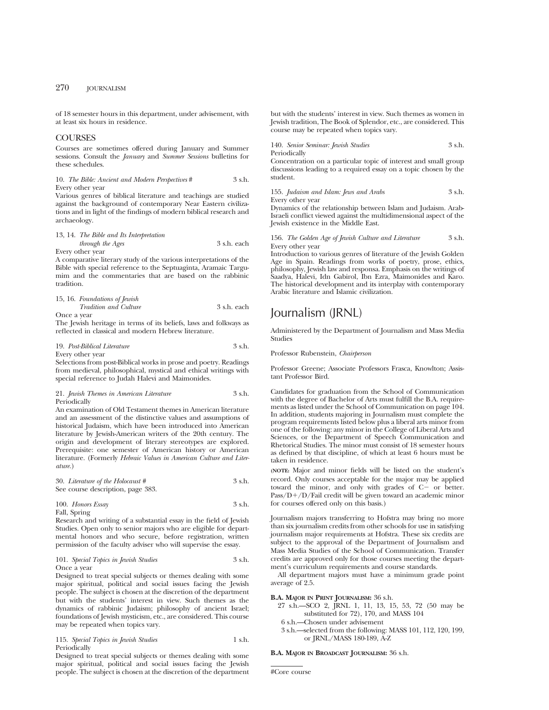of 18 semester hours in this department, under advisement, with at least six hours in residence.

## **COURSES**

Courses are sometimes offered during January and Summer sessions. Consult the *January* and *Summer Sessions* bulletins for these schedules.

10. *The Bible: Ancient and Modern Perspectives* # 3 s.h. Every other year

Various genres of biblical literature and teachings are studied against the background of contemporary Near Eastern civilizations and in light of the findings of modern biblical research and archaeology.

13, 14. *The Bible and Its Interpretation through the Ages* 3 s.h. each Every other year

A comparative literary study of the various interpretations of the Bible with special reference to the Septuaginta, Aramaic Targumim and the commentaries that are based on the rabbinic tradition.

|             | 15, 16. Foundations of Jewish |             |
|-------------|-------------------------------|-------------|
|             | <i>Tradition and Culture</i>  | 3 s.h. each |
| Once a year |                               |             |

The Jewish heritage in terms of its beliefs, laws and folkways as reflected in classical and modern Hebrew literature.

| 19. Post-Biblical Literature | 3 s.h. |
|------------------------------|--------|
| Every other year             |        |

Selections from post-Biblical works in prose and poetry. Readings from medieval, philosophical, mystical and ethical writings with special reference to Judah Halevi and Maimonides.

```
21. Jewish Themes in American Literature 3 s.h.
Periodically
```
An examination of Old Testament themes in American literature and an assessment of the distinctive values and assumptions of historical Judaism, which have been introduced into American literature by Jewish-American writers of the 20th century. The origin and development of literary stereotypes are explored. Prerequisite: one semester of American history or American literature. (Formerly *Hebraic Values in American Culture and Literature.*)

30. *Literature of the Holocaust #* 3 s.h. See course description, page 383.

100. *Honors Essay* 3 s.h. Fall, Spring

Research and writing of a substantial essay in the field of Jewish Studies. Open only to senior majors who are eligible for departmental honors and who secure, before registration, written permission of the faculty adviser who will supervise the essay.

101. *Special Topics in Jewish Studies* 3 s.h. Once a year

Designed to treat special subjects or themes dealing with some major spiritual, political and social issues facing the Jewish people. The subject is chosen at the discretion of the department but with the students' interest in view. Such themes as the dynamics of rabbinic Judaism; philosophy of ancient Israel; foundations of Jewish mysticism, etc., are considered. This course may be repeated when topics vary.

115. *Special Topics in Jewish Studies* 1 s.h. Periodically

Designed to treat special subjects or themes dealing with some major spiritual, political and social issues facing the Jewish people. The subject is chosen at the discretion of the department but with the students' interest in view. Such themes as women in Jewish tradition, The Book of Splendor, etc., are considered. This course may be repeated when topics vary.

140. *Senior Seminar: Jewish Studies* 3 s.h. Periodically

Concentration on a particular topic of interest and small group discussions leading to a required essay on a topic chosen by the student.

155. *Judaism and Islam: Jews and Arabs* 3 s.h. Every other year

Dynamics of the relationship between Islam and Judaism. Arab-Israeli conflict viewed against the multidimensional aspect of the Jewish existence in the Middle East.

156. *The Golden Age of Jewish Culture and Literature* 3 s.h. Every other year

Introduction to various genres of literature of the Jewish Golden Age in Spain. Readings from works of poetry, prose, ethics, philosophy, Jewish law and responsa. Emphasis on the writings of Saadya, Halevi, Idn Gabirol, Ibn Ezra, Maimonides and Karo. The historical development and its interplay with contemporary Arabic literature and Islamic civilization.

# Journalism (JRNL)

Administered by the Department of Journalism and Mass Media Studies

Professor Rubenstein, *Chairperson*

Professor Greene; Associate Professors Frasca, Knowlton; Assistant Professor Bird.

Candidates for graduation from the School of Communication with the degree of Bachelor of Arts must fulfill the B.A. requirements as listed under the School of Communication on page 104. In addition, students majoring in Journalism must complete the program requirements listed below plus a liberal arts minor from one of the following: any minor in the College of Liberal Arts and Sciences, or the Department of Speech Communication and Rhetorical Studies. The minor must consist of 18 semester hours as defined by that discipline, of which at least 6 hours must be taken in residence.

**(NOTE:** Major and minor fields will be listed on the student's record. Only courses acceptable for the major may be applied toward the minor, and only with grades of  $C<sup>-</sup>$  or better.  $Pass/D+/D/Fail credit will be given toward an academic minor$ for courses offered only on this basis.)

Journalism majors transferring to Hofstra may bring no more than six journalism credits from other schools for use in satisfying journalism major requirements at Hofstra. These six credits are subject to the approval of the Department of Journalism and Mass Media Studies of the School of Communication. Transfer credits are approved only for those courses meeting the department's curriculum requirements and course standards.

All department majors must have a minimum grade point average of 2.5.

#### **B.A. MAJOR IN PRINT JOURNALISM:** 36 s.h.

27 s.h.—SCO 2, JRNL 1, 11, 13, 15, 53, 72 (50 may be substituted for 72), 170, and MASS 104

- 6 s.h.—Chosen under advisement
- 3 s.h.—selected from the following: MASS 101, 112, 120, 199, or JRNL/MASS 180-189, A-Z

#### **B.A. MAJOR IN BROADCAST JOURNALISM:** 36 s.h.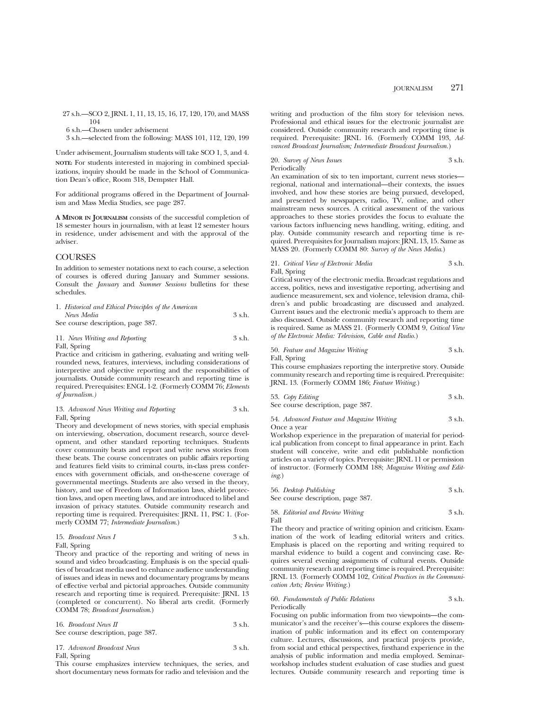27 s.h.—SCO 2, JRNL 1, 11, 13, 15, 16, 17, 120, 170, and MASS 104

6 s.h.—Chosen under advisement

3 s.h.—selected from the following: MASS 101, 112, 120, 199

Under advisement, Journalism students will take SCO 1, 3, and 4. **NOTE:** For students interested in majoring in combined specializations, inquiry should be made in the School of Communication Dean's office, Room 318, Dempster Hall.

For additional programs offered in the Department of Journalism and Mass Media Studies, see page 287.

**A MINOR IN JOURNALISM** consists of the successful completion of 18 semester hours in journalism, with at least 12 semester hours in residence, under advisement and with the approval of the adviser.

#### COURSES

In addition to semester notations next to each course, a selection of courses is offered during January and Summer sessions. Consult the *January* and *Summer Sessions* bulletins for these schedules.

| 1. Historical and Ethical Principles of the American |                  |
|------------------------------------------------------|------------------|
| News Media                                           | $3 \text{ s.h.}$ |
| See course description, page 387.                    |                  |

#### 11. *News Writing and Reporting* 3 s.h. Fall, Spring

Practice and criticism in gathering, evaluating and writing wellrounded news, features, interviews, including considerations of interpretive and objective reporting and the responsibilities of journalists. Outside community research and reporting time is required. Prerequisites: ENGL 1-2. (Formerly COMM 76; *Elements of Journalism.)*

|                               | 13. Advanced News Writing and Reporting | 3 s.h. |
|-------------------------------|-----------------------------------------|--------|
| $\Gamma$ 11 $\alpha$ $\cdots$ |                                         |        |

#### Fall, Spring

Theory and development of news stories, with special emphasis on interviewing, observation, document research, source development, and other standard reporting techniques. Students cover community beats and report and write news stories from these beats. The course concentrates on public affairs reporting and features field visits to criminal courts, in-class press conferences with government officials, and on-the-scene coverage of governmental meetings. Students are also versed in the theory, history, and use of Freedom of Information laws, shield protection laws, and open meeting laws, and are introduced to libel and invasion of privacy statutes. Outside community research and reporting time is required. Prerequisites: JRNL 11, PSC 1. (Formerly COMM 77; *Intermediate Journalism*.)

$$
15. Broadcast News I 3 s.h.
$$

Fall, Spring

Theory and practice of the reporting and writing of news in sound and video broadcasting. Emphasis is on the special qualities of broadcast media used to enhance audience understanding of issues and ideas in news and documentary programs by means of effective verbal and pictorial approaches. Outside community research and reporting time is required. Prerequisite: JRNL 13 (completed or concurrent). No liberal arts credit. (Formerly COMM 78; *Broadcast Journalism*.)

| 16. Broadcast News II             | 3 s.h. |
|-----------------------------------|--------|
| See course description, page 387. |        |

| 17. Advanced Broadcast News | $3$ s.h. |
|-----------------------------|----------|
| Fall, Spring                |          |

This course emphasizes interview techniques, the series, and short documentary news formats for radio and television and the

writing and production of the film story for television news. Professional and ethical issues for the electronic journalist are considered. Outside community research and reporting time is required. Prerequisite: JRNL 16. (Formerly COMM 193, *Advanced Broadcast Journalism; Intermediate Broadcast Journalism.*)

20. *Survey of News Issues* 3 s.h. **Periodically** 

An examination of six to ten important, current news stories regional, national and international—their contexts, the issues involved, and how these stories are being pursued, developed, and presented by newspapers, radio, TV, online, and other mainstream news sources. A critical assessment of the various approaches to these stories provides the focus to evaluate the various factors influencing news handling, writing, editing, and play. Outside community research and reporting time is required. Prerequisites for Journalism majors: JRNL 13, 15. Same as MASS 20. (Formerly COMM 80: *Survey of the News Media*.)

#### 21. *Critical View of Electronic Media* 3 s.h. Fall, Spring

Critical survey of the electronic media. Broadcast regulations and access, politics, news and investigative reporting, advertising and audience measurement, sex and violence, television drama, children's and public broadcasting are discussed and analyzed. Current issues and the electronic media's approach to them are also discussed. Outside community research and reporting time is required. Same as MASS 21. (Formerly COMM 9, *Critical View of the Electronic Media: Television, Cable and Radio.*)

#### 50. *Feature and Magazine Writing* 3 s.h. Fall, Spring

This course emphasizes reporting the interpretive story. Outside community research and reporting time is required. Prerequisite:

JRNL 13. (Formerly COMM 186; *Feature Writing*.)

| 53. Copy Editing                  | 3 s.h. |
|-----------------------------------|--------|
| See course description, page 387. |        |

#### 54. *Advanced Feature and Magazine Writing* 3 s.h. Once a year

Workshop experience in the preparation of material for periodical publication from concept to final appearance in print. Each student will conceive, write and edit publishable nonfiction articles on a variety of topics. Prerequisite: JRNL 11 or permission of instructor. (Formerly COMM 188; *Magazine Writing and Editing*.)

| 56. Desktop Publishing<br>See course description, page 387. | 3 s.h. |
|-------------------------------------------------------------|--------|
|                                                             |        |

58. *Editorial and Review Writing* 3 s.h. Fall

The theory and practice of writing opinion and criticism. Examination of the work of leading editorial writers and critics. Emphasis is placed on the reporting and writing required to marshal evidence to build a cogent and convincing case. Requires several evening assignments of cultural events. Outside community research and reporting time is required. Prerequisite: JRNL 13. (Formerly COMM 102, *Critical Practices in the Communication Arts; Review Writing.*)

#### 60. *Fundamentals of Public Relations* 3 s.h. Periodically

Focusing on public information from two viewpoints—the communicator's and the receiver's—this course explores the dissemination of public information and its effect on contemporary culture. Lectures, discussions, and practical projects provide, from social and ethical perspectives, firsthand experience in the analysis of public information and media employed. Seminarworkshop includes student evaluation of case studies and guest lectures. Outside community research and reporting time is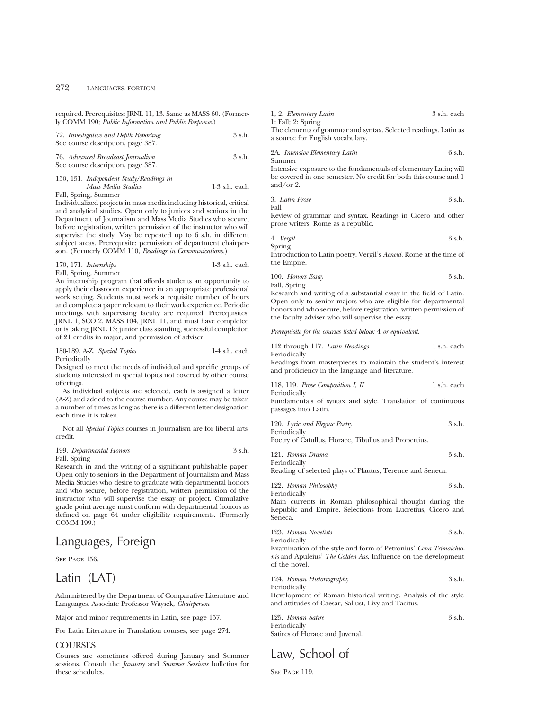## 272 LANGUAGES, FOREIGN

required. Prerequisites: JRNL 11, 13. Same as MASS 60. (Formerly COMM 190; *Public Information and Public Response.*)

| 72. Investigative and Depth Reporting<br>See course description, page 387.                                                                                                                                                                                                                                                                                                                                                                                                                                       | 3 s.h. |
|------------------------------------------------------------------------------------------------------------------------------------------------------------------------------------------------------------------------------------------------------------------------------------------------------------------------------------------------------------------------------------------------------------------------------------------------------------------------------------------------------------------|--------|
| 76. Advanced Broadcast Journalism<br>See course description, page 387.                                                                                                                                                                                                                                                                                                                                                                                                                                           | 3 s.h. |
| $\mathbf{1} \times \mathbf{1} \times \mathbf{1} \times \mathbf{1} \times \mathbf{1} \times \mathbf{1} \times \mathbf{1} \times \mathbf{1} \times \mathbf{1} \times \mathbf{1} \times \mathbf{1} \times \mathbf{1} \times \mathbf{1} \times \mathbf{1} \times \mathbf{1} \times \mathbf{1} \times \mathbf{1} \times \mathbf{1} \times \mathbf{1} \times \mathbf{1} \times \mathbf{1} \times \mathbf{1} \times \mathbf{1} \times \mathbf{1} \times \mathbf{1} \times \mathbf{1} \times \mathbf{1} \times \mathbf{$ |        |

| 150, 151. Independent Study/Readings in |                 |
|-----------------------------------------|-----------------|
| Mass Media Studies                      | $1-3$ s.h. each |
| $E:11$ $C:11$ $C:11$                    |                 |

Fall, Spring, Summer

Individualized projects in mass media including historical, critical and analytical studies. Open only to juniors and seniors in the Department of Journalism and Mass Media Studies who secure, before registration, written permission of the instructor who will supervise the study. May be repeated up to 6 s.h. in different subject areas. Prerequisite: permission of department chairperson. (Formerly COMM 110, *Readings in Communications.*)

| 170, 171. Internships | $1-3$ s.h. each |
|-----------------------|-----------------|
| Fall, Spring, Summer  |                 |

An internship program that affords students an opportunity to apply their classroom experience in an appropriate professional work setting. Students must work a requisite number of hours and complete a paper relevant to their work experience. Periodic meetings with supervising faculty are required. Prerequisites: JRNL 1, SCO 2, MASS 104, JRNL 11, and must have completed or is taking JRNL 13; junior class standing, successful completion of 21 credits in major, and permission of adviser.

| 180-189, A-Z. Special Topics | $1-4$ s.h. each |
|------------------------------|-----------------|
| Periodically                 |                 |

Designed to meet the needs of individual and specific groups of students interested in special topics not covered by other course offerings.

As individual subjects are selected, each is assigned a letter (A-Z) and added to the course number. Any course may be taken a number of times as long as there is a different letter designation each time it is taken.

Not all *Special Topics* courses in Journalism are for liberal arts credit.

| 199. Departmental Honors | 3 s.h. |
|--------------------------|--------|
| Fall, Spring             |        |

Research in and the writing of a significant publishable paper. Open only to seniors in the Department of Journalism and Mass Media Studies who desire to graduate with departmental honors and who secure, before registration, written permission of the instructor who will supervise the essay or project. Cumulative grade point average must conform with departmental honors as defined on page 64 under eligibility requirements. (Formerly COMM 199.)

## Languages, Foreign

SEE PAGE 156.

## Latin (LAT)

Administered by the Department of Comparative Literature and Languages. Associate Professor Waysek, *Chairperson*

Major and minor requirements in Latin, see page 157.

For Latin Literature in Translation courses, see page 274.

### **COURSES**

Courses are sometimes offered during January and Summer sessions. Consult the *January* and *Summer Sessions* bulletins for these schedules.

| 1, 2. Elementary Latin | 3 s.h. each |
|------------------------|-------------|
| $1:$ Fall; $2:$ Spring |             |

The elements of grammar and syntax. Selected readings. Latin as a source for English vocabulary.

2A. *Intensive Elementary Latin* 6 s.h. Summer

Intensive exposure to the fundamentals of elementary Latin; will be covered in one semester. No credit for both this course and 1 and/or 2.

3. Latin Prose 
$$
3 \sinh(3)
$$

Fall

Review of grammar and syntax. Readings in Cicero and other prose writers. Rome as a republic.

| 4. Vergil | 3 s.h. |
|-----------|--------|
| Spring    |        |

Introduction to Latin poetry. Vergil's *Aeneid.* Rome at the time of the Empire.

| 100. Honors Essay | 3 s.h. |
|-------------------|--------|
| Fall, Spring      |        |

Research and writing of a substantial essay in the field of Latin. Open only to senior majors who are eligible for departmental honors and who secure, before registration, written permission of the faculty adviser who will supervise the essay.

*Prerequisite for the courses listed below:* 4 *or equivalent.*

| 112 through 117. Latin Readings                                                                                                  | 1 s.h. each |
|----------------------------------------------------------------------------------------------------------------------------------|-------------|
| Periodically<br>Readings from masterpieces to maintain the student's interest<br>and proficiency in the language and literature. |             |
| 118, 119. Prose Composition I, II<br>Periodically                                                                                | 1 s.h. each |
| Fundamentals of syntax and style. Translation of continuous<br>passages into Latin.                                              |             |
| 120. Lyric and Elegiac Poetry<br>Periodically                                                                                    | 3 s.h.      |
| Poetry of Catullus, Homee, Tibullus and Propertius                                                                               |             |

Poetry of Catullus, Horace, Tibullus and Propertius.

121. *Roman Drama* 3 s.h. Periodically Reading of selected plays of Plautus, Terence and Seneca.

122. *Roman Philosophy* 3 s.h. Periodically

Main currents in Roman philosophical thought during the Republic and Empire. Selections from Lucretius, Cicero and Seneca.

123. *Roman Novelists* 3 s.h. Periodically

Examination of the style and form of Petronius' *Cena Trimalchionis* and Apuleius' *The Golden Ass.* Influence on the development of the novel.

124. *Roman Historiography* 3 s.h. Periodically

Development of Roman historical writing. Analysis of the style and attitudes of Caesar, Sallust, Livy and Tacitus.

125. *Roman Satire* 3 s.h. Periodically Satires of Horace and Juvenal.

# Law, School of

SEE PAGE 119.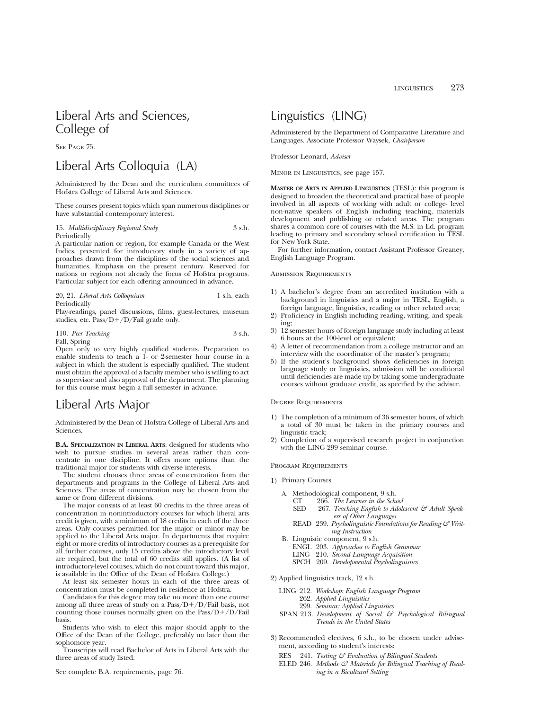# Liberal Arts and Sciences, College of

SEE PAGE 75.

# Liberal Arts Colloquia (LA)

Administered by the Dean and the curriculum committees of Hofstra College of Liberal Arts and Sciences.

These courses present topics which span numerous disciplines or have substantial contemporary interest.

## 15. *Multidisciplinary Regional Study* 3 s.h. Periodically

A particular nation or region, for example Canada or the West Indies, presented for introductory study in a variety of approaches drawn from the disciplines of the social sciences and humanities. Emphasis on the present century. Reserved for nations or regions not already the focus of Hofstra programs. Particular subject for each offering announced in advance.

20, 21. *Liberal Arts Colloquium* 1 s.h. each Periodically

Play-readings, panel discussions, films, guest-lectures, museum studies, etc.  $Pass/D+/D/Fail$  grade only.

110. *Peer Teaching* 3 s.h. Fall, Spring

Open only to very highly qualified students. Preparation to enable students to teach a 1- or 2-semester hour course in a subject in which the student is especially qualified. The student must obtain the approval of a faculty member who is willing to act as supervisor and also approval of the department. The planning for this course must begin a full semester in advance.

# Liberal Arts Major

Administered by the Dean of Hofstra College of Liberal Arts and Sciences.

**B.A. SPECIALIZATION IN LIBERAL ARTS**: designed for students who wish to pursue studies in several areas rather than concentrate in one discipline. It offers more options than the traditional major for students with diverse interests.

The student chooses three areas of concentration from the departments and programs in the College of Liberal Arts and Sciences. The areas of concentration may be chosen from the same or from different divisions.

The major consists of at least 60 credits in the three areas of concentration in nonintroductory courses for which liberal arts credit is given, with a minimum of 18 credits in each of the three areas. Only courses permitted for the major or minor may be applied to the Liberal Arts major. In departments that require eight or more credits of introductory courses as a prerequisite for all further courses, only 15 credits above the introductory level are required, but the total of 60 credits still applies. (A list of introductory-level courses, which do not count toward this major, is available in the Office of the Dean of Hofstra College.)

At least six semester hours in each of the three areas of concentration must be completed in residence at Hofstra.

Candidates for this degree may take no more than one course among all three areas of study on a  $Pass/D+/D/Fall$  basis, not counting those courses normally given on the  $Pass/D+/D/Fall$ basis.

Students who wish to elect this major should apply to the Office of the Dean of the College, preferably no later than the sophomore year.

Transcripts will read Bachelor of Arts in Liberal Arts with the three areas of study listed.

## Linguistics (LING)

Administered by the Department of Comparative Literature and Languages. Associate Professor Waysek, *Chairperson*

Professor Leonard, *Adviser*

Minor in Linguistics, see page 157.

**MASTER OF ARTS IN APPLIED LINGUISTICS** (TESL): this program is designed to broaden the theoretical and practical base of people involved in all aspects of working with adult or college- level non-native speakers of English including teaching, materials development and publishing or related areas. The program shares a common core of courses with the M.S. in Ed. program leading to primary and secondary school certification in TESL for New York State.

For further information, contact Assistant Professor Greaney, English Language Program.

#### Admission Requirements

- 1) A bachelor's degree from an accredited institution with a background in linguistics and a major in TESL, English, a foreign language, linguistics, reading or other related area;
- 2) Proficiency in English including reading, writing, and speaking;
- 3) 12 semester hours of foreign language study including at least 6 hours at the 100-level or equivalent;
- 4) A letter of recommendation from a college instructor and an interview with the coordinator of the master's program;
- 5) If the student's background shows deficiencies in foreign language study or linguistics, admission will be conditional until deficiencies are made up by taking some undergraduate courses without graduate credit, as specified by the adviser.

#### Degree Requirements

- 1) The completion of a minimum of 36 semester hours, of which a total of 30 must be taken in the primary courses and linguistic track;
- 2) Completion of a supervised research project in conjunction with the LING 299 seminar course.

#### Program Requirements

- 1) Primary Courses
	- A. Methodological component, 9 s.h.<br>CT 266. The Learner in the Scho
		- CT 266. *The Learner in the School*
		- 267. Teaching English to Adolescent & Adult Speak*ers of Other Languages*
		- READ 239. *Psycholinguistic Foundations for Reading & Writing Instruction*
	- B. Linguistic component, 9 s.h.
		- ENGL 203. *Approaches to English Grammar*
		- LING 210. *Second Language Acquisition*
		- SPCH 209. *Developmental Psycholinguistics*
- 2) Applied linguistics track, 12 s.h.
	- LING 212. *Workshop: English Language Program* 262. *Applied Linguisitics*
		- 299. *Seminar: Applied Linguistics*
	- SPAN 213. *Development of Social & Psychological Bilingual Trends in the United States*
- 3) Recommended electives, 6 s.h., to be chosen under advisement, according to student's interests:
	- RES 241. *Testing & Evaluation of Bilingual Students*
	- ELED 246. Methods & Materials for Bilingual Teaching of Read*ing in a Bicultural Setting*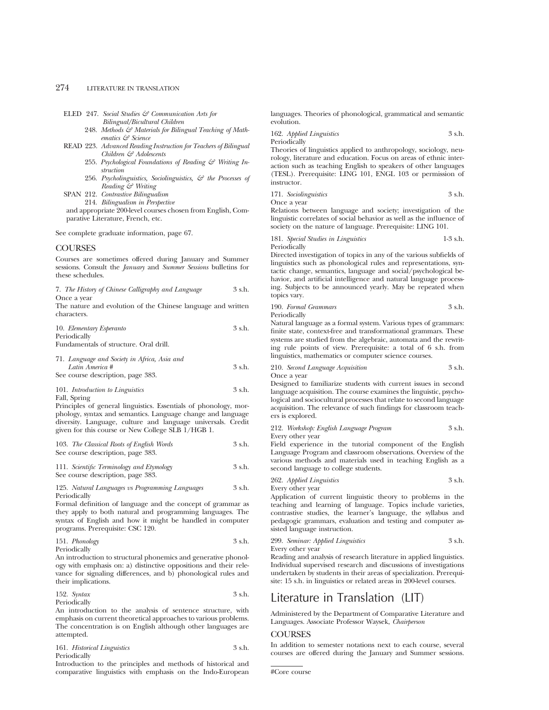## 274 LITERATURE IN TRANSLATION

- ELED 247. *Social Studies & Communication Arts for*
	- *Bilingual/Bicultural Children* 248. Methods & Materials for Bilingual Teaching of Math*ematics & Science*
- READ 223. *Advanced Reading Instruction for Teachers of Bilingual Children & Adolescents*
	- 255. *Psychological Foundations of Reading & Writing Instruction*
	- 256. *Psycholinguistics, Sociolinguistics, & the Processes of Reading & Writing*

SPAN 212. *Contrastive Bilingualism*

214. *Bilingualism in Perspective*

and appropriate 200-level courses chosen from English, Comparative Literature, French, etc.

See complete graduate information, page 67.

#### **COURSES**

Courses are sometimes offered during January and Summer sessions. Consult the *January* and *Summer Sessions* bulletins for these schedules.

| 7. The History of Chinese Calligraphy and Language |  | 3 s.h. |
|----------------------------------------------------|--|--------|
| Once a vear                                        |  |        |

The nature and evolution of the Chinese language and written characters.

| 10. Elementary Esperanto                     | 3 s.h. |
|----------------------------------------------|--------|
| Periodically                                 |        |
| Fundamentals of structure. Oral drill.       |        |
| 71. Language and Society in Africa, Asia and |        |

*Latin America* # 3 s.h.

See course description, page 383.

101. *Introduction to Linguistics* 3 s.h.

Fall, Spring

Principles of general linguistics. Essentials of phonology, morphology, syntax and semantics. Language change and language diversity. Language, culture and language universals. Credit given for this course or New College SLB 1/HGB 1.

| 103. The Classical Roots of English Words<br>See course description, page 383. |        |  |
|--------------------------------------------------------------------------------|--------|--|
| 111. Scientific Terminology and Etymology                                      | 3 s.h. |  |

See course description, page 383.

125. *Natural Languages vs Programming Languages* 3 s.h. Periodically

Formal definition of language and the concept of grammar as they apply to both natural and programming languages. The syntax of English and how it might be handled in computer programs. Prerequisite: CSC 120.

151. *Phonology* 3 s.h. Periodically

An introduction to structural phonemics and generative phonology with emphasis on: a) distinctive oppositions and their relevance for signaling differences, and b) phonological rules and their implications.

152. *Syntax* 3 s.h. Periodically

An introduction to the analysis of sentence structure, with emphasis on current theoretical approaches to various problems. The concentration is on English although other languages are attempted.

161. *Historical Linguistics* 3 s.h.

Periodically

Introduction to the principles and methods of historical and comparative linguistics with emphasis on the Indo-European

languages. Theories of phonological, grammatical and semantic evolution.

162. *Applied Linguistics* 3 s.h. Periodically

Theories of linguistics applied to anthropology, sociology, neurology, literature and education. Focus on areas of ethnic interaction such as teaching English to speakers of other languages (TESL). Prerequisite: LING 101, ENGL 103 or permission of instructor.

171. *Sociolinguistics* 3 s.h. Once a year

Relations between language and society; investigation of the linguistic correlates of social behavior as well as the influence of society on the nature of language. Prerequisite: LING 101.

181. *Special Studies in Linguistics* 1-3 s.h. Periodically

Directed investigation of topics in any of the various subfields of linguistics such as phonological rules and representations, syntactic change, semantics, language and social/psychological behavior, and artificial intelligence and natural language processing. Subjects to be announced yearly. May be repeated when topics vary.

190. *Formal Grammars* 3 s.h. Periodically

Natural language as a formal system. Various types of grammars: finite state, context-free and transformational grammars. These systems are studied from the algebraic, automata and the rewriting rule points of view. Prerequisite: a total of 6 s.h. from linguistics, mathematics or computer science courses.

210. *Second Language Acquisition* 3 s.h. Once a year

Designed to familiarize students with current issues in second language acquisition. The course examines the linguistic, psychological and sociocultural processes that relate to second language acquisition. The relevance of such findings for classroom teachers is explored.

212. *Workshop: English Language Program* 3 s.h. Every other year

Field experience in the tutorial component of the English Language Program and classroom observations. Overview of the various methods and materials used in teaching English as a second language to college students.

262. *Applied Linguistics* 3 s.h. Every other year

Application of current linguistic theory to problems in the teaching and learning of language. Topics include varieties, contrastive studies, the learner's language, the syllabus and pedagogic grammars, evaluation and testing and computer assisted language instruction.

299. *Seminar: Applied Linguistics* 3 s.h. Every other year

Reading and analysis of research literature in applied linguistics. Individual supervised research and discussions of investigations undertaken by students in their areas of specialization. Prerequisite: 15 s.h. in linguistics or related areas in 200-level courses.

## Literature in Translation (LIT)

Administered by the Department of Comparative Literature and Languages. Associate Professor Waysek, *Chairperson*

## **COURSES**

In addition to semester notations next to each course, several courses are offered during the January and Summer sessions.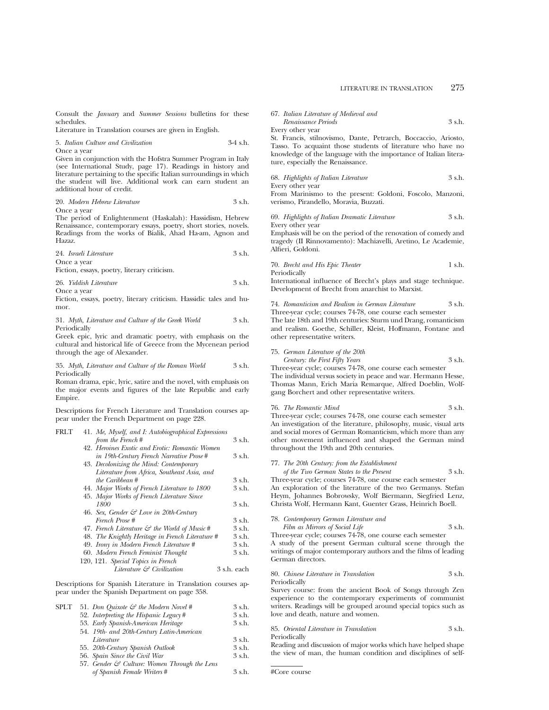Consult the *January* and *Summer Sessions* bulletins for these schedules.

Literature in Translation courses are given in English.

5. *Italian Culture and Civilization* 3-4 s.h.

Once a year

Given in conjunction with the Hofstra Summer Program in Italy (see International Study, page 17). Readings in history and literature pertaining to the specific Italian surroundings in which the student will live. Additional work can earn student an additional hour of credit.

|  |  | 20. Modern Hebrew Literature |  | 3 s.h. |
|--|--|------------------------------|--|--------|
|--|--|------------------------------|--|--------|

Once a year

The period of Enlightenment (Haskalah): Hassidism, Hebrew Renaissance, contemporary essays, poetry, short stories, novels. Readings from the works of Bialik, Ahad Ha-am, Agnon and Hazaz.

| 24. Israeli Literature | 3 s.h. |
|------------------------|--------|
| Once a vear            |        |

Fiction, essays, poetry, literary criticism.

| 26. Yiddish Literature | 3 s.h. |
|------------------------|--------|
| Once a vear            |        |

Fiction, essays, poetry, literary criticism. Hassidic tales and humor.

31. *Myth, Literature and Culture of the Greek World* 3 s.h. Periodically

Greek epic, lyric and dramatic poetry, with emphasis on the cultural and historical life of Greece from the Mycenean period through the age of Alexander.

35. *Myth, Literature and Culture of the Roman World* 3 s.h. Periodically

Roman drama, epic, lyric, satire and the novel, with emphasis on the major events and figures of the late Republic and early Empire.

Descriptions for French Literature and Translation courses appear under the French Department on page 228.

| <b>FRLT</b> | 41. Me, Myself, and I: Autobiographical Expressions      |             |
|-------------|----------------------------------------------------------|-------------|
|             | from the French#                                         | 3 s.h.      |
|             | 42. Heroines Exotic and Erotic: Romantic Women           |             |
|             | in 19th-Century French Narrative Prose#                  | $3$ s.h.    |
|             | 43. Decolonizing the Mind: Contemporary                  |             |
|             | Literature from Africa, Southeast Asia, and              |             |
|             | the Caribbean #                                          | $3$ s.h.    |
|             | 44. Major Works of French Literature to 1800             | 3 s.h.      |
|             | 45. Major Works of French Literature Since               |             |
|             | 1800                                                     | 3 s.h.      |
|             | 46. Sex, Gender & Love in 20th-Century                   |             |
|             | French Prose #                                           | 3 s.h.      |
|             | 47. French Literature $\mathcal{C}$ the World of Music # | $3$ s.h.    |
|             | 48. The Knightly Heritage in French Literature #         | $3$ s.h.    |
|             | 49. Irony in Modern French Literature #                  | $3$ s.h.    |
|             | 60. Modern French Feminist Thought                       | 3 s.h.      |
|             | 120, 121. Special Topics in French                       |             |
|             | Literature & Civilization                                | 3 s.h. each |
|             |                                                          |             |

Descriptions for Spanish Literature in Translation courses appear under the Spanish Department on page 358.

| 3 s.h. |
|--------|
| 3 s.h. |
|        |
| 3 s.h. |
| 3 s.h. |
| 3 s.h. |
|        |
| 3 s.h. |
|        |

|  |  |  | 67. Italian Literature of Medieval and |  |  |  |
|--|--|--|----------------------------------------|--|--|--|
|--|--|--|----------------------------------------|--|--|--|

*Renaissance Periods* 3 s.h. Every other year

St. Francis, stilnovismo, Dante, Petrarch, Boccaccio, Ariosto, Tasso. To acquaint those students of literature who have no knowledge of the language with the importance of Italian literature, especially the Renaissance.

68. *Highlights of Italian Literature* 3 s.h. Every other year

From Marinismo to the present: Goldoni, Foscolo, Manzoni, verismo, Pirandello, Moravia, Buzzati.

69. *Highlights of Italian Dramatic Literature* 3 s.h. Every other year

Emphasis will be on the period of the renovation of comedy and tragedy (II Rinnovamento): Machiavelli, Aretino, Le Academie, Alfieri, Goldoni.

70. *Brecht and His Epic Theater* 1 s.h. Periodically

International influence of Brecht's plays and stage technique. Development of Brecht from anarchist to Marxist.

74. *Romanticism and Realism in German Literature* 3 s.h. Three-year cycle; courses 74-78, one course each semester

The late 18th and 19th centuries: Sturm und Drang, romanticism and realism. Goethe, Schiller, Kleist, Hoffmann, Fontane and other representative writers.

#### 75. *German Literature of the 20th Century: the First Fifty Years*

$$
3\text{ sh}
$$

Three-year cycle; courses 74-78, one course each semester The individual versus society in peace and war. Hermann Hesse, Thomas Mann, Erich Maria Remarque, Alfred Doeblin, Wolfgang Borchert and other representative writers.

| 76. The Romantic Mind | 3 s.h. |
|-----------------------|--------|
|-----------------------|--------|

Three-year cycle; courses 74-78, one course each semester An investigation of the literature, philosophy, music, visual arts and social mores of German Romanticism, which more than any other movement influenced and shaped the German mind throughout the 19th and 20th centuries.

## 77. *The 20th Century: from the Establishment*

*of the Two German States to the Present* 3 s.h. Three-year cycle; courses 74-78, one course each semester

An exploration of the literature of the two Germanys. Stefan Heym, Johannes Bobrowsky, Wolf Biermann, Siegfried Lenz, Christa Wolf, Hermann Kant, Guenter Grass, Heinrich Boell.

78. *Contemporary German Literature and*

*Film as Mirrors of Social Life* 3 s.h. Three-year cycle; courses 74-78, one course each semester

A study of the present German cultural scene through the writings of major contemporary authors and the films of leading German directors.

80. *Chinese Literature in Translation* 3 s.h. Periodically

Survey course: from the ancient Book of Songs through Zen experience to the contemporary experiments of communist writers. Readings will be grouped around special topics such as love and death, nature and women.

85. *Oriental Literature in Translation* 3 s.h. Periodically

Reading and discussion of major works which have helped shape the view of man, the human condition and disciplines of self-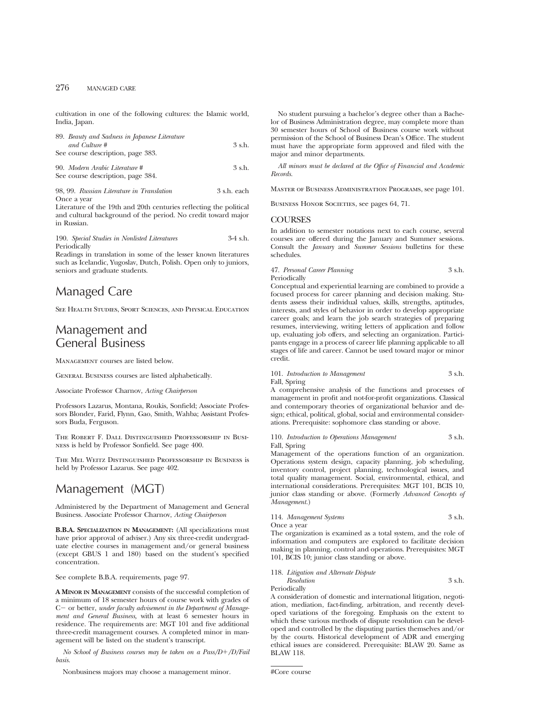cultivation in one of the following cultures: the Islamic world, India, Japan.

| 89. Beauty and Sadness in Japanese Literature<br>and Culture #<br>See course description, page 383. | $3$ s.h. |
|-----------------------------------------------------------------------------------------------------|----------|
| 90. Modern Arabic Literature #<br>See course description, page 384.                                 | $3$ s.h. |

98, 99. *Russian Literature in Translation* 3 s.h. each Once a year

Literature of the 19th and 20th centuries reflecting the political and cultural background of the period. No credit toward major in Russian.

190. *Special Studies in Nonlisted Literatures* 3-4 s.h. Periodically

Readings in translation in some of the lesser known literatures such as Icelandic, Yugoslav, Dutch, Polish. Open only to juniors, seniors and graduate students.

## Managed Care

See Health Studies, Sport Sciences, and Physical Education

## Management and General Business

Management courses are listed below.

General Business courses are listed alphabetically.

Associate Professor Charnov, *Acting Chairperson*

Professors Lazarus, Montana, Roukis, Sonfield; Associate Professors Blonder, Farid, Flynn, Gao, Smith, Wahba; Assistant Professors Buda, Ferguson.

The Robert F. Dall Distinguished Professorship in Business is held by Professor Sonfield. See page 400.

The Mel Weitz Distinguished Professorship in Business is held by Professor Lazarus. See page 402.

## Management (MGT)

Administered by the Department of Management and General Business. Associate Professor Charnov, *Acting Chairperson*

**B.B.A. SPECIALIZATION IN MANAGEMENT:** (All specializations must have prior approval of adviser.) Any six three-credit undergraduate elective courses in management and/or general business (except GBUS 1 and 180) based on the student's specified concentration.

See complete B.B.A. requirements, page 97.

**A MINOR IN MANAGEMENT** consists of the successful completion of a minimum of 18 semester hours of course work with grades of C – or better, *under faculty advisement in the Department of Management and General Business,* with at least 6 semester hours in residence. The requirements are: MGT 101 and five additional three-credit management courses. A completed minor in management will be listed on the student's transcript.

*No School of Business courses may be taken on a Pass/D+/D/Fail basis.*

Nonbusiness majors may choose a management minor.

No student pursuing a bachelor's degree other than a Bachelor of Business Administration degree, may complete more than 30 semester hours of School of Business course work without permission of the School of Business Dean's Office. The student must have the appropriate form approved and filed with the major and minor departments.

*All minors must be declared at the Office of Financial and Academic Records.*

Master of Business Administration Programs, see page 101.

BUSINESS HONOR SOCIETIES, see pages 64, 71.

#### **COURSES**

In addition to semester notations next to each course, several courses are offered during the January and Summer sessions. Consult the *January* and *Summer Sessions* bulletins for these schedules.

47. *Personal Career Planning* 3 s.h. Periodically

Conceptual and experiential learning are combined to provide a focused process for career planning and decision making. Students assess their individual values, skills, strengths, aptitudes, interests, and styles of behavior in order to develop appropriate career goals; and learn the job search strategies of preparing resumes, interviewing, writing letters of application and follow up, evaluating job offers, and selecting an organization. Participants engage in a process of career life planning applicable to all stages of life and career. Cannot be used toward major or minor credit.

101. *Introduction to Management* 3 s.h. Fall, Spring

A comprehensive analysis of the functions and processes of management in profit and not-for-profit organizations. Classical and contemporary theories of organizational behavior and design; ethical, political, global, social and environmental considerations. Prerequisite: sophomore class standing or above.

110. *Introduction to Operations Management* 3 s.h. Fall, Spring

Management of the operations function of an organization. Operations system design, capacity planning, job scheduling, inventory control, project planning, technological issues, and total quality management. Social, environmental, ethical, and international considerations. Prerequisites: MGT 101, BCIS 10, junior class standing or above. (Formerly *Advanced Concepts of Management.*)

114. *Management Systems* 3 s.h. Once a year

The organization is examined as a total system, and the role of information and computers are explored to facilitate decision making in planning, control and operations. Prerequisites: MGT 101, BCIS 10; junior class standing or above.

118. *Litigation and Alternate Dispute*

*Resolution* 3 s.h. Periodically

A consideration of domestic and international litigation, negotiation, mediation, fact-finding, arbitration, and recently developed variations of the foregoing. Emphasis on the extent to which these various methods of dispute resolution can be developed and controlled by the disputing parties themselves and/or by the courts. Historical development of ADR and emerging ethical issues are considered. Prerequisite: BLAW 20. Same as BLAW 118.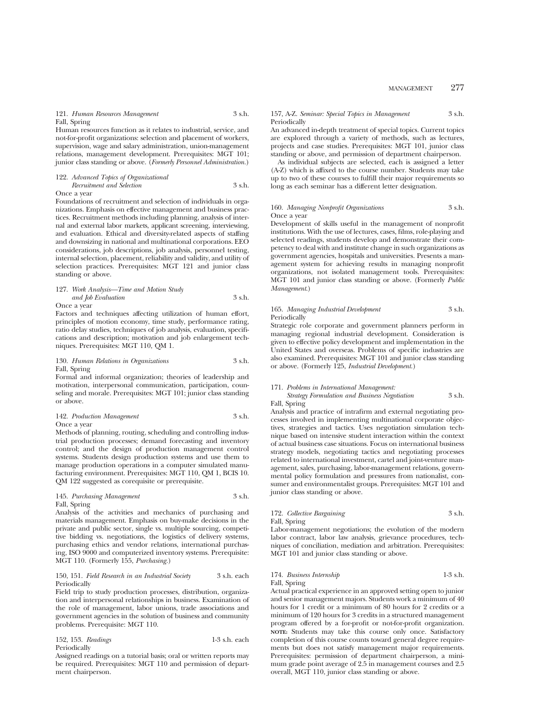## MANAGEMENT 277

#### 121. *Human Resources Management* 3 s.h.

## Fall, Spring

Human resources function as it relates to industrial, service, and not-for-profit organizations: selection and placement of workers, supervision, wage and salary administration, union-management relations, management development. Prerequisites: MGT 101; junior class standing or above. (*Formerly Personnel Administration.*)

122. *Advanced Topics of Organizational Recruitment and Selection* 3 s.h.

Once a year

Foundations of recruitment and selection of individuals in organizations. Emphasis on effective management and business practices. Recruitment methods including planning, analysis of internal and external labor markets, applicant screening, interviewing, and evaluation. Ethical and diversity-related aspects of staffing and downsizing in national and multinational corporations. EEO considerations, job descriptions, job analysis, personnel testing, internal selection, placement, reliability and validity, and utility of selection practices. Prerequisites: MGT 121 and junior class standing or above.

#### 127. *Work Analysis—Time and Motion Study and Job Evaluation* 3 s.h. Once a year

Factors and techniques affecting utilization of human effort, principles of motion economy, time study, performance rating, ratio delay studies, techniques of job analysis, evaluation, specifications and description; motivation and job enlargement techniques. Prerequisites: MGT 110, QM 1.

#### 130. *Human Relations in Organizations* 3 s.h. Fall, Spring

Formal and informal organization; theories of leadership and motivation, interpersonal communication, participation, counseling and morale. Prerequisites: MGT 101; junior class standing or above.

#### 142. *Production Management* 3 s.h. Once a year

Methods of planning, routing, scheduling and controlling industrial production processes; demand forecasting and inventory control; and the design of production management control systems. Students design production systems and use them to manage production operations in a computer simulated manufacturing environment. Prerequisites: MGT 110, QM 1, BCIS 10. QM 122 suggested as corequisite or prerequisite.

145. *Purchasing Management* 3 s.h. Fall, Spring

Analysis of the activities and mechanics of purchasing and materials management. Emphasis on buy-make decisions in the private and public sector, single vs. multiple sourcing, competitive bidding vs. negotiations, the logistics of delivery systems, purchasing ethics and vendor relations, international purchasing, ISO 9000 and computerized inventory systems. Prerequisite: MGT 110. (Formerly 155, *Purchasing.*)

#### 150, 151. *Field Research in an Industrial Society* 3 s.h. each Periodically

Field trip to study production processes, distribution, organization and interpersonal relationships in business. Examination of the role of management, labor unions, trade associations and government agencies in the solution of business and community problems. Prerequisite: MGT 110.

| 152, 153. Readings | $1-3$ s.h. each |
|--------------------|-----------------|
| Periodically       |                 |

Assigned readings on a tutorial basis; oral or written reports may be required. Prerequisites: MGT 110 and permission of department chairperson.

#### 157, A-Z. *Seminar: Special Topics in Management* 3 s.h. Periodically

An advanced in-depth treatment of special topics. Current topics are explored through a variety of methods, such as lectures, projects and case studies. Prerequisites: MGT 101, junior class standing or above, and permission of department chairperson.

As individual subjects are selected, each is assigned a letter (A-Z) which is affixed to the course number. Students may take up to two of these courses to fulfill their major requirements so long as each seminar has a different letter designation.

## 160. *Managing Nonprofit Organizations* 3 s.h. Once a year

Development of skills useful in the management of nonprofit institutions. With the use of lectures, cases, films, role-playing and selected readings, students develop and demonstrate their competency to deal with and institute change in such organizations as government agencies, hospitals and universities. Presents a management system for achieving results in managing nonprofit organizations, not isolated management tools. Prerequisites: MGT 101 and junior class standing or above. (Formerly *Public Management*.)

## 165. *Managing Industrial Development* 3 s.h. Periodically

Strategic role corporate and government planners perform in managing regional industrial development. Consideration is given to effective policy development and implementation in the United States and overseas. Problems of specific industries are also examined. Prerequisites: MGT 101 and junior class standing or above. (Formerly 125, *Industrial Development.*)

#### 171. *Problems in International Management:*

*Strategy Formulation and Business Negotiation* 3 s.h. Fall, Spring

Analysis and practice of intrafirm and external negotiating processes involved in implementing multinational corporate objectives, strategies and tactics. Uses negotiation simulation technique based on intensive student interaction within the context of actual business case situations. Focus on international business strategy models, negotiating tactics and negotiating processes related to international investment, cartel and joint-venture management, sales, purchasing, labor-management relations, governmental policy formulation and pressures from nationalist, consumer and environmentalist groups. Prerequisites: MGT 101 and junior class standing or above.

## 172. Collective Bargaining 3 s.h. Fall, Spring

Labor-management negotiations; the evolution of the modern labor contract, labor law analysis, grievance procedures, techniques of conciliation, mediation and arbitration. Prerequisites: MGT 101 and junior class standing or above.

### 174. *Business Internship* 1-3 s.h. Fall, Spring

Actual practical experience in an approved setting open to junior and senior management majors. Students work a minimum of 40 hours for 1 credit or a minimum of 80 hours for 2 credits or a minimum of 120 hours for 3 credits in a structured management program offered by a for-profit or not-for-profit organization. **NOTE:** Students may take this course only once. Satisfactory completion of this course counts toward general degree requirements but does not satisfy management major requirements. Prerequisites: permission of department chairperson, a minimum grade point average of 2.5 in management courses and 2.5 overall, MGT 110, junior class standing or above.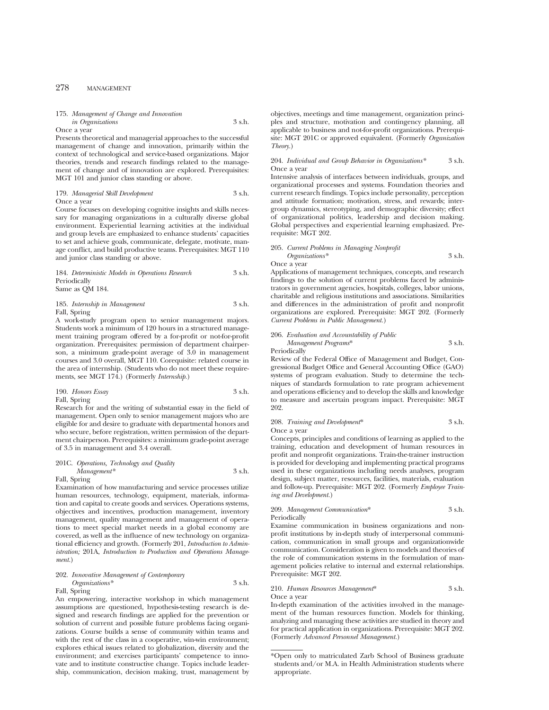## 278 MANAGEMENT

175. *Management of Change and Innovation*

*in Organizations* 3 s.h. Once a year

Presents theoretical and managerial approaches to the successful management of change and innovation, primarily within the context of technological and service-based organizations. Major theories, trends and research findings related to the management of change and of innovation are explored. Prerequisites: MGT 101 and junior class standing or above.

179. *Managerial Skill Development* 3 s.h. Once a year

Course focuses on developing cognitive insights and skills necessary for managing organizations in a culturally diverse global environment. Experiential learning activities at the individual and group levels are emphasized to enhance students' capacities to set and achieve goals, communicate, delegate, motivate, manage conflict, and build productive teams. Prerequisites: MGT 110 and junior class standing or above.

| 184. Deterministic Models in Operations Research | 3 s.h. |
|--------------------------------------------------|--------|
| Periodically                                     |        |
| Same as OM 184.                                  |        |

| 185. Internship in Management | 3 s.h. |
|-------------------------------|--------|
| Fall, Spring                  |        |

A work-study program open to senior management majors. Students work a minimum of 120 hours in a structured management training program offered by a for-profit or not-for-profit organization. Prerequisites: permission of department chairperson, a minimum grade-point average of 3.0 in management courses and 3.0 overall, MGT 110. Corequisite: related course in the area of internship. (Students who do not meet these requirements, see MGT 174.) (Formerly *Internship.*)

| 190. Honors Essay | 3 s.h. |
|-------------------|--------|
| Fall, Spring      |        |

Research for and the writing of substantial essay in the field of management. Open only to senior management majors who are eligible for and desire to graduate with departmental honors and who secure, before registration, written permission of the department chairperson. Prerequisites: a minimum grade-point average of 3.5 in management and 3.4 overall.

#### 201C. *Operations, Technology and Quality Management\** 3 s.h. Fall, Spring

Examination of how manufacturing and service processes utilize human resources, technology, equipment, materials, information and capital to create goods and services. Operations systems, objectives and incentives, production management, inventory management, quality management and management of operations to meet special market needs in a global economy are covered, as well as the influence of new technology on organizational efficiency and growth. (Formerly 201, *Introduction to Administration;* 201A, *Introduction to Production and Operations Management.*)

## 202. *Innovative Management of Contemporary Organizations\** 3 s.h.

Fall, Spring

An empowering, interactive workshop in which management assumptions are questioned, hypothesis-testing research is designed and research findings are applied for the prevention or solution of current and possible future problems facing organizations. Course builds a sense of community within teams and with the rest of the class in a cooperative, win-win environment; explores ethical issues related to globalization, diversity and the environment; and exercises participants' competence to innovate and to institute constructive change. Topics include leadership, communication, decision making, trust, management by

objectives, meetings and time management, organization principles and structure, motivation and contingency planning, all applicable to business and not-for-profit organizations. Prerequisite: MGT 201C or approved equivalent. (Formerly *Organization Theory.*)

#### 204. *Individual and Group Behavior in Organizations\** 3 s.h. Once a year

Intensive analysis of interfaces between individuals, groups, and organizational processes and systems. Foundation theories and current research findings. Topics include personality, perception and attitude formation; motivation, stress, and rewards; intergroup dynamics, stereotyping, and demographic diversity; effect of organizational politics, leadership and decision making. Global perspectives and experiential learning emphasized. Prerequisite: MGT 202.

## 205. *Current Problems in Managing Nonprofit Organizations\** 3 s.h.

Once a year

Applications of management techniques, concepts, and research findings to the solution of current problems faced by administrators in government agencies, hospitals, colleges, labor unions, charitable and religious institutions and associations. Similarities and differences in the administration of profit and nonprofit organizations are explored. Prerequisite: MGT 202. (Formerly *Current Problems in Public Management.*)

#### 206. *Evaluation and Accountability of Public*

*Management Programs*\* 3 s.h. Periodically

Review of the Federal Office of Management and Budget, Congressional Budget Office and General Accounting Office (GAO) systems of program evaluation. Study to determine the techniques of standards formulation to rate program achievement and operations efficiency and to develop the skills and knowledge to measure and ascertain program impact. Prerequisite: MGT 202.

#### 208. *Training and Development*\* 3 s.h. Once a year

Concepts, principles and conditions of learning as applied to the training, education and development of human resources in profit and nonprofit organizations. Train-the-trainer instruction is provided for developing and implementing practical programs used in these organizations including needs analyses, program design, subject matter, resources, facilities, materials, evaluation and follow-up. Prerequisite: MGT 202. (Formerly *Employee Training and Development.*)

#### 209. *Management Communication*\* 3 s.h. Periodically

Examine communication in business organizations and nonprofit institutions by in-depth study of interpersonal communication, communication in small groups and organizationwide communication. Consideration is given to models and theories of the role of communication systems in the formulation of management policies relative to internal and external relationships. Prerequisite: MGT 202.

## 210. *Human Resources Management*\* 3 s.h. Once a year

In-depth examination of the activities involved in the management of the human resources function. Models for thinking, analyzing and managing these activities are studied in theory and for practical application in organizations. Prerequisite: MGT 202. (Formerly *Advanced Personnel Management.*)

<sup>\*</sup>Open only to matriculated Zarb School of Business graduate students and/or M.A. in Health Administration students where appropriate.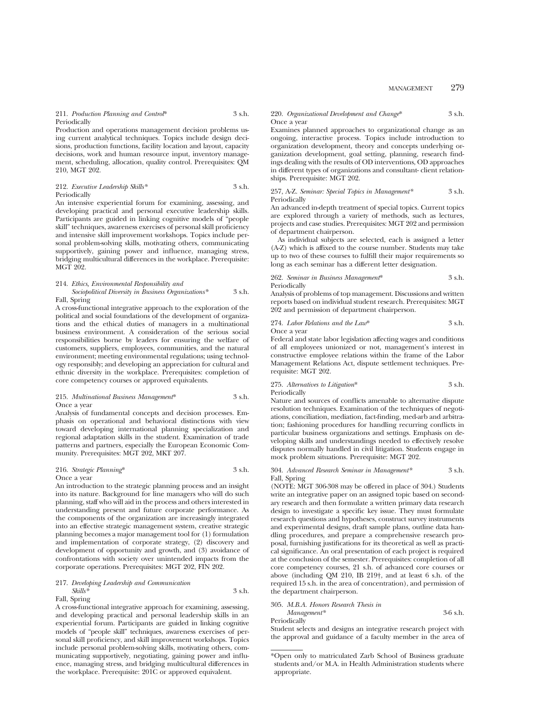## 211. *Production Planning and Control*\* 3 s.h. Periodically

Production and operations management decision problems using current analytical techniques. Topics include design decisions, production functions, facility location and layout, capacity decisions, work and human resource input, inventory management, scheduling, allocation, quality control. Prerequisites: QM 210, MGT 202.

#### 212. *Executive Leadership Skills\** 3 s.h. Periodically

An intensive experiential forum for examining, assessing, and developing practical and personal executive leadership skills. Participants are guided in linking cognitive models of "people skill" techniques, awareness exercises of personal skill proficiency and intensive skill improvement workshops. Topics include personal problem-solving skills, motivating others, communicating supportively, gaining power and influence, managing stress, bridging multicultural differences in the workplace. Prerequisite: MGT 202.

## 214. *Ethics, Environmental Responsibility and Sociopolitical Diversity in Business Organizations\** 3 s.h.

Fall, Spring

A cross-functional integrative approach to the exploration of the political and social foundations of the development of organizations and the ethical duties of managers in a multinational business environment. A consideration of the serious social responsibilities borne by leaders for ensuring the welfare of customers, suppliers, employees, communities, and the natural environment; meeting environmental regulations; using technology responsibly; and developing an appreciation for cultural and ethnic diversity in the workplace. Prerequisites: completion of core competency courses or approved equivalents.

#### 215. *Multinational Business Management*\* 3 s.h. Once a year

Analysis of fundamental concepts and decision processes. Emphasis on operational and behavioral distinctions with view toward developing international planning specialization and regional adaptation skills in the student. Examination of trade patterns and partners, especially the European Economic Community. Prerequisites: MGT 202, MKT 207.

#### 216. *Strategic Planning*\* 3 s.h. Once a year

An introduction to the strategic planning process and an insight into its nature. Background for line managers who will do such planning, staff who will aid in the process and others interested in understanding present and future corporate performance. As the components of the organization are increasingly integrated into an effective strategic management system, creative strategic planning becomes a major management tool for (1) formulation and implementation of corporate strategy, (2) discovery and development of opportunity and growth, and (3) avoidance of confrontations with society over unintended impacts from the corporate operations. Prerequisites: MGT 202, FIN 202.

#### 217. *Developing Leadership and Communication Skills\** 3 s.h. Fall, Spring

A cross-functional integrative approach for examining, assessing, and developing practical and personal leadership skills in an experiential forum. Participants are guided in linking cognitive models of "people skill" techniques, awareness exercises of personal skill proficiency, and skill improvement workshops. Topics include personal problem-solving skills, motivating others, communicating supportively, negotiating, gaining power and influence, managing stress, and bridging multicultural differences in the workplace. Prerequisite: 201C or approved equivalent.

#### 220. *Organizational Development and Change*\* 3 s.h. Once a year

Examines planned approaches to organizational change as an ongoing, interactive process. Topics include introduction to organization development, theory and concepts underlying organization development, goal setting, planning, research findings dealing with the results of OD interventions, OD approaches in different types of organizations and consultant- client relationships. Prerequisite: MGT 202.

#### 257, A-Z. *Seminar: Special Topics in Management\** 3 s.h. Periodically

An advanced in-depth treatment of special topics. Current topics are explored through a variety of methods, such as lectures, projects and case studies. Prerequisites: MGT 202 and permission of department chairperson.

As individual subjects are selected, each is assigned a letter (A-Z) which is affixed to the course number. Students may take up to two of these courses to fulfill their major requirements so long as each seminar has a different letter designation.

262. *Seminar in Business Management*\* 3 s.h. Periodically

Analysis of problems of top management. Discussions and written reports based on individual student research. Prerequisites: MGT 202 and permission of department chairperson.

274. *Labor Relations and the Law*\* 3 s.h. Once a year

Federal and state labor legislation affecting wages and conditions of all employees unionized or not, management's interest in constructive employee relations within the frame of the Labor Management Relations Act, dispute settlement techniques. Prerequisite: MGT 202.

275. *Alternatives to Litigation*\* 3 s.h. Periodically

Nature and sources of conflicts amenable to alternative dispute resolution techniques. Examination of the techniques of negotiations, conciliation, mediation, fact-finding, med-arb and arbitration; fashioning procedures for handling recurring conflicts in particular business organizations and settings. Emphasis on developing skills and understandings needed to effectively resolve disputes normally handled in civil litigation. Students engage in mock problem situations. Prerequisite: MGT 202.

#### 304. *Advanced Research Seminar in Management\** 3 s.h. Fall, Spring

(NOTE: MGT 306-308 may be offered in place of 304.) Students write an integrative paper on an assigned topic based on secondary research and then formulate a written primary data research design to investigate a specific key issue. They must formulate research questions and hypotheses, construct survey instruments and experimental designs, draft sample plans, outline data handling procedures, and prepare a comprehensive research proposal, furnishing justifications for its theoretical as well as practical significance. An oral presentation of each project is required at the conclusion of the semester. Prerequisites: completion of all core competency courses, 21 s.h. of advanced core courses or above (including QM 210, IB 219†, and at least 6 s.h. of the required 15 s.h. in the area of concentration), and permission of the department chairperson.

305. *M.B.A. Honors Research Thesis in Management\** 3-6 s.h.

Periodically

Student selects and designs an integrative research project with the approval and guidance of a faculty member in the area of

<sup>\*</sup>Open only to matriculated Zarb School of Business graduate students and/or M.A. in Health Administration students where appropriate.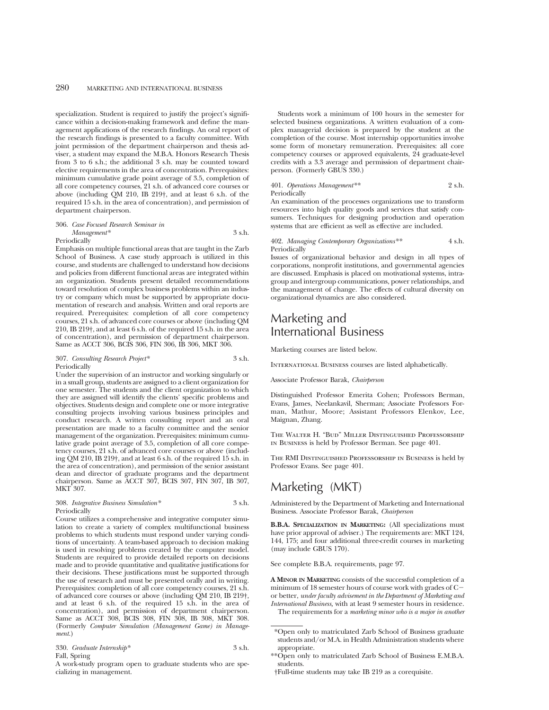specialization. Student is required to justify the project's significance within a decision-making framework and define the management applications of the research findings. An oral report of the research findings is presented to a faculty committee. With joint permission of the department chairperson and thesis adviser, a student may expand the M.B.A. Honors Research Thesis from 3 to 6 s.h.; the additional 3 s.h. may be counted toward elective requirements in the area of concentration. Prerequisites: minimum cumulative grade point average of 3.5, completion of all core competency courses, 21 s.h. of advanced core courses or above (including QM 210, IB 219†, and at least 6 s.h. of the required 15 s.h. in the area of concentration), and permission of department chairperson.

#### 306. *Case Focused Research Seminar in Management\** 3 s.h.

Periodically

Emphasis on multiple functional areas that are taught in the Zarb School of Business. A case study approach is utilized in this course, and students are challenged to understand how decisions and policies from different functional areas are integrated within an organization. Students present detailed recommendations toward resolution of complex business problems within an industry or company which must be supported by appropriate documentation of research and analysis. Written and oral reports are required. Prerequisites: completion of all core competency courses, 21 s.h. of advanced core courses or above (including QM 210, IB 219†, and at least 6 s.h. of the required 15 s.h. in the area of concentration), and permission of department chairperson. Same as ACCT 306, BCIS 306, FIN 306, IB 306, MKT 306.

307. *Consulting Research Project\** 3 s.h. Periodically

Under the supervision of an instructor and working singularly or in a small group, students are assigned to a client organization for one semester. The students and the client organization to which they are assigned will identify the clients' specific problems and objectives. Students design and complete one or more integrative consulting projects involving various business principles and conduct research. A written consulting report and an oral presentation are made to a faculty committee and the senior management of the organization. Prerequisites: minimum cumulative grade point average of 3.5, completion of all core competency courses, 21 s.h. of advanced core courses or above (including QM 210, IB 219†, and at least 6 s.h. of the required 15 s.h. in the area of concentration), and permission of the senior assistant dean and director of graduate programs and the department chairperson. Same as ACCT 307, BCIS 307, FIN 307, IB 307, MKT 307.

308. *Integrative Business Simulation\** 3 s.h. Periodically

Course utilizes a comprehensive and integrative computer simulation to create a variety of complex multifunctional business problems to which students must respond under varying conditions of uncertainty. A team-based approach to decision making is used in resolving problems created by the computer model. Students are required to provide detailed reports on decisions made and to provide quantitative and qualitative justifications for their decisions. These justifications must be supported through the use of research and must be presented orally and in writing. Prerequisites: completion of all core competency courses, 21 s.h. of advanced core courses or above (including QM 210, IB 219†, and at least 6 s.h. of the required 15 s.h. in the area of concentration), and permission of department chairperson. Same as ACCT 308, BCIS 308, FIN 308, IB 308, MKT 308. (Formerly *Computer Simulation (Management Game) in Management.*)

|  | 330. Graduate Internship* | 3 s.h. |
|--|---------------------------|--------|
|--|---------------------------|--------|

## Fall, Spring

A work-study program open to graduate students who are specializing in management.

Students work a minimum of 100 hours in the semester for selected business organizations. A written evaluation of a complex managerial decision is prepared by the student at the completion of the course. Most internship opportunities involve some form of monetary remuneration. Prerequisites: all core competency courses or approved equivalents, 24 graduate-level credits with a 3.3 average and permission of department chairperson. (Formerly GBUS 330.)

#### 401. *Operations Management\*\** 2 s.h. Periodically

An examination of the processes organizations use to transform resources into high quality goods and services that satisfy consumers. Techniques for designing production and operation systems that are efficient as well as effective are included.

402. *Managing Contemporary Organizations\*\** 4 s.h. Periodically

Issues of organizational behavior and design in all types of corporations, nonprofit institutions, and governmental agencies are discussed. Emphasis is placed on motivational systems, intragroup and intergroup communications, power relationships, and the management of change. The effects of cultural diversity on organizational dynamics are also considered.

# Marketing and International Business

Marketing courses are listed below.

INTERNATIONAL BUSINESS courses are listed alphabetically.

Associate Professor Barak, *Chairperson*

Distinguished Professor Emerita Cohen; Professors Berman, Evans, James, Neelankavil, Sherman; Associate Professors Forman, Mathur, Moore; Assistant Professors Elenkov, Lee, Maignan, Zhang.

The Walter H. "Bud" Miller Distinguished Professorship in Business is held by Professor Berman. See page 401.

The RMI Distinguished Professorship in Business is held by Professor Evans. See page 401.

## Marketing (MKT)

Administered by the Department of Marketing and International Business. Associate Professor Barak, *Chairperson*

**B.B.A. SPECIALIZATION IN MARKETING:** (All specializations must have prior approval of adviser.) The requirements are: MKT 124, 144, 175; and four additional three-credit courses in marketing (may include GBUS 170).

See complete B.B.A. requirements, page 97.

**A MINOR IN MARKETING** consists of the successful completion of a minimum of 18 semester hours of course work with grades of Cor better, *under faculty advisement in the Department of Marketing and International Business,* with at least 9 semester hours in residence.

The requirements for a *marketing minor who is a major in another*

<sup>\*</sup>Open only to matriculated Zarb School of Business graduate students and/or M.A. in Health Administration students where appropriate.

<sup>\*\*</sup>Open only to matriculated Zarb School of Business E.M.B.A. students.

<sup>†</sup>Full-time students may take IB 219 as a corequisite.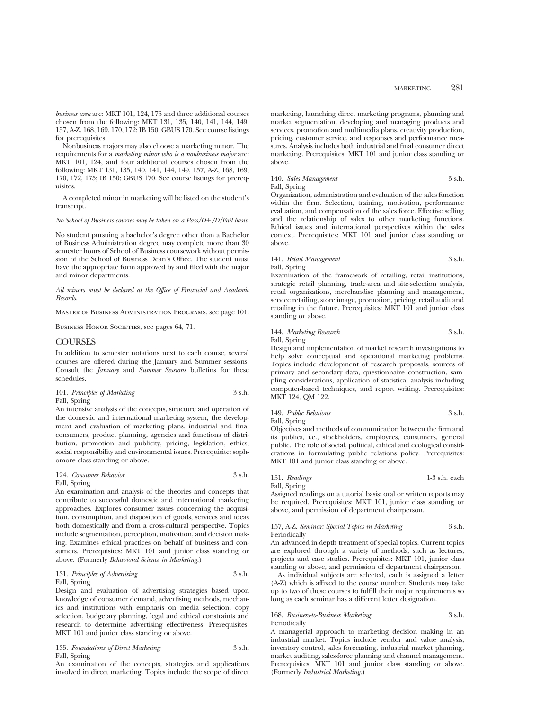*business area* are: MKT 101, 124, 175 and three additional courses chosen from the following: MKT 131, 135, 140, 141, 144, 149, 157, A-Z, 168, 169, 170, 172; IB 150; GBUS 170. See course listings for prerequisites.

Nonbusiness majors may also choose a marketing minor. The requirements for a *marketing minor who is a nonbusiness major* are: MKT 101, 124, and four additional courses chosen from the following: MKT 131, 135, 140, 141, 144, 149, 157, A-Z, 168, 169, 170, 172, 175; IB 150; GBUS 170. See course listings for prerequisites.

A completed minor in marketing will be listed on the student's transcript.

## *No School of Business courses may be taken on a Pass/D+/D/Fail basis.*

No student pursuing a bachelor's degree other than a Bachelor of Business Administration degree may complete more than 30 semester hours of School of Business coursework without permission of the School of Business Dean's Office. The student must have the appropriate form approved by and filed with the major and minor departments.

*All minors must be declared at the Office of Financial and Academic Records.*

Master of Business Administration Programs, see page 101.

BUSINESS HONOR SOCIETIES, see pages 64, 71.

#### COURSES

In addition to semester notations next to each course, several courses are offered during the January and Summer sessions. Consult the *January* and *Summer Sessions* bulletins for these schedules.

| 101. Principles of Marketing | 3 s.h. |
|------------------------------|--------|
| Fall, Spring                 |        |

An intensive analysis of the concepts, structure and operation of the domestic and international marketing system, the development and evaluation of marketing plans, industrial and final consumers, product planning, agencies and functions of distribution, promotion and publicity, pricing, legislation, ethics, social responsibility and environmental issues. Prerequisite: sophomore class standing or above.

124. *Consumer Behavior* 3 s.h. Fall, Spring

An examination and analysis of the theories and concepts that contribute to successful domestic and international marketing approaches. Explores consumer issues concerning the acquisition, consumption, and disposition of goods, services and ideas both domestically and from a cross-cultural perspective. Topics include segmentation, perception, motivation, and decision making. Examines ethical practices on behalf of business and consumers. Prerequisites: MKT 101 and junior class standing or above. (Formerly *Behavioral Science in Marketing*.)

131. *Principles of Advertising* 3 s.h. Fall, Spring

Design and evaluation of advertising strategies based upon knowledge of consumer demand, advertising methods, mechanics and institutions with emphasis on media selection, copy selection, budgetary planning, legal and ethical constraints and research to determine advertising effectiveness. Prerequisites: MKT 101 and junior class standing or above.

135. *Foundations of Direct Marketing* 3 s.h. Fall, Spring

An examination of the concepts, strategies and applications involved in direct marketing. Topics include the scope of direct

marketing, launching direct marketing programs, planning and market segmentation, developing and managing products and services, promotion and multimedia plans, creativity production, pricing, customer service, and responses and performance measures. Analysis includes both industrial and final consumer direct marketing. Prerequisites: MKT 101 and junior class standing or above.

140. *Sales Management* 3 s.h. Fall, Spring

Organization, administration and evaluation of the sales function within the firm. Selection, training, motivation, performance evaluation, and compensation of the sales force. Effective selling and the relationship of sales to other marketing functions. Ethical issues and international perspectives within the sales context. Prerequisites: MKT 101 and junior class standing or above.

## 141. *Retail Management* 3 s.h. Fall, Spring

Examination of the framework of retailing, retail institutions, strategic retail planning, trade-area and site-selection analysis, retail organizations, merchandise planning and management, service retailing, store image, promotion, pricing, retail audit and retailing in the future. Prerequisites: MKT 101 and junior class standing or above.

144. *Marketing Research* 3 s.h. Fall, Spring

Design and implementation of market research investigations to help solve conceptual and operational marketing problems. Topics include development of research proposals, sources of primary and secondary data, questionnaire construction, sampling considerations, application of statistical analysis including computer-based techniques, and report writing. Prerequisites: MKT 124, QM 122.

149. *Public Relations* 3 s.h. Fall, Spring

Objectives and methods of communication between the firm and its publics, i.e., stockholders, employees, consumers, general public. The role of social, political, ethical and ecological considerations in formulating public relations policy. Prerequisites: MKT 101 and junior class standing or above.

151. *Readings* 1-3 s.h. each Fall, Spring

Assigned readings on a tutorial basis; oral or written reports may be required. Prerequisites: MKT 101, junior class standing or above, and permission of department chairperson.

#### 157, A-Z. *Seminar: Special Topics in Marketing* 3 s.h. Periodically

An advanced in-depth treatment of special topics. Current topics are explored through a variety of methods, such as lectures, projects and case studies. Prerequisites: MKT 101, junior class standing or above, and permission of department chairperson.

As individual subjects are selected, each is assigned a letter (A-Z) which is affixed to the course number. Students may take up to two of these courses to fulfill their major requirements so long as each seminar has a different letter designation.

## 168. *Business-to-Business Marketing* 3 s.h. Periodically

A managerial approach to marketing decision making in an industrial market. Topics include vendor and value analysis, inventory control, sales forecasting, industrial market planning, market auditing, sales-force planning and channel management. Prerequisites: MKT 101 and junior class standing or above. (Formerly *Industrial Marketing*.)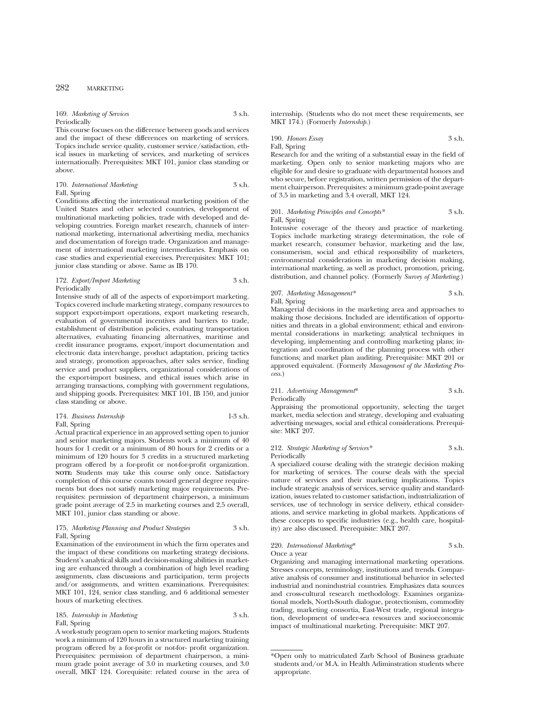## 282 MARKETING

#### 169. *Marketing of Services* 3 s.h. Periodically

This course focuses on the difference between goods and services and the impact of these differences on marketing of services. Topics include service quality, customer service/satisfaction, ethical issues in marketing of services, and marketing of services internationally. Prerequisites: MKT 101, junior class standing or above.

| 170. International Marketing | 3 s.h. |
|------------------------------|--------|
| Fall, Spring                 |        |

Conditions affecting the international marketing position of the United States and other selected countries, development of multinational marketing policies, trade with developed and developing countries. Foreign market research, channels of international marketing, international advertising media, mechanics and documentation of foreign trade. Organization and management of international marketing intermediaries. Emphasis on case studies and experiential exercises. Prerequisites: MKT 101; junior class standing or above. Same as IB 170.

172. *Export/Import Marketing* 3 s.h. Periodically

Intensive study of all of the aspects of export-import marketing. Topics covered include marketing strategy, company resources to support export-import operations, export marketing research, evaluation of governmental incentives and barriers to trade, establishment of distribution policies, evaluating transportation alternatives, evaluating financing alternatives, maritime and credit insurance programs, export/import documentation and electronic data interchange, product adaptation, pricing tactics and strategy, promotion approaches, after sales service, finding service and product suppliers, organizational considerations of the export-import business, and ethical issues which arise in arranging transactions, complying with government regulations, and shipping goods. Prerequisites: MKT 101, IB 150, and junior class standing or above.

174. *Business Internship* 1-3 s.h. Fall, Spring

Actual practical experience in an approved setting open to junior and senior marketing majors. Students work a minimum of 40 hours for 1 credit or a minimum of 80 hours for 2 credits or a minimum of 120 hours for 3 credits in a structured marketing program offered by a for-profit or not-for-profit organization. **NOTE:** Students may take this course only once. Satisfactory completion of this course counts toward general degree requirements but does not satisfy marketing major requirements. Prerequisites: permission of department chairperson, a minimum grade point average of 2.5 in marketing courses and 2.5 overall, MKT 101, junior class standing or above.

#### 175. *Marketing Planning and Product Strategies* 3 s.h. Fall, Spring

Examination of the environment in which the firm operates and the impact of these conditions on marketing strategy decisions. Student's analytical skills and decision-making abilities in marketing are enhanced through a combination of high level reading assignments, class discussions and participation, term projects and/or assignments, and written examinations. Prerequisites: MKT 101, 124, senior class standing, and 6 additional semester hours of marketing electives.

185. *Internship in Marketing* 3 s.h. Fall, Spring

A work-study program open to senior marketing majors. Students work a minimum of 120 hours in a structured marketing training program offered by a for-profit or not-for- profit organization. Prerequisites: permission of department chairperson, a minimum grade point average of 3.0 in marketing courses, and 3.0 overall, MKT 124. Corequisite: related course in the area of internship. (Students who do not meet these requirements, see MKT 174.) (Formerly *Internship.*)

## 190. *Honors Essay* 3 s.h. Fall, Spring

Research for and the writing of a substantial essay in the field of marketing. Open only to senior marketing majors who are eligible for and desire to graduate with departmental honors and who secure, before registration, written permission of the department chairperson. Prerequisites: a minimum grade-point average of 3.5 in marketing and 3.4 overall, MKT 124.

## 201. *Marketing Principles and Concepts\** 3 s.h. Fall, Spring

Intensive coverage of the theory and practice of marketing. Topics include marketing strategy determination, the role of market research, consumer behavior, marketing and the law, consumerism, social and ethical responsibility of marketers, environmental considerations in marketing decision making, international marketing, as well as product, promotion, pricing, distribution, and channel policy. (Formerly *Survey of Marketing.*)

#### 207. *Marketing Management\** 3 s.h. Fall, Spring

Managerial decisions in the marketing area and approaches to making those decisions. Included are identification of opportunities and threats in a global environment; ethical and environmental considerations in marketing; analytical techniques in developing, implementing and controlling marketing plans; integration and coordination of the planning process with other functions; and market plan auditing. Prerequisite: MKT 201 or approved equivalent. (Formerly *Management of the Marketing Process.*)

### 211. *Advertising Management*\* 3 s.h. Periodically

Appraising the promotional opportunity, selecting the target market, media selection and strategy, developing and evaluating advertising messages, social and ethical considerations. Prerequisite: MKT 207.

### 212. *Strategic Marketing of Services\** 3 s.h. Periodically

A specialized course dealing with the strategic decision making for marketing of services. The course deals with the special nature of services and their marketing implications. Topics include strategic analysis of services, service quality and standardization, issues related to customer satisfaction, industrialization of services, use of technology in service delivery, ethical considerations, and service marketing in global markets. Applications of these concepts to specific industries (e.g., health care, hospitality) are also discussed. Prerequisite: MKT 207.

#### 220. *International Marketing*\* 3 s.h. Once a year

Organizing and managing international marketing operations. Stresses concepts, terminology, institutions and trends. Comparative analysis of consumer and institutional behavior in selected industrial and nonindustrial countries. Emphasizes data sources and cross-cultural research methodology. Examines organizational models, North-South dialogue, protectionism, commodity trading, marketing consortia, East-West trade, regional integration, development of under-sea resources and socioeconomic impact of multinational marketing. Prerequisite: MKT 207.

<sup>\*</sup>Open only to matriculated Zarb School of Business graduate students and/or M.A. in Health Adiminstration students where appropriate.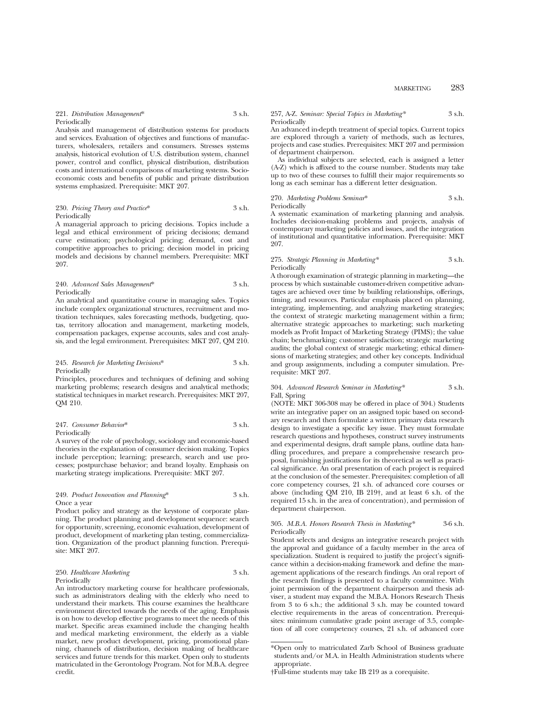## MARKETING 283

#### 221. *Distribution Management*\* 3 s.h. Periodically

Analysis and management of distribution systems for products and services. Evaluation of objectives and functions of manufacturers, wholesalers, retailers and consumers. Stresses systems analysis, historical evolution of U.S. distribution system, channel power, control and conflict, physical distribution, distribution costs and international comparisons of marketing systems. Socioeconomic costs and benefits of public and private distribution systems emphasized. Prerequisite: MKT 207.

#### 230. *Pricing Theory and Practice*\* 3 s.h. Periodically

A managerial approach to pricing decisions. Topics include a legal and ethical environment of pricing decisions; demand curve estimation; psychological pricing; demand, cost and competitive approaches to pricing; decision model in pricing models and decisions by channel members. Prerequisite: MKT 207.

240. *Advanced Sales Management*\* 3 s.h. Periodically

An analytical and quantitative course in managing sales. Topics include complex organizational structures, recruitment and motivation techniques, sales forecasting methods, budgeting, quotas, territory allocation and management, marketing models, compensation packages, expense accounts, sales and cost analysis, and the legal environment. Prerequisites: MKT 207, QM 210.

#### 245. *Research for Marketing Decisions*\* 3 s.h. Periodically

Principles, procedures and techniques of defining and solving marketing problems; research designs and analytical methods; statistical techniques in market research. Prerequisites: MKT 207, QM 210.

| 247. Consumer Behavior* | 3 s.h. |
|-------------------------|--------|
| Periodically            |        |

A survey of the role of psychology, sociology and economic-based theories in the explanation of consumer decision making. Topics include perception; learning; presearch, search and use processes; postpurchase behavior; and brand loyalty. Emphasis on marketing strategy implications. Prerequisite: MKT 207.

#### 249. *Product Innovation and Planning*\* 3 s.h. Once a year

Product policy and strategy as the keystone of corporate planning. The product planning and development sequence: search for opportunity, screening, economic evaluation, development of product, development of marketing plan testing, commercialization. Organization of the product planning function. Prerequisite: MKT 207.

## 250. *Healthcare Marketing* 3 s.h. Periodically

An introductory marketing course for healthcare professionals, such as administrators dealing with the elderly who need to understand their markets. This course examines the healthcare environment directed towards the needs of the aging. Emphasis is on how to develop effective programs to meet the needs of this market. Specific areas examined include the changing health and medical marketing environment, the elderly as a viable market, new product development, pricing, promotional planning, channels of distribution, decision making of healthcare services and future trends for this market. Open only to students matriculated in the Gerontology Program. Not for M.B.A. degree credit.

257, A-Z. *Seminar: Special Topics in Marketing\** 3 s.h. Periodically

An advanced in-depth treatment of special topics. Current topics are explored through a variety of methods, such as lectures, projects and case studies. Prerequisites: MKT 207 and permission of department chairperson.

As individual subjects are selected, each is assigned a letter (A-Z) which is affixed to the course number. Students may take up to two of these courses to fulfill their major requirements so long as each seminar has a different letter designation.

#### 270. *Marketing Problems Seminar*\* 3 s.h. Periodically

A systematic examination of marketing planning and analysis. Includes decision-making problems and projects, analysis of contemporary marketing policies and issues, and the integration of institutional and quantitative information. Prerequisite: MKT 207.

#### 275. *Strategic Planning in Marketing\** 3 s.h. **Periodically**

A thorough examination of strategic planning in marketing—the process by which sustainable customer-driven competitive advantages are achieved over time by building relationships, offerings, timing, and resources. Particular emphasis placed on planning, integrating, implementing, and analyzing marketing strategies; the context of strategic marketing management within a firm; alternative strategic approaches to marketing; such marketing models as Profit Impact of Marketing Strategy (PIMS); the value chain; benchmarking; customer satisfaction; strategic marketing audits; the global context of strategic marketing; ethical dimensions of marketing strategies; and other key concepts. Individual and group assignments, including a computer simulation. Prerequisite: MKT 207.

#### 304. *Advanced Research Seminar in Marketing\** 3 s.h. Fall, Spring

(NOTE: MKT 306-308 may be offered in place of 304.) Students write an integrative paper on an assigned topic based on secondary research and then formulate a written primary data research design to investigate a specific key issue. They must formulate research questions and hypotheses, construct survey instruments and experimental designs, draft sample plans, outline data handling procedures, and prepare a comprehensive research proposal, furnishing justifications for its theoretical as well as practical significance. An oral presentation of each project is required at the conclusion of the semester. Prerequisites: completion of all core competency courses, 21 s.h. of advanced core courses or above (including QM 210, IB 219†, and at least 6 s.h. of the required 15 s.h. in the area of concentration), and permission of department chairperson.

#### 305. *M.B.A. Honors Research Thesis in Marketing\** 3-6 s.h. Periodically

Student selects and designs an integrative research project with the approval and guidance of a faculty member in the area of specialization. Student is required to justify the project's significance within a decision-making framework and define the management applications of the research findings. An oral report of the research findings is presented to a faculty committee. With joint permission of the department chairperson and thesis adviser, a student may expand the M.B.A. Honors Research Thesis from 3 to 6 s.h.; the additional 3 s.h. may be counted toward elective requirements in the areas of concentration. Prerequisites: minimum cumulative grade point average of 3.5, completion of all core competency courses, 21 s.h. of advanced core

<sup>\*</sup>Open only to matriculated Zarb School of Business graduate students and/or M.A. in Health Administration students where appropriate.

<sup>†</sup>Full-time students may take IB 219 as a corequisite.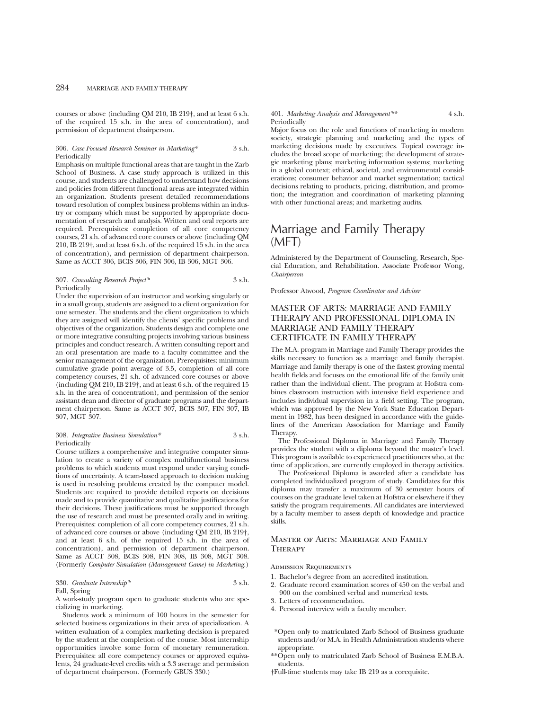courses or above (including QM 210, IB 219†, and at least 6 s.h. of the required 15 s.h. in the area of concentration), and permission of department chairperson.

#### 306. *Case Focused Research Seminar in Marketing\** 3 s.h. Periodically

Emphasis on multiple functional areas that are taught in the Zarb School of Business. A case study approach is utilized in this course, and students are challenged to understand how decisions and policies from different functional areas are integrated within an organization. Students present detailed recommendations toward resolution of complex business problems within an industry or company which must be supported by appropriate documentation of research and analysis. Written and oral reports are required. Prerequisites: completion of all core competency courses, 21 s.h. of advanced core courses or above (including QM 210, IB 219†, and at least 6 s.h. of the required 15 s.h. in the area of concentration), and permission of department chairperson. Same as ACCT 306, BCIS 306, FIN 306, IB 306, MGT 306.

| 307. Consulting Research Project* | 3 s.h. |
|-----------------------------------|--------|
| Periodically                      |        |

Under the supervision of an instructor and working singularly or in a small group, students are assigned to a client organization for one semester. The students and the client organization to which they are assigned will identify the clients' specific problems and objectives of the organization. Students design and complete one or more integrative consulting projects involving various business principles and conduct research. A written consulting report and an oral presentation are made to a faculty committee and the senior management of the organization. Prerequisites: minimum cumulative grade point average of 3.5, completion of all core competency courses, 21 s.h. of advanced core courses or above (including QM 210, IB 219†, and at least 6 s.h. of the required 15 s.h. in the area of concentration), and permission of the senior assistant dean and director of graduate programs and the department chairperson. Same as ACCT 307, BCIS 307, FIN 307, IB 307, MGT 307.

#### 308. *Integrative Business Simulation\** 3 s.h. Periodically

Course utilizes a comprehensive and integrative computer simulation to create a variety of complex multifunctional business problems to which students must respond under varying conditions of uncertainty. A team-based approach to decision making is used in resolving problems created by the computer model. Students are required to provide detailed reports on decisions made and to provide quantitative and qualitative justifications for their decisions. These justifications must be supported through the use of research and must be presented orally and in writing. Prerequisites: completion of all core competency courses, 21 s.h. of advanced core courses or above (including QM 210, IB 219†, and at least 6 s.h. of the required 15 s.h. in the area of concentration), and permission of department chairperson. Same as ACCT 308, BCIS 308, FIN 308, IB 308, MGT 308. (Formerly *Computer Simulation (Management Game) in Marketing.*)

#### 330. *Graduate Internship\** 3 s.h. Fall, Spring

A work-study program open to graduate students who are specializing in marketing.

Students work a minimum of 100 hours in the semester for selected business organizations in their area of specialization. A written evaluation of a complex marketing decision is prepared by the student at the completion of the course. Most internship opportunities involve some form of monetary remuneration. Prerequisites: all core competency courses or approved equivalents, 24 graduate-level credits with a 3.3 average and permission of department chairperson. (Formerly GBUS 330.)

#### 401. *Marketing Analysis and Management\*\** 4 s.h. Periodically

Major focus on the role and functions of marketing in modern society, strategic planning and marketing and the types of marketing decisions made by executives. Topical coverage includes the broad scope of marketing; the development of strategic marketing plans; marketing information systems; marketing in a global context; ethical, societal, and environmental considerations; consumer behavior and market segmentation; tactical decisions relating to products, pricing, distribution, and promotion; the integration and coordination of marketing planning with other functional areas; and marketing audits.

# Marriage and Family Therapy (MFT)

Administered by the Department of Counseling, Research, Special Education, and Rehabilitation. Associate Professor Wong, *Chairperson*

Professor Atwood, *Program Coordinator and Adviser*

## MASTER OF ARTS: MARRIAGE AND FAMILY THERAPY AND PROFESSIONAL DIPLOMA IN MARRIAGE AND FAMILY THERAPY CERTIFICATE IN FAMILY THERAPY

The M.A. program in Marriage and Family Therapy provides the skills necessary to function as a marriage and family therapist. Marriage and family therapy is one of the fastest growing mental health fields and focuses on the emotional life of the family unit rather than the individual client. The program at Hofstra combines classroom instruction with intensive field experience and includes individual supervision in a field setting. The program, which was approved by the New York State Education Department in 1982, has been designed in accordance with the guidelines of the American Association for Marriage and Family Therapy.

The Professional Diploma in Marriage and Family Therapy provides the student with a diploma beyond the master's level. This program is available to experienced practitioners who, at the time of application, are currently employed in therapy activities.

The Professional Diploma is awarded after a candidate has completed individualized program of study. Candidates for this diploma may transfer a maximum of 30 semester hours of courses on the graduate level taken at Hofstra or elsewhere if they satisfy the program requirements. All candidates are interviewed by a faculty member to assess depth of knowledge and practice skills.

## Master of Arts: Marriage and Family **THERAPY**

Admission Requirements

- 1. Bachelor's degree from an accredited institution.
- 2. Graduate record examination scores of 450 on the verbal and 900 on the combined verbal and numerical tests.
- 3. Letters of recommendation.
- 4. Personal interview with a faculty member.

\*\*Open only to matriculated Zarb School of Business E.M.B.A. students.

<sup>\*</sup>Open only to matriculated Zarb School of Business graduate students and/or M.A. in Health Administration students where appropriate.

<sup>†</sup>Full-time students may take IB 219 as a corequisite.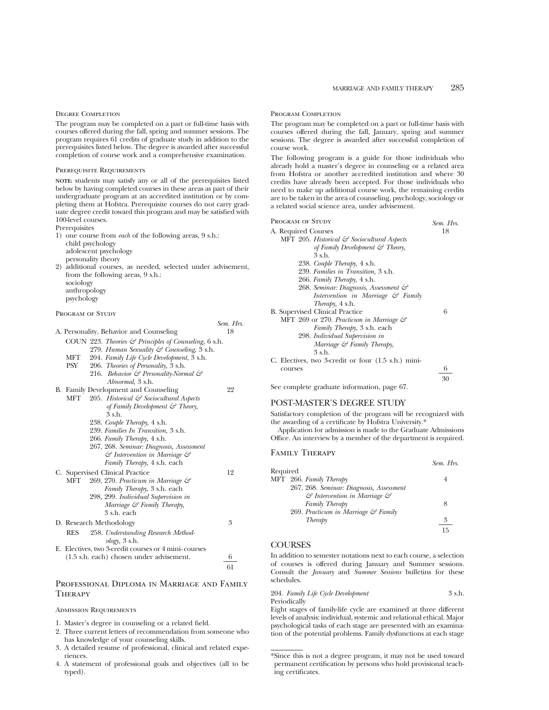## Degree Completion

The program may be completed on a part or full-time basis with courses offered during the fall, spring and summer sessions. The program requires 61 credits of graduate study in addition to the prerequisites listed below. The degree is awarded after successful completion of course work and a comprehensive examination.

#### Prerequisite Requirements

**NOTE:** students may satisfy any or all of the prerequisites listed below by having completed courses in these areas as part of their undergraduate program at an accredited institution or by completing them at Hofstra. Prerequisite courses do not carry graduate degree credit toward this program and may be satisfied with 100-level courses.

Prerequisites

- 1) one course from *each* of the following areas, 9 s.h.: child psychology adolescent psychology
- personality theory 2) additional courses, as needed, selected under advisement,
- from the following areas, 9 s.h.: sociology anthropology psychology

*Sem. Hrs.*

#### PROGRAM OF STUDY

|     | A. Personality, Behavior and Counseling                           | 18 |
|-----|-------------------------------------------------------------------|----|
|     | COUN 223. Theories $\mathcal{F}$ Principles of Counseling, 6 s.h. |    |
|     | 279. Human Sexuality & Counseling, 3 s.h.                         |    |
| MFT | 204. Family Life Cycle Development, 3 s.h.                        |    |
| PSY | 206. Theories of Personality, 3 s.h.                              |    |
|     | 216. Behavior & Personality-Normal &                              |    |
|     | Abnormal, 3 s.h.                                                  |    |
|     | B. Family Development and Counseling                              | 22 |
| MFT | 205. Historical & Sociocultural Aspects                           |    |
|     | of Family Development $\mathcal{C}$ Theory,                       |    |
|     | 3 s.h.                                                            |    |
|     | 238. Couple Therapy, 4 s.h.                                       |    |
|     | 239. Families In Transition, 3 s.h.                               |    |
|     | 266. Family Therapy, 4 s.h.                                       |    |
|     | 267, 268. Seminar: Diagnosis, Assessment                          |    |
|     | & Intervention in Marriage &                                      |    |
|     | Family Therapy, 4 s.h. each                                       |    |
|     | C. Supervised Clinical Practice                                   | 12 |
| MFT | 269, 270. Practicum in Marriage &                                 |    |
|     | Family Therapy, 3 s.h. each                                       |    |
|     | 298, 299. Individual Supervision in                               |    |
|     | Marriage & Family Therapy,                                        |    |
|     | 3 s.h. each                                                       |    |
|     | D. Research Methodology                                           | 3  |
| RES | 258. Understanding Research Method-                               |    |
|     | $\omega$ logy, 3 s.h.                                             |    |
|     | E. Electives, two 3-credit courses or 4 mini-courses              |    |
|     | $(1.5 \text{ s.h.}$ each) chosen under advisement.                | 6  |
|     |                                                                   | 61 |

## Professional Diploma in Marriage and Family **THERAPY**

#### Admission Requirements

- 1. Master's degree in counseling or a related field.
- 2. Three current letters of recommendation from someone who has knowledge of your counseling skills.
- 3. A detailed resume of professional, clinical and related experiences.
- 4. A statement of professional goals and objectives (all to be typed).

#### Program Completion

The program may be completed on a part or full-time basis with courses offered during the fall, January, spring and summer sessions. The degree is awarded after successful completion of course work.

The following program is a guide for those individuals who already hold a master's degree in counseling or a related area from Hofstra or another accredited institution and where 30 credits have already been accepted. For those individuals who need to make up additional course work, the remaining credits are to be taken in the area of counseling, psychology, sociology or a related social science area, under advisement.

| Program of Study                                       | Sem. Hrs. |
|--------------------------------------------------------|-----------|
| A. Required Courses                                    | 18        |
| MFT 205. Historical $\mathcal O$ Sociocultural Aspects |           |
| of Family Development $\mathcal{C}$ Theory,            |           |
| 3 s.h.                                                 |           |
| 238. Couple Therapy, 4 s.h.                            |           |
| 239. Families in Transition, 3 s.h.                    |           |
| 266. Family Therapy, 4 s.h.                            |           |
| 268. Seminar: Diagnosis, Assessment &                  |           |
| Intervention in Marriage $\mathcal{C}$ Family          |           |
| <i>Therapy</i> , 4 s.h.                                |           |
| B. Supervised Clinical Practice                        | 6         |
| MFT 269 or 270. Practicum in Marriage &                |           |
| Family Therapy, 3 s.h. each                            |           |
| 298. Individual Supervision in                         |           |
| Marriage $\mathcal G$ Family Therapy,                  |           |
| 3 s.h.                                                 |           |
| C. Electives, two 3-credit or four (1.5 s.h.) mini-    |           |
| courses                                                | 6         |
|                                                        | 30        |
|                                                        |           |

See complete graduate information, page 67.

## POST-MASTER'S DEGREE STUDY

Satisfactory completion of the program will be recognized with the awarding of a certificate by Hofstra University.\*

Application for admission is made to the Graduate Admissions Office. An interview by a member of the department is required.

*Sem. Hrs.*

## Family Therapy

| Required |                                                    |    |
|----------|----------------------------------------------------|----|
|          | MFT 266. Family Therapy                            |    |
|          | 267, 268. Seminar: Diagnosis, Assessment           |    |
|          | $\mathcal G$ Intervention in Marriage $\mathcal G$ |    |
|          | Family Therapy                                     | 8  |
|          | 269. Practicum in Marriage & Family                |    |
|          | Therapy                                            | 3  |
|          |                                                    | 15 |

## **COURSES**

In addition to semester notations next to each course, a selection of courses is offered during January and Summer sessions. Consult the *January* and *Summer Sessions* bulletins for these schedules.

204. *Family Life Cycle Development* 3 s.h. Periodically

Eight stages of family-life cycle are examined at three different levels of analysis: individual, systemic and relational ethical. Major psychological tasks of each stage are presented with an examination of the potential problems. Family dysfunctions at each stage

<sup>\*</sup>Since this is not a degree program, it may not be used toward permanent certification by persons who hold provisional teaching certificates.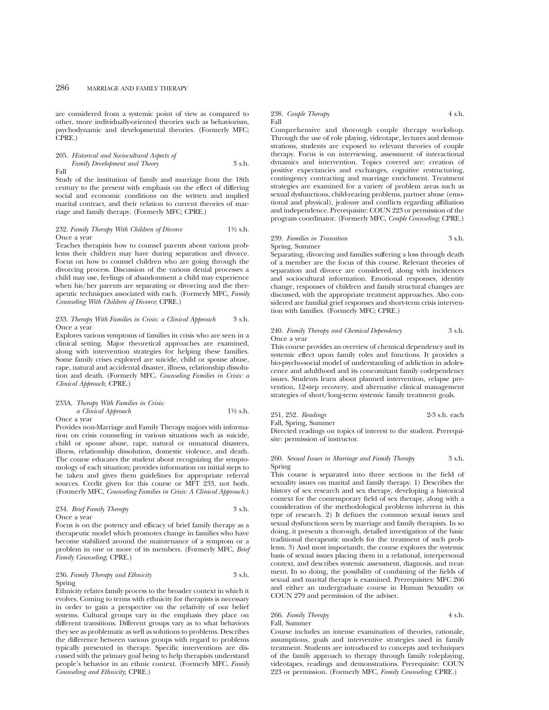are considered from a systemic point of view as compared to other, more individually-oriented theories such as behaviorism, psychodynamic and developmental theories. (Formerly MFC; CPRE.)

205. *Historical and Sociocultural Aspects of Family Development and Theory* 3 s.h. Fall

Study of the institution of family and marriage from the 18th century to the present with emphasis on the effect of differing social and economic conditions on the written and implied marital contract, and their relation to current theories of marriage and family therapy. (Formerly MFC; CPRE.)

#### 232. *Family Therapy With Children of Divorce* 11⁄2 s.h. Once a year

Teaches therapists how to counsel parents about various problems their children may have during separation and divorce. Focus on how to counsel children who are going through the divorcing process. Discussion of the various denial processes a child may use, feelings of abandonment a child may experience when his/her parents are separating or divorcing and the therapeutic techniques associated with each. (Formerly MFC, *Family Counseling With Children of Divorce*; CPRE.)

#### 233. *Therapy With Families in Crisis: a Clinical Approach* 3 s.h. Once a year

Explores various symptoms of families in crisis who are seen in a clinical setting. Major theoretical approaches are examined, along with intervention strategies for helping these families. Some family crises explored are suicide, child or spouse abuse, rape, natural and accidental disaster, illness, relationship dissolution and death. (Formerly MFC, *Counseling Families in Crisis: a Clinical Approach*; CPRE.)

233A. *Therapy With Families in Crisis: a Clinical Approach* 11⁄2 s.h. Once a year

Provides non-Marriage and Family Therapy majors with information on crisis counseling in various situations such as suicide, child or spouse abuse, rape, natural or unnatural disasters, illness, relationship dissolution, domestic violence, and death. The course educates the student about recognizing the symptomology of each situation; provides information on initial steps to be taken and gives them guidelines for appropriate referral sources. Credit given for this course or MFT 233, not both. (Formerly MFC, *Counseling Families in Crisis: A Clinical Approach*.)

234. *Brief Family Therapy* 3 s.h. Once a year

Focus is on the potency and efficacy of brief family therapy as a therapeutic model which promotes change in families who have become stabilized around the maintenance of a symptom or a problem in one or more of its members. (Formerly MFC, *Brief Family Counseling*; CPRE.)

#### 236. *Family Therapy and Ethnicity* 3 s.h. Spring

Ethnicity relates family process to the broader context in which it evolves. Coming to terms with ethnicity for therapists is necessary in order to gain a perspective on the relativity of our belief systems. Cultural groups vary in the emphasis they place on different transitions. Different groups vary as to what behaviors they see as problematic as well as solutions to problems. Describes the difference between various groups with regard to problems typically presented in therapy. Specific interventions are discussed with the primary goal being to help therapists understand people's behavior in an ethnic context. (Formerly MFC, *Family Counseling and Ethnicity*; CPRE.)

#### 238. *Couple Therapy* 4 s.h. Fall

Comprehensive and thorough couple therapy workshop. Through the use of role playing, videotape, lectures and demonstrations, students are exposed to relevant theories of couple therapy. Focus is on interviewing, assessment of interactional dynamics and intervention. Topics covered are: creation of positive expectancies and exchanges, cognitive restructuring, contingency contracting and marriage enrichment. Treatment strategies are examined for a variety of problem areas such as sexual dysfunctions, child-rearing problems, partner abuse (emotional and physical), jealousy and conflicts regarding affiliation and independence. Prerequisite: COUN 223 or permission of the program coordinator. (Formerly MFC, *Couple Counseling*; CPRE.)

### 239. *Families in Transition* 3 s.h. Spring, Summer

Separating, divorcing and families suffering a loss through death of a member are the focus of this course. Relevant theories of separation and divorce are considered, along with incidences and sociocultural information. Emotional responses, identity change, responses of children and family structural changes are discussed, with the appropriate treatment approaches. Also considered are familial grief responses and short-term crisis intervention with families. (Formerly MFC; CPRE.)

#### 240. *Family Therapy and Chemical Dependency* 3 s.h. Once a year

This course provides an overview of chemical dependency and its systemic effect upon family roles and functions. It provides a bio-psycho-social model of understanding of addiction in adolescence and adulthood and its concomitant family codependency issues. Students learn about planned intervention, relapse prevention, 12-step recovery, and alternative clinical management strategies of short/long-term systemic family treatment goals.

251, 252. *Readings* 2-3 s.h. each Fall, Spring, Summer

Directed readings on topics of interest to the student. Prerequisite: permission of instructor.

260. *Sexual Issues in Marriage and Family Therapy* 3 s.h. Spring

This course is separated into three sections in the field of sexuality issues on marital and family therapy. 1) Describes the history of sex research and sex therapy, developing a historical context for the contemporary field of sex therapy, along with a consideration of the methodological problems inherent in this type of research. 2) It defines the common sexual issues and sexual dysfunctions seen by marriage and family therapists. In so doing, it presents a thorough, detailed investigation of the basic traditional therapeutic models for the treatment of such problems. 3) And most importantly, the course explores the systemic basis of sexual issues placing them in a relational, interpersonal context, and describes systemic assessment, diagnosis, and treatment. In so doing, the possibility of combining of the fields of sexual and marital therapy is examined. Prerequisites: MFC 266 and either an undergraduate course in Human Sexuality or COUN 279 and permission of the adviser.

266. *Family Therapy* 4 s.h. Fall, Summer

Course includes an intense examination of theories, rationale, assumptions, goals and interventive strategies used in family treatment. Students are introduced to concepts and techniques of the family approach to therapy through family roleplaying, videotapes, readings and demonstrations. Prerequisite: COUN 223 or permission. (Formerly MFC, *Family Counseling*; CPRE.)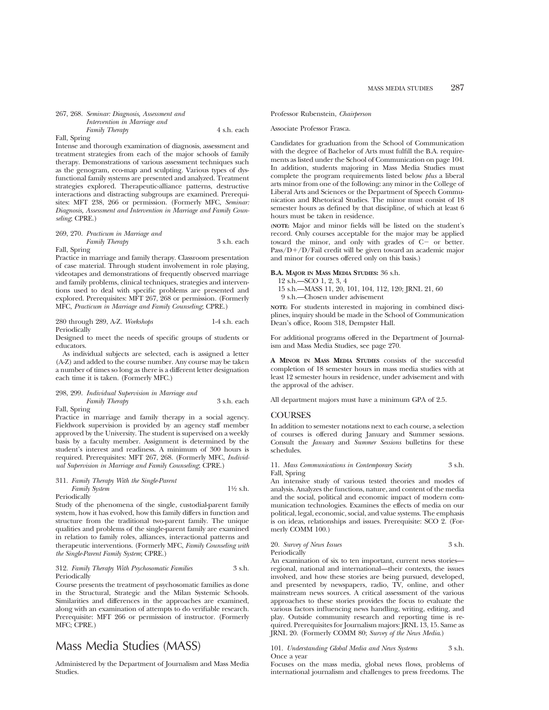## 267, 268. *Seminar: Diagnosis, Assessment and Intervention in Marriage and*

*Family Therapy* 4 s.h. each

Fall, Spring

Intense and thorough examination of diagnosis, assessment and treatment strategies from each of the major schools of family therapy. Demonstrations of various assessment techniques such as the genogram, eco-map and sculpting. Various types of dysfunctional family systems are presented and analyzed. Treatment strategies explored. Therapeutic-alliance patterns, destructive interactions and distracting subgroups are examined. Prerequisites: MFT 238, 266 or permission. (Formerly MFC, *Seminar: Diagnosis, Assessment and Intervention in Marriage and Family Counseling*; CPRE.)

#### 269, 270. *Practicum in Marriage and Family Therapy* 3 s.h. each

Fall, Spring

Practice in marriage and family therapy. Classroom presentation of case material. Through student involvement in role playing, videotapes and demonstrations of frequently observed marriage and family problems, clinical techniques, strategies and interventions used to deal with specific problems are presented and explored. Prerequisites: MFT 267, 268 or permission. (Formerly MFC, *Practicum in Marriage and Family Counseling*; CPRE.)

#### 280 through 289, A-Z. *Workshops* 1-4 s.h. each Periodically

Designed to meet the needs of specific groups of students or educators.

As individual subjects are selected, each is assigned a letter (A-Z) and added to the course number. Any course may be taken a number of times so long as there is a different letter designation each time it is taken. (Formerly MFC.)

## 298, 299. *Individual Supervision in Marriage and Family Therapy* 3 s.h. each

Fall, Spring

Practice in marriage and family therapy in a social agency. Fieldwork supervision is provided by an agency staff member approved by the University. The student is supervised on a weekly basis by a faculty member. Assignment is determined by the student's interest and readiness. A minimum of 300 hours is required. Prerequisites: MFT 267, 268. (Formerly MFC, *Individual Supervision in Marriage and Family Counseling*; CPRE.)

#### 311. *Family Therapy With the Single-Parent Family System* 1<sup>1</sup>⁄2 s.h. Periodically

Study of the phenomena of the single, custodial-parent family system, how it has evolved, how this family differs in function and structure from the traditional two-parent family. The unique qualities and problems of the single-parent family are examined in relation to family roles, alliances, interactional patterns and therapeutic interventions. (Formerly MFC, *Family Counseling with the Single-Parent Family System*; CPRE.)

#### 312. *Family Therapy With Psychosomatic Families* 3 s.h. Periodically

Course presents the treatment of psychosomatic families as done in the Structural, Strategic and the Milan Systemic Schools. Similarities and differences in the approaches are examined, along with an examination of attempts to do verifiable research. Prerequisite: MFT 266 or permission of instructor. (Formerly MFC; CPRE.)

## Mass Media Studies (MASS)

Administered by the Department of Journalism and Mass Media Studies.

Professor Rubenstein, *Chairperson*

#### Associate Professor Frasca.

Candidates for graduation from the School of Communication with the degree of Bachelor of Arts must fulfill the B.A. requirements as listed under the School of Communication on page 104. In addition, students majoring in Mass Media Studies must complete the program requirements listed below *plus* a liberal arts minor from one of the following: any minor in the College of Liberal Arts and Sciences or the Department of Speech Communication and Rhetorical Studies. The minor must consist of 18 semester hours as defined by that discipline, of which at least 6 hours must be taken in residence.

**(NOTE:** Major and minor fields will be listed on the student's record. Only courses acceptable for the major may be applied toward the minor, and only with grades of  $C<sup>-</sup>$  or better.  $Pass/D+/D/Fail credit will be given toward an academic major$ and minor for courses offered only on this basis.)

#### **B.A. MAJOR IN MASS MEDIA STUDIES:** 36 s.h.

12 s.h.—SCO 1, 2, 3, 4

15 s.h.—MASS 11, 20, 101, 104, 112, 120; JRNL 21, 60

9 s.h.—Chosen under advisement

**NOTE:** For students interested in majoring in combined disciplines, inquiry should be made in the School of Communication Dean's office, Room 318, Dempster Hall.

For additional programs offered in the Department of Journalism and Mass Media Studies, see page 270.

**A MINOR IN MASS MEDIA STUDIES** consists of the successful completion of 18 semester hours in mass media studies with at least 12 semester hours in residence, under advisement and with the approval of the adviser.

All department majors must have a minimum GPA of 2.5.

#### **COURSES**

In addition to semester notations next to each course, a selection of courses is offered during January and Summer sessions. Consult the *January* and *Summer Sessions* bulletins for these schedules.

11. *Mass Communications in Contemporary Society* 3 s.h. Fall, Spring

An intensive study of various tested theories and modes of analysis. Analyzes the functions, nature, and content of the media and the social, political and economic impact of modern communication technologies. Examines the effects of media on our political, legal, economic, social, and value systems. The emphasis is on ideas, relationships and issues. Prerequisite: SCO 2. (Formerly COMM 100.)

#### 20. *Survey of News Issues* 3 s.h. Periodically

An examination of six to ten important, current news stories regional, national and international—their contexts, the issues involved, and how these stories are being pursued, developed, and presented by newspapers, radio, TV, online, and other mainstream news sources. A critical assessment of the various approaches to these stories provides the focus to evaluate the various factors influencing news handling, writing, editing, and play. Outside community research and reporting time is required. Prerequisites for Journalism majors: JRNL 13, 15. Same as JRNL 20. (Formerly COMM 80; *Survey of the News Media*.)

101. *Understanding Global Media and News Systems* 3 s.h. Once a year

Focuses on the mass media, global news flows, problems of international journalism and challenges to press freedoms. The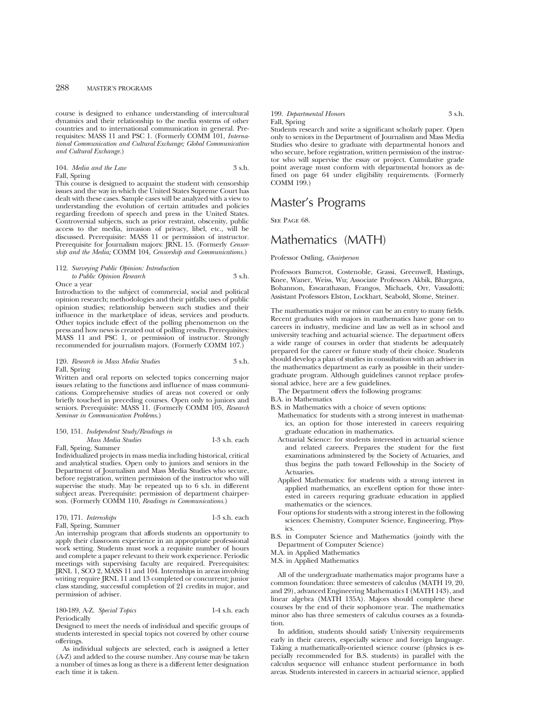course is designed to enhance understanding of intercultural dynamics and their relationship to the media systems of other countries and to international communication in general. Prerequisites: MASS 11 and PSC 1. (Formerly COMM 101, *International Communication and Cultural Exchange; Global Communication and Cultural Exchange.*)

#### 104. *Media and the Law* 3 s.h. Fall, Spring

This course is designed to acquaint the student with censorship issues and the way in which the United States Supreme Court has dealt with these cases. Sample cases will be analyzed with a view to understanding the evolution of certain attitudes and policies regarding freedom of speech and press in the United States. Controversial subjects, such as prior restraint, obscenity, public access to the media, invasion of privacy, libel, etc., will be discussed. Prerequisite: MASS 11 or permission of instructor. Prerequisite for Journalism majors: JRNL 15. (Formerly *Censorship and the Media;* COMM 104, *Censorship and Communications.*)

#### 112. *Surveying Public Opinion: Introduction to Public Opinion Research* 3 s.h.

Once a year

Introduction to the subject of commercial, social and political opinion research; methodologies and their pitfalls; uses of public opinion studies; relationship between such studies and their influence in the marketplace of ideas, services and products. Other topics include effect of the polling phenomenon on the press and how news is created out of polling results. Prerequisites: MASS 11 and PSC 1, or permission of instructor. Strongly recommended for journalism majors. (Formerly COMM 107.)

#### 120. *Research in Mass Media Studies* 3 s.h. Fall, Spring

Written and oral reports on selected topics concerning major issues relating to the functions and influence of mass communications. Comprehensive studies of areas not covered or only briefly touched in preceding courses. Open only to juniors and seniors. Prerequisite: MASS 11. (Formerly COMM 105, *Research Seminar in Communication Problems*.)

## 150, 151. *Independent Study/Readings in*

*Mass Media Studies* 1-3 s.h. each

Fall, Spring, Summer

Individualized projects in mass media including historical, critical and analytical studies. Open only to juniors and seniors in the Department of Journalism and Mass Media Studies who secure, before registration, written permission of the instructor who will supervise the study. May be repeated up to 6 s.h. in different subject areas. Prerequisite: permission of department chairperson. (Formerly COMM 110, *Readings in Communications.*)

#### 170, 171. *Internships* 1-3 s.h. each Fall, Spring, Summer

An internship program that affords students an opportunity to apply their classroom experience in an appropriate professional work setting. Students must work a requisite number of hours and complete a paper relevant to their work experience. Periodic meetings with supervising faculty are required. Prerequisites: JRNL 1, SCO 2, MASS 11 and 104. Internships in areas involving writing require JRNL 11 and 13 completed or concurrent; junior class standing, successful completion of 21 credits in major, and permission of adviser.

|              | 180-189, A-Z. Special Topics | $1-4$ s.h. each |
|--------------|------------------------------|-----------------|
| Periodically |                              |                 |

Designed to meet the needs of individual and specific groups of students interested in special topics not covered by other course offerings.

As individual subjects are selected, each is assigned a letter (A-Z) and added to the course number. Any course may be taken a number of times as long as there is a different letter designation each time it is taken.

#### 199. *Departmental Honors* 3 s.h. Fall, Spring

Students research and write a significant scholarly paper. Open only to seniors in the Department of Journalism and Mass Media Studies who desire to graduate with departmental honors and who secure, before registration, written permission of the instructor who will supervise the essay or project. Cumulative grade point average must conform with departmental honors as defined on page 64 under eligibility requirements. (Formerly COMM 199.)

## Master's Programs

SEE PAGE 68.

## Mathematics (MATH)

Professor Ostling, *Chairperson*

Professors Bumcrot, Costenoble, Grassi, Greenwell, Hastings, Knee, Waner, Weiss, Wu; Associate Professors Akbik, Bhargava, Bohannon, Eswarathasan, Frangos, Michaels, Orr, Vassalotti; Assistant Professors Elston, Lockhart, Seabold, Slome, Steiner.

The mathematics major or minor can be an entry to many fields. Recent graduates with majors in mathematics have gone on to careers in industry, medicine and law as well as in school and university teaching and actuarial science. The department offers a wide range of courses in order that students be adequately prepared for the career or future study of their choice. Students should develop a plan of studies in consultation with an adviser in the mathematics department as early as possible in their undergraduate program. Although guidelines cannot replace professional advice, here are a few guidelines.

The Department offers the following programs:

- B.A. in Mathematics
- B.S. in Mathematics with a choice of seven options:
	- Mathematics: for students with a strong interest in mathematics, an option for those interested in careers requiring graduate education in mathematics.
	- Actuarial Science: for students interested in actuarial science and related careers. Prepares the student for the first examinations adminstered by the Society of Actuaries, and thus begins the path toward Fellowship in the Society of **Actuaries**
	- Applied Mathematics: for students with a strong interest in applied mathematics, an excellent option for those interested in careers requring graduate education in applied mathematics or the sciences.
	- Four options for students with a strong interest in the following sciences: Chemistry, Computer Science, Engineering, Physics.
- B.S. in Computer Science and Mathematics (jointly with the Department of Computer Science)

M.A. in Applied Mathematics

M.S. in Applied Mathematics

All of the undergraduate mathematics major programs have a common foundation: three semesters of calculus (MATH 19, 20, and 29), advanced Engineering Mathematics I (MATH 143), and linear algebra (MATH 135A). Majors should complete these courses by the end of their sophomore year. The mathematics minor also has three semesters of calculus courses as a foundation.

In addition, students should satisfy University requirements early in their careers, especially science and foreign language. Taking a mathematically-oriented science course (physics is especially recommended for B.S. students) in parallel with the calculus sequence will enhance student performance in both areas. Students interested in careers in actuarial science, applied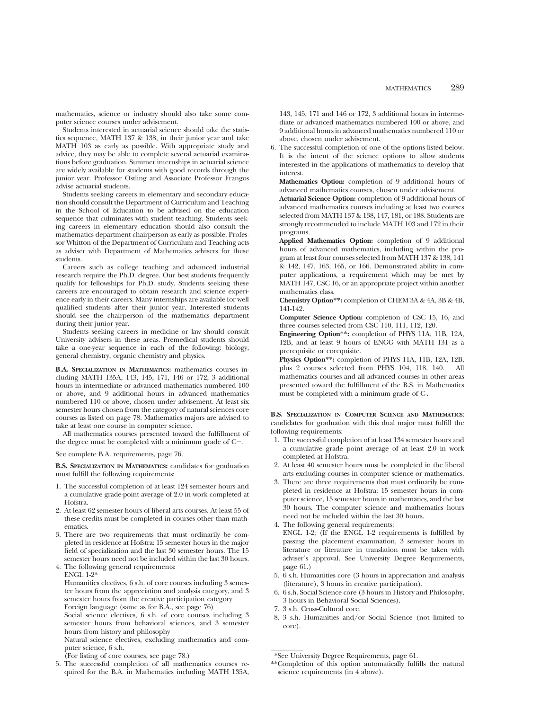mathematics, science or industry should also take some computer science courses under advisement.

Students interested in actuarial science should take the statistics sequence, MATH 137 & 138, in their junior year and take MATH 103 as early as possible. With appropriate study and advice, they may be able to complete several actuarial examinations before graduation. Summer internships in actuarial science are widely available for students with good records through the junior year. Professor Ostling and Associate Professor Frangos advise actuarial students.

Students seeking careers in elementary and secondary education should consult the Department of Curriculum and Teaching in the School of Education to be advised on the education sequence that culminates with student teaching. Students seeking careers in elementary education should also consult the mathematics department chairperson as early as possible. Professor Whitton of the Department of Curriculum and Teaching acts as adviser with Department of Mathematics advisers for these students.

Careers such as college teaching and advanced industrial research require the Ph.D. degree. Our best students frequently qualify for fellowships for Ph.D. study. Students seeking these careers are encouraged to obtain research and science experience early in their careers. Many internships are available for well qualified students after their junior year. Interested students should see the chairperson of the mathematics department during their junior year.

Students seeking careers in medicine or law should consult University advisers in these areas. Premedical students should take a one-year sequence in each of the following: biology, general chemistry, organic chemistry and physics.

**B.A. SPECIALIZATION IN MATHEMATICS:** mathematics courses including MATH 135A, 143, 145, 171, 146 or 172, 3 additional hours in intermediate or advanced mathematics numbered 100 or above, and 9 additional hours in advanced mathematics numbered 110 or above, chosen under advisement. At least six semester hours chosen from the category of natural sciences core courses as listed on page 78. Mathematics majors are advised to take at least one course in computer science.

All mathematics courses presented toward the fulfillment of the degree must be completed with a minimum grade of  $C-$ .

See complete B.A. requirements, page 76.

**B.S. SPECIALIZATION IN MATHEMATICS:** candidates for graduation must fulfill the following requirements:

- 1. The successful completion of at least 124 semester hours and a cumulative grade-point average of 2.0 in work completed at Hofstra.
- 2. At least 62 semester hours of liberal arts courses. At least 55 of these credits must be completed in courses other than mathematics.
- 3. There are two requirements that must ordinarily be completed in residence at Hofstra: 15 semester hours in the major field of specialization and the last 30 semester hours. The 15 semester hours need not be included within the last 30 hours.
- 4. The following general requirements: ENGL 1-2\*

Humanities electives, 6 s.h. of core courses including 3 semester hours from the appreciation and analysis category, and 3 semester hours from the creative participation category Foreign language (same as for B.A., see page 76)

Social science electives, 6 s.h. of core courses including 3 semester hours from behavioral sciences, and 3 semester hours from history and philosophy

Natural science electives, excluding mathematics and computer science, 6 s.h.

- (For listing of core courses, see page 78.)
- 5. The successful completion of all mathematics courses required for the B.A. in Mathematics including MATH 135A,

143, 145, 171 and 146 or 172, 3 additional hours in intermediate or advanced mathematics numbered 100 or above, and 9 additional hours in advanced mathematics numbered 110 or above, chosen under advisement.

6. The successful completion of one of the options listed below. It is the intent of the science options to allow students interested in the applications of mathematics to develop that interest.

**Mathematics Option:** completion of 9 additional hours of advanced mathematics courses, chosen under advisement.

**Actuarial Science Option:** completion of 9 additional hours of advanced mathematics courses including at least two courses selected from MATH 137 & 138, 147, 181, or 188. Students are strongly recommended to include MATH 103 and 172 in their programs.

**Applied Mathematics Option:** completion of 9 additional hours of advanced mathematics, including within the program at least four courses selected from MATH 137 & 138, 141 & 142, 147, 163, 165, or 166. Demonstrated ability in computer applications, a requirement which may be met by MATH 147, CSC 16, or an appropriate project within another mathematics class.

**Chemistry Option\*\*:** completion of CHEM 3A & 4A, 3B & 4B, 141-142.

**Computer Science Option:** completion of CSC 15, 16, and three courses selected from CSC 110, 111, 112, 120.

**Engineering Option\*\*:** completion of PHYS 11A, 11B, 12A, 12B, and at least 9 hours of ENGG with MATH 131 as a prerequisite or corequisite.

**Physics Option\*\*:** completion of PHYS 11A, 11B, 12A, 12B, plus 2 courses selected from PHYS 104, 118, 140. All mathematics courses and all advanced courses in other areas presented toward the fulfillment of the B.S. in Mathematics must be completed with a minimum grade of C-.

**B.S. SPECIALIZATION IN COMPUTER SCIENCE AND MATHEMATICS**: candidates for graduation with this dual major must fulfill the following requirements:

- 1. The successful completion of at least 134 semester hours and a cumulative grade point average of at least 2.0 in work completed at Hofstra.
- 2. At least 40 semester hours must be completed in the liberal arts excluding courses in computer science or mathematics.
- 3. There are three requirements that must ordinarily be completed in residence at Hofstra: 15 semester hours in computer science, 15 semester hours in mathematics, and the last 30 hours. The computer science and mathematics hours need not be included within the last 30 hours.
- 4. The following general requirements:
- ENGL 1-2; (If the ENGL 1-2 requirements is fulfilled by passing the placement examination, 3 semester hours in literature or literature in translation must be taken with adviser's approval. See University Degree Requirements, page 61.)
- 5. 6 s.h. Humanities core (3 hours in appreciation and analysis (literature), 3 hours in creative participation).
- 6. 6 s.h. Social Science core (3 hours in History and Philosophy, 3 hours in Behavioral Social Sciences).
- 7. 3 s.h. Cross-Cultural core.
- 8. 3 s.h. Humanities and/or Social Science (not limited to core).

\*See University Degree Requirements, page 61.

\*\*Completion of this option automatically fulfills the natural science requirements (in 4 above).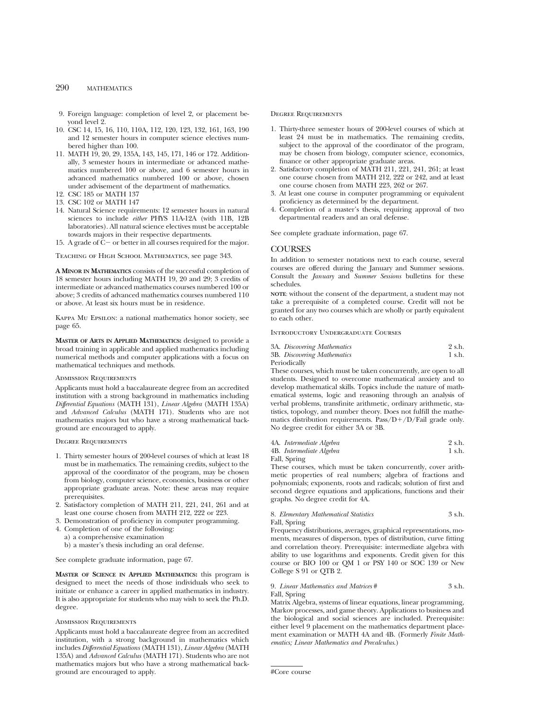## 290 MATHEMATICS

- 9. Foreign language: completion of level 2, or placement beyond level 2.
- 10. CSC 14, 15, 16, 110, 110A, 112, 120, 123, 132, 161, 163, 190 and 12 semester hours in computer science electives numbered higher than 100.
- 11. MATH 19, 20, 29, 135A, 143, 145, 171, 146 or 172. Additionally, 3 semester hours in intermediate or advanced mathematics numbered 100 or above, and 6 semester hours in advanced mathematics numbered 100 or above, chosen under advisement of the department of mathematics.
- 12. CSC 185 or MATH 137
- 13. CSC 102 or MATH 147
- 14. Natural Science requirements: 12 semester hours in natural sciences to include *either* PHYS 11A-12A (with 11B, 12B laboratories). All natural science electives must be acceptable towards majors in their respective departments.
- 15. A grade of  $C-$  or better in all courses required for the major.

Teaching of High School Mathematics, see page 343.

**A MINOR IN MATHEMATICS** consists of the successful completion of 18 semester hours including MATH 19, 20 and 29; 3 credits of intermediate or advanced mathematics courses numbered 100 or above; 3 credits of advanced mathematics courses numbered 110 or above. At least six hours must be in residence.

Kappa Mu Epsilon: a national mathematics honor society, see page 65.

**MASTER OF ARTS IN APPLIED MATHEMATICS:** designed to provide a broad training in applicable and applied mathematics including numerical methods and computer applications with a focus on mathematical techniques and methods.

## Admission Requirements

Applicants must hold a baccalaureate degree from an accredited institution with a strong background in mathematics including *Differential Equations* (MATH 131), *Linear Algebra* (MATH 135A) and *Advanced Calculus* (MATH 171). Students who are not mathematics majors but who have a strong mathematical background are encouraged to apply.

#### Degree Requirements

- 1. Thirty semester hours of 200-level courses of which at least 18 must be in mathematics. The remaining credits, subject to the approval of the coordinator of the program, may be chosen from biology, computer science, economics, business or other appropriate graduate areas. Note: these areas may require prerequisites.
- 2. Satisfactory completion of MATH 211, 221, 241, 261 and at least one course chosen from MATH 212, 222 or 223.
- 3. Demonstration of proficiency in computer programming.
- 4. Completion of one of the following:
- a) a comprehensive examination

b) a master's thesis including an oral defense.

See complete graduate information, page 67.

**MASTER OF SCIENCE IN APPLIED MATHEMATICS:** this program is designed to meet the needs of those individuals who seek to initiate or enhance a career in applied mathematics in industry. It is also appropriate for students who may wish to seek the Ph.D. degree.

#### Admission Requirements

Applicants must hold a baccalaureate degree from an accredited institution, with a strong background in mathematics which includes *Differential Equations* (MATH 131), *Linear Algebra* (MATH 135A) and *Advanced Calculus* (MATH 171). Students who are not mathematics majors but who have a strong mathematical background are encouraged to apply.

#### Degree Requirements

- 1. Thirty-three semester hours of 200-level courses of which at least 24 must be in mathematics. The remaining credits, subject to the approval of the coordinator of the program. may be chosen from biology, computer science, economics, finance or other appropriate graduate areas.
- 2. Satisfactory completion of MATH 211, 221, 241, 261; at least one course chosen from MATH 212, 222 or 242, and at least one course chosen from MATH 223, 262 or 267.
- 3. At least one course in computer programming or equivalent proficiency as determined by the department.
- 4. Completion of a master's thesis, requiring approval of two departmental readers and an oral defense.

See complete graduate information, page 67.

#### COURSES

In addition to semester notations next to each course, several courses are offered during the January and Summer sessions. Consult the *January* and *Summer Sessions* bulletins for these schedules.

**NOTE**: without the consent of the department, a student may not take a prerequisite of a completed course. Credit will not be granted for any two courses which are wholly or partly equivalent to each other.

Introductory Undergraduate Courses

| 3A. Discovering Mathematics | 2 s.h. |
|-----------------------------|--------|
| 3B. Discovering Mathematics | 1 s.h. |
| Periodically                |        |

These courses, which must be taken concurrently, are open to all students. Designed to overcome mathematical anxiety and to develop mathematical skills. Topics include the nature of mathematical systems, logic and reasoning through an analysis of verbal problems, transfinite arithmetic, ordinary arithmetic, statistics, topology, and number theory. Does not fulfill the mathematics distribution requirements. Pass/ $D+/D/F$ ail grade only. No degree credit for either 3A or 3B.

| 4A. Intermediate Algebra | 2 s.h. |
|--------------------------|--------|
| 4B. Intermediate Algebra | 1 s.h. |

Fall, Spring

These courses, which must be taken concurrently, cover arithmetic properties of real numbers; algebra of fractions and polynomials; exponents, roots and radicals; solution of first and second degree equations and applications, functions and their graphs. No degree credit for 4A.

#### 8. *Elementary Mathematical Statistics* 3 s.h. Fall, Spring

Frequency distributions, averages, graphical representations, moments, measures of disperson, types of distribution, curve fitting and correlation theory. Prerequisite: intermediate algebra with ability to use logarithms and exponents. Credit given for this course or BIO 100 or QM 1 or PSY 140 or SOC 139 or New College S 91 or QTB 2.

#### 9. *Linear Mathematics and Matrices* # 3 s.h. Fall, Spring

Matrix Algebra, systems of linear equations, linear programming, Markov processes, and game theory. Applications to business and the biological and social sciences are included. Prerequisite: either level 9 placement on the mathematics department placement examination or MATH 4A and 4B. (Formerly *Finite Mathematics; Linear Mathematics and Precalculus*.)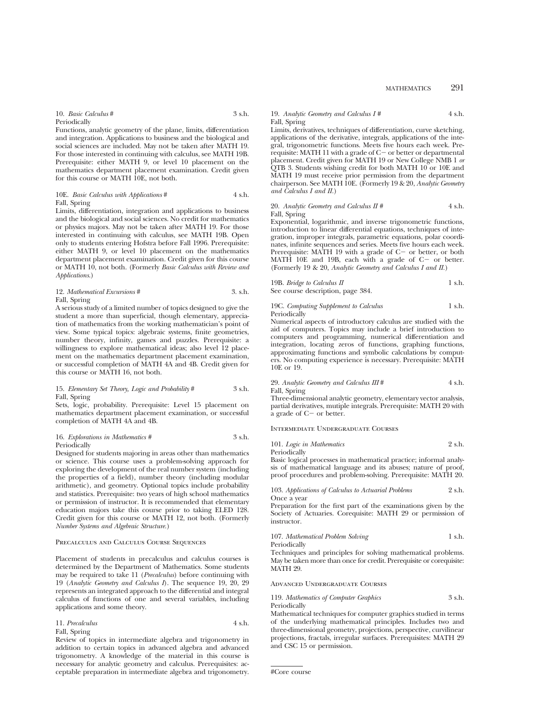## MATHEMATICS 291

## 10. *Basic Calculus* # 3 s.h.

Periodically

Functions, analytic geometry of the plane, limits, differentiation and integration. Applications to business and the biological and social sciences are included. May not be taken after MATH 19. For those interested in continuing with calculus, see MATH 19B. Prerequisite: either MATH 9, or level 10 placement on the mathematics department placement examination. Credit given for this course or MATH 10E, not both.

#### 10E. *Basic Calculus with Applications* # 4 s.h. Fall, Spring

Limits, differentiation, integration and applications to business and the biological and social sciences. No credit for mathematics or physics majors. May not be taken after MATH 19. For those interested in continuing with calculus, see MATH 19B. Open only to students entering Hofstra before Fall 1996. Prerequisite: either MATH 9, or level 10 placement on the mathematics department placement examination. Credit given for this course or MATH 10, not both. (Formerly *Basic Calculus with Review and Applications*.)

#### 12. *Mathematical Excursions* # 3. s.h. Fall, Spring

A serious study of a limited number of topics designed to give the student a more than superficial, though elementary, appreciation of mathematics from the working mathematician's point of view. Some typical topics: algebraic systems, finite geometries, number theory, infinity, games and puzzles. Prerequisite: a willingness to explore mathematical ideas; also level 12 placement on the mathematics department placement examination, or successful completion of MATH 4A and 4B. Credit given for this course or MATH 16, not both.

#### 15. *Elementary Set Theory, Logic and Probability* # 3 s.h. Fall, Spring

Sets, logic, probability. Prerequisite: Level 15 placement on mathematics department placement examination, or successful completion of MATH 4A and 4B.

#### 16. *Explorations in Mathematics* # 3 s.h. Periodically

Designed for students majoring in areas other than mathematics or science. This course uses a problem-solving approach for exploring the development of the real number system (including the properties of a field), number theory (including modular arithmetic), and geometry. Optional topics include probability and statistics. Prerequisite: two years of high school mathematics or permission of instructor. It is recommended that elementary education majors take this course prior to taking ELED 128. Credit given for this course or MATH 12, not both. (Formerly *Number Systems and Algebraic Structure.*)

#### Precalculus and Calculus Course Sequences

Placement of students in precalculus and calculus courses is determined by the Department of Mathematics. Some students may be required to take 11 (*Precalculus*) before continuing with 19 (*Analytic Geometry and Calculus I*). The sequence 19, 20, 29 represents an integrated approach to the differential and integral calculus of functions of one and several variables, including applications and some theory.

| 11. Precalculus | 4 s.h. |
|-----------------|--------|
| Fall, Spring    |        |

Review of topics in intermediate algebra and trigonometry in addition to certain topics in advanced algebra and advanced trigonometry. A knowledge of the material in this course is necessary for analytic geometry and calculus. Prerequisites: acceptable preparation in intermediate algebra and trigonometry.

#### 19. *Analytic Geometry and Calculus I #* 4 s.h. Fall, Spring

Limits, derivatives, techniques of differentiation, curve sketching, applications of the derivative, integrals, applications of the integral, trigonometric functions. Meets five hours each week. Prerequisite: MATH 11 with a grade of  $C-$  or better or departmental placement. Credit given for MATH 19 or New College NMB 1 *or* QTB 3. Students wishing credit for both MATH 10 or 10E and MATH 19 must receive prior permission from the department chairperson. See MATH 10E. (Formerly 19 & 20, *Analytic Geometry and Calculus I and II.*)

20. *Analytic Geometry and Calculus II #*  $4 \text{ s.h.}$ Fall, Spring

Exponential, logarithmic, and inverse trigonometric functions, introduction to linear differential equations, techniques of integration, improper integrals, parametric equations, polar coordinates, infinite sequences and series. Meets five hours each week. Prerequisite: MATH 19 with a grade of  $C-$  or better, or both MATH 10E and 19B, each with a grade of  $C-$  or better. (Formerly 19 & 20, *Analytic Geometry and Calculus I and II.*)

19B. *Bridge to Calculus II* 1 s.h. See course description, page 384.

19C. *Computing Supplement to Calculus* 1 s.h. Periodically

Numerical aspects of introductory calculus are studied with the aid of computers. Topics may include a brief introduction to computers and programming, numerical differentiation and integration, locating zeros of functions, graphing functions, approximating functions and symbolic calculations by computers. No computing experience is necessary. Prerequisite: MATH 10E or 19.

29. *Analytic Geometry and Calculus III* # 4 s.h. Fall, Spring

Three-dimensional analytic geometry, elementary vector analysis, partial derivatives, mutiple integrals. Prerequisite: MATH 20 with  $\alpha$  grade of C- or better.

#### Intermediate Undergraduate Courses

101. *Logic in Mathematics* 2 s.h. Periodically

Basic logical processes in mathematical practice; informal analysis of mathematical language and its abuses; nature of proof, proof procedures and problem-solving. Prerequisite: MATH 20.

103. *Applications of Calculus to Actuarial Problems* 2 s.h. Once a year

Preparation for the first part of the examinations given by the Society of Actuaries. Corequisite: MATH 29 or permission of instructor.

107. *Mathematical Problem Solving* 1 s.h. Periodically

Techniques and principles for solving mathematical problems. May be taken more than once for credit. Prerequisite or corequisite: MATH 29.

#### Advanced Undergraduate Courses

119. *Mathematics of Computer Graphics* 3 s.h. Periodically

Mathematical techniques for computer graphics studied in terms of the underlying mathematical principles. Includes two and three-dimensional geometry, projections, perspective, curvilinear projections, fractals, irregular surfaces. Prerequisites: MATH 29 and CSC 15 or permission.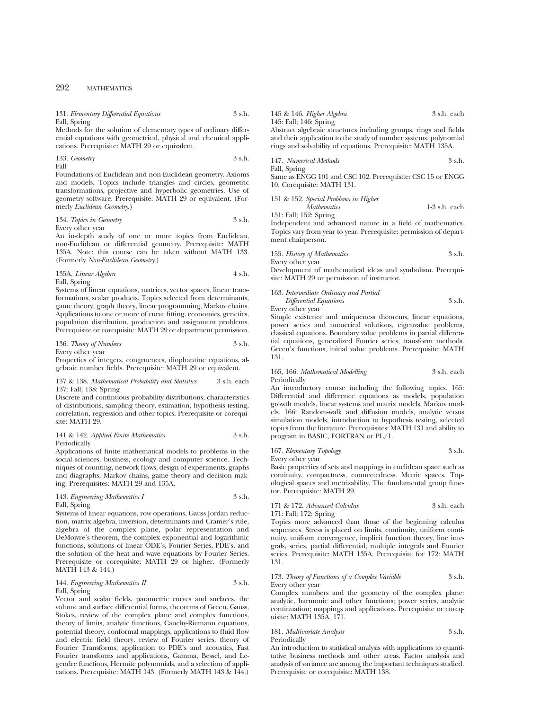## 292 MATHEMATICS

| 131. Elementary Differential Equations                           | 3 s.h. | 145 & 146. Higher Algebra                                        | 3 s.h. each |
|------------------------------------------------------------------|--------|------------------------------------------------------------------|-------------|
| Fall, Spring                                                     |        | 145: Fall: 146: Spring                                           |             |
| Methods for the solution of elementary types of ordinary differ- |        | Abstract algebraic structures including groups, rings and fields |             |
| ential equations with geometrical, physical and chemical appli-  |        | and their application to the study of number systems, polynomial |             |
| cations. Prerequisite: MATH 29 or equivalent.                    |        | rings and solvability of equations. Prerequisite: MATH 135A.     |             |
| 133. Geometry                                                    | 3 s.h. | 147. Numerical Methods                                           | 3 s.h.      |

Fall

Foundations of Euclidean and non-Euclidean geometry. Axioms and models. Topics include triangles and circles, geometric transformations, projective and hyperbolic geometries. Use of geometry software. Prerequisite: MATH 29 or equivalent. (Formerly *Euclidean Geometry*.)

#### 134. *Topics in Geometry* 3 s.h. Every other year

An in-depth study of one or more topics from Euclidean, non-Euclidean or differential geometry. Prerequisite: MATH 135A. Note: this course can be taken without MATH 133. (Formerly *Non-Euclidean Geometry*.)

135A. *Linear Algebra* 4 s.h.

Fall, Spring

Systems of linear equations, matrices, vector spaces, linear transformations, scalar products. Topics selected from determinants, game theory, graph theory, linear programming, Markov chains. Applications to one or more of curve fitting, economics, genetics, population distribution, production and assignment problems. Prerequisite or corequisite: MATH 29 or department permission.

#### 136. *Theory of Numbers* 3 s.h. Every other year

Properties of integers, congruences, diophantine equations, algebraic number fields. Prerequisite: MATH 29 or equivalent.

#### 137 & 138. *Mathematical Probability and Statistics* 3 s.h. each 137: Fall; 138: Spring

Discrete and continuous probability distributions, characteristics of distributions, sampling theory, estimation, hypothesis testing, correlation, regression and other topics. Prerequisite or corequisite: MATH 29.

#### 141 & 142. *Applied Finite Mathematics* 3 s.h. Periodically

Applications of finite mathematical models to problems in the social sciences, business, ecology and computer science. Techniques of counting, network flows, design of experiments, graphs and diagraphs, Markov chains, game theory and decision making. Prerequisites: MATH 29 and 135A.

143. *Engineering Mathematics I* 3 s.h.

Fall, Spring

Systems of linear equations, row operations, Gauss Jordan reduction, matrix algebra, inversion, determinants and Cramer's rule, algebra of the complex plane, polar representation and DeMoivre's theorem, the complex exponential and logarithmic functions, solutions of linear ODE's, Fourier Series, PDE's, and the solution of the heat and wave equations by Fourier Series. Prerequisite or corequisite: MATH 29 or higher. (Formerly MATH 143 & 144.)

#### 144. *Engineering Mathematics II* 3 s.h. Fall, Spring

Vector and scalar fields, parametric curves and surfaces, the volume and surface differential forms, theorems of Green, Gauss, Stokes, review of the complex plane and complex functions, theory of limits, analytic functions, Cauchy-Riemann equations, potential theory, conformal mappings, applications to fluid flow and electric field theory, review of Fourier series, theory of Fourier Transforms, application to PDE's and acoustics, Fast Fourier transforms and applications, Gamma, Bessel, and Legendre functions, Hermite polynomials, and a selection of applications. Prerequisite: MATH 143. (Formerly MATH 143 & 144.)

147. *Numerical Methods* 3 s.h.

Fall, Spring Same as ENGG 101 and CSC 102. Prerequisite: CSC 15 or ENGG 10. Corequisite: MATH 131.

#### 151 & 152. *Special Problems in Higher*

*Mathematics* 1-3 s.h. each 151: Fall; 152: Spring

Independent and advanced nature in a field of mathematics. Topics vary from year to year. Prerequisite: permission of department chairperson.

155. *History of Mathematics* 3 s.h. Every other year

Development of mathematical ideas and symbolism. Prerequisite: MATH 29 or permission of instructor.

## 163. *Intermediate Ordinary and Partial Differential Equations* 3 s.h.

Every other year

Simple existence and uniqueness theorems, linear equations, power series and numerical solutions, eigenvalue problems, classical equations. Boundary value problems in partial differential equations, generalized Fourier series, transform methods. Green's functions, initial value problems. Prerequisite: MATH 131.

165, 166. *Mathematical Modelling* 3 s.h. each Periodically

An introductory course including the following topics. 165: Differential and difference equations as models, population growth models, linear systems and matrix models, Markov models. 166: Random-walk and diffusion models, analytic versus simulation models, introduction to hypothesis testing, selected topics from the literature. Prerequisites: MATH 131 and ability to program in BASIC, FORTRAN or PL/1.

167. *Elementary Topology* 3 s.h. Every other year

Basic properties of sets and mappings in euclidean space such as continuity, compactness, connectedness. Metric spaces. Topological spaces and metrizability. The fundamental group functor. Prerequisite: MATH 29.

#### 171 & 172. *Advanced Calculus* 3 s.h. each 171: Fall; 172: Spring

Topics more advanced than those of the beginning calculus sequences. Stress is placed on limits, continuity, uniform continuity, uniform convergence, implicit function theory, line integrals, series, partial differential, multiple integrals and Fourier series. Prerequisite: MATH 135A. Prerequisite for 172: MATH 131.

173. *Theory of Functions of a Complex Variable* 3 s.h. Every other year

Complex numbers and the geometry of the complex plane: analytic, harmonic and other functions; power series, analytic continuation; mappings and applications. Prerequisite or corequisite: MATH 135A, 171.

181. *Multivariate Analysis* 3 s.h. Periodically

An introduction to statistical analysis with applications to quantitative business methods and other areas. Factor analysis and analysis of variance are among the important techniques studied. Prerequisite or corequisite: MATH 138.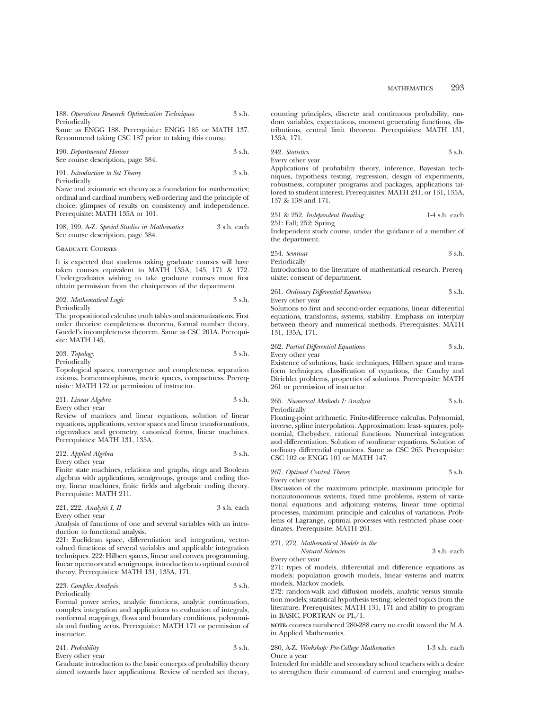Same as ENGG 188. Prerequisite: ENGG 185 or MATH 137. Recommend taking CSC 187 prior to taking this course.

| 190. Departmental Honors          | 3 s.h. |
|-----------------------------------|--------|
| See course description, page 384. |        |

| 191. Introduction to Set Theory | 3 s.h. |
|---------------------------------|--------|
| Periodically                    |        |

Naive and axiomatic set theory as a foundation for mathematics; ordinal and cardinal numbers; well-ordering and the principle of choice; glimpses of results on consistency and independence. Prerequisite: MATH 135A or 101.

| 198, 199, A-Z. Special Studies in Mathematics | 3 s.h. each |
|-----------------------------------------------|-------------|
| See course description, page 384.             |             |

#### Graduate Courses

It is expected that students taking graduate courses will have taken courses equivalent to MATH 135A, 145, 171 & 172. Undergraduates wishing to take graduate courses must first obtain permission from the chairperson of the department.

202. *Mathematical Logic* 3 s.h.

Periodically

The propositional calculus: truth tables and axiomatizations. First order theories: completeness theorem, formal number theory, Goedel's incompleteness theorem. Same as CSC 201A. Prerequisite: MATH 145.

| 203. Topology | 3 s.h. |
|---------------|--------|
| Periodically  |        |

Topological spaces, convergence and completeness, separation axioms, homeomorphisms, metric spaces, compactness. Prerequisite: MATH 172 or permission of instructor.

211. *Linear Algebra* 3 s.h.

Every other year

Review of matrices and linear equations, solution of linear equations, applications, vector spaces and linear transformations, eigenvalues and geometry, canonical forms, linear machines. Prerequisites: MATH 131, 135A.

| 212. Applied Algebra | 3 s.h. |
|----------------------|--------|
| Every other year     |        |

Finite state machines, relations and graphs, rings and Boolean algebras with applications, semigroups, groups and coding theory, linear machines, finite fields and algebraic coding theory. Prerequisite: MATH 211.

221, 222. *Analysis I, II* 3 s.h. each Every other year

Analysis of functions of one and several variables with an introduction to functional analysis.

221: Euclidean space, differentiation and integration, vectorvalued functions of several variables and applicable integration techniques. 222: Hilbert spaces, linear and convex programming, linear operators and semigroups, introduction to optimal control theory. Prerequisites: MATH 131, 135A, 171.

223. *Complex Analysis* 3 s.h. Periodically

Formal power series, analytic functions, analytic continuation, complex integration and applications to evaluation of integrals, conformal mappings, flows and boundary conditions, polynomials and finding zeros. Prerequisite: MATH 171 or permission of instructor.

| 241. Probability | 3 s.h. |
|------------------|--------|
|                  |        |

Every other year

Graduate introduction to the basic concepts of probability theory aimed towards later applications. Review of needed set theory, counting principles, discrete and continuous probability, random variables, expectations, moment generating functions, distributions, central limit theorem. Prerequisites: MATH 131, 135A, 171.

242. *Statistics* 3 s.h. Every other year

Applications of probability theory, inference, Bayesian techniques, hypothesis testing, regression, design of experiments, robustness, computer programs and packages, applications tailored to student interest. Prerequisites: MATH 241, or 131, 135A, 137 & 138 and 171.

251 & 252. *Independent Reading* 1-4 s.h. each

251: Fall; 252: Spring Independent study course, under the guidance of a member of the department.

254. *Seminar* 3 s.h. Periodically

Introduction to the literature of mathematical research. Prerequisite: consent of department.

261. *Ordinary Differential Equations* 3 s.h. Every other year

Solutions to first and second-order equations, linear differential equations, transforms, systems, stability. Emphasis on interplay between theory and numerical methods. Prerequisites: MATH 131, 135A, 171.

262. *Partial Differential Equations* 3 s.h. Every other year

Existence of solutions, basic techniques, Hilbert space and transform techniques, classification of equations, the Cauchy and Dirichlet problems, properties of solutions. Prerequisite: MATH 261 or permission of instructor.

265. *Numerical Methods I: Analysis* 3 s.h. Periodically

Floating-point arithmetic. Finite-difference calculus. Polynomial, inverse, spline interpolation. Approximation: least- squares, polynomial, Chebyshev, rational functions. Numerical integration and differentiation. Solution of nonlinear equations. Solution of ordinary differential equations. Same as CSC 265. Prerequisite: CSC 102 or ENGG 101 or MATH 147.

267. *Optimal Control Theory* 3 s.h. Every other year

Discussion of the maximum principle, maximum principle for nonautonomous systems, fixed time problems, system of variational equations and adjoining systems, linear time optimal processes, maximum principle and calculus of variations. Problems of Lagrange, optimal processes with restricted phase coordinates. Prerequisite: MATH 261.

271, 272. *Mathematical Models in the*

*Natural Sciences* 3 s.h. each

Every other year

271: types of models, differential and difference equations as models: population growth models, linear systems and matrix models, Markov models.

272: random-walk and diffusion models, analytic versus simulation models; statistical hypothesis testing; selected topics from the literature. Prerequisites: MATH 131, 171 and ability to program in BASIC, FORTRAN or PL/1.

**NOTE:** courses numbered 280-288 carry no credit toward the M.A. in Applied Mathematics.

280, A-Z. *Workshop: Pre-College Mathematics* 1-3 s.h. each Once a year

Intended for middle and secondary school teachers with a desire to strengthen their command of current and emerging mathe-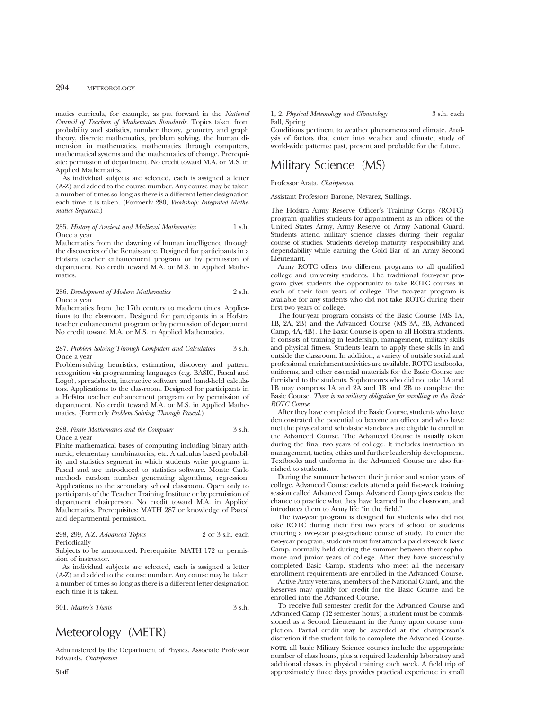## 294 METEOROLOGY

matics curricula, for example, as put forward in the *National Council of Teachers of Mathematics Standards.* Topics taken from probability and statistics, number theory, geometry and graph theory, discrete mathematics, problem solving, the human dimension in mathematics, mathematics through computers, mathematical systems and the mathematics of change. Prerequisite: permission of department. No credit toward M.A. or M.S. in Applied Mathematics.

As individual subjects are selected, each is assigned a letter (A-Z) and added to the course number. Any course may be taken a number of times so long as there is a different letter designation each time it is taken. (Formerly 280, *Workshop: Integrated Mathematics Sequence.*)

#### 285. *History of Ancient and Medieval Mathematics* 1 s.h. Once a year

Mathematics from the dawning of human intelligence through the discoveries of the Renaissance. Designed for participants in a Hofstra teacher enhancement program or by permission of department. No credit toward M.A. or M.S. in Applied Mathematics.

#### 286. *Development of Modern Mathematics* 2 s.h. Once a year

Mathematics from the 17th century to modern times. Applications to the classroom. Designed for participants in a Hofstra teacher enhancement program or by permission of department. No credit toward M.A. or M.S. in Applied Mathematics.

#### 287. *Problem Solving Through Computers and Calculators* 3 s.h. Once a year

Problem-solving heuristics, estimation, discovery and pattern recognition via programming languages (e.g. BASIC, Pascal and Logo), spreadsheets, interactive software and hand-held calculators. Applications to the classroom. Designed for participants in a Hofstra teacher enhancement program or by permission of department. No credit toward M.A. or M.S. in Applied Mathematics. (Formerly *Problem Solving Through Pascal.*)

#### 288. *Finite Mathematics and the Computer* 3 s.h. Once a year

Finite mathematical bases of computing including binary arithmetic, elementary combinatorics, etc. A calculus based probability and statistics segment in which students write programs in Pascal and are introduced to statistics software. Monte Carlo methods random number generating algorithms, regression. Applications to the secondary school classroom. Open only to participants of the Teacher Training Institute or by permission of department chairperson. No credit toward M.A. in Applied Mathematics. Prerequisites: MATH 287 or knowledge of Pascal and departmental permission.

#### 298, 299, A-Z. *Advanced Topics* 2 or 3 s.h. each Periodically

Subjects to be announced. Prerequisite: MATH 172 or permission of instructor.

As individual subjects are selected, each is assigned a letter (A-Z) and added to the course number. Any course may be taken a number of times so long as there is a different letter designation each time it is taken.

301. *Master's Thesis* 3 s.h.

# Meteorology (METR)

Administered by the Department of Physics. Associate Professor Edwards, *Chairperson*

### 1, 2. *Physical Meteorology and Climatology* 3 s.h. each Fall, Spring

Conditions pertinent to weather phenomena and climate. Analysis of factors that enter into weather and climate; study of world-wide patterns: past, present and probable for the future.

# Military Science (MS)

## Professor Arata, *Chairperson*

Assistant Professors Barone, Nevarez, Stallings.

The Hofstra Army Reserve Officer's Training Corps (ROTC) program qualifies students for appointment as an officer of the United States Army, Army Reserve or Army National Guard. Students attend military science classes during their regular course of studies. Students develop maturity, responsibility and dependability while earning the Gold Bar of an Army Second Lieutenant.

Army ROTC offers two different programs to all qualified college and university students. The traditional four-year program gives students the opportunity to take ROTC courses in each of their four years of college. The two-year program is available for any students who did not take ROTC during their first two years of college.

The four-year program consists of the Basic Course (MS 1A, 1B, 2A, 2B) and the Advanced Course (MS 3A, 3B, Advanced Camp, 4A, 4B). The Basic Course is open to all Hofstra students. It consists of training in leadership, management, military skills and physical fitness. Students learn to apply these skills in and outside the classroom. In addition, a variety of outside social and professional enrichment activities are available. ROTC textbooks, uniforms, and other essential materials for the Basic Course are furnished to the students. Sophomores who did not take 1A and 1B may compress 1A and 2A and 1B and 2B to complete the Basic Course. *There is no military obligation for enrolling in the Basic ROTC Course.*

After they have completed the Basic Course, students who have demonstrated the potential to become an officer and who have met the physical and scholastic standards are eligible to enroll in the Advanced Course. The Advanced Course is usually taken during the final two years of college. It includes instruction in management, tactics, ethics and further leadership development. Textbooks and uniforms in the Advanced Course are also furnished to students.

During the summer between their junior and senior years of college, Advanced Course cadets attend a paid five-week training session called Advanced Camp. Advanced Camp gives cadets the chance to practice what they have learned in the classroom, and introduces them to Army life "in the field."

The two-year program is designed for students who did not take ROTC during their first two years of school or students entering a two-year post-graduate course of study. To enter the two-year program, students must first attend a paid six-week Basic Camp, normally held during the summer between their sophomore and junior years of college. After they have successfully completed Basic Camp, students who meet all the necessary enrollment requirements are enrolled in the Advanced Course.

Active Army veterans, members of the National Guard, and the Reserves may qualify for credit for the Basic Course and be enrolled into the Advanced Course.

To receive full semester credit for the Advanced Course and Advanced Camp (12 semester hours) a student must be commissioned as a Second Lieutenant in the Army upon course completion. Partial credit may be awarded at the chairperson's discretion if the student fails to complete the Advanced Course. **NOTE:** all basic Military Science courses include the appropriate number of class hours, plus a required leadership laboratory and additional classes in physical training each week. A field trip of approximately three days provides practical experience in small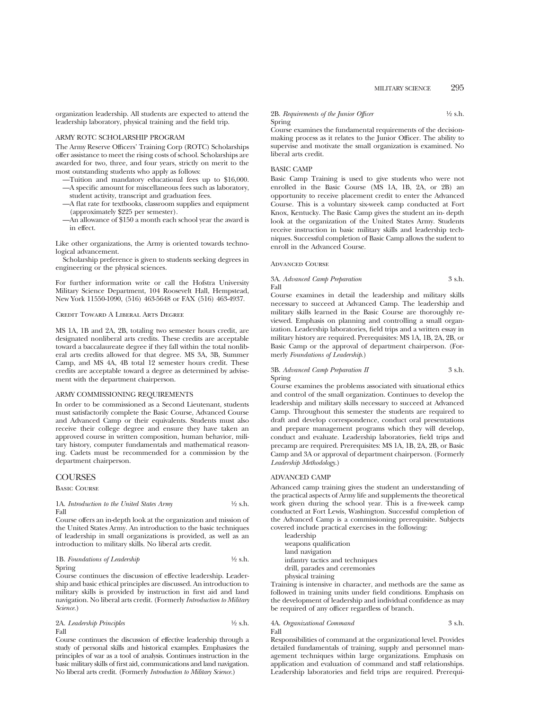#### ARMY ROTC SCHOLARSHIP PROGRAM

The Army Reserve Officers' Training Corp (ROTC) Scholarships offer assistance to meet the rising costs of school. Scholarships are awarded for two, three, and four years, strictly on merit to the most outstanding students who apply as follows:

- —Tuition and mandatory educational fees up to \$16,000. —A specific amount for miscellaneous fees such as laboratory, student activity, transcript and graduation fees.
- —A flat rate for textbooks, classroom supplies and equipment (approximately \$225 per semester).
- —An allowance of \$150 a month each school year the award is in effect.

Like other organizations, the Army is oriented towards technological advancement.

Scholarship preference is given to students seeking degrees in engineering or the physical sciences.

For further information write or call the Hofstra University Military Science Department, 104 Roosevelt Hall, Hempstead, New York 11550-1090, (516) 463-5648 or FAX (516) 463-4937.

## Credit Toward A Liberal Arts Degree

MS 1A, 1B and 2A, 2B, totaling two semester hours credit, are designated nonliberal arts credits. These credits are acceptable toward a baccalaureate degree if they fall within the total nonliberal arts credits allowed for that degree. MS 3A, 3B, Summer Camp, and MS 4A, 4B total 12 semester hours credit. These credits are acceptable toward a degree as determined by advisement with the department chairperson.

#### ARMY COMMISSIONING REQUIREMENTS

In order to be commissioned as a Second Lieutenant, students must satisfactorily complete the Basic Course, Advanced Course and Advanced Camp or their equivalents. Students must also receive their college degree and ensure they have taken an approved course in written composition, human behavior, military history, computer fundamentals and mathematical reasoning. Cadets must be recommended for a commission by the department chairperson.

#### **COURSES**

Basic Course

#### 1A. *Introduction to the United States Army*  $\frac{1}{2}$  s.h. Fall

Course offers an in-depth look at the organization and mission of the United States Army. An introduction to the basic techniques of leadership in small organizations is provided, as well as an introduction to military skills. No liberal arts credit.

1B. *Foundations of Leadership* 
$$
\frac{1}{2}
$$
 s.h. Spring

Course continues the discussion of effective leadership. Leadership and basic ethical principles are discussed. An introduction to military skills is provided by instruction in first aid and land navigation. No liberal arts credit. (Formerly *Introduction to Military Science.*)

2A. *Leadership Principles* 1⁄2 s.h. Fall

Course continues the discussion of effective leadership through a study of personal skills and historical examples. Emphasizes the principles of war as a tool of analysis. Continues instruction in the basic military skills of first aid, communications and land navigation. No liberal arts credit. (Formerly *Introduction to Military Science.*)

2B. *Requirements of the Junior Officer* 4/2 s.h. Spring

Course examines the fundamental requirements of the decisionmaking process as it relates to the Junior Officer. The ability to supervise and motivate the small organization is examined. No liberal arts credit.

#### BASIC CAMP

Basic Camp Training is used to give students who were not enrolled in the Basic Course (MS 1A, 1B, 2A, or 2B) an opportunity to receive placement credit to enter the Advanced Course. This is a voluntary six-week camp conducted at Fort Knox, Kentucky. The Basic Camp gives the student an in- depth look at the organization of the United States Army. Students receive instruction in basic military skills and leadership techniques. Successful completion of Basic Camp allows the sudent to enroll in the Advanced Course.

#### Advanced Course

3A. *Advanced Camp Preparation* 3 s.h. Fall

Course examines in detail the leadership and military skills necessary to succeed at Advanced Camp. The leadership and military skills learned in the Basic Course are thoroughly reviewed. Emphasis on planning and controlling a small organization. Leadership laboratories, field trips and a written essay in military history are required. Prerequisites: MS 1A, 1B, 2A, 2B, or Basic Camp or the approval of department chairperson. (Formerly *Foundations of Leadership*.)

### 3B. *Advanced Camp Preparation II* 3 s.h. Spring

Course examines the problems associated with situational ethics and control of the small organization. Continues to develop the leadership and military skills necessary to succeed at Advanced Camp. Throughout this semester the students are required to draft and develop correspondence, conduct oral presentations and prepare management programs which they will develop, conduct and evaluate. Leadership laboratories, field trips and precamp are required. Prerequisites: MS 1A, 1B, 2A, 2B, or Basic Camp and 3A or approval of department chairperson. (Formerly *Leadership Methodology*.)

#### ADVANCED CAMP

Advanced camp training gives the student an understanding of the practical aspects of Army life and supplements the theoretical work given during the school year. This is a five-week camp conducted at Fort Lewis, Washington. Successful completion of the Advanced Camp is a commissioning prerequisite. Subjects covered include practical exercises in the following:

leadership weapons qualification land navigation infantry tactics and techniques drill, parades and ceremonies physical training

Training is intensive in character, and methods are the same as followed in training units under field conditions. Emphasis on the development of leadership and individual confidence as may be required of any officer regardless of branch.

#### 4A. *Organizational Command* 3 s.h. Fall

Responsibilities of command at the organizational level. Provides detailed fundamentals of training, supply and personnel management techniques within large organizations. Emphasis on application and evaluation of command and staff relationships. Leadership laboratories and field trips are required. Prerequi-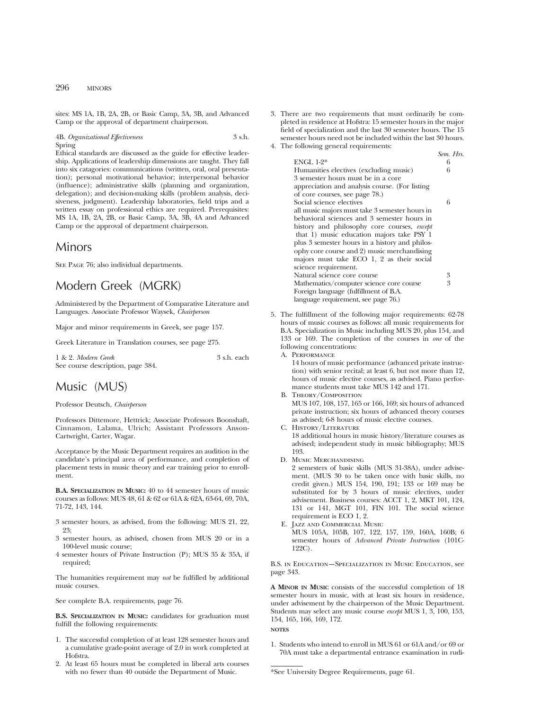## 296 MINORS

sites: MS 1A, 1B, 2A, 2B, or Basic Camp, 3A, 3B, and Advanced Camp or the approval of department chairperson.

4B. *Organizational Effectiveness* 3 s.h. Spring

Ethical standards are discussed as the guide for effective leadership. Applications of leadership dimensions are taught. They fall into six catagories: communications (written, oral, oral presentation); personal motivational behavior; interpersonal behavior (influence); administrative skills (planning and organization, delegation); and decision-making skills (problem analysis, decisiveness, judgment). Leadership laboratories, field trips and a written essay on professional ethics are required. Prerequisites: MS 1A, 1B, 2A, 2B, or Basic Camp, 3A, 3B, 4A and Advanced Camp or the approval of department chairperson.

## Minors

SEE PAGE 76; also individual departments.

# Modern Greek (MGRK)

Administered by the Department of Comparative Literature and Languages. Associate Professor Waysek, *Chairperson*

Major and minor requirements in Greek, see page 157.

Greek Literature in Translation courses, see page 275.

1 & 2. *Modern Greek* 3 s.h. each See course description, page 384.

## Music (MUS)

#### Professor Deutsch, *Chairperson*

Professors Dittemore, Hettrick; Associate Professors Boonshaft, Cinnamon, Lalama, Ulrich; Assistant Professors Anson-Cartwright, Carter, Wagar.

Acceptance by the Music Department requires an audition in the candidate's principal area of performance, and completion of placement tests in music theory and ear training prior to enrollment.

**B.A. SPECIALIZATION IN MUSIC:** 40 to 44 semester hours of music courses as follows: MUS 48, 61 & 62 or 61A & 62A, 63-64, 69, 70A, 71-72, 143, 144.

- 3 semester hours, as advised, from the following: MUS 21, 22, 23;
- 3 semester hours, as advised, chosen from MUS 20 or in a 100-level music course;
- 4 semester hours of Private Instruction (P); MUS 35 & 35A, if required;

The humanities requirement may *not* be fulfilled by additional music courses.

See complete B.A. requirements, page 76.

**B.S. SPECIALIZATION IN MUSIC:** candidates for graduation must fulfill the following requirements:

- 1. The successful completion of at least 128 semester hours and a cumulative grade-point average of 2.0 in work completed at **Hofstra**
- 2. At least 65 hours must be completed in liberal arts courses with no fewer than 40 outside the Department of Music.

3. There are two requirements that must ordinarily be completed in residence at Hofstra: 15 semester hours in the major field of specialization and the last 30 semester hours. The 15 semester hours need not be included within the last 30 hours. 4. The following general requirements:

|                                                | Sem. Hrs. |
|------------------------------------------------|-----------|
| ENGL $1-2^*$                                   | 6         |
| Humanities electives (excluding music)         | 6         |
| 3 semester hours must be in a core             |           |
| appreciation and analysis course. (For listing |           |
| of core courses, see page 78.)                 |           |
| Social science electives                       | 6         |
| all music majors must take 3 semester hours in |           |
| behavioral sciences and 3 semester hours in    |           |
| history and philosophy core courses, except    |           |
| that 1) music education majors take PSY 1      |           |
| plus 3 semester hours in a history and philos- |           |
| ophy core course and 2) music merchandising    |           |
| majors must take ECO 1, 2 as their social      |           |
| science requirement.                           |           |
| Natural science core course                    | 3         |
| Mathematics/computer science core course       | 3         |
| Foreign language (fulfillment of B.A.          |           |
| language requirement, see page 76.)            |           |

5. The fulfillment of the following major requirements: 62-78 hours of music courses as follows: all music requirements for B.A. Specialization in Music including MUS 20, plus 154, and 133 or 169. The completion of the courses in *one* of the following concentrations:

A. Performance

14 hours of music performance (advanced private instruction) with senior recital; at least 6, but not more than 12, hours of music elective courses, as advised. Piano performance students must take MUS 142 and 171.

- B. Theory/Composition MUS 107, 108, 157, 165 or 166, 169; six hours of advanced private instruction; six hours of advanced theory courses as advised; 6-8 hours of music elective courses.
- C. History/Literature

18 additional hours in music history/literature courses as advised; independent study in music bibliography; MUS 193.

D. Music Merchandising

2 semesters of basic skills (MUS 31-38A), under advisement. (MUS 30 to be taken once with basic skills, no credit given.) MUS 154, 190, 191; 133 or 169 may be substituted for by 3 hours of music electives, under advisement. Business courses: ACCT 1, 2, MKT 101, 124, 131 or 141, MGT 101, FIN 101. The social science requirement is ECO 1, 2.

E. Jazz and Commercial Music

MUS 105A, 105B, 107, 122, 157, 159, 160A, 160B; 6 semester hours of *Advanced Private Instruction* (101C-122C).

B.S. in Education—Specialization in Music Education, see page 343.

**A MINOR IN MUSIC** consists of the successful completion of 18 semester hours in music, with at least six hours in residence, under advisement by the chairperson of the Music Department. Students may select any music course *except* MUS 1, 3, 100, 153, 154, 165, 166, 169, 172.

## **NOTES**

1. Students who intend to enroll in MUS 61 or 61A and/or 69 or 70A must take a departmental entrance examination in rudi-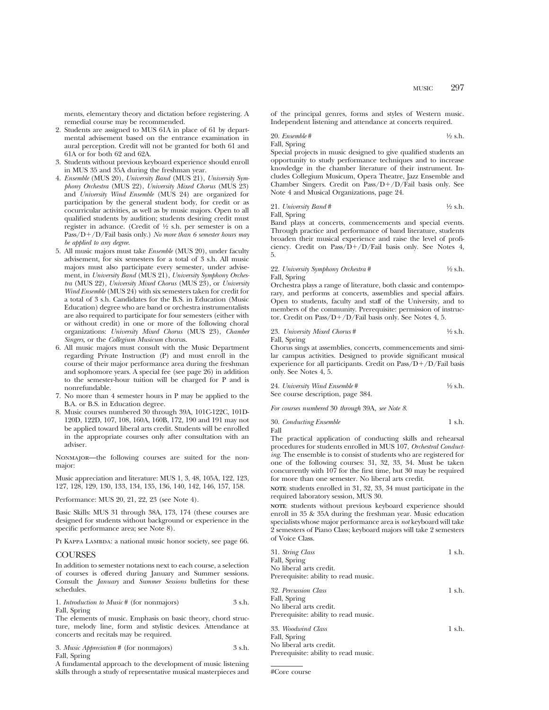ments, elementary theory and dictation before registering. A remedial course may be recommended.

- 2. Students are assigned to MUS 61A in place of 61 by departmental advisement based on the entrance examination in aural perception. Credit will not be granted for both 61 and 61A or for both 62 and 62A.
- 3. Students without previous keyboard experience should enroll in MUS 35 and 35A during the freshman year.
- 4. *Ensemble* (MUS 20), *University Band* (MUS 21), *University Symphony Orchestra* (MUS 22), *University Mixed Chorus* (MUS 23) and *University Wind Ensemble* (MUS 24) are organized for participation by the general student body, for credit or as cocurricular activities, as well as by music majors. Open to all qualified students by audition; students desiring credit must register in advance. (Credit of 1⁄2 s.h. per semester is on a Pass/D+/D/Fail basis only.) *No more than 6 semester hours may be applied to any degree*.
- 5. All music majors must take *Ensemble* (MUS 20), under faculty advisement, for six semesters for a total of 3 s.h. All music majors must also participate every semester, under advisement, in *University Band* (MUS 21), *University Symphony Orchestra* (MUS 22), *University Mixed Chorus* (MUS 23), or *University Wind Ensemble* (MUS 24) with six semesters taken for credit for a total of 3 s.h. Candidates for the B.S. in Education (Music Education) degree who are band or orchestra instrumentalists are also required to participate for four semesters (either with or without credit) in one or more of the following choral organizations: *University Mixed Chorus* (MUS 23), *Chamber Singers,* or the *Collegium Musicum* chorus.
- 6. All music majors must consult with the Music Department regarding Private Instruction (P) and must enroll in the course of their major performance area during the freshman and sophomore years. A special fee (see page 26) in addition to the semester-hour tuition will be charged for P and is nonrefundable.
- 7. No more than 4 semester hours in P may be applied to the B.A. or B.S. in Education degree.
- 8. Music courses numbered 30 through 39A, 101C-122C, 101D-120D, 122D, 107, 108, 160A, 160B, 172, 190 and 191 may not be applied toward liberal arts credit. Students will be enrolled in the appropriate courses only after consultation with an adviser.

Nonmajor—the following courses are suited for the nonmajor:

Music appreciation and literature: MUS 1, 3, 48, 105A, 122, 123, 127, 128, 129, 130, 133, 134, 135, 136, 140, 142, 146, 157, 158.

Performance: MUS 20, 21, 22, 23 (see Note 4).

Basic Skills: MUS 31 through 38A, 173, 174 (these courses are designed for students without background or experience in the specific performance area; see Note 8).

PI KAPPA LAMBDA: a national music honor society, see page 66.

#### COURSES

In addition to semester notations next to each course, a selection of courses is offered during January and Summer sessions. Consult the *January* and *Summer Sessions* bulletins for these schedules.

| 1. <i>Introduction to Music</i> # (for nonmajors) | 3 s.h. |
|---------------------------------------------------|--------|
| Fall, Spring                                      |        |

The elements of music. Emphasis on basic theory, chord structure, melody line, form and stylistic devices. Attendance at concerts and recitals may be required.

| 3. Music Appreciation # (for nonmajors) | 3 s.h. |
|-----------------------------------------|--------|
| Fall, Spring                            |        |

A fundamental approach to the development of music listening skills through a study of representative musical masterpieces and

of the principal genres, forms and styles of Western music. Independent listening and attendance at concerts required.

20. *Ensemble* #

\n42 s.h.

\n44. 
$$
\frac{1}{2}
$$
 s.h.

Special projects in music designed to give qualified students an opportunity to study performance techniques and to increase knowledge in the chamber literature of their instrument. Includes Collegium Musicum, Opera Theatre, Jazz Ensemble and Chamber Singers. Credit on  $Pass/D+/D/Fail$  basis only. See Note 4 and Musical Organizations, page 24.

21. University Band #

\n44. 
$$
\frac{1}{2}
$$
 s.h.

Band plays at concerts, commencements and special events. Through practice and performance of band literature, students broaden their musical experience and raise the level of proficiency. Credit on Pass/D+/D/Fail basis only. See Notes 4, 5.

22. *University Symphony Orchestra* # 1/2 s.h. Fall, Spring

Orchestra plays a range of literature, both classic and contemporary, and performs at concerts, assemblies and special affairs. Open to students, faculty and staff of the University, and to members of the community. Prerequisite: permission of instructor. Credit on Pass/D+/D/Fail basis only. See Notes 4, 5.

23. *University Mixed Chorus* # 1⁄2 s.h. Fall, Spring

Chorus sings at assemblies, concerts, commencements and similar campus activities. Designed to provide significant musical experience for all participants. Credit on Pass/ $D+/D$ /Fail basis only. See Notes 4, 5.

| 24. University Wind Ensemble #    | $\frac{1}{2}$ s.h. |
|-----------------------------------|--------------------|
| See course description, page 384. |                    |

*For courses numbered* 30 *through* 39A*, see Note 8*.

30. *Conducting Ensemble* 1 s.h. Fall

The practical application of conducting skills and rehearsal procedures for students enrolled in MUS 107, *Orchestral Conducting*. The ensemble is to consist of students who are registered for one of the following courses: 31, 32, 33, 34. Must be taken concurrently with  $10\overline{7}$  for the first time, but 30 may be required for more than one semester. No liberal arts credit.

**NOTE**: students enrolled in 31, 32, 33, 34 must participate in the required laboratory session, MUS 30.

**NOTE**: students without previous keyboard experience should enroll in 35 & 35A during the freshman year. Music education specialists whose major performance area is *not* keyboard will take 2 semesters of Piano Class; keyboard majors will take 2 semesters of Voice Class.

| 31. String Class                     | $1$ s.h. |
|--------------------------------------|----------|
| Fall, Spring                         |          |
| No liberal arts credit.              |          |
| Prerequisite: ability to read music. |          |
| 32. Percussion Class                 | 1 s.h.   |
| Fall, Spring                         |          |
| No liberal arts credit.              |          |
| Prerequisite: ability to read music. |          |
| 33. Woodwind Class                   | 1 s.h.   |
| Fall, Spring                         |          |
| No liberal arts credit.              |          |
| Prerequisite: ability to read music. |          |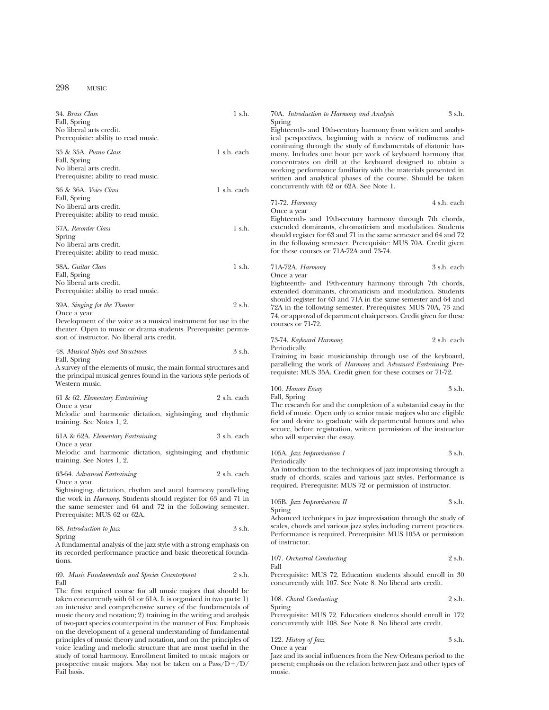## 298 MUSIC

| 1 s.h.<br>34. Brass Class                                                                  | 3 s.h.<br>70A. Introduction to Harmony and Analysis<br>Spring                                                                 |
|--------------------------------------------------------------------------------------------|-------------------------------------------------------------------------------------------------------------------------------|
| Fall, Spring<br>No liberal arts credit.                                                    | Eighteenth- and 19th-century harmony from written and analyt-                                                                 |
| Prerequisite: ability to read music.                                                       | ical perspectives, beginning with a review of rudiments and                                                                   |
|                                                                                            | continuing through the study of fundamentals of diatonic har-                                                                 |
| 1 s.h. each<br>35 & 35A. Piano Class                                                       | mony. Includes one hour per week of keyboard harmony that                                                                     |
| Fall, Spring                                                                               |                                                                                                                               |
| No liberal arts credit.                                                                    | concentrates on drill at the keyboard designed to obtain a<br>working performance familiarity with the materials presented in |
| Prerequisite: ability to read music.                                                       |                                                                                                                               |
|                                                                                            | written and analytical phases of the course. Should be taken                                                                  |
| 36 & 36A. Voice Class<br>1 s.h. each                                                       | concurrently with 62 or 62A. See Note 1.                                                                                      |
| Fall, Spring                                                                               |                                                                                                                               |
| No liberal arts credit.                                                                    | 4 s.h. each<br>71-72. <i>Harmony</i>                                                                                          |
| Prerequisite: ability to read music.                                                       | Once a year                                                                                                                   |
|                                                                                            | Eighteenth- and 19th-century harmony through 7th chords,                                                                      |
| 1 s.h.<br>37A. Recorder Class                                                              | extended dominants, chromaticism and modulation. Students                                                                     |
| Spring                                                                                     | should register for 63 and 71 in the same semester and 64 and 72                                                              |
| No liberal arts credit.                                                                    | in the following semester. Prerequisite: MUS 70A. Credit given                                                                |
| Prerequisite: ability to read music.                                                       | for these courses or 71A-72A and 73-74.                                                                                       |
|                                                                                            |                                                                                                                               |
| 1 s.h.<br>38A. Guitar Class                                                                | 3 s.h. each<br>71A-72A. Harmony                                                                                               |
| Fall, Spring                                                                               | Once a year                                                                                                                   |
| No liberal arts credit.                                                                    | Eighteenth- and 19th-century harmony through 7th chords,                                                                      |
| Prerequisite: ability to read music.                                                       | extended dominants, chromaticism and modulation. Students                                                                     |
|                                                                                            | should register for 63 and 71A in the same semester and 64 and                                                                |
| 2 s.h.<br>39A. Singing for the Theater                                                     | 72A in the following semester. Prerequisites: MUS 70A, 73 and                                                                 |
| Once a year                                                                                | 74, or approval of department chairperson. Credit given for these                                                             |
| Development of the voice as a musical instrument for use in the                            | courses or 71-72.                                                                                                             |
| theater. Open to music or drama students. Prerequisite: permis-                            |                                                                                                                               |
| sion of instructor. No liberal arts credit.                                                | 2 s.h. each<br>73-74. Keyboard Harmony                                                                                        |
|                                                                                            | Periodically                                                                                                                  |
| 3 s.h.<br>48. Musical Styles and Structures                                                | Training in basic musicianship through use of the keyboard,                                                                   |
| Fall, Spring                                                                               | paralleling the work of Harmony and Advanced Eartraining. Pre-                                                                |
| A survey of the elements of music, the main formal structures and                          | requisite: MUS 35A. Credit given for these courses or 71-72.                                                                  |
| the principal musical genres found in the various style periods of                         |                                                                                                                               |
| Western music.                                                                             | 3 s.h.<br>100. Honors Essay                                                                                                   |
|                                                                                            | Fall, Spring                                                                                                                  |
| 2 s.h. each<br>61 & 62. Elementary Eartraining                                             | The research for and the completion of a substantial essay in the                                                             |
| Once a year                                                                                | field of music. Open only to senior music majors who are eligible                                                             |
| Melodic and harmonic dictation, sightsinging and rhythmic                                  |                                                                                                                               |
| training. See Notes 1, 2.                                                                  | for and desire to graduate with departmental honors and who                                                                   |
| 3 s.h. each<br>61A & 62A. Elementary Eartraining                                           | secure, before registration, written permission of the instructor                                                             |
| Once a year                                                                                | who will supervise the essay.                                                                                                 |
| Melodic and harmonic dictation, sightsinging and rhythmic                                  |                                                                                                                               |
|                                                                                            | 3 s.h.<br>105A. Jazz Improvisation I                                                                                          |
| training. See Notes 1, 2.                                                                  | Periodically                                                                                                                  |
| 2 s.h. each<br>63-64. Advanced Eartraining                                                 | An introduction to the techniques of jazz improvising through a                                                               |
| Once a year                                                                                | study of chords, scales and various jazz styles. Performance is                                                               |
| Sightsinging, dictation, rhythm and aural harmony paralleling                              | required. Prerequisite: MUS 72 or permission of instructor.                                                                   |
| the work in <i>Harmony</i> . Students should register for 63 and 71 in                     |                                                                                                                               |
|                                                                                            | 105B. Jazz Improvisation II<br>3 s.h.                                                                                         |
| the same semester and 64 and 72 in the following semester.<br>Prerequisite: MUS 62 or 62A. | Spring                                                                                                                        |
|                                                                                            | Advanced techniques in jazz improvisation through the study of                                                                |
| 3 s.h.<br>68. Introduction to Jazz                                                         | scales, chords and various jazz styles including current practices.                                                           |
| Spring                                                                                     | Performance is required. Prerequisite: MUS 105A or permission                                                                 |
| A fundamental analysis of the jazz style with a strong emphasis on                         | of instructor.                                                                                                                |
| its recorded performance practice and basic theoretical founda-                            |                                                                                                                               |
| tions.                                                                                     | 2 s.h.<br>107. Orchestral Conducting                                                                                          |
|                                                                                            | Fall                                                                                                                          |
| 2 s.h.<br>69. Music Fundamentals and Species Counterpoint                                  | Prerequisite: MUS 72. Education students should enroll in 30                                                                  |
| Fall                                                                                       | concurrently with 107. See Note 8. No liberal arts credit.                                                                    |
| The first required course for all music majors that should be                              |                                                                                                                               |
| taken concurrently with 61 or 61A. It is organized in two parts: $1$ )                     | 2 s.h.<br>108. Choral Conducting                                                                                              |
| an intensive and comprehensive survey of the fundamentals of                               | Spring                                                                                                                        |
| music theory and notation; 2) training in the writing and analysis                         | Prerequisite: MUS 72. Education students should enroll in 172                                                                 |

of two-part species counterpoint in the manner of Fux. Emphasis on the development of a general understanding of fundamental principles of music theory and notation, and on the principles of voice leading and melodic structure that are most useful in the study of tonal harmony. Enrollment limited to music majors or prospective music majors. May not be taken on a  $\mathrm{Pass}/\mathrm{D}+/\mathrm{D}/$ 

Fail basis.

Prerequisite: MUS 72. Education students should enroll in 172 concurrently with 108. See Note 8. No liberal arts credit.

| 122. <i>History of Jazz</i> | 3 s.h. |
|-----------------------------|--------|
| Once a year                 |        |

Jazz and its social influences from the New Orleans period to the present; emphasis on the relation between jazz and other types of music.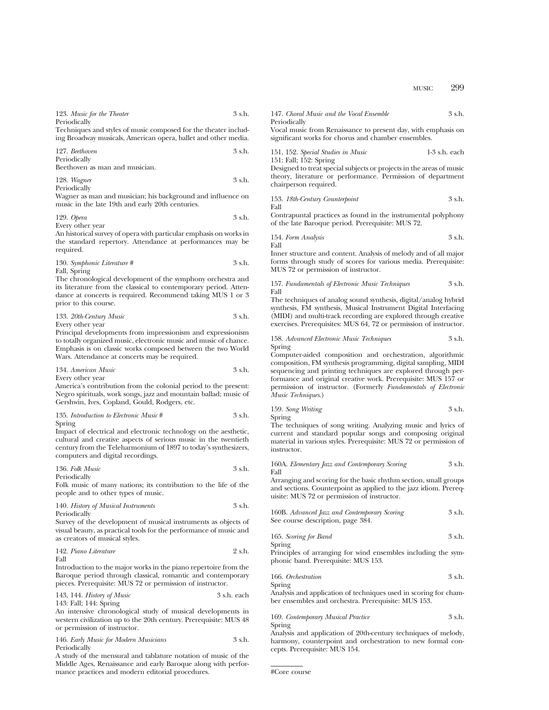| 123. Music for the Theater                                                                                                                        | 3 s.h. | 147. Choral Music and the Vocal Ensemble                                                                                             | 3 s.h.          |
|---------------------------------------------------------------------------------------------------------------------------------------------------|--------|--------------------------------------------------------------------------------------------------------------------------------------|-----------------|
| Periodically<br>Techniques and styles of music composed for the theater includ-<br>ing Broadway musicals, American opera, ballet and other media. |        | Periodically<br>Vocal music from Renaissance to present day, with emphasis on<br>significant works for chorus and chamber ensembles. |                 |
| 127. Beethoven<br>Periodically                                                                                                                    | 3 s.h. | 151, 152. Special Studies in Music<br>151: Fall; 152: Spring                                                                         | $1-3$ s.h. each |
| Beethoven as man and musician.                                                                                                                    |        | Designed to treat special subjects or projects in the areas of music                                                                 |                 |
| 128. Wagner<br>Periodically                                                                                                                       | 3 s.h. | theory, literature or performance. Permission of department<br>chairperson required.                                                 |                 |
| Wagner as man and musician; his background and influence on<br>music in the late 19th and early 20th centuries.                                   |        | 153. 18th-Century Counterpoint<br>Fall                                                                                               | 3 s.h.          |
| $129.$ Opera<br>Every other year                                                                                                                  | 3 s.h. | Contrapuntal practices as found in the instrumental polyphony<br>of the late Baroque period. Prerequisite: MUS 72.                   |                 |
| An historical survey of opera with particular emphasis on works in<br>the standard repertory. Attendance at performances may be                   |        | 154. Form Analysis<br>Fall                                                                                                           | $3 \,$ s.h.     |
| required.                                                                                                                                         |        | Inner structure and content. Analysis of melody and of all major                                                                     |                 |

130. Symphonic Literature # 3 s.h. Fall, Spring

The chronological development of the symphony orchestra and its literature from the classical to contemporary period. Attendance at concerts is required. Recommend taking MUS 1 or 3 prior to this course.

133. *20th-Century Music* 3 s.h.

Every other year

Principal developments from impressionism and expressionism to totally organized music, electronic music and music of chance. Emphasis is on classic works composed between the two World Wars. Attendance at concerts may be required.

| 134. American Music | 3 s.h. |
|---------------------|--------|
| Every other year    |        |

America's contribution from the colonial period to the present: Negro spirituals, work songs, jazz and mountain ballad; music of Gershwin, Ives, Copland, Gould, Rodgers, etc.

135. *Introduction to Electronic Music* # 3 s.h. Spring

Impact of electrical and electronic technology on the aesthetic, cultural and creative aspects of serious music in the twentieth century from the Teleharmonium of 1897 to today's synthesizers, computers and digital recordings.

| 136. Folk Music | 3 s.h. |
|-----------------|--------|
| Periodically    |        |

Folk music of many nations; its contribution to the life of the people and to other types of music.

140. *History of Musical Instruments* 3 s.h. Periodically

Survey of the development of musical instruments as objects of visual beauty, as practical tools for the performance of music and as creators of musical styles.

142. *Piano Literature* 2 s.h. Fall

Introduction to the major works in the piano repertoire from the Baroque period through classical, romantic and contemporary pieces. Prerequisite: MUS 72 or permission of instructor.

143, 144. *History of Music* 3 s.h. each 143: Fall; 144: Spring

An intensive chronological study of musical developments in western civilization up to the 20th century. Prerequisite: MUS 48 or permission of instructor.

146. *Early Music for Modern Musicians* 3 s.h. Periodically

A study of the mensural and tablature notation of music of the Middle Ages, Renaissance and early Baroque along with performance practices and modern editorial procedures.

151, 152. *Special Studies in Music* 1-3 s.h. each

153. *18th-Century Counterpoint* 3 s.h.

154. *Form Analysis* 3 s.h.

Inner structure and content. Analysis of melody and of all major forms through study of scores for various media. Prerequisite: MUS 72 or permission of instructor.

157. *Fundamentals of Electronic Music Techniques* 3 s.h. Fall

The techniques of analog sound synthesis, digital/analog hybrid synthesis, FM synthesis, Musical Instrument Digital Interfacing (MIDI) and multi-track recording are explored through creative exercises. Prerequisites: MUS 64, 72 or permission of instructor.

158. *Advanced Electronic Music Techniques* 3 s.h. Spring

Computer-aided composition and orchestration, algorithmic composition, FM synthesis programming, digital sampling, MIDI sequencing and printing techniques are explored through performance and original creative work. Prerequisite: MUS 157 or permission of instructor. (Formerly *Fundamentals of Electronic Music Techniques*.)

| 159. Song Writing | 3 s.h. |
|-------------------|--------|
| Spring            |        |

The techniques of song writing. Analyzing music and lyrics of current and standard popular songs and composing original material in various styles. Prerequisite: MUS 72 or permission of instructor.

160A. *Elementary Jazz and Contemporary Scoring* 3 s.h. Fall

Arranging and scoring for the basic rhythm section, small groups and sections. Counterpoint as applied to the jazz idiom. Prerequisite: MUS 72 or permission of instructor.

160B. *Advanced Jazz and Contemporary Scoring* 3 s.h. See course description, page 384.

165. *Scoring for Band* 3 s.h. Spring

Principles of arranging for wind ensembles including the symphonic band. Prerequisite: MUS 153.

166. *Orchestration* 3 s.h. Spring

Analysis and application of techniques used in scoring for chamber ensembles and orchestra. Prerequisite: MUS 153.

| 169. Contemporary Musical Practice | 3 s.h. |
|------------------------------------|--------|
| Spring                             |        |

Analysis and application of 20th-century techniques of melody, harmony, counterpoint and orchestration to new formal concepts. Prerequisite: MUS 154.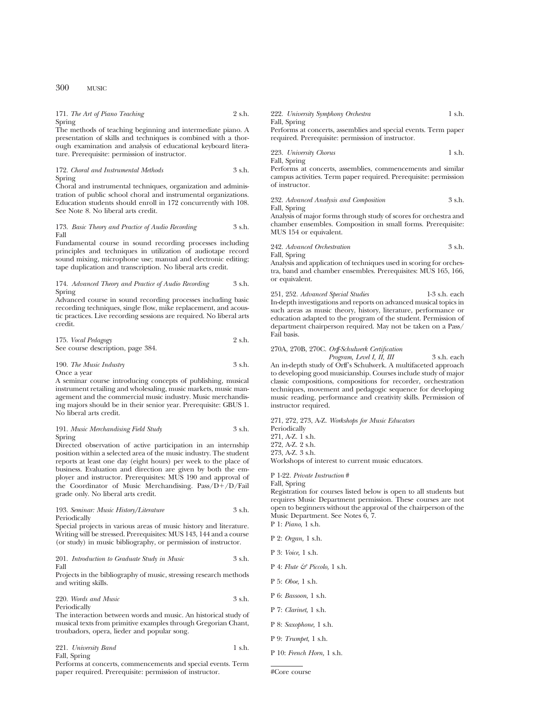#### 171. *The Art of Piano Teaching* 2 s.h. Spring

The methods of teaching beginning and intermediate piano. A presentation of skills and techniques is combined with a thorough examination and analysis of educational keyboard literature. Prerequisite: permission of instructor.

172. *Choral and Instrumental Methods* 3 s.h. Spring

Choral and instrumental techniques, organization and administration of public school choral and instrumental organizations. Education students should enroll in 172 concurrently with 108. See Note 8. No liberal arts credit.

#### 173. *Basic Theory and Practice of Audio Recording* 3 s.h. Fall

Fundamental course in sound recording processes including principles and techniques in utilization of audiotape record sound mixing, microphone use; manual and electronic editing; tape duplication and transcription. No liberal arts credit.

174. *Advanced Theory and Practice of Audio Recording* 3 s.h. Spring

Advanced course in sound recording processes including basic recording techniques, single flow, mike replacement, and acoustic practices. Live recording sessions are required. No liberal arts credit.

| 175. Vocal Pedagogy               | 2 s.h. |
|-----------------------------------|--------|
| See course description, page 384. |        |

| 190. The Music Industry | 3 s.h. |
|-------------------------|--------|
| Once a year             |        |

A seminar course introducing concepts of publishing, musical instrument retailing and wholesaling, music markets, music management and the commercial music industry. Music merchandising majors should be in their senior year. Prerequisite: GBUS 1. No liberal arts credit.

191. *Music Merchandising Field Study* 3 s.h. Spring

Directed observation of active participation in an internship position within a selected area of the music industry. The student reports at least one day (eight hours) per week to the place of business. Evaluation and direction are given by both the employer and instructor. Prerequisites: MUS 190 and approval of the Coordinator of Music Merchandising. Pass/ $D+/D$ /Fail grade only. No liberal arts credit.

193. *Seminar: Music History/Literature* 3 s.h. Periodically

Special projects in various areas of music history and literature. Writing will be stressed. Prerequisites: MUS 143, 144 and a course (or study) in music bibliography, or permission of instructor.

201. *Introduction to Graduate Study in Music* 3 s.h. Fall

Projects in the bibliography of music, stressing research methods and writing skills.

220. *Words and Music* 3 s.h.

Periodically

The interaction between words and music. An historical study of musical texts from primitive examples through Gregorian Chant, troubadors, opera, lieder and popular song.

|       | 221. University Band | 1 s.h. |
|-------|----------------------|--------|
| ----- |                      |        |

Fall, Spring

Performs at concerts, commencements and special events. Term paper required. Prerequisite: permission of instructor.

222. *University Symphony Orchestra* 1 s.h. Fall, Spring

Performs at concerts, assemblies and special events. Term paper required. Prerequisite: permission of instructor.

223. *University Chorus* 1 s.h. Fall, Spring

Performs at concerts, assemblies, commencements and similar campus activities. Term paper required. Prerequisite: permission of instructor.

232. *Advanced Analysis and Composition* 3 s.h. Fall, Spring

Analysis of major forms through study of scores for orchestra and chamber ensembles. Composition in small forms. Prerequisite: MUS 154 or equivalent.

242. *Advanced Orchestration* 3 s.h. Fall, Spring Analysis and application of techniques used in scoring for orches-

tra, band and chamber ensembles. Prerequisites: MUS 165, 166, or equivalent.

251, 252. *Advanced Special Studies* 1-3 s.h. each In-depth investigations and reports on advanced musical topics in such areas as music theory, history, literature, performance or education adapted to the program of the student. Permission of department chairperson required. May not be taken on a Pass/ Fail basis.

#### 270A, 270B, 270C. *Orff-Schulwerk Certification*

*Program, Level I, II, III* 3 s.h. each An in-depth study of  $\bar{\text{Orf}}\text{f's Schulwerk.}$  A multifaceted approach to developing good musicianship. Courses include study of major classic compositions, compositions for recorder, orchestration techniques, movement and pedagogic sequence for developing music reading, performance and creativity skills. Permission of instructor required.

271, 272, 273, A-Z. *Workshops for Music Educators* Periodically 271, A-Z. 1 s.h.

272, A-Z. 2 s.h.

273, A-Z. 3 s.h.

Workshops of interest to current music educators.

P 1-22. *Private Instruction* #

Fall, Spring Registration for courses listed below is open to all students but requires Music Department permission. These courses are not open to beginners without the approval of the chairperson of the Music Department. See Notes 6, 7. P 1: *Piano,* 1 s.h.

P 2: *Organ,* 1 s.h.

|  |  | P 3: <i>Voice</i> , 1 s.h. |  |  |
|--|--|----------------------------|--|--|
|--|--|----------------------------|--|--|

- P 4: *Flute & Piccolo,* 1 s.h.
- P 5: *Oboe,* 1 s.h.
- P 6: *Bassoon,* 1 s.h.
- P 7: *Clarinet,* 1 s.h.
- P 8: *Saxophone,* 1 s.h.
- P 9: *Trumpet,* 1 s.h.
- P 10: *French Horn,* 1 s.h.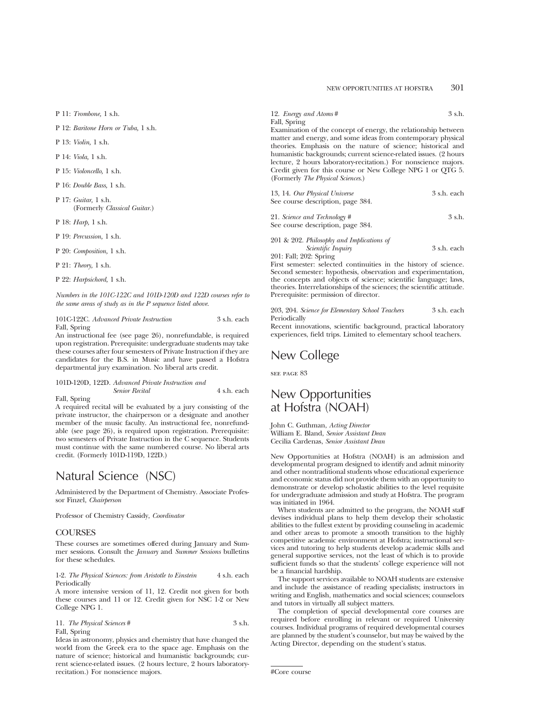## NEW OPPORTUNITIES AT HOFSTRA 301

P 11: *Trombone,* 1 s.h.

P 12: *Baritone Horn or Tuba,* 1 s.h.

P 13: *Violin,* 1 s.h.

P 14: *Viola,* 1 s.h.

P 15: *Violoncello,* 1 s.h.

P 16: *Double Bass,* 1 s.h.

P 17: *Guitar,* 1 s.h. (Formerly *Classical Guitar.*)

P 18: *Harp,* 1 s.h.

P 19: *Percussion,* 1 s.h.

P 20: *Composition,* 1 s.h.

P 21: *Theory,* 1 s.h.

P 22: *Harpsichord,* 1 s.h.

*Numbers in the 101C-122C and 101D-120D and 122D courses refer to the same areas of study as in the P sequence listed above.*

|              | 101C-122C. Advanced Private Instruction | 3 s.h. each |
|--------------|-----------------------------------------|-------------|
| Fall, Spring |                                         |             |

An instructional fee (see page 26), nonrefundable, is required upon registration. Prerequisite: undergraduate students may take these courses after four semesters of Private Instruction if they are candidates for the B.S. in Music and have passed a Hofstra departmental jury examination. No liberal arts credit.

## 101D-120D, 122D. *Advanced Private Instruction and Senior Recital* 4 s.h. each

Fall, Spring

A required recital will be evaluated by a jury consisting of the private instructor, the chairperson or a designate and another member of the music faculty. An instructional fee, nonrefundable (see page 26), is required upon registration. Prerequisite: two semesters of Private Instruction in the C sequence. Students must continue with the same numbered course. No liberal arts credit. (Formerly 101D-119D, 122D.)

## Natural Science (NSC)

Administered by the Department of Chemistry. Associate Professor Finzel, *Chairperson*

Professor of Chemistry Cassidy, *Coordinator*

#### **COURSES**

These courses are sometimes offered during January and Summer sessions. Consult the *January* and *Summer Sessions* bulletins for these schedules.

1-2. *The Physical Sciences: from Aristotle to Einstein* 4 s.h. each Periodically

A more intensive version of 11, 12. Credit not given for both these courses and 11 or 12. Credit given for NSC 1-2 or New College NPG 1.

| 11. The Physical Sciences # | 3 s.h. |
|-----------------------------|--------|
| Fall, Spring                |        |

Ideas in astronomy, physics and chemistry that have changed the world from the Greek era to the space age. Emphasis on the nature of science; historical and humanistic backgrounds; current science-related issues. (2 hours lecture, 2 hours laboratoryrecitation.) For nonscience majors.

12. *Energy and Atoms* # 3 s.h. Fall, Spring

Examination of the concept of energy, the relationship between matter and energy, and some ideas from contemporary physical theories. Emphasis on the nature of science; historical and humanistic backgrounds; current science-related issues. (2 hours lecture, 2 hours laboratory-recitation.) For nonscience majors. Credit given for this course or New College NPG 1 or QTG 5. (Formerly *The Physical Sciences*.)

| 13, 14. Our Physical Universe     | 3 s.h. each |
|-----------------------------------|-------------|
| See course description, page 384. |             |

21. *Science and Technology* # 3 s.h. See course description, page 384.

201 & 202. *Philosophy and Implications of Scientific Inquiry* 3 s.h. each 201: Fall; 202: Spring

First semester: selected continuities in the history of science. Second semester: hypothesis, observation and experimentation, the concepts and objects of science; scientific language; laws, theories. Interrelationships of the sciences; the scientific attitude. Prerequisite: permission of director.

203, 204. *Science for Elementary School Teachers* 3 s.h. each Periodically

Recent innovations, scientific background, practical laboratory experiences, field trips. Limited to elementary school teachers.

# New College

see page 83

## New Opportunities at Hofstra (NOAH)

John C. Guthman, *Acting Director* William E. Bland, *Senior Assistant Dean* Cecilia Cardenas, *Senior Assistant Dean*

New Opportunities at Hofstra (NOAH) is an admission and developmental program designed to identify and admit minority and other nontraditional students whose educational experience and economic status did not provide them with an opportunity to demonstrate or develop scholastic abilities to the level requisite for undergraduate admission and study at Hofstra. The program was initiated in 1964.

When students are admitted to the program, the NOAH staff devises individual plans to help them develop their scholastic abilities to the fullest extent by providing counseling in academic and other areas to promote a smooth transition to the highly competitive academic environment at Hofstra; instructional services and tutoring to help students develop academic skills and general supportive services, not the least of which is to provide sufficient funds so that the students' college experience will not be a financial hardship.

The support services available to NOAH students are extensive and include the assistance of reading specialists; instructors in writing and English, mathematics and social sciences; counselors and tutors in virtually all subject matters.

The completion of special developmental core courses are required before enrolling in relevant or required University courses. Individual programs of required developmental courses are planned by the student's counselor, but may be waived by the Acting Director, depending on the student's status.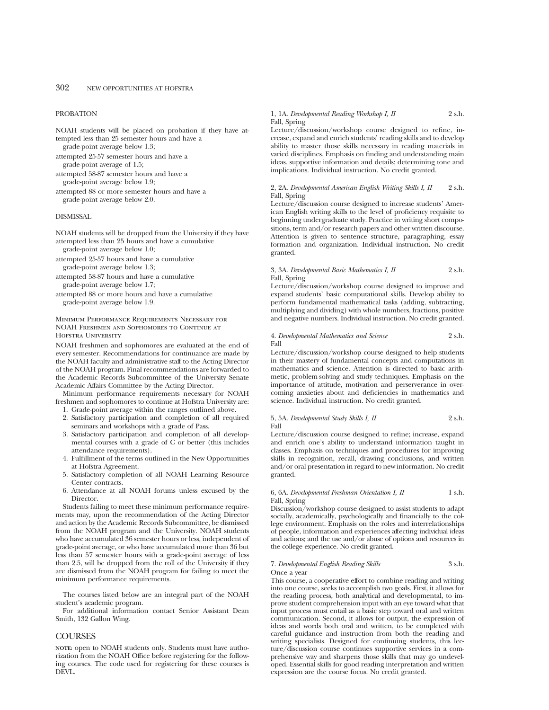### PROBATION

NOAH students will be placed on probation if they have attempted less than 25 semester hours and have a grade-point average below 1.3;

attempted 25-57 semester hours and have a grade-point average of 1.5;

attempted 58-87 semester hours and have a grade-point average below 1.9;

attempted 88 or more semester hours and have a grade-point average below 2.0.

#### DISMISSAL

NOAH students will be dropped from the University if they have attempted less than 25 hours and have a cumulative grade-point average below 1.0;

attempted 25-57 hours and have a cumulative grade-point average below 1.3;

attempted 58-87 hours and have a cumulative grade-point average below 1.7;

attempted 88 or more hours and have a cumulative grade-point average below 1.9.

Minimum Performance Requirements Necessary for NOAH Freshmen and Sophomores to Continue at HOFSTRA UNIVERSITY

NOAH freshmen and sophomores are evaluated at the end of every semester. Recommendations for continuance are made by the NOAH faculty and administrative staff to the Acting Director of the NOAH program. Final recommendations are forwarded to the Academic Records Subcommittee of the University Senate Academic Affairs Committee by the Acting Director.

Minimum performance requirements necessary for NOAH freshmen and sophomores to continue at Hofstra University are:

- 1. Grade-point average within the ranges outlined above. 2. Satisfactory participation and completion of all required seminars and workshops with a grade of Pass.
- 3. Satisfactory participation and completion of all developmental courses with a grade of C or better (this includes attendance requirements).
- 4. Fulfillment of the terms outlined in the New Opportunities at Hofstra Agreement.
- 5. Satisfactory completion of all NOAH Learning Resource Center contracts.
- 6. Attendance at all NOAH forums unless excused by the Director.

Students failing to meet these minimum performance requirements may, upon the recommendation of the Acting Director and action by the Academic Records Subcommittee, be dismissed from the NOAH program and the University. NOAH students who have accumulated 36 semester hours or less, independent of grade-point average, or who have accumulated more than 36 but less than 57 semester hours with a grade-point average of less than 2.5, will be dropped from the roll of the University if they are dismissed from the NOAH program for failing to meet the minimum performance requirements.

The courses listed below are an integral part of the NOAH student's academic program.

For additional information contact Senior Assistant Dean Smith, 132 Gallon Wing.

#### **COURSES**

**NOTE:** open to NOAH students only. Students must have authorization from the NOAH Office before registering for the following courses. The code used for registering for these courses is DEVL.

## 1, 1A. *Developmental Reading Workshop I, II* 2 s.h. Fall, Spring

Lecture/discussion/workshop course designed to refine, increase, expand and enrich students' reading skills and to develop ability to master those skills necessary in reading materials in varied disciplines. Emphasis on finding and understanding main ideas, supportive information and details; determining tone and implications. Individual instruction. No credit granted.

#### 2, 2A. *Developmental American English Writing Skills I, II* 2 s.h. Fall, Spring

Lecture/discussion course designed to increase students' American English writing skills to the level of proficiency requisite to beginning undergraduate study. Practice in writing short compositions, term and/or research papers and other written discourse. Attention is given to sentence structure, paragraphing, essay formation and organization. Individual instruction. No credit granted.

3, 3A. *Developmental Basic Mathematics I, II* 2 s.h. Fall, Spring

Lecture/discussion/workshop course designed to improve and expand students' basic computational skills. Develop ability to perform fundamental mathematical tasks (adding, subtracting, multiplying and dividing) with whole numbers, fractions, positive and negative numbers. Individual instruction. No credit granted.

4. *Developmental Mathematics and Science* 2 s.h. Fall

Lecture/discussion/workshop course designed to help students in their mastery of fundamental concepts and computations in mathematics and science. Attention is directed to basic arithmetic, problem-solving and study techniques. Emphasis on the importance of attitude, motivation and perserverance in overcoming anxieties about and deficiencies in mathematics and science. Individual instruction. No credit granted.

#### 5, 5A. *Developmental Study Skills I, II* 2 s.h. Fall

Lecture/discussion course designed to refine; increase, expand and enrich one's ability to understand information taught in classes. Emphasis on techniques and procedures for improving skills in recognition, recall, drawing conclusions, and written and/or oral presentation in regard to new information. No credit granted.

#### 6, 6A. *Developmental Freshman Orientation I, II* 1 s.h. Fall, Spring

Discussion/workshop course designed to assist students to adapt socially, academically, psychologically and financially to the college environment. Emphasis on the roles and interrelationships of people, information and experiences affecting individual ideas and actions; and the use and/or abuse of options and resources in the college experience. No credit granted.

7. *Developmental English Reading Skills* 3 s.h. Once a year

This course, a cooperative effort to combine reading and writing into one course, seeks to accomplish two goals. First, it allows for the reading process, both analytical and developmental, to improve student comprehension input with an eye toward what that input process must entail as a basic step toward oral and written communication. Second, it allows for output, the expression of ideas and words both oral and written, to be completed with careful guidance and instruction from both the reading and writing specialists. Designed for continuing students, this lecture/discussion course continues supportive services in a comprehensive way and sharpens those skills that may go undeveloped. Essential skills for good reading interpretation and written expression are the course focus. No credit granted.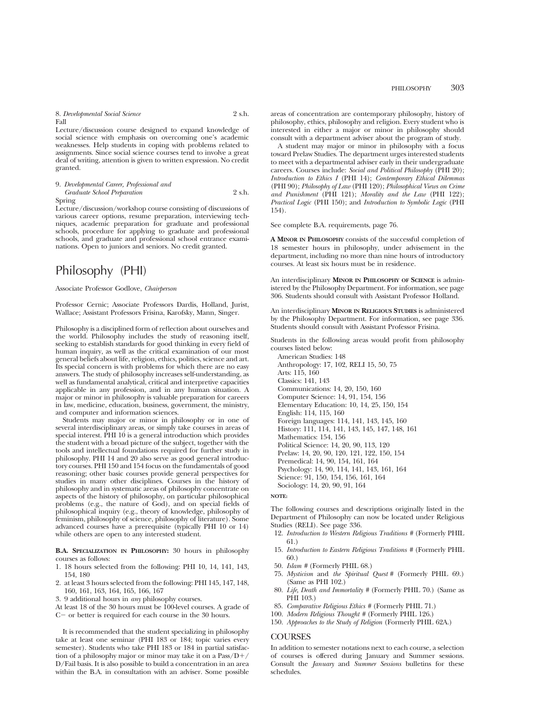## PHILOSOPHY 303

#### 8. *Developmental Social Science* 2 s.h. Fall

Lecture/discussion course designed to expand knowledge of social science with emphasis on overcoming one's academic weaknesses. Help students in coping with problems related to assignments. Since social science courses tend to involve a great deal of writing, attention is given to written expression. No credit granted.

#### 9. *Developmental Career, Professional and Graduate School Preparation* 2 s.h.

#### Spring

Lecture/discussion/workshop course consisting of discussions of various career options, resume preparation, interviewing techniques, academic preparation for graduate and professional schools, procedure for applying to graduate and professional schools, and graduate and professional school entrance examinations. Open to juniors and seniors. No credit granted.

# Philosophy (PHI)

#### Associate Professor Godlove, *Chairperson*

Professor Cernic; Associate Professors Dardis, Holland, Jurist, Wallace; Assistant Professors Frisina, Karofsky, Mann, Singer.

Philosophy is a disciplined form of reflection about ourselves and the world. Philosophy includes the study of reasoning itself, seeking to establish standards for good thinking in every field of human inquiry, as well as the critical examination of our most general beliefs about life, religion, ethics, politics, science and art. Its special concern is with problems for which there are no easy answers. The study of philosophy increases self-understanding, as well as fundamental analytical, critical and interpretive capacities applicable in any profession, and in any human situation. A major or minor in philosophy is valuable preparation for careers in law, medicine, education, business, government, the ministry, and computer and information sciences.

Students may major or minor in philosophy or in one of several interdisciplinary areas, or simply take courses in areas of special interest. PHI 10 is a general introduction which provides the student with a broad picture of the subject, together with the tools and intellectual foundations required for further study in philosophy. PHI 14 and 20 also serve as good general introductory courses. PHI 150 and 154 focus on the fundamentals of good reasoning; other basic courses provide general perspectives for studies in many other disciplines. Courses in the history of philosophy and in systematic areas of philosophy concentrate on aspects of the history of philosophy, on particular philosophical problems (e.g., the nature of God), and on special fields of philosophical inquiry (e.g., theory of knowledge, philosophy of feminism, philosophy of science, philosophy of literature). Some advanced courses have a prerequisite (typically PHI 10 or 14) while others are open to any interested student.

**B.A. SPECIALIZATION IN PHILOSOPHY:** 30 hours in philosophy courses as follows:

- 1. 18 hours selected from the following: PHI 10, 14, 141, 143, 154, 180
- 2. at least 3 hours selected from the following: PHI 145, 147, 148, 160, 161, 163, 164, 165, 166, 167
- 3. 9 additional hours in *any* philosophy courses.

At least 18 of the 30 hours must be 100-level courses. A grade of  $C-$  or better is required for each course in the 30 hours.

It is recommended that the student specializing in philosophy take at least one seminar (PHI 183 or 184; topic varies every semester). Students who take PHI 183 or 184 in partial satisfaction of a philosophy major or minor may take it on a  $Pass/D+$ / D/Fail basis. It is also possible to build a concentration in an area within the B.A. in consultation with an adviser. Some possible

areas of concentration are contemporary philosophy, history of philosophy, ethics, philosophy and religion. Every student who is interested in either a major or minor in philosophy should consult with a department adviser about the program of study.

A student may major or minor in philosophy with a focus toward Prelaw Studies. The department urges interested students to meet with a departmental adviser early in their undergraduate careers. Courses include: *Social and Political Philosophy* (PHI 20); *Introduction to Ethics I* (PHI 14); *Contemporary Ethical Dilemmas* (PHI 90); *Philosophy of Law* (PHI 120); *Philosophical Views on Crime and Punishment* (PHI 121); *Morality and the Law* (PHI 122); *Practical Logic* (PHI 150); and *Introduction to Symbolic Logic* (PHI 154).

### See complete B.A. requirements, page 76.

**A MINOR IN PHILOSOPHY** consists of the successful completion of 18 semester hours in philosophy, under advisement in the department, including no more than nine hours of introductory courses. At least six hours must be in residence.

An interdisciplinary **MINOR IN PHILOSOPHY OF SCIENCE** is administered by the Philosophy Department. For information, see page 306. Students should consult with Assistant Professor Holland.

An interdisciplinary **MINOR IN RELIGIOUS STUDIES** is administered by the Philosophy Department. For information, see page 336. Students should consult with Assistant Professor Frisina.

Students in the following areas would profit from philosophy courses listed below:

American Studies: 148 Anthropology: 17, 102, RELI 15, 50, 75 Arts: 115, 160 Classics: 141, 143 Communications: 14, 20, 150, 160 Computer Science: 14, 91, 154, 156 Elementary Education: 10, 14, 25, 150, 154 English: 114, 115, 160 Foreign languages: 114, 141, 143, 145, 160 History: 111, 114, 141, 143, 145, 147, 148, 161 Mathematics: 154, 156 Political Science: 14, 20, 90, 113, 120 Prelaw: 14, 20, 90, 120, 121, 122, 150, 154 Premedical: 14, 90, 154, 161, 164 Psychology: 14, 90, 114, 141, 143, 161, 164 Science: 91, 150, 154, 156, 161, 164 Sociology: 14, 20, 90, 91, 164

#### **NOTE:**

The following courses and descriptions originally listed in the Department of Philosophy can now be located under Religious Studies (RELI). See page 336.

- 12. *Introduction to Western Religious Traditions #* (Formerly PHIL 61.)
- 15. *Introduction to Eastern Religious Traditions #* (Formerly PHIL 60.)
- 50. *Islam #* (Formerly PHIL 68.)
- 75. *Mysticism* and *the Spiritual Quest #* (Formerly PHIL 69.) (Same as PHI 102.)
- 80. *Life, Death and Immortality #* (Formerly PHIL 70.) (Same as PHI 103.)
- 85. *Comparative Religious Ethics #* (Formerly PHIL 71.)
- 100. *Modern Religious Thought #* (Formerly PHIL 126.)
- 150. *Approaches to the Study of Religion* (Formerly PHIL 62A.)

#### **COURSES**

In addition to semester notations next to each course, a selection of courses is offered during January and Summer sessions. Consult the *January* and *Summer Sessions* bulletins for these schedules.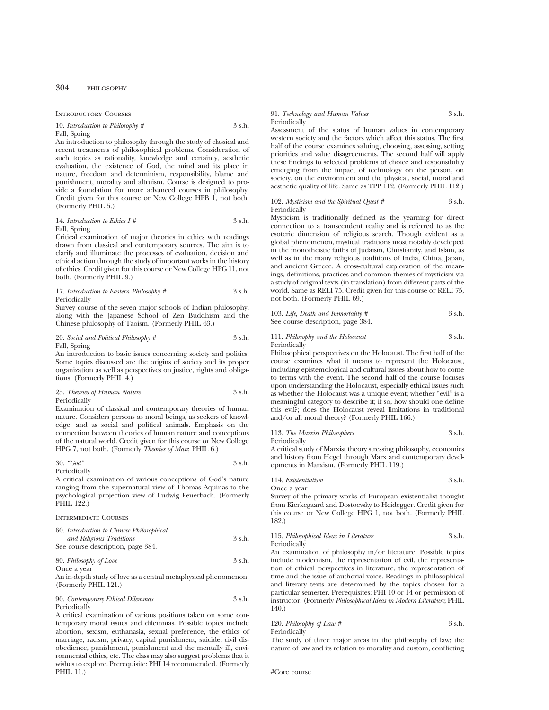## 304 PHILOSOPHY

Introductory Courses

#### 10. *Introduction to Philosophy* # 3 s.h. Fall, Spring

An introduction to philosophy through the study of classical and recent treatments of philosophical problems. Consideration of such topics as rationality, knowledge and certainty, aesthetic evaluation, the existence of God, the mind and its place in nature, freedom and determinism, responsibility, blame and punishment, morality and altruism. Course is designed to provide a foundation for more advanced courses in philosophy. Credit given for this course or New College HPB 1, not both. (Formerly PHIL 5.)

#### 14. *Introduction to Ethics I #* 3 s.h. Fall, Spring

Critical examination of major theories in ethics with readings drawn from classical and contemporary sources. The aim is to clarify and illuminate the processes of evaluation, decision and ethical action through the study of important works in the history of ethics. Credit given for this course or New College HPG 11, not both. (Formerly PHIL 9.)

17. *Introduction to Eastern Philosophy #* 3 s.h. Periodically

Survey course of the seven major schools of Indian philosophy, along with the Japanese School of Zen Buddhism and the Chinese philosophy of Taoism. (Formerly PHIL 63.)

#### 20. *Social and Political Philosophy* # 3 s.h. Fall, Spring

An introduction to basic issues concerning society and politics. Some topics discussed are the origins of society and its proper organization as well as perspectives on justice, rights and obligations. (Formerly PHIL 4.)

25. *Theories of Human Nature* 3 s.h. Periodically

Examination of classical and contemporary theories of human nature. Considers persons as moral beings, as seekers of knowledge, and as social and political animals. Emphasis on the connection between theories of human nature and conceptions of the natural world. Credit given for this course or New College HPG 7, not both. (Formerly *Theories of Man*; PHIL 6.)

$$
30. \text{``God''}
$$

Periodically

A critical examination of various conceptions of God's nature ranging from the supernatural view of Thomas Aquinas to the psychological projection view of Ludwig Feuerbach. (Formerly PHIL 122.)

#### Intermediate Courses

| 60. Introduction to Chinese Philosophical |        |
|-------------------------------------------|--------|
| and Religious Traditions                  | 3 s.h. |
| See course description, page 384.         |        |

#### 80. *Philosophy of Love* 3 s.h. Once a year

An in-depth study of love as a central metaphysical phenomenon. (Formerly PHIL 121.)

| 90. Contemporary Ethical Dilemmas | 3 s.h. |
|-----------------------------------|--------|
| Periodically                      |        |

A critical examination of various positions taken on some contemporary moral issues and dilemmas. Possible topics include abortion, sexism, euthanasia, sexual preference, the ethics of marriage, racism, privacy, capital punishment, suicide, civil disobedience, punishment, punishment and the mentally ill, environmental ethics, etc. The class may also suggest problems that it wishes to explore. Prerequisite: PHI 14 recommended. (Formerly PHIL 11.)

#### 91. *Technology and Human Values* 3 s.h. Periodically

Assessment of the status of human values in contemporary western society and the factors which affect this status. The first half of the course examines valuing, choosing, assessing, setting priorities and value disagreements. The second half will apply these findings to selected problems of choice and responsibility emerging from the impact of technology on the person, on society, on the environment and the physical, social, moral and aesthetic quality of life. Same as TPP 112. (Formerly PHIL 112.)

#### 102. *Mysticism and the Spiritual Quest #* 3 s.h. Periodically

Mysticism is traditionally defined as the yearning for direct connection to a transcendent reality and is referred to as the esoteric dimension of religious search. Though evident as a global phenomenon, mystical traditions most notably developed in the monotheistic faiths of Judaism, Christianity, and Islam, as well as in the many religious traditions of India, China, Japan, and ancient Greece. A cross-cultural exploration of the meanings, definitions, practices and common themes of mysticism via a study of original texts (in translation) from different parts of the world. Same as RELI 75. Credit given for this course or RELI 75, not both. (Formerly PHIL 69.)

103. *Life, Death and Immortality #* 3 s.h. See course description, page 384.

111. *Philosophy and the Holocaust* 3 s.h. Periodically

Philosophical perspectives on the Holocaust. The first half of the course examines what it means to represent the Holocaust, including epistemological and cultural issues about how to come to terms with the event. The second half of the course focuses upon understanding the Holocaust, especially ethical issues such as whether the Holocaust was a unique event; whether "evil" is a meaningful category to describe it; if so, how should one define this evil?; does the Holocaust reveal limitations in traditional and/or all moral theory? (Formerly PHIL 166.)

#### 113. *The Marxist Philosophers* 3 s.h. Periodically

A critical study of Marxist theory stressing philosophy, economics and history from Hegel through Marx and contemporary developments in Marxism. (Formerly PHIL 119.)

114. *Existentialism* 3 s.h. Once a year

Survey of the primary works of European existentialist thought from Kierkegaard and Dostoevsky to Heidegger. Credit given for this course or New College HPG 1, not both. (Formerly PHIL 182.)

#### 115. *Philosophical Ideas in Literature* 3 s.h. Periodically

An examination of philosophy in/or literature. Possible topics include modernism, the representation of evil, the representation of ethical perspectives in literature, the representation of time and the issue of authorial voice. Readings in philosophical and literary texts are determined by the topics chosen for a particular semester. Prerequisites: PHI 10 or 14 or permission of instructor. (Formerly *Philosophical Ideas in Modern Literature*; PHIL 140.)

| 120. Philosophy of Law $#$ | 3 s.h. |
|----------------------------|--------|
| Periodically               |        |

The study of three major areas in the philosophy of law; the nature of law and its relation to morality and custom, conflicting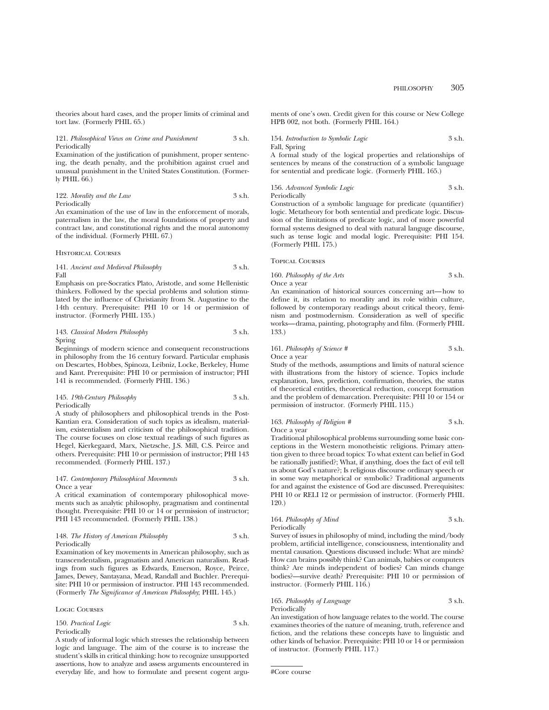theories about hard cases, and the proper limits of criminal and tort law. (Formerly PHIL 65.)

121. *Philosophical Views on Crime and Punishment* 3 s.h. Periodically

Examination of the justification of punishment, proper sentencing, the death penalty, and the prohibition against cruel and unusual punishment in the United States Constitution. (Formerly PHIL 66.)

122. *Morality and the Law* 3 s.h. Periodically

An examination of the use of law in the enforcement of morals, paternalism in the law, the moral foundations of property and contract law, and constitutional rights and the moral autonomy of the individual. (Formerly PHIL 67.)

Historical Courses

141. *Ancient and Medieval Philosophy* 3 s.h. Fall

Emphasis on pre-Socratics Plato, Aristotle, and some Hellenistic thinkers. Followed by the special problems and solution stimulated by the influence of Christianity from St. Augustine to the 14th century. Prerequisite: PHI 10 or 14 or permission of instructor. (Formerly PHIL 135.)

#### 143. *Classical Modern Philosophy* 3 s.h. Spring

Beginnings of modern science and consequent reconstructions in philosophy from the 16 century forward. Particular emphasis on Descartes, Hobbes, Spinoza, Leibniz, Locke, Berkeley, Hume and Kant. Prerequisite: PHI 10 or permission of instructor; PHI 141 is recommended. (Formerly PHIL 136.)

145. *19th-Century Philosophy* 3 s.h. Periodically

A study of philosophers and philosophical trends in the Post-Kantian era. Consideration of such topics as idealism, materialism, existentialism and criticism of the philosophical tradition. The course focuses on close textual readings of such figures as Hegel, Kierkegaard, Marx, Nietzsche, J.S. Mill, C.S. Peirce and others. Prerequisite: PHI 10 or permission of instructor; PHI 143 recommended. (Formerly PHIL 137.)

#### 147. *Contemporary Philosophical Movements* 3 s.h. Once a year

A critical examination of contemporary philosophical movements such as analytic philosophy, pragmatism and continental thought. Prerequisite: PHI 10 or 14 or permission of instructor; PHI 143 recommended. (Formerly PHIL 138.)

148. *The History of American Philosophy* 3 s.h. Periodically

Examination of key movements in American philosophy, such as transcendentalism, pragmatism and American naturalism. Readings from such figures as Edwards, Emerson, Royce, Peirce, James, Dewey, Santayana, Mead, Randall and Buchler. Prerequisite: PHI 10 or permission of instructor. PHI 143 recommended. (Formerly *The Significance of American Philosophy*; PHIL 145.)

Logic Courses

### 150. *Practical Logic* 3 s.h. Periodically

A study of informal logic which stresses the relationship between logic and language. The aim of the course is to increase the student's skills in critical thinking: how to recognize unsupported assertions, how to analyze and assess arguments encountered in everyday life, and how to formulate and present cogent arguments of one's own. Credit given for this course or New College HPB 002, not both. (Formerly PHIL 164.)

154. *Introduction to Symbolic Logic* 3 s.h. Fall, Spring

A formal study of the logical properties and relationships of sentences by means of the construction of a symbolic language for sentential and predicate logic. (Formerly PHIL 165.)

## 156. *Advanced Symbolic Logic* 3 s.h. Periodically

Construction of a symbolic language for predicate (quantifier) logic. Metatheory for both sentential and predicate logic. Discussion of the limitations of predicate logic, and of more powerful formal systems designed to deal with natural languge discourse, such as tense logic and modal logic. Prerequisite: PHI 154. (Formerly PHIL 175.)

Topical Courses

## 160. *Philosophy of the Arts* 3 s.h. Once a year

An examination of historical sources concerning art—how to define it, its relation to morality and its role within culture, followed by contemporary readings about critical theory, feminism and postmodernism. Consideration as well of specific works—drama, painting, photography and film. (Formerly PHIL 133.)

161. *Philosophy of Science #* 3 s.h. Once a year

Study of the methods, assumptions and limits of natural science with illustrations from the history of science. Topics include explanation, laws, prediction, confirmation, theories, the status of theoretical entitles, theoretical reduction, concept formation and the problem of demarcation. Prerequisite: PHI 10 or 154 or permission of instructor. (Formerly PHIL 115.)

#### 163. *Philosophy of Religion #* 3 s.h. Once a year

Traditional philosophical problems surrounding some basic conceptions in the Western monotheistic religions. Primary attention given to three broad topics: To what extent can belief in God be rationally justified?; What, if anything, does the fact of evil tell us about God's nature?; Is religious discourse ordinary speech or in some way metaphorical or symbolic? Traditional arguments for and against the existence of God are discussed. Prerequisites: PHI 10 or RELI 12 or permission of instructor. (Formerly PHIL 120.)

#### 164. *Philosophy of Mind* 3 s.h. Periodically

Survey of issues in philosophy of mind, including the mind/body problem, artificial intelligence, consciousness, intentionality and mental causation. Questions discussed include: What are minds? How can brains possibly think? Can animals, babies or computers think? Are minds independent of bodies? Can minds change bodies?—survive death? Prerequisite: PHI 10 or permission of instructor. (Formerly PHIL 116.)

165. *Philosophy of Language* 3 s.h. Periodically

An investigation of how language relates to the world. The course examines theories of the nature of meaning, truth, reference and fiction, and the relations these concepts have to linguistic and other kinds of behavior. Prerequisite: PHI 10 or 14 or permission of instructor. (Formerly PHIL 117.)